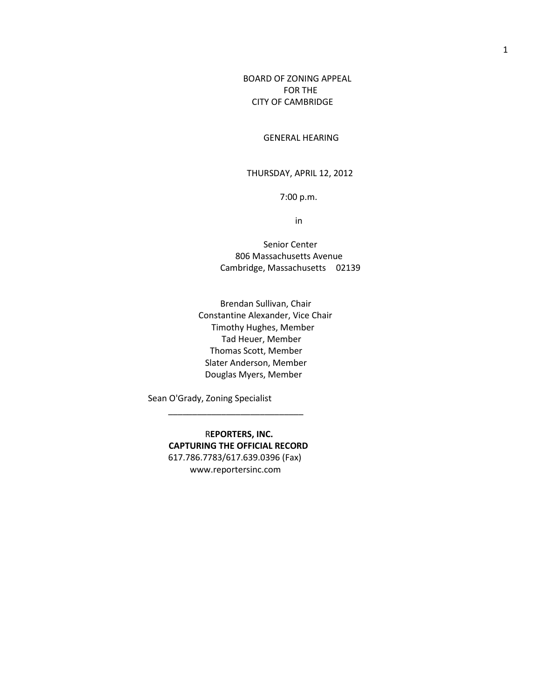BOARD OF ZONING APPEAL FOR THE CITY OF CAMBRIDGE

GENERAL HEARING

THURSDAY, APRIL 12, 2012

7:00 p.m.

in

 Senior Center 806 Massachusetts Avenue Cambridge, Massachusetts 02139

 Brendan Sullivan, Chair Constantine Alexander, Vice Chair Timothy Hughes, Member Tad Heuer, Member Thomas Scott, Member Slater Anderson, Member Douglas Myers, Member

Sean O'Grady, Zoning Specialist

 $\frac{1}{2}$  , and the set of the set of the set of the set of the set of the set of the set of the set of the set of the set of the set of the set of the set of the set of the set of the set of the set of the set of the set

 R**EPORTERS, INC. CAPTURING THE OFFICIAL RECORD** 617.786.7783/617.639.0396 (Fax) www.reportersinc.com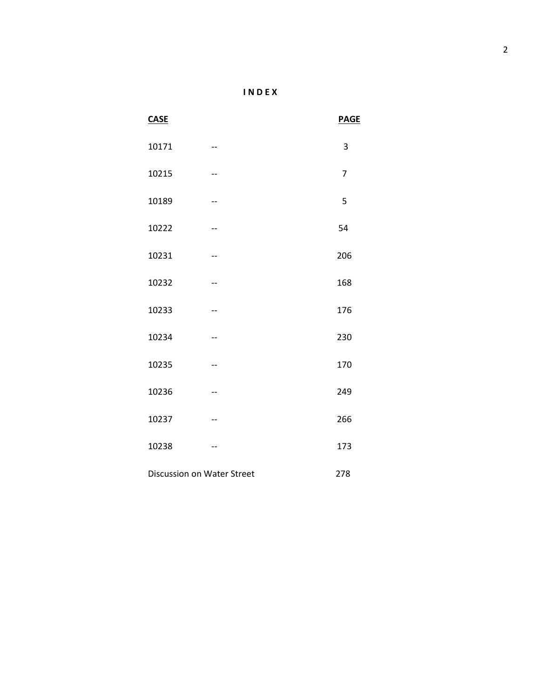| λ |
|---|
|   |

| <b>CASE</b>                |       | <b>PAGE</b>    |
|----------------------------|-------|----------------|
| 10171                      | --    | 3              |
| 10215                      | --    | $\overline{7}$ |
| 10189                      | --    | 5              |
| 10222                      | --    | 54             |
| 10231                      | $- -$ | 206            |
| 10232                      | --    | 168            |
| 10233                      | --    | 176            |
| 10234                      | $- -$ | 230            |
| 10235                      | --    | 170            |
| 10236                      | --    | 249            |
| 10237                      | $-$   | 266            |
| 10238                      | --    | 173            |
| Discussion on Water Street |       | 278            |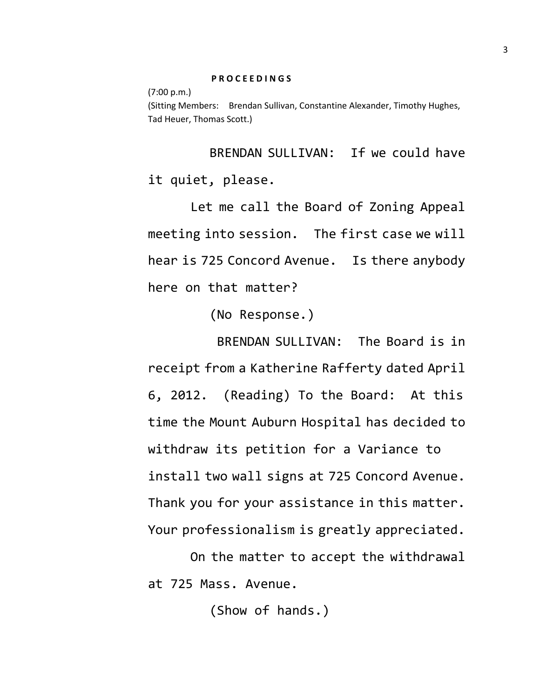(7:00 p.m.) (Sitting Members: Brendan Sullivan, Constantine Alexander, Timothy Hughes, Tad Heuer, Thomas Scott.)

BRENDAN SULLIVAN: If we could have it quiet, please.

Let me call the Board of Zoning Appeal meeting into session. The first case we will hear is 725 Concord Avenue. Is there anybody here on that matter?

(No Response.)

BRENDAN SULLIVAN: The Board is in receipt from a Katherine Rafferty dated April 6, 2012. (Reading) To the Board: At this time the Mount Auburn Hospital has decided to withdraw its petition for a Variance to install two wall signs at 725 Concord Avenue. Thank you for your assistance in this matter. Your professionalism is greatly appreciated.

On the matter to accept the withdrawal at 725 Mass. Avenue.

(Show of hands.)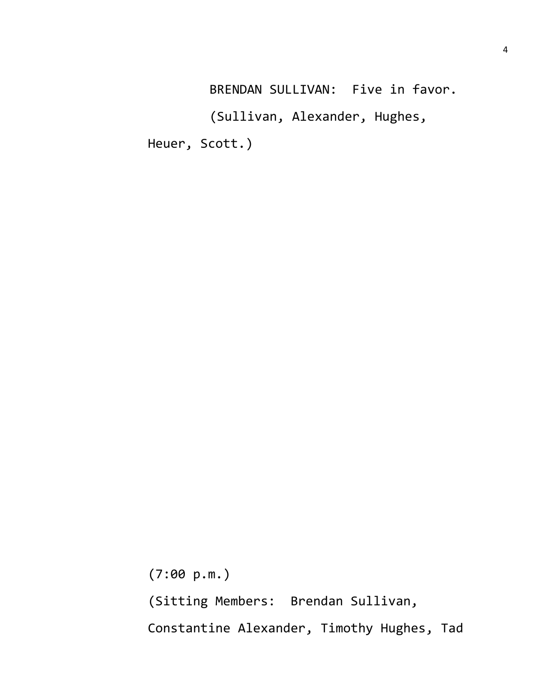BRENDAN SULLIVAN: Five in favor. (Sullivan, Alexander, Hughes, Heuer, Scott.)

(7:00 p.m.) (Sitting Members: Brendan Sullivan, Constantine Alexander, Timothy Hughes, Tad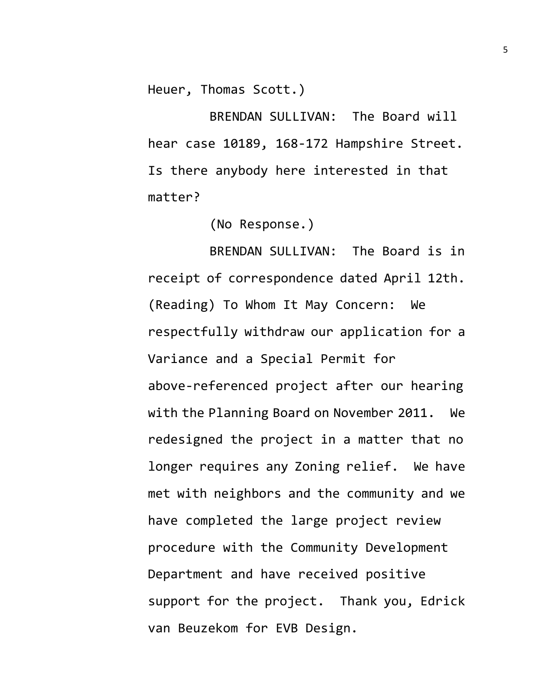Heuer, Thomas Scott.)

BRENDAN SULLIVAN: The Board will hear case 10189, 168-172 Hampshire Street. Is there anybody here interested in that matter?

(No Response.)

BRENDAN SULLIVAN: The Board is in receipt of correspondence dated April 12th. (Reading) To Whom It May Concern: We respectfully withdraw our application for a Variance and a Special Permit for above-referenced project after our hearing with the Planning Board on November 2011. We redesigned the project in a matter that no longer requires any Zoning relief. We have met with neighbors and the community and we have completed the large project review procedure with the Community Development Department and have received positive support for the project. Thank you, Edrick van Beuzekom for EVB Design.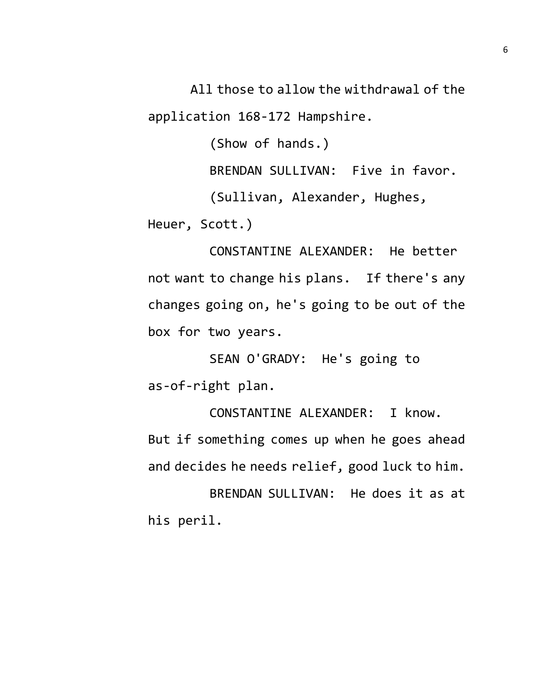All those to allow the withdrawal of the

application 168-172 Hampshire.

(Show of hands.)

BRENDAN SULLIVAN: Five in favor.

(Sullivan, Alexander, Hughes,

Heuer, Scott.)

CONSTANTINE ALEXANDER: He better not want to change his plans. If there's any changes going on, he's going to be out of the box for two years.

SEAN O'GRADY: He's going to as-of-right plan.

CONSTANTINE ALEXANDER: I know. But if something comes up when he goes ahead and decides he needs relief, good luck to him.

BRENDAN SULLIVAN: He does it as at his peril.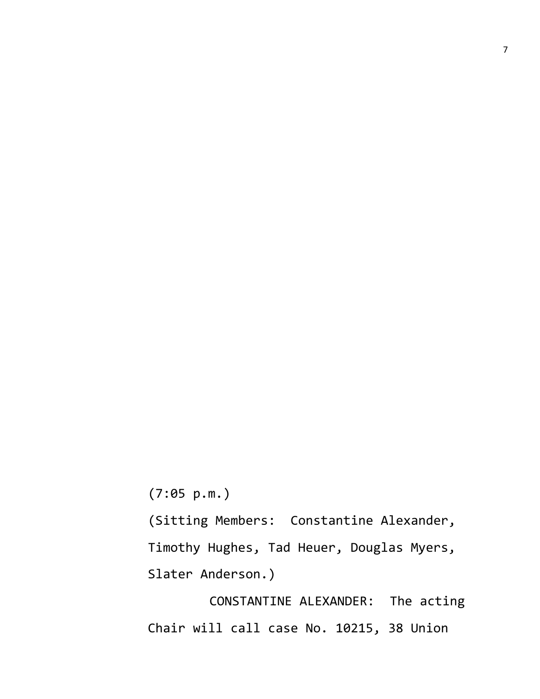(7:05 p.m.)

(Sitting Members: Constantine Alexander, Timothy Hughes, Tad Heuer, Douglas Myers, Slater Anderson.)

CONSTANTINE ALEXANDER: The acting Chair will call case No. 10215, 38 Union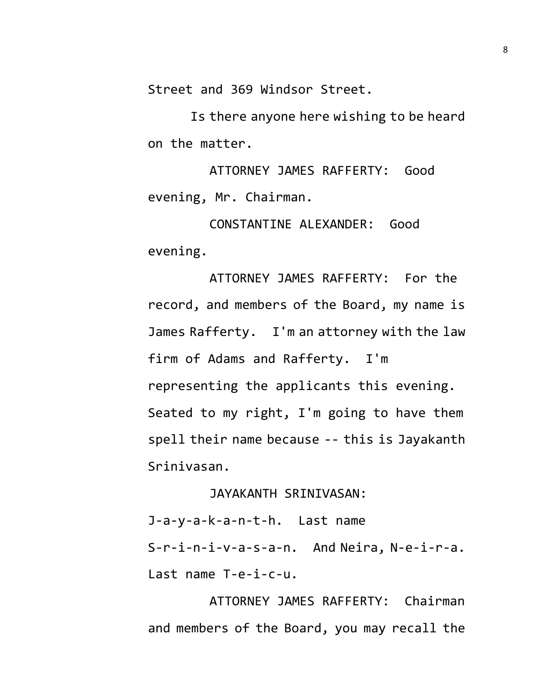Street and 369 Windsor Street.

Is there anyone here wishing to be heard on the matter.

ATTORNEY JAMES RAFFERTY: Good evening, Mr. Chairman.

CONSTANTINE ALEXANDER: Good evening.

ATTORNEY JAMES RAFFERTY: For the record, and members of the Board, my name is James Rafferty. I'm an attorney with the law firm of Adams and Rafferty. I'm representing the applicants this evening. Seated to my right, I'm going to have them spell their name because -- this is Jayakanth Srinivasan.

## JAYAKANTH SRINIVASAN:

J-a-y-a-k-a-n-t-h. Last name S-r-i-n-i-v-a-s-a-n. And Neira, N-e-i-r-a. Last name T-e-i-c-u.

ATTORNEY JAMES RAFFERTY: Chairman and members of the Board, you may recall the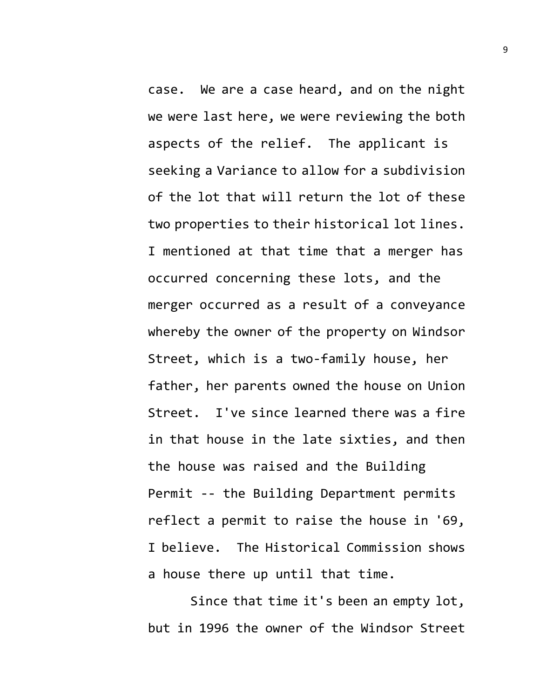case. We are a case heard, and on the night we were last here, we were reviewing the both aspects of the relief. The applicant is seeking a Variance to allow for a subdivision of the lot that will return the lot of these two properties to their historical lot lines. I mentioned at that time that a merger has occurred concerning these lots, and the merger occurred as a result of a conveyance whereby the owner of the property on Windsor Street, which is a two-family house, her father, her parents owned the house on Union Street. I've since learned there was a fire in that house in the late sixties, and then the house was raised and the Building Permit -- the Building Department permits reflect a permit to raise the house in '69, I believe. The Historical Commission shows a house there up until that time.

Since that time it's been an empty lot, but in 1996 the owner of the Windsor Street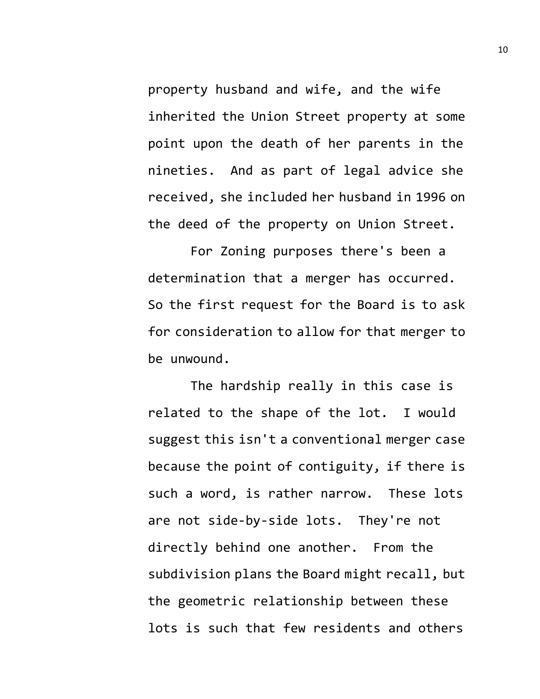property husband and wife, and the wife inherited the Union Street property at some point upon the death of her parents in the nineties. And as part of legal advice she received, she included her husband in 1996 on the deed of the property on Union Street.

For Zoning purposes there's been a determination that a merger has occurred. So the first request for the Board is to ask for consideration to allow for that merger to be unwound.

The hardship really in this case is related to the shape of the lot. I would suggest this isn't a conventional merger case because the point of contiguity, if there is such a word, is rather narrow. These lots are not side-by-side lots. They're not directly behind one another. From the subdivision plans the Board might recall, but the geometric relationship between these lots is such that few residents and others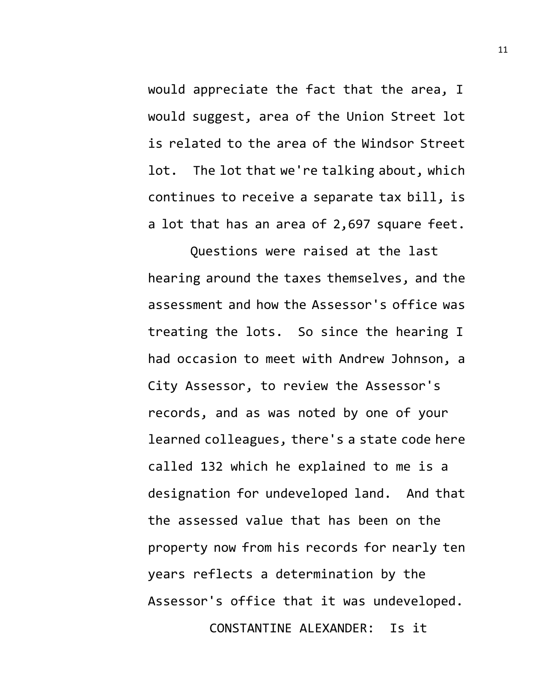would appreciate the fact that the area, I would suggest, area of the Union Street lot is related to the area of the Windsor Street lot. The lot that we're talking about, which continues to receive a separate tax bill, is a lot that has an area of 2,697 square feet.

Questions were raised at the last hearing around the taxes themselves, and the assessment and how the Assessor's office was treating the lots. So since the hearing I had occasion to meet with Andrew Johnson, a City Assessor, to review the Assessor's records, and as was noted by one of your learned colleagues, there's a state code here called 132 which he explained to me is a designation for undeveloped land. And that the assessed value that has been on the property now from his records for nearly ten years reflects a determination by the Assessor's office that it was undeveloped. CONSTANTINE ALEXANDER: Is it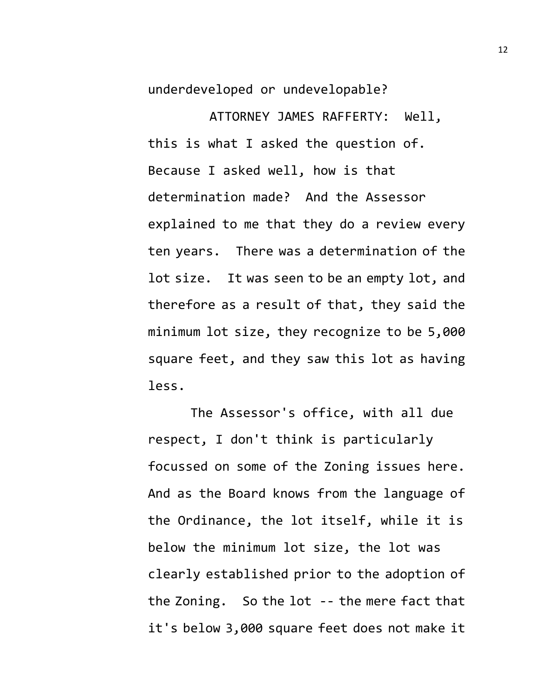underdeveloped or undevelopable?

ATTORNEY JAMES RAFFERTY: Well, this is what I asked the question of. Because I asked well, how is that determination made? And the Assessor explained to me that they do a review every ten years. There was a determination of the lot size. It was seen to be an empty lot, and therefore as a result of that, they said the minimum lot size, they recognize to be 5,000 square feet, and they saw this lot as having less.

The Assessor's office, with all due respect, I don't think is particularly focussed on some of the Zoning issues here. And as the Board knows from the language of the Ordinance, the lot itself, while it is below the minimum lot size, the lot was clearly established prior to the adoption of the Zoning. So the lot -- the mere fact that it's below 3,000 square feet does not make it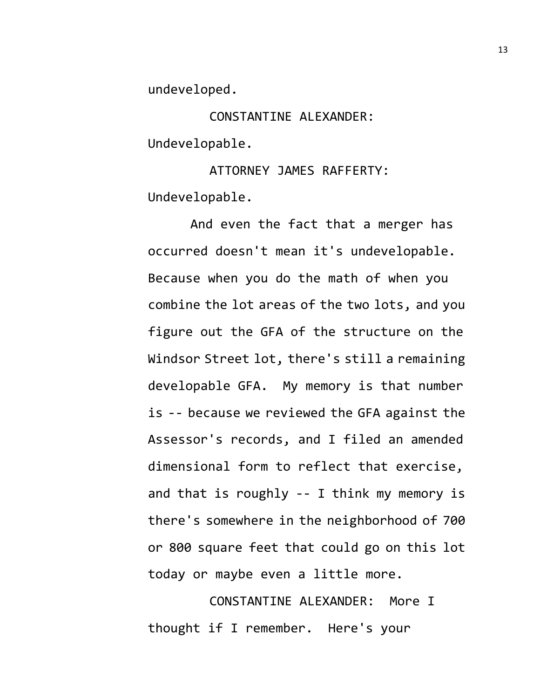undeveloped.

CONSTANTINE ALEXANDER: Undevelopable.

ATTORNEY JAMES RAFFERTY: Undevelopable.

And even the fact that a merger has occurred doesn't mean it's undevelopable. Because when you do the math of when you combine the lot areas of the two lots, and you figure out the GFA of the structure on the Windsor Street lot, there's still a remaining developable GFA. My memory is that number is -- because we reviewed the GFA against the Assessor's records, and I filed an amended dimensional form to reflect that exercise, and that is roughly -- I think my memory is there's somewhere in the neighborhood of 700 or 800 square feet that could go on this lot today or maybe even a little more.

CONSTANTINE ALEXANDER: More I thought if I remember. Here's your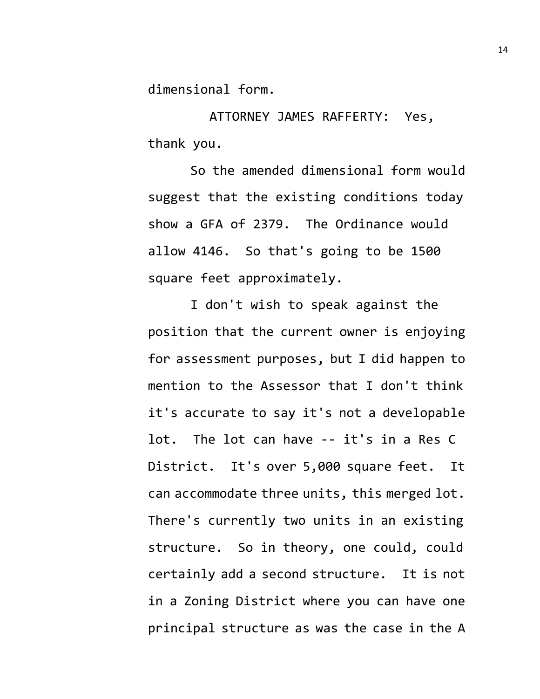dimensional form.

ATTORNEY JAMES RAFFERTY: Yes, thank you.

So the amended dimensional form would suggest that the existing conditions today show a GFA of 2379. The Ordinance would allow 4146. So that's going to be 1500 square feet approximately.

I don't wish to speak against the position that the current owner is enjoying for assessment purposes, but I did happen to mention to the Assessor that I don't think it's accurate to say it's not a developable lot. The lot can have -- it's in a Res C District. It's over 5,000 square feet. It can accommodate three units, this merged lot. There's currently two units in an existing structure. So in theory, one could, could certainly add a second structure. It is not in a Zoning District where you can have one principal structure as was the case in the A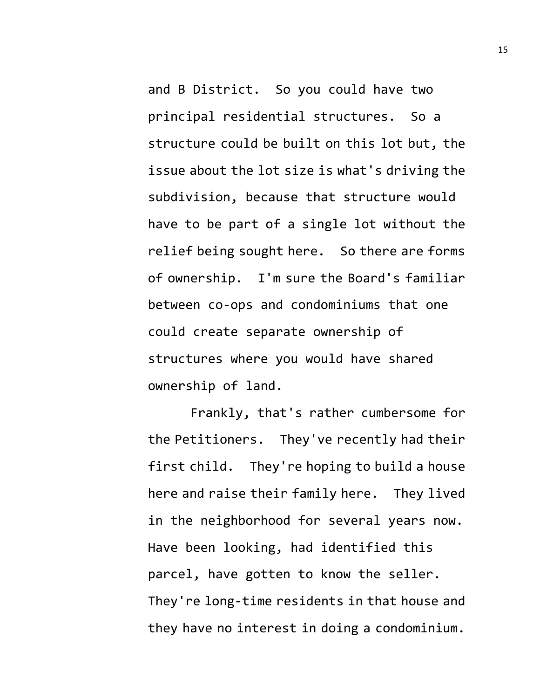and B District. So you could have two principal residential structures. So a structure could be built on this lot but, the issue about the lot size is what's driving the subdivision, because that structure would have to be part of a single lot without the relief being sought here. So there are forms of ownership. I'm sure the Board's familiar between co-ops and condominiums that one could create separate ownership of structures where you would have shared ownership of land.

Frankly, that's rather cumbersome for the Petitioners. They've recently had their first child. They're hoping to build a house here and raise their family here. They lived in the neighborhood for several years now. Have been looking, had identified this parcel, have gotten to know the seller. They're long-time residents in that house and they have no interest in doing a condominium.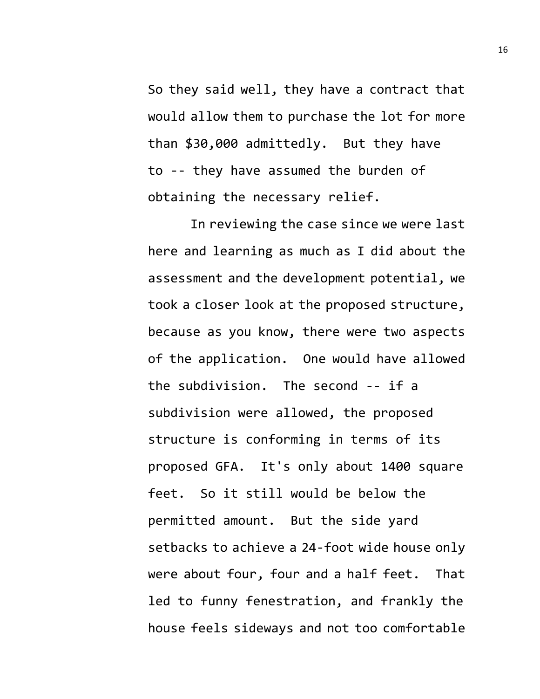So they said well, they have a contract that would allow them to purchase the lot for more than \$30,000 admittedly. But they have to -- they have assumed the burden of obtaining the necessary relief.

In reviewing the case since we were last here and learning as much as I did about the assessment and the development potential, we took a closer look at the proposed structure, because as you know, there were two aspects of the application. One would have allowed the subdivision. The second -- if a subdivision were allowed, the proposed structure is conforming in terms of its proposed GFA. It's only about 1400 square feet. So it still would be below the permitted amount. But the side yard setbacks to achieve a 24-foot wide house only were about four, four and a half feet. That led to funny fenestration, and frankly the house feels sideways and not too comfortable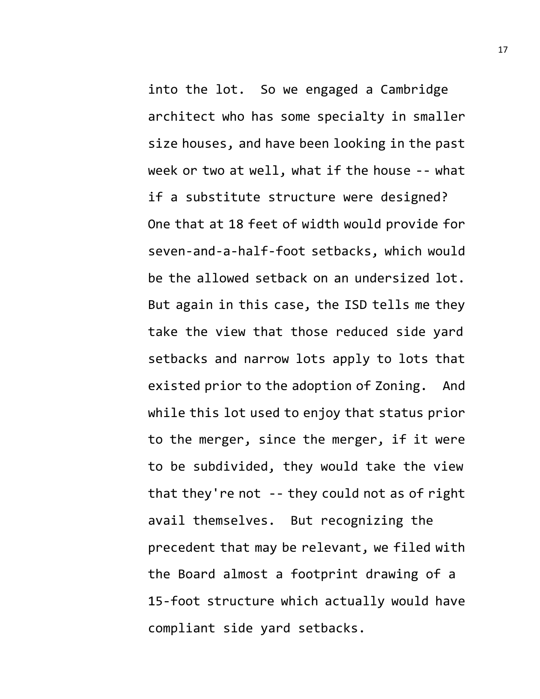into the lot. So we engaged a Cambridge architect who has some specialty in smaller size houses, and have been looking in the past week or two at well, what if the house -- what

if a substitute structure were designed? One that at 18 feet of width would provide for seven-and-a-half-foot setbacks, which would be the allowed setback on an undersized lot. But again in this case, the ISD tells me they take the view that those reduced side yard setbacks and narrow lots apply to lots that existed prior to the adoption of Zoning. And while this lot used to enjoy that status prior to the merger, since the merger, if it were to be subdivided, they would take the view that they're not -- they could not as of right avail themselves. But recognizing the precedent that may be relevant, we filed with the Board almost a footprint drawing of a 15-foot structure which actually would have compliant side yard setbacks.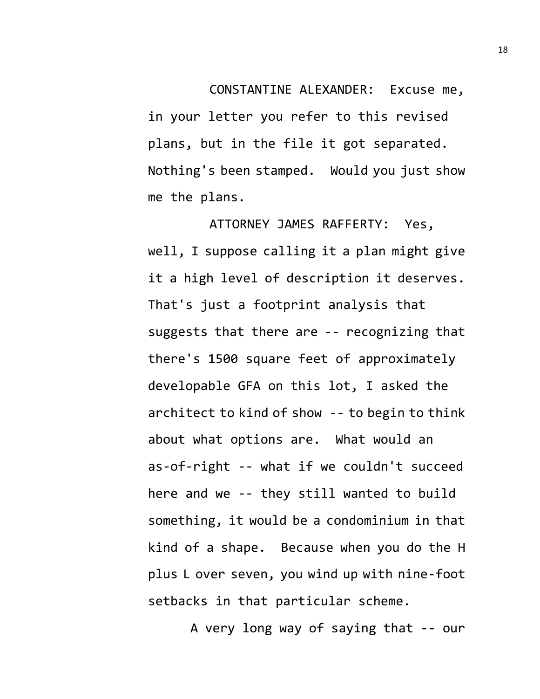CONSTANTINE ALEXANDER: Excuse me, in your letter you refer to this revised plans, but in the file it got separated. Nothing's been stamped. Would you just show me the plans.

ATTORNEY JAMES RAFFERTY: Yes, well, I suppose calling it a plan might give it a high level of description it deserves. That's just a footprint analysis that suggests that there are -- recognizing that there's 1500 square feet of approximately developable GFA on this lot, I asked the architect to kind of show -- to begin to think about what options are. What would an as-of-right -- what if we couldn't succeed here and we -- they still wanted to build something, it would be a condominium in that kind of a shape. Because when you do the H plus L over seven, you wind up with nine-foot setbacks in that particular scheme.

A very long way of saying that -- our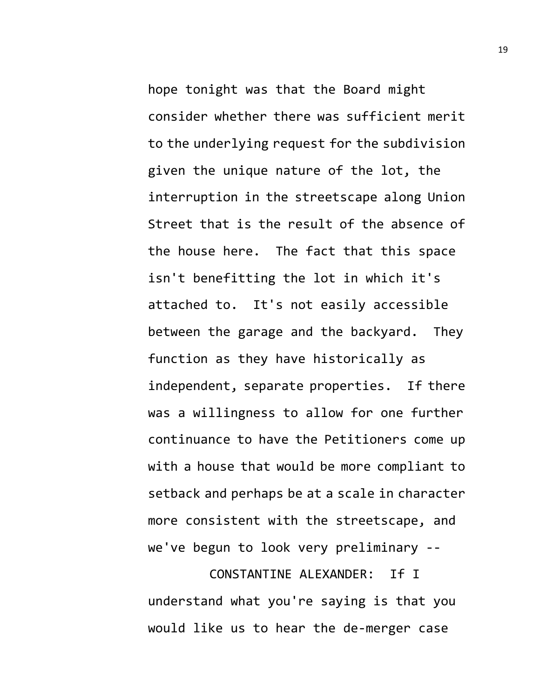hope tonight was that the Board might consider whether there was sufficient merit to the underlying request for the subdivision given the unique nature of the lot, the interruption in the streetscape along Union Street that is the result of the absence of the house here. The fact that this space isn't benefitting the lot in which it's attached to. It's not easily accessible between the garage and the backyard. They function as they have historically as independent, separate properties. If there was a willingness to allow for one further continuance to have the Petitioners come up with a house that would be more compliant to setback and perhaps be at a scale in character more consistent with the streetscape, and we've begun to look very preliminary --

CONSTANTINE ALEXANDER: If I understand what you're saying is that you would like us to hear the de-merger case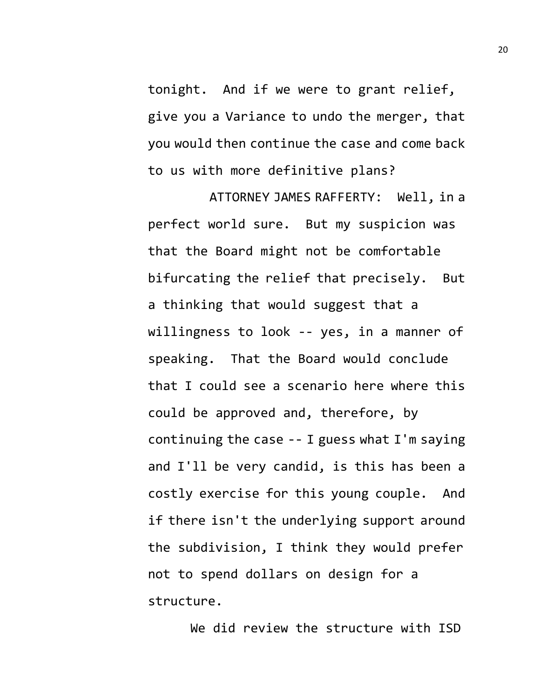tonight. And if we were to grant relief, give you a Variance to undo the merger, that you would then continue the case and come back to us with more definitive plans?

ATTORNEY JAMES RAFFERTY: Well, in a perfect world sure. But my suspicion was that the Board might not be comfortable bifurcating the relief that precisely. But a thinking that would suggest that a willingness to look -- yes, in a manner of speaking. That the Board would conclude that I could see a scenario here where this could be approved and, therefore, by continuing the case -- I guess what I'm saying and I'll be very candid, is this has been a costly exercise for this young couple. And if there isn't the underlying support around the subdivision, I think they would prefer not to spend dollars on design for a structure.

We did review the structure with ISD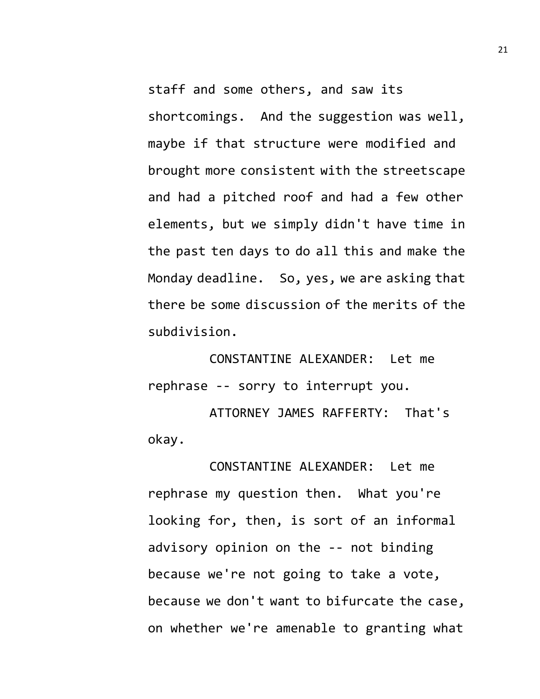staff and some others, and saw its shortcomings. And the suggestion was well, maybe if that structure were modified and brought more consistent with the streetscape and had a pitched roof and had a few other elements, but we simply didn't have time in the past ten days to do all this and make the Monday deadline. So, yes, we are asking that there be some discussion of the merits of the subdivision.

CONSTANTINE ALEXANDER: Let me rephrase -- sorry to interrupt you.

ATTORNEY JAMES RAFFERTY: That's okay.

CONSTANTINE ALEXANDER: Let me rephrase my question then. What you're looking for, then, is sort of an informal advisory opinion on the -- not binding because we're not going to take a vote, because we don't want to bifurcate the case, on whether we're amenable to granting what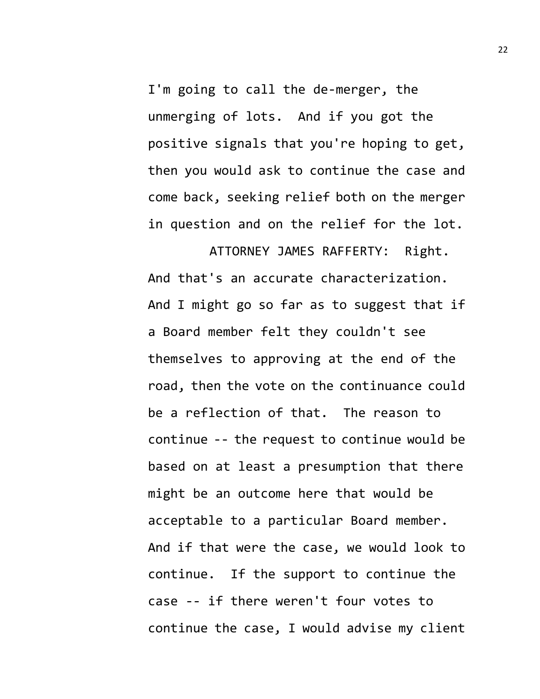I'm going to call the de-merger, the unmerging of lots. And if you got the positive signals that you're hoping to get, then you would ask to continue the case and come back, seeking relief both on the merger in question and on the relief for the lot.

ATTORNEY JAMES RAFFERTY: Right. And that's an accurate characterization. And I might go so far as to suggest that if a Board member felt they couldn't see themselves to approving at the end of the road, then the vote on the continuance could be a reflection of that. The reason to continue -- the request to continue would be based on at least a presumption that there might be an outcome here that would be acceptable to a particular Board member. And if that were the case, we would look to continue. If the support to continue the case -- if there weren't four votes to continue the case, I would advise my client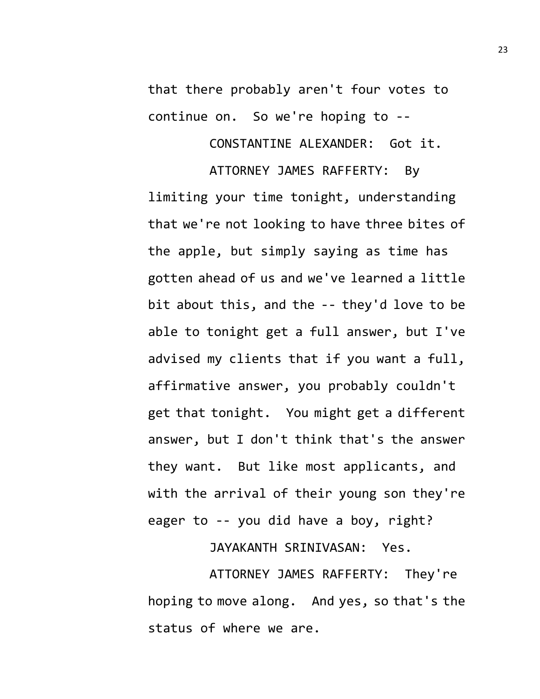that there probably aren't four votes to continue on. So we're hoping to --

CONSTANTINE ALEXANDER: Got it.

ATTORNEY JAMES RAFFERTY: By limiting your time tonight, understanding that we're not looking to have three bites of the apple, but simply saying as time has gotten ahead of us and we've learned a little bit about this, and the -- they'd love to be able to tonight get a full answer, but I've advised my clients that if you want a full, affirmative answer, you probably couldn't get that tonight. You might get a different answer, but I don't think that's the answer they want. But like most applicants, and with the arrival of their young son they're eager to -- you did have a boy, right?

JAYAKANTH SRINIVASAN: Yes.

ATTORNEY JAMES RAFFERTY: They're hoping to move along. And yes, so that's the status of where we are.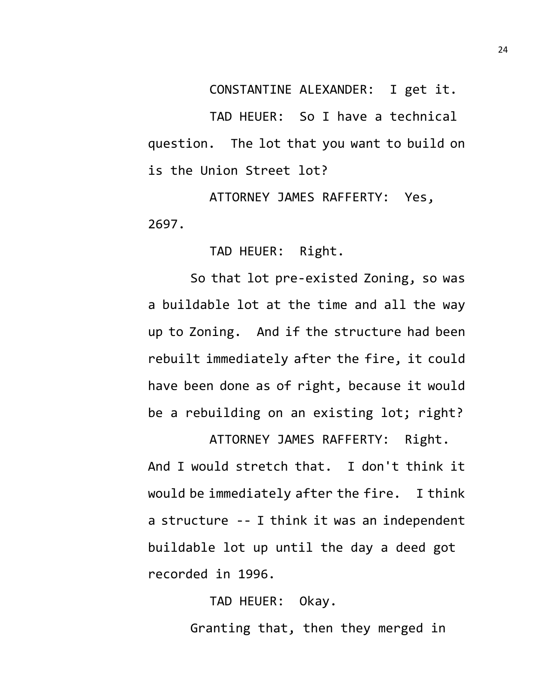CONSTANTINE ALEXANDER: I get it.

TAD HEUER: So I have a technical question. The lot that you want to build on is the Union Street lot?

ATTORNEY JAMES RAFFERTY: Yes, 2697.

TAD HEUER: Right.

So that lot pre-existed Zoning, so was a buildable lot at the time and all the way up to Zoning. And if the structure had been rebuilt immediately after the fire, it could have been done as of right, because it would be a rebuilding on an existing lot; right?

ATTORNEY JAMES RAFFERTY: Right. And I would stretch that. I don't think it would be immediately after the fire. I think a structure -- I think it was an independent buildable lot up until the day a deed got recorded in 1996.

> TAD HEUER: Okay. Granting that, then they merged in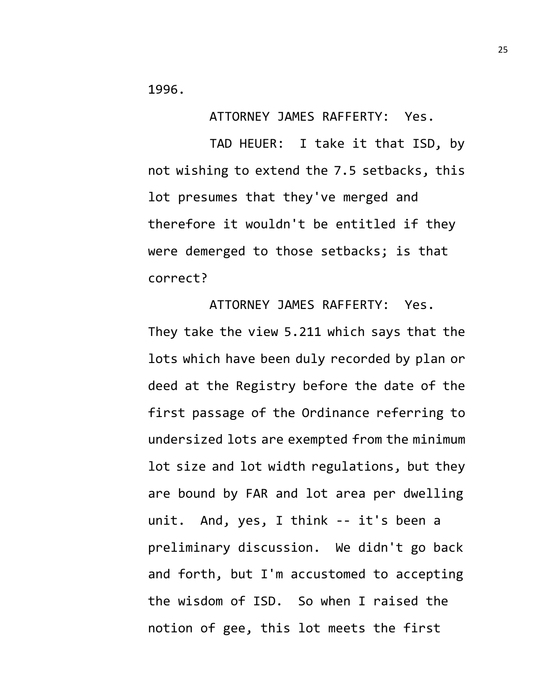1996.

ATTORNEY JAMES RAFFERTY: Yes.

TAD HEUER: I take it that ISD, by not wishing to extend the 7.5 setbacks, this lot presumes that they've merged and therefore it wouldn't be entitled if they were demerged to those setbacks; is that correct?

ATTORNEY JAMES RAFFERTY: Yes. They take the view 5.211 which says that the lots which have been duly recorded by plan or deed at the Registry before the date of the first passage of the Ordinance referring to undersized lots are exempted from the minimum lot size and lot width regulations, but they are bound by FAR and lot area per dwelling unit. And, yes, I think -- it's been a preliminary discussion. We didn't go back and forth, but I'm accustomed to accepting the wisdom of ISD. So when I raised the notion of gee, this lot meets the first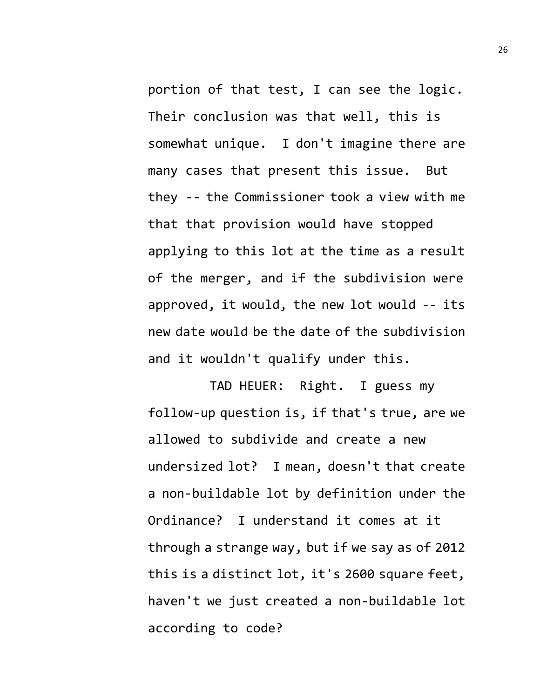portion of that test, I can see the logic. Their conclusion was that well, this is somewhat unique. I don't imagine there are many cases that present this issue. But they -- the Commissioner took a view with me that that provision would have stopped applying to this lot at the time as a result of the merger, and if the subdivision were approved, it would, the new lot would -- its new date would be the date of the subdivision and it wouldn't qualify under this.

TAD HEUER: Right. I guess my follow-up question is, if that's true, are we allowed to subdivide and create a new undersized lot? I mean, doesn't that create a non-buildable lot by definition under the Ordinance? I understand it comes at it through a strange way, but if we say as of 2012 this is a distinct lot, it's 2600 square feet, haven't we just created a non-buildable lot according to code?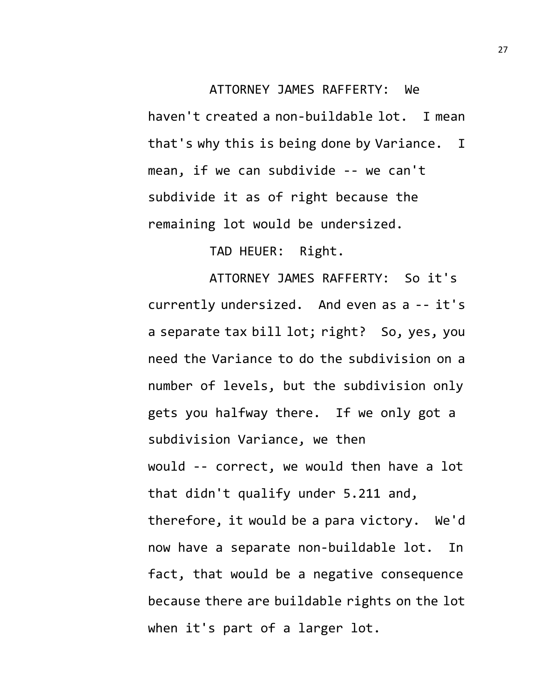## ATTORNEY JAMES RAFFERTY: We haven't created a non-buildable lot. I mean that's why this is being done by Variance. I mean, if we can subdivide -- we can't subdivide it as of right because the remaining lot would be undersized.

TAD HEUER: Right.

ATTORNEY JAMES RAFFERTY: So it's currently undersized. And even as a -- it's a separate tax bill lot; right? So, yes, you need the Variance to do the subdivision on a number of levels, but the subdivision only gets you halfway there. If we only got a subdivision Variance, we then would -- correct, we would then have a lot that didn't qualify under 5.211 and, therefore, it would be a para victory. We'd now have a separate non-buildable lot. In fact, that would be a negative consequence because there are buildable rights on the lot when it's part of a larger lot.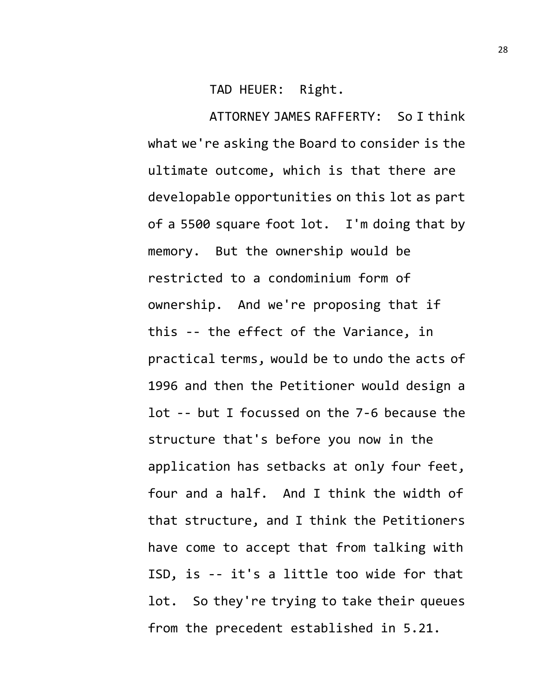TAD HEUER: Right.

ATTORNEY JAMES RAFFERTY: So I think what we're asking the Board to consider is the ultimate outcome, which is that there are developable opportunities on this lot as part of a 5500 square foot lot. I'm doing that by memory. But the ownership would be restricted to a condominium form of ownership. And we're proposing that if this -- the effect of the Variance, in practical terms, would be to undo the acts of 1996 and then the Petitioner would design a lot -- but I focussed on the 7-6 because the structure that's before you now in the application has setbacks at only four feet, four and a half. And I think the width of that structure, and I think the Petitioners have come to accept that from talking with ISD, is -- it's a little too wide for that lot. So they're trying to take their queues from the precedent established in 5.21.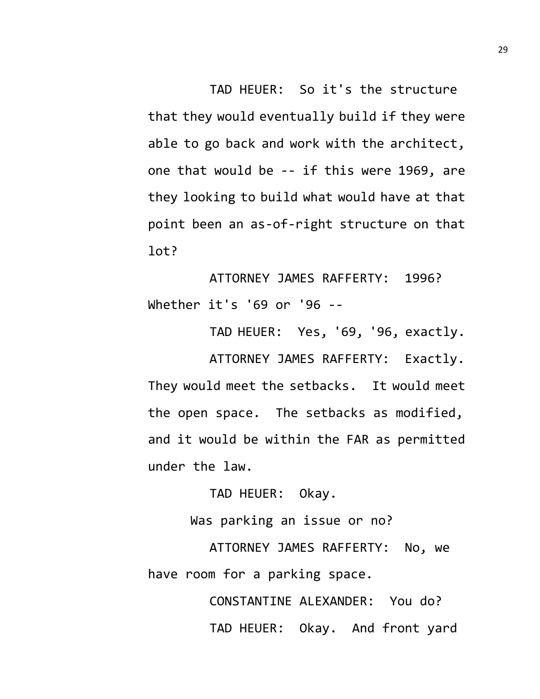TAD HEUER: So it's the structure that they would eventually build if they were able to go back and work with the architect, one that would be -- if this were 1969, are they looking to build what would have at that point been an as-of-right structure on that lot?

ATTORNEY JAMES RAFFERTY: 1996? Whether it's '69 or '96 --

TAD HEUER: Yes, '69, '96, exactly. ATTORNEY JAMES RAFFERTY: Exactly. They would meet the setbacks. It would meet the open space. The setbacks as modified, and it would be within the FAR as permitted under the law.

TAD HEUER: Okay.

Was parking an issue or no?

ATTORNEY JAMES RAFFERTY: No, we have room for a parking space.

> CONSTANTINE ALEXANDER: You do? TAD HEUER: Okay. And front yard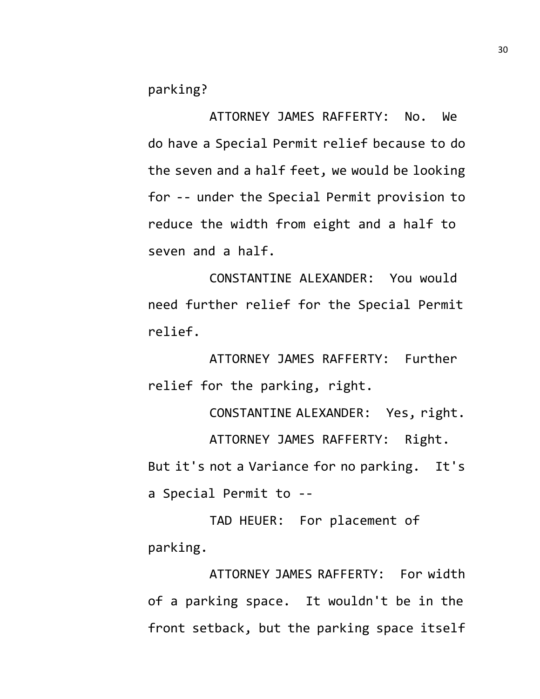parking?

ATTORNEY JAMES RAFFERTY: No. We do have a Special Permit relief because to do the seven and a half feet, we would be looking for -- under the Special Permit provision to reduce the width from eight and a half to seven and a half.

CONSTANTINE ALEXANDER: You would need further relief for the Special Permit relief.

ATTORNEY JAMES RAFFERTY: Further relief for the parking, right.

CONSTANTINE ALEXANDER: Yes, right. ATTORNEY JAMES RAFFERTY: Right. But it's not a Variance for no parking. It's a Special Permit to --

TAD HEUER: For placement of parking.

ATTORNEY JAMES RAFFERTY: For width of a parking space. It wouldn't be in the front setback, but the parking space itself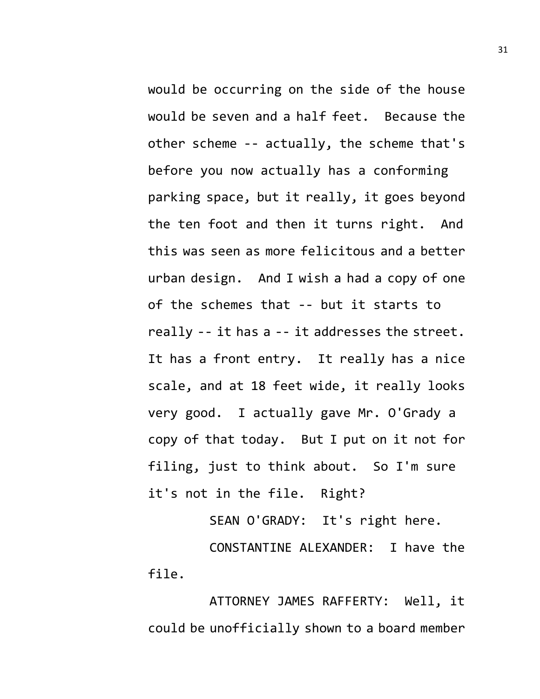would be occurring on the side of the house would be seven and a half feet. Because the other scheme -- actually, the scheme that's before you now actually has a conforming parking space, but it really, it goes beyond the ten foot and then it turns right. And this was seen as more felicitous and a better urban design. And I wish a had a copy of one of the schemes that -- but it starts to really -- it has a -- it addresses the street. It has a front entry. It really has a nice scale, and at 18 feet wide, it really looks very good. I actually gave Mr. O'Grady a copy of that today. But I put on it not for filing, just to think about. So I'm sure it's not in the file. Right?

SEAN O'GRADY: It's right here.

CONSTANTINE ALEXANDER: I have the file.

ATTORNEY JAMES RAFFERTY: Well, it could be unofficially shown to a board member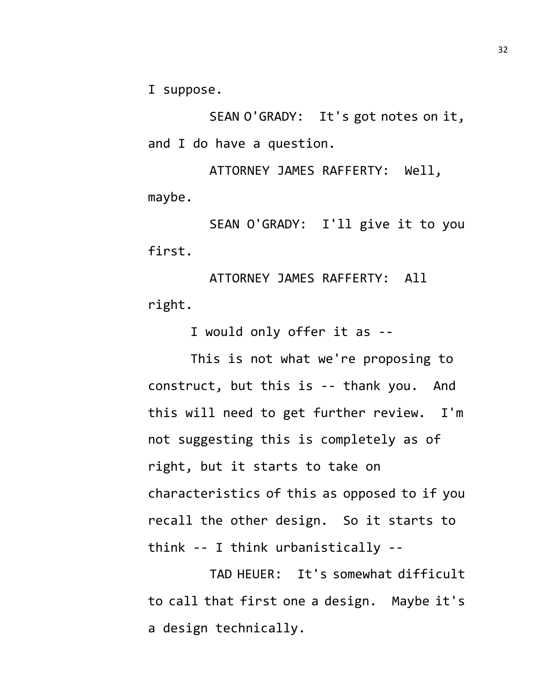I suppose.

SEAN O'GRADY: It's got notes on it, and I do have a question.

ATTORNEY JAMES RAFFERTY: Well, maybe.

SEAN O'GRADY: I'll give it to you first.

ATTORNEY JAMES RAFFERTY: All right.

I would only offer it as --

This is not what we're proposing to construct, but this is -- thank you. And this will need to get further review. I'm not suggesting this is completely as of right, but it starts to take on characteristics of this as opposed to if you recall the other design. So it starts to think -- I think urbanistically --

TAD HEUER: It's somewhat difficult to call that first one a design. Maybe it's a design technically.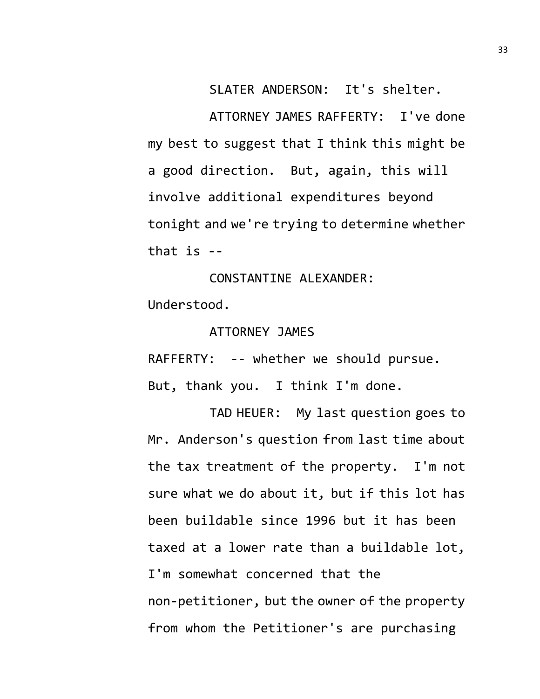SLATER ANDERSON: It's shelter.

ATTORNEY JAMES RAFFERTY: I've done my best to suggest that I think this might be a good direction. But, again, this will involve additional expenditures beyond tonight and we're trying to determine whether that is --

CONSTANTINE ALEXANDER: Understood.

ATTORNEY JAMES

RAFFERTY: -- whether we should pursue. But, thank you. I think I'm done.

TAD HEUER: My last question goes to Mr. Anderson's question from last time about the tax treatment of the property. I'm not sure what we do about it, but if this lot has been buildable since 1996 but it has been taxed at a lower rate than a buildable lot, I'm somewhat concerned that the non-petitioner, but the owner of the property from whom the Petitioner's are purchasing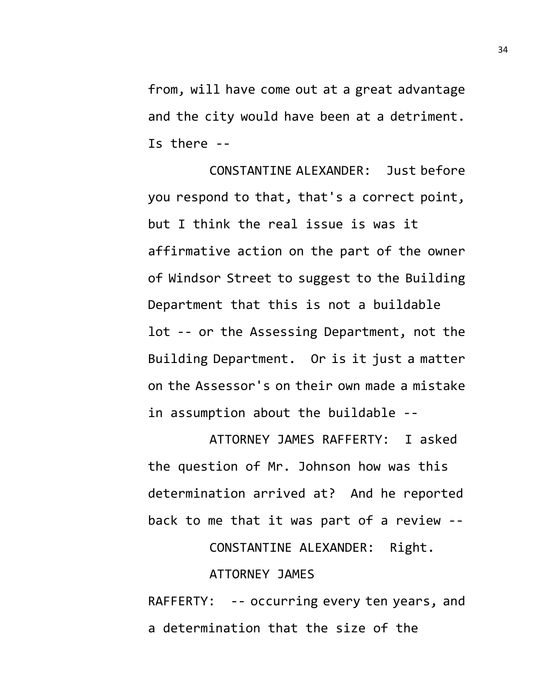from, will have come out at a great advantage and the city would have been at a detriment. Is there --

CONSTANTINE ALEXANDER: Just before you respond to that, that's a correct point, but I think the real issue is was it affirmative action on the part of the owner of Windsor Street to suggest to the Building Department that this is not a buildable lot -- or the Assessing Department, not the Building Department. Or is it just a matter on the Assessor's on their own made a mistake in assumption about the buildable --

ATTORNEY JAMES RAFFERTY: I asked the question of Mr. Johnson how was this determination arrived at? And he reported back to me that it was part of a review --

CONSTANTINE ALEXANDER: Right.

## ATTORNEY JAMES

RAFFERTY: -- occurring every ten years, and a determination that the size of the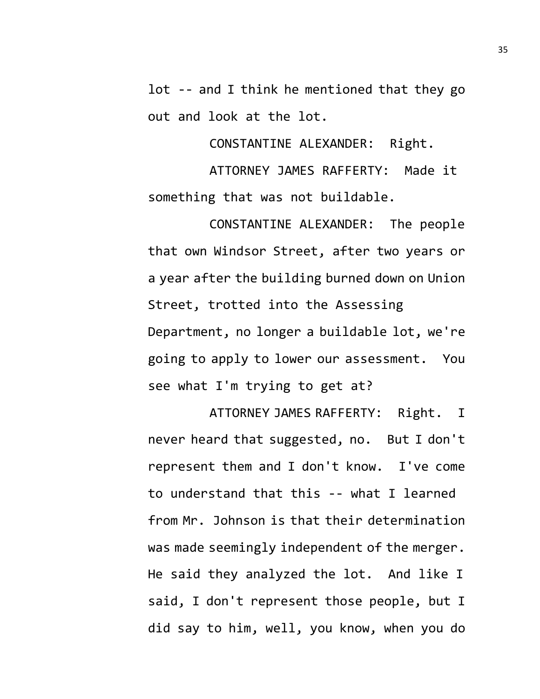lot -- and I think he mentioned that they go out and look at the lot.

CONSTANTINE ALEXANDER: Right.

ATTORNEY JAMES RAFFERTY: Made it something that was not buildable.

CONSTANTINE ALEXANDER: The people that own Windsor Street, after two years or a year after the building burned down on Union Street, trotted into the Assessing Department, no longer a buildable lot, we're going to apply to lower our assessment. You see what I'm trying to get at?

ATTORNEY JAMES RAFFERTY: Right. I never heard that suggested, no. But I don't represent them and I don't know. I've come to understand that this -- what I learned from Mr. Johnson is that their determination was made seemingly independent of the merger. He said they analyzed the lot. And like I said, I don't represent those people, but I did say to him, well, you know, when you do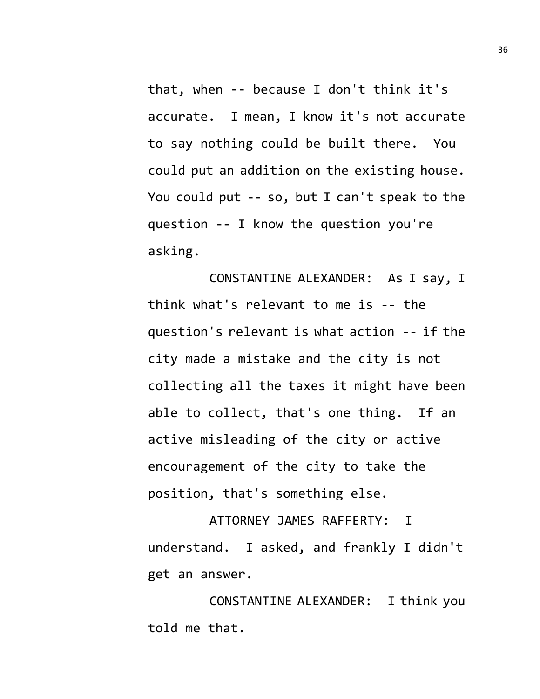that, when -- because I don't think it's accurate. I mean, I know it's not accurate to say nothing could be built there. You could put an addition on the existing house. You could put -- so, but I can't speak to the question -- I know the question you're asking.

CONSTANTINE ALEXANDER: As I say, I think what's relevant to me is -- the question's relevant is what action -- if the city made a mistake and the city is not collecting all the taxes it might have been able to collect, that's one thing. If an active misleading of the city or active encouragement of the city to take the position, that's something else.

ATTORNEY JAMES RAFFERTY: I understand. I asked, and frankly I didn't get an answer.

CONSTANTINE ALEXANDER: I think you told me that.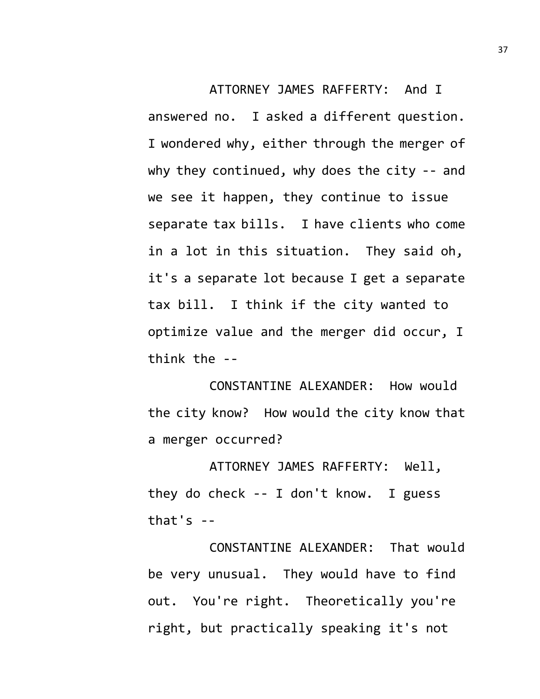ATTORNEY JAMES RAFFERTY: And I answered no. I asked a different question. I wondered why, either through the merger of why they continued, why does the city -- and we see it happen, they continue to issue separate tax bills. I have clients who come in a lot in this situation. They said oh, it's a separate lot because I get a separate tax bill. I think if the city wanted to optimize value and the merger did occur, I think the --

CONSTANTINE ALEXANDER: How would the city know? How would the city know that a merger occurred?

ATTORNEY JAMES RAFFERTY: Well, they do check -- I don't know. I guess that's --

CONSTANTINE ALEXANDER: That would be very unusual. They would have to find out. You're right. Theoretically you're right, but practically speaking it's not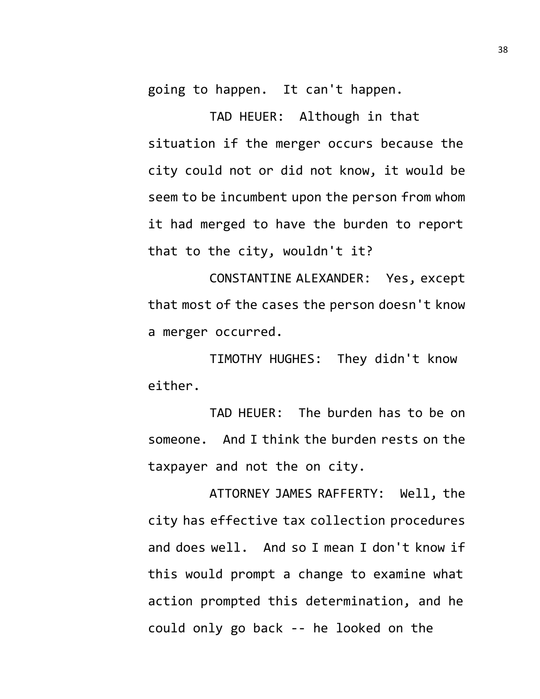going to happen. It can't happen.

TAD HEUER: Although in that situation if the merger occurs because the city could not or did not know, it would be seem to be incumbent upon the person from whom it had merged to have the burden to report that to the city, wouldn't it?

CONSTANTINE ALEXANDER: Yes, except that most of the cases the person doesn't know a merger occurred.

TIMOTHY HUGHES: They didn't know either.

TAD HEUER: The burden has to be on someone. And I think the burden rests on the taxpayer and not the on city.

ATTORNEY JAMES RAFFERTY: Well, the city has effective tax collection procedures and does well. And so I mean I don't know if this would prompt a change to examine what action prompted this determination, and he could only go back -- he looked on the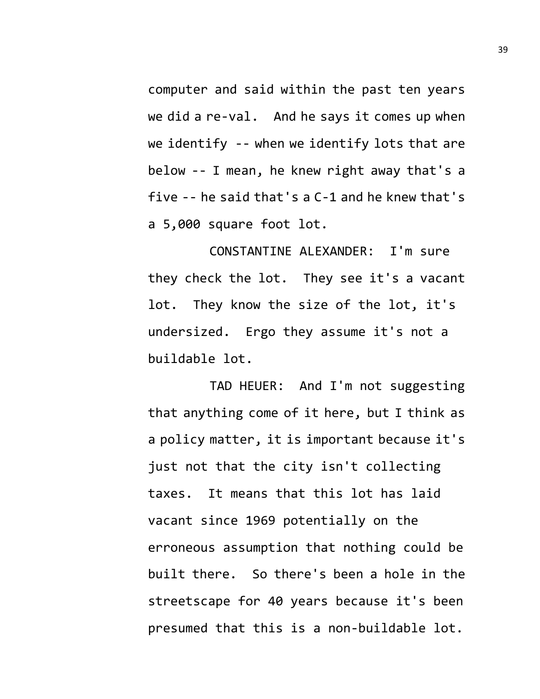computer and said within the past ten years we did a re-val. And he says it comes up when we identify -- when we identify lots that are below -- I mean, he knew right away that's a five -- he said that's a C-1 and he knew that's a 5,000 square foot lot.

CONSTANTINE ALEXANDER: I'm sure they check the lot. They see it's a vacant lot. They know the size of the lot, it's undersized. Ergo they assume it's not a buildable lot.

TAD HEUER: And I'm not suggesting that anything come of it here, but I think as a policy matter, it is important because it's just not that the city isn't collecting taxes. It means that this lot has laid vacant since 1969 potentially on the erroneous assumption that nothing could be built there. So there's been a hole in the streetscape for 40 years because it's been presumed that this is a non-buildable lot.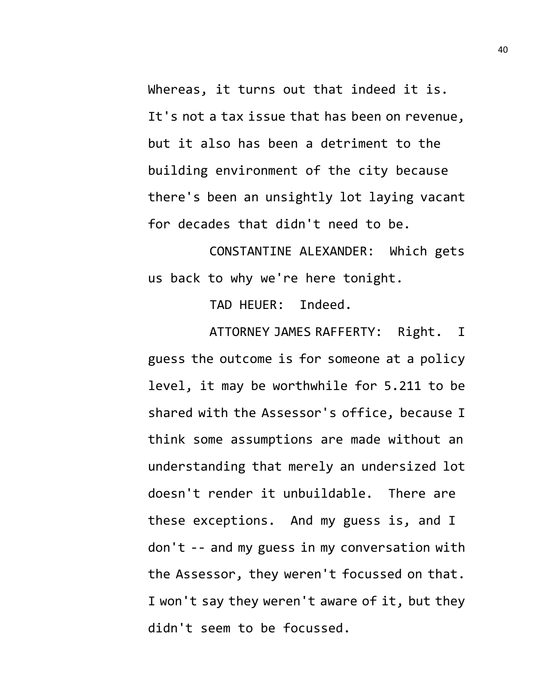Whereas, it turns out that indeed it is. It's not a tax issue that has been on revenue, but it also has been a detriment to the building environment of the city because there's been an unsightly lot laying vacant for decades that didn't need to be.

CONSTANTINE ALEXANDER: Which gets us back to why we're here tonight.

TAD HEUER: Indeed.

ATTORNEY JAMES RAFFERTY: Right. I guess the outcome is for someone at a policy level, it may be worthwhile for 5.211 to be shared with the Assessor's office, because I think some assumptions are made without an understanding that merely an undersized lot doesn't render it unbuildable. There are these exceptions. And my guess is, and I don't -- and my guess in my conversation with the Assessor, they weren't focussed on that. I won't say they weren't aware of it, but they didn't seem to be focussed.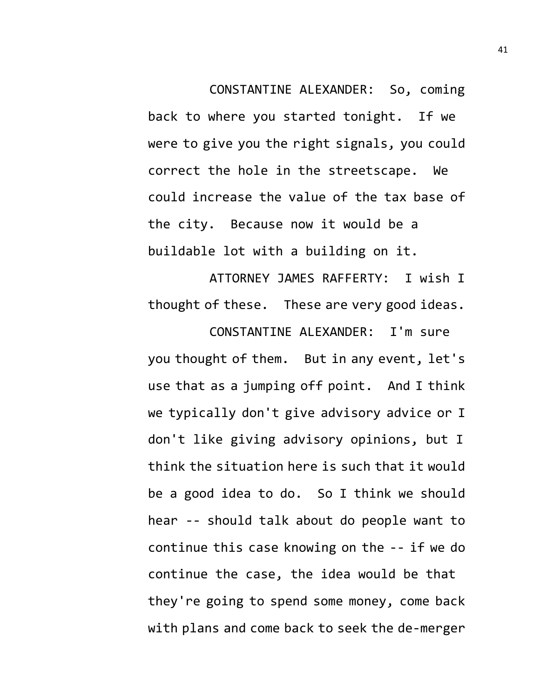CONSTANTINE ALEXANDER: So, coming back to where you started tonight. If we were to give you the right signals, you could correct the hole in the streetscape. We could increase the value of the tax base of the city. Because now it would be a buildable lot with a building on it.

ATTORNEY JAMES RAFFERTY: I wish I thought of these. These are very good ideas.

CONSTANTINE ALEXANDER: I'm sure you thought of them. But in any event, let's use that as a jumping off point. And I think we typically don't give advisory advice or I don't like giving advisory opinions, but I think the situation here is such that it would be a good idea to do. So I think we should hear -- should talk about do people want to continue this case knowing on the -- if we do continue the case, the idea would be that they're going to spend some money, come back with plans and come back to seek the de-merger

41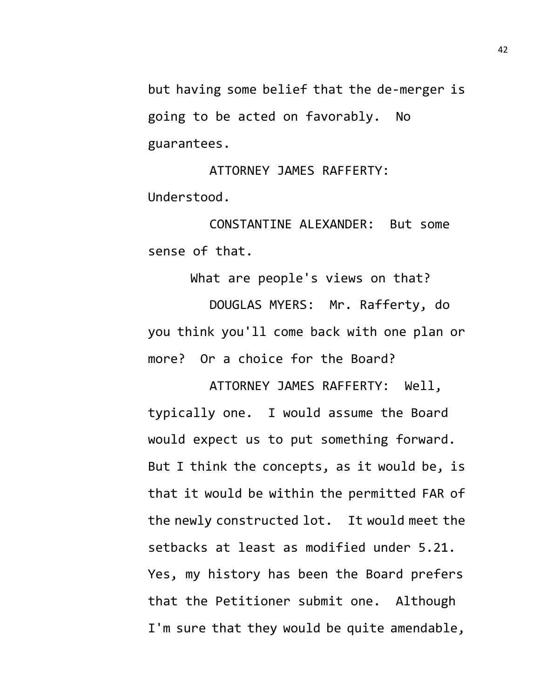but having some belief that the de-merger is going to be acted on favorably. No guarantees.

ATTORNEY JAMES RAFFERTY: Understood.

CONSTANTINE ALEXANDER: But some sense of that.

What are people's views on that? DOUGLAS MYERS: Mr. Rafferty, do you think you'll come back with one plan or more? Or a choice for the Board?

ATTORNEY JAMES RAFFERTY: Well, typically one. I would assume the Board would expect us to put something forward. But I think the concepts, as it would be, is that it would be within the permitted FAR of the newly constructed lot. It would meet the setbacks at least as modified under 5.21. Yes, my history has been the Board prefers that the Petitioner submit one. Although I'm sure that they would be quite amendable,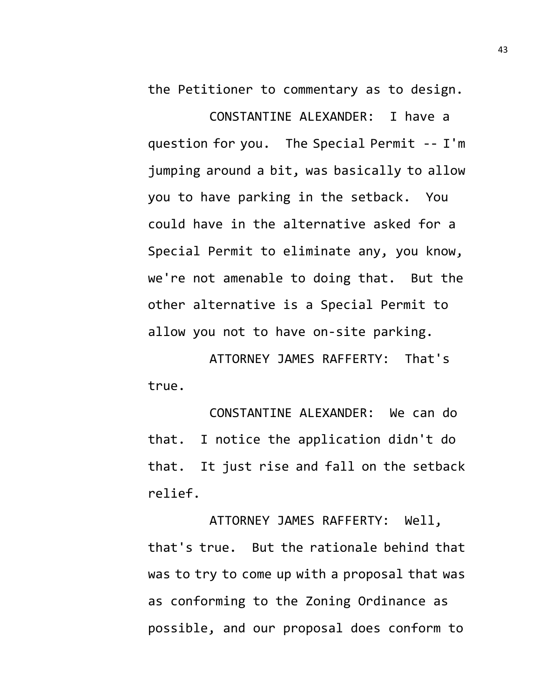the Petitioner to commentary as to design.

CONSTANTINE ALEXANDER: I have a question for you. The Special Permit -- I'm jumping around a bit, was basically to allow you to have parking in the setback. You could have in the alternative asked for a Special Permit to eliminate any, you know, we're not amenable to doing that. But the other alternative is a Special Permit to allow you not to have on-site parking.

ATTORNEY JAMES RAFFERTY: That's true.

CONSTANTINE ALEXANDER: We can do that. I notice the application didn't do that. It just rise and fall on the setback relief.

ATTORNEY JAMES RAFFERTY: Well, that's true. But the rationale behind that was to try to come up with a proposal that was as conforming to the Zoning Ordinance as possible, and our proposal does conform to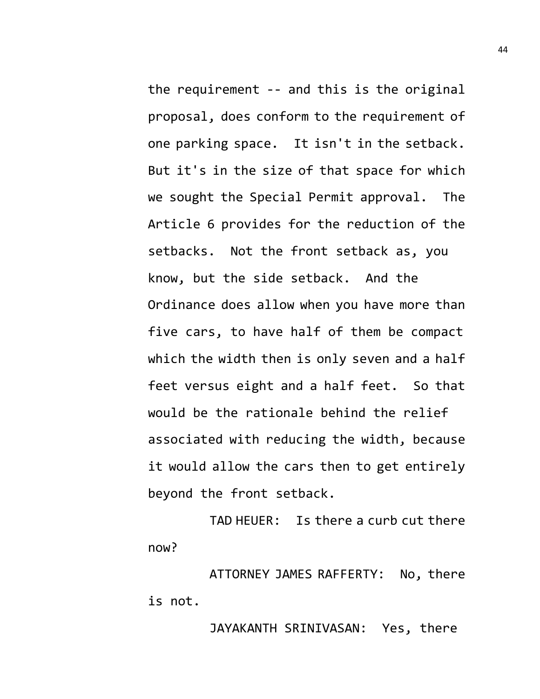the requirement -- and this is the original proposal, does conform to the requirement of one parking space. It isn't in the setback. But it's in the size of that space for which we sought the Special Permit approval. The Article 6 provides for the reduction of the setbacks. Not the front setback as, you know, but the side setback. And the Ordinance does allow when you have more than five cars, to have half of them be compact which the width then is only seven and a half feet versus eight and a half feet. So that would be the rationale behind the relief associated with reducing the width, because it would allow the cars then to get entirely beyond the front setback.

TAD HEUER: Is there a curb cut there now?

ATTORNEY JAMES RAFFERTY: No, there is not.

JAYAKANTH SRINIVASAN: Yes, there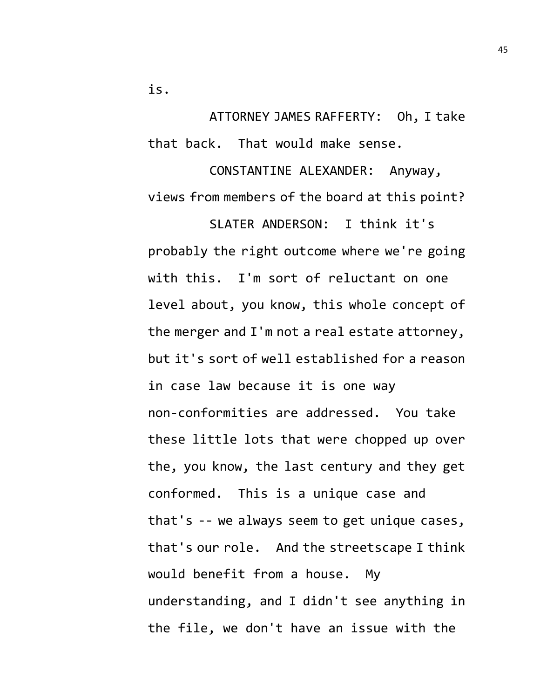is.

ATTORNEY JAMES RAFFERTY: Oh, I take that back. That would make sense.

CONSTANTINE ALEXANDER: Anyway, views from members of the board at this point?

SLATER ANDERSON: I think it's probably the right outcome where we're going with this. I'm sort of reluctant on one level about, you know, this whole concept of the merger and I'm not a real estate attorney, but it's sort of well established for a reason in case law because it is one way non-conformities are addressed. You take these little lots that were chopped up over the, you know, the last century and they get conformed. This is a unique case and that's -- we always seem to get unique cases, that's our role. And the streetscape I think would benefit from a house. My understanding, and I didn't see anything in the file, we don't have an issue with the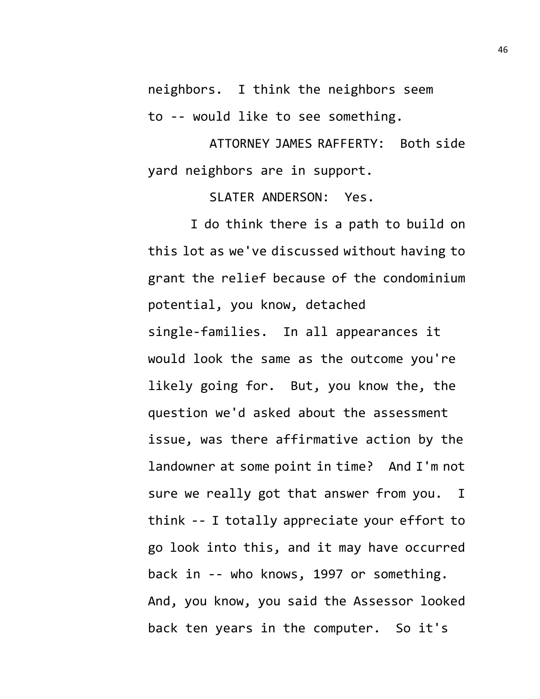neighbors. I think the neighbors seem to -- would like to see something.

ATTORNEY JAMES RAFFERTY: Both side yard neighbors are in support.

SLATER ANDERSON: Yes.

I do think there is a path to build on this lot as we've discussed without having to grant the relief because of the condominium potential, you know, detached single-families. In all appearances it would look the same as the outcome you're likely going for. But, you know the, the question we'd asked about the assessment issue, was there affirmative action by the landowner at some point in time? And I'm not sure we really got that answer from you. I think -- I totally appreciate your effort to go look into this, and it may have occurred back in -- who knows, 1997 or something. And, you know, you said the Assessor looked back ten years in the computer. So it's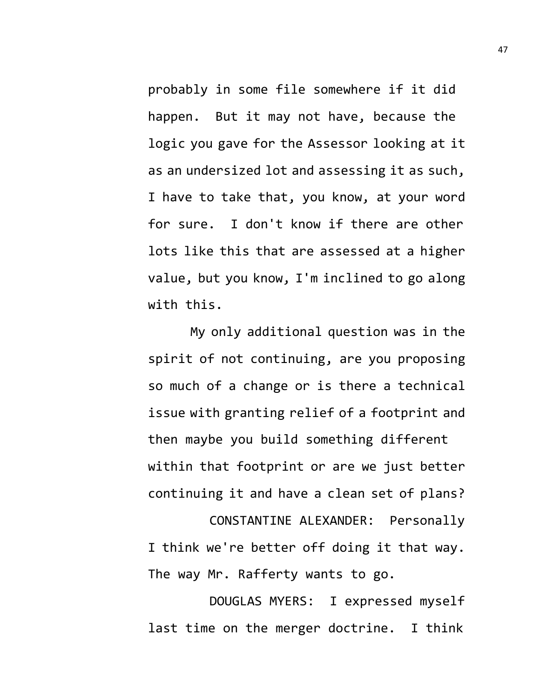probably in some file somewhere if it did happen. But it may not have, because the logic you gave for the Assessor looking at it as an undersized lot and assessing it as such, I have to take that, you know, at your word for sure. I don't know if there are other lots like this that are assessed at a higher value, but you know, I'm inclined to go along with this.

My only additional question was in the spirit of not continuing, are you proposing so much of a change or is there a technical issue with granting relief of a footprint and then maybe you build something different within that footprint or are we just better continuing it and have a clean set of plans?

CONSTANTINE ALEXANDER: Personally I think we're better off doing it that way. The way Mr. Rafferty wants to go.

DOUGLAS MYERS: I expressed myself last time on the merger doctrine. I think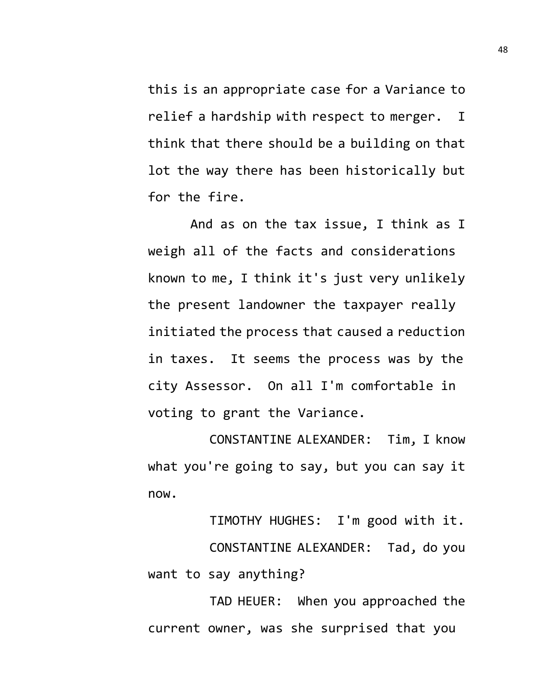this is an appropriate case for a Variance to relief a hardship with respect to merger. I think that there should be a building on that lot the way there has been historically but for the fire.

And as on the tax issue, I think as I weigh all of the facts and considerations known to me, I think it's just very unlikely the present landowner the taxpayer really initiated the process that caused a reduction in taxes. It seems the process was by the city Assessor. On all I'm comfortable in voting to grant the Variance.

CONSTANTINE ALEXANDER: Tim, I know what you're going to say, but you can say it now.

TIMOTHY HUGHES: I'm good with it. CONSTANTINE ALEXANDER: Tad, do you want to say anything?

TAD HEUER: When you approached the current owner, was she surprised that you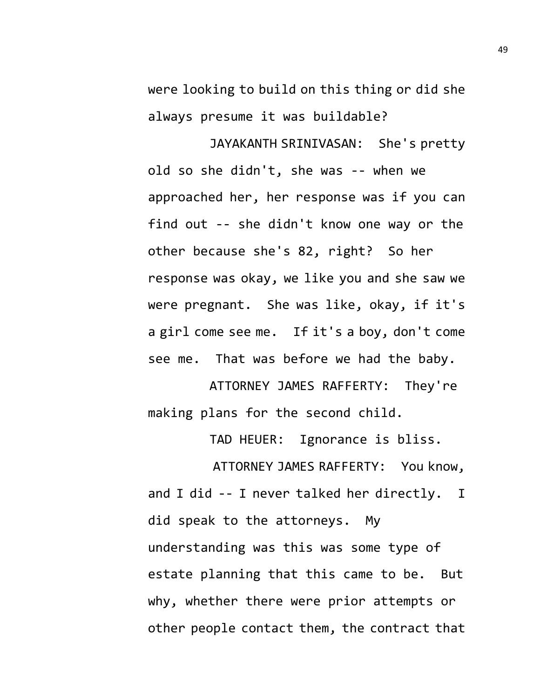were looking to build on this thing or did she always presume it was buildable?

JAYAKANTH SRINIVASAN: She's pretty old so she didn't, she was -- when we approached her, her response was if you can find out -- she didn't know one way or the other because she's 82, right? So her response was okay, we like you and she saw we were pregnant. She was like, okay, if it's a girl come see me. If it's a boy, don't come see me. That was before we had the baby.

ATTORNEY JAMES RAFFERTY: They're making plans for the second child.

TAD HEUER: Ignorance is bliss.

 ATTORNEY JAMES RAFFERTY: You know, and I did -- I never talked her directly. I did speak to the attorneys. My understanding was this was some type of estate planning that this came to be. But why, whether there were prior attempts or other people contact them, the contract that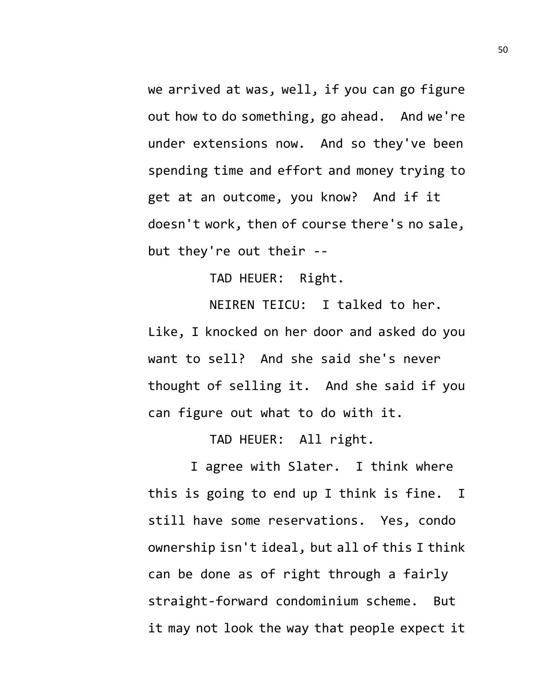we arrived at was, well, if you can go figure out how to do something, go ahead. And we're under extensions now. And so they've been spending time and effort and money trying to get at an outcome, you know? And if it doesn't work, then of course there's no sale, but they're out their --

TAD HEUER: Right.

NEIREN TEICU: I talked to her. Like, I knocked on her door and asked do you want to sell? And she said she's never thought of selling it. And she said if you can figure out what to do with it.

TAD HEUER: All right.

I agree with Slater. I think where this is going to end up I think is fine. I still have some reservations. Yes, condo ownership isn't ideal, but all of this I think can be done as of right through a fairly straight-forward condominium scheme. But it may not look the way that people expect it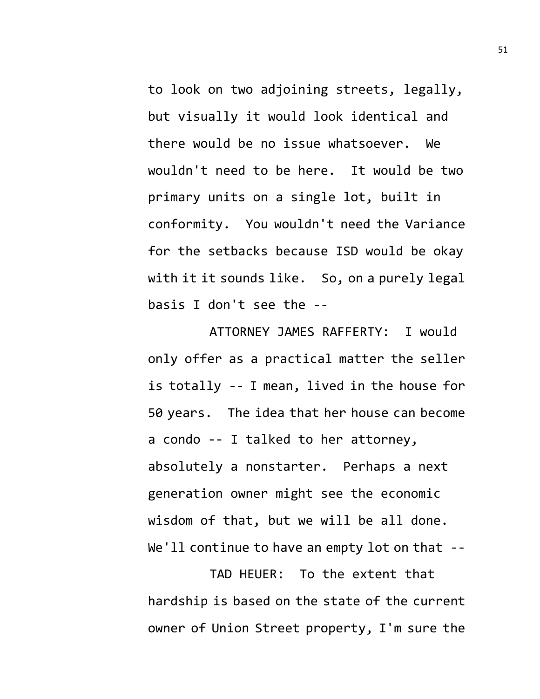to look on two adjoining streets, legally, but visually it would look identical and there would be no issue whatsoever. We wouldn't need to be here. It would be two primary units on a single lot, built in conformity. You wouldn't need the Variance for the setbacks because ISD would be okay with it it sounds like. So, on a purely legal basis I don't see the --

ATTORNEY JAMES RAFFERTY: I would only offer as a practical matter the seller is totally -- I mean, lived in the house for 50 years. The idea that her house can become a condo -- I talked to her attorney, absolutely a nonstarter. Perhaps a next generation owner might see the economic wisdom of that, but we will be all done. We'll continue to have an empty lot on that --

TAD HEUER: To the extent that hardship is based on the state of the current owner of Union Street property, I'm sure the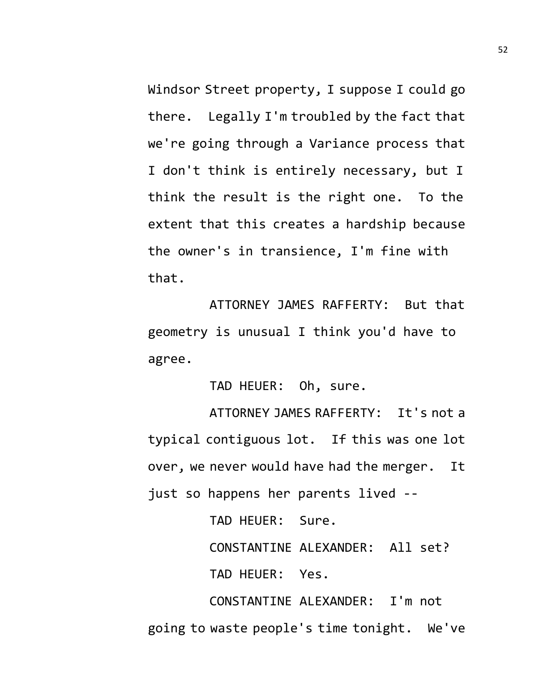Windsor Street property, I suppose I could go there. Legally I'm troubled by the fact that we're going through a Variance process that I don't think is entirely necessary, but I think the result is the right one. To the extent that this creates a hardship because the owner's in transience, I'm fine with that.

ATTORNEY JAMES RAFFERTY: But that geometry is unusual I think you'd have to agree.

TAD HEUER: Oh, sure.

ATTORNEY JAMES RAFFERTY: It's not a typical contiguous lot. If this was one lot over, we never would have had the merger. It just so happens her parents lived --

TAD HEUER: Sure.

CONSTANTINE ALEXANDER: All set?

TAD HEUER: Yes.

CONSTANTINE ALEXANDER: I'm not going to waste people's time tonight. We've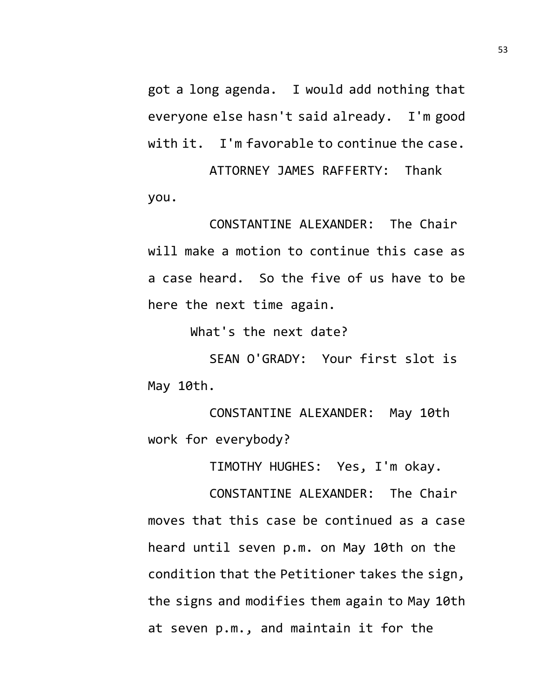got a long agenda. I would add nothing that everyone else hasn't said already. I'm good with it. I'm favorable to continue the case.

ATTORNEY JAMES RAFFERTY: Thank you.

CONSTANTINE ALEXANDER: The Chair will make a motion to continue this case as a case heard. So the five of us have to be here the next time again.

What's the next date?

SEAN O'GRADY: Your first slot is May 10th.

CONSTANTINE ALEXANDER: May 10th work for everybody?

TIMOTHY HUGHES: Yes, I'm okay.

CONSTANTINE ALEXANDER: The Chair moves that this case be continued as a case heard until seven p.m. on May 10th on the condition that the Petitioner takes the sign, the signs and modifies them again to May 10th at seven p.m., and maintain it for the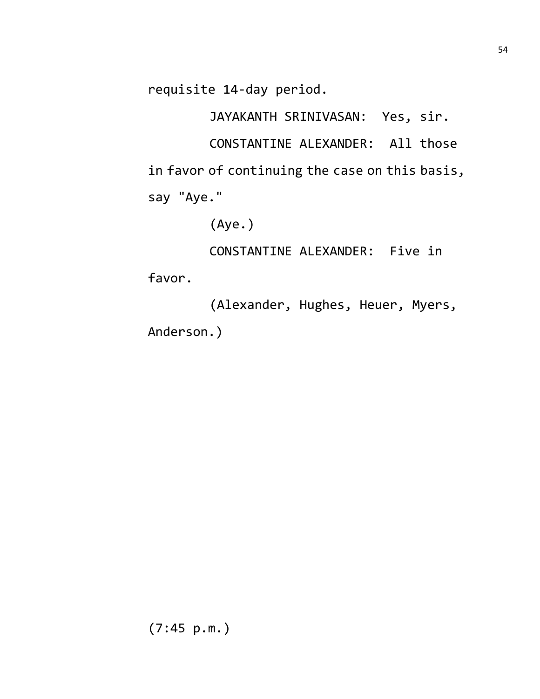requisite 14-day period.

JAYAKANTH SRINIVASAN: Yes, sir. CONSTANTINE ALEXANDER: All those in favor of continuing the case on this basis, say "Aye."

(Aye.)

CONSTANTINE ALEXANDER: Five in

favor.

(Alexander, Hughes, Heuer, Myers, Anderson.)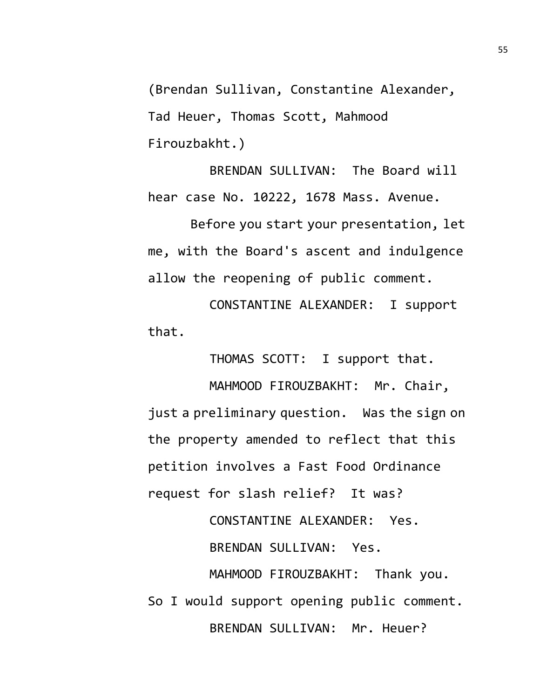(Brendan Sullivan, Constantine Alexander, Tad Heuer, Thomas Scott, Mahmood Firouzbakht.)

BRENDAN SULLIVAN: The Board will hear case No. 10222, 1678 Mass. Avenue.

Before you start your presentation, let me, with the Board's ascent and indulgence allow the reopening of public comment.

CONSTANTINE ALEXANDER: I support that.

THOMAS SCOTT: I support that.

MAHMOOD FIROUZBAKHT: Mr. Chair, just a preliminary question. Was the sign on the property amended to reflect that this petition involves a Fast Food Ordinance request for slash relief? It was?

CONSTANTINE ALEXANDER: Yes. BRENDAN SULLIVAN: Yes. MAHMOOD FIROUZBAKHT: Thank you. So I would support opening public comment.

BRENDAN SULLIVAN: Mr. Heuer?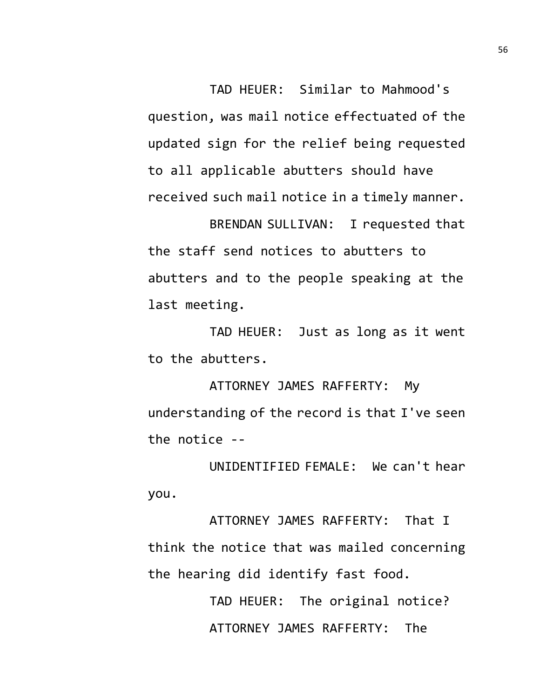TAD HEUER: Similar to Mahmood's question, was mail notice effectuated of the updated sign for the relief being requested to all applicable abutters should have received such mail notice in a timely manner.

BRENDAN SULLIVAN: I requested that the staff send notices to abutters to abutters and to the people speaking at the last meeting.

TAD HEUER: Just as long as it went to the abutters.

ATTORNEY JAMES RAFFERTY: My understanding of the record is that I've seen the notice --

UNIDENTIFIED FEMALE: We can't hear you.

ATTORNEY JAMES RAFFERTY: That I think the notice that was mailed concerning the hearing did identify fast food.

> TAD HEUER: The original notice? ATTORNEY JAMES RAFFERTY: The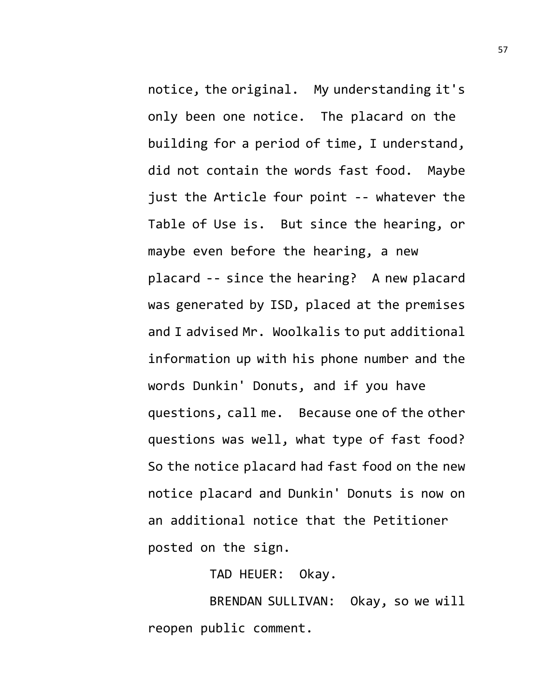notice, the original. My understanding it's only been one notice. The placard on the building for a period of time, I understand, did not contain the words fast food. Maybe just the Article four point -- whatever the Table of Use is. But since the hearing, or maybe even before the hearing, a new placard -- since the hearing? A new placard was generated by ISD, placed at the premises and I advised Mr. Woolkalis to put additional information up with his phone number and the words Dunkin' Donuts, and if you have questions, call me. Because one of the other questions was well, what type of fast food? So the notice placard had fast food on the new notice placard and Dunkin' Donuts is now on an additional notice that the Petitioner posted on the sign.

TAD HEUER: Okay.

BRENDAN SULLIVAN: Okay, so we will reopen public comment.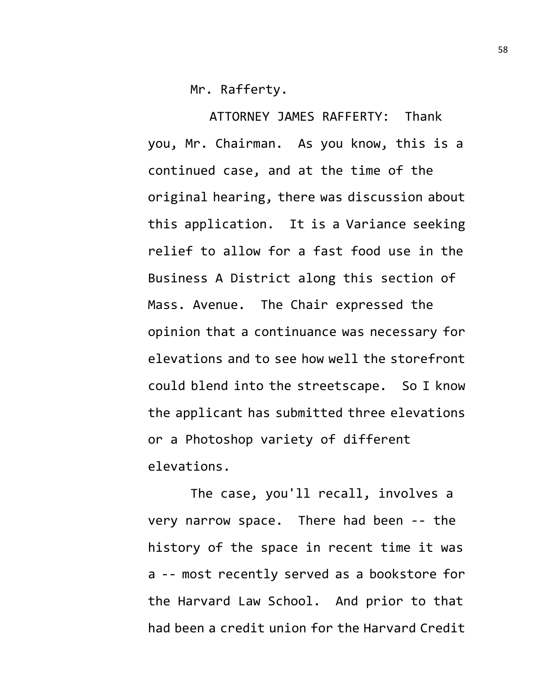Mr. Rafferty.

ATTORNEY JAMES RAFFERTY: Thank you, Mr. Chairman. As you know, this is a continued case, and at the time of the original hearing, there was discussion about this application. It is a Variance seeking relief to allow for a fast food use in the Business A District along this section of Mass. Avenue. The Chair expressed the opinion that a continuance was necessary for elevations and to see how well the storefront could blend into the streetscape. So I know the applicant has submitted three elevations or a Photoshop variety of different elevations.

The case, you'll recall, involves a very narrow space. There had been -- the history of the space in recent time it was a -- most recently served as a bookstore for the Harvard Law School. And prior to that had been a credit union for the Harvard Credit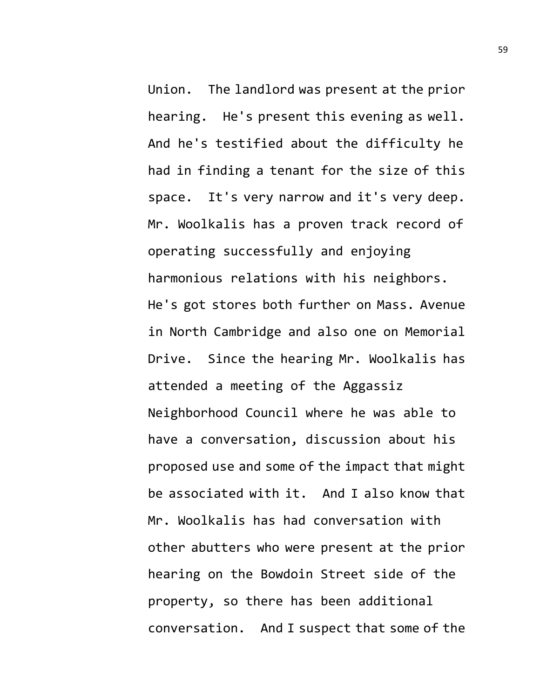Union. The landlord was present at the prior hearing. He's present this evening as well. And he's testified about the difficulty he had in finding a tenant for the size of this space. It's very narrow and it's very deep. Mr. Woolkalis has a proven track record of operating successfully and enjoying harmonious relations with his neighbors. He's got stores both further on Mass. Avenue in North Cambridge and also one on Memorial Drive. Since the hearing Mr. Woolkalis has attended a meeting of the Aggassiz Neighborhood Council where he was able to have a conversation, discussion about his proposed use and some of the impact that might be associated with it. And I also know that Mr. Woolkalis has had conversation with other abutters who were present at the prior hearing on the Bowdoin Street side of the property, so there has been additional conversation. And I suspect that some of the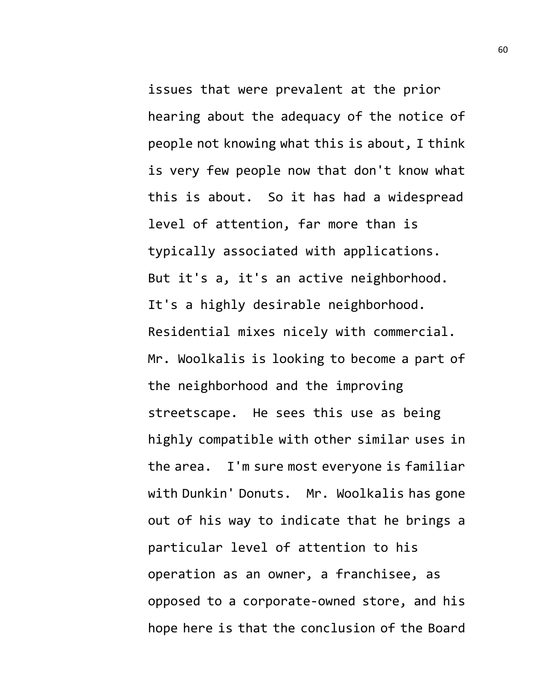issues that were prevalent at the prior hearing about the adequacy of the notice of people not knowing what this is about, I think is very few people now that don't know what this is about. So it has had a widespread level of attention, far more than is typically associated with applications. But it's a, it's an active neighborhood. It's a highly desirable neighborhood. Residential mixes nicely with commercial. Mr. Woolkalis is looking to become a part of the neighborhood and the improving streetscape. He sees this use as being highly compatible with other similar uses in the area. I'm sure most everyone is familiar with Dunkin' Donuts. Mr. Woolkalis has gone out of his way to indicate that he brings a particular level of attention to his operation as an owner, a franchisee, as opposed to a corporate-owned store, and his hope here is that the conclusion of the Board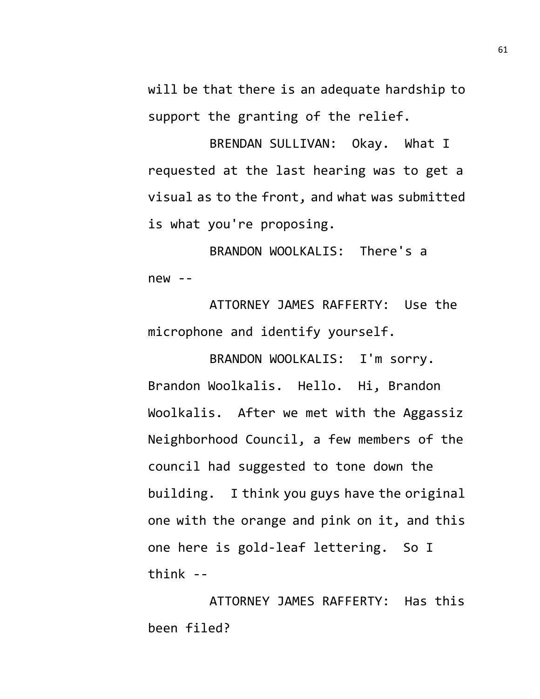will be that there is an adequate hardship to support the granting of the relief.

BRENDAN SULLIVAN: Okay. What I requested at the last hearing was to get a visual as to the front, and what was submitted is what you're proposing.

BRANDON WOOLKALIS: There's a new --

ATTORNEY JAMES RAFFERTY: Use the microphone and identify yourself.

BRANDON WOOLKALIS: I'm sorry. Brandon Woolkalis. Hello. Hi, Brandon Woolkalis. After we met with the Aggassiz Neighborhood Council, a few members of the council had suggested to tone down the building. I think you guys have the original one with the orange and pink on it, and this one here is gold-leaf lettering. So I think --

ATTORNEY JAMES RAFFERTY: Has this been filed?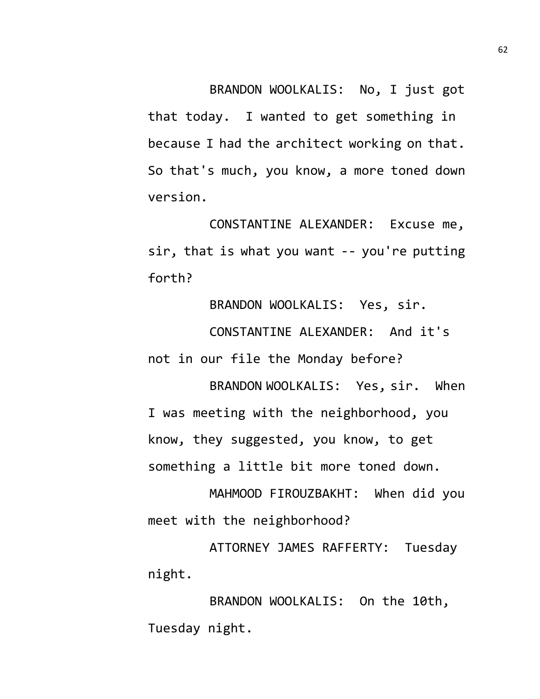BRANDON WOOLKALIS: No, I just got that today. I wanted to get something in because I had the architect working on that. So that's much, you know, a more toned down version.

CONSTANTINE ALEXANDER: Excuse me, sir, that is what you want -- you're putting forth?

BRANDON WOOLKALIS: Yes, sir.

CONSTANTINE ALEXANDER: And it's not in our file the Monday before?

BRANDON WOOLKALIS: Yes, sir. When I was meeting with the neighborhood, you know, they suggested, you know, to get something a little bit more toned down.

MAHMOOD FIROUZBAKHT: When did you meet with the neighborhood?

ATTORNEY JAMES RAFFERTY: Tuesday night.

BRANDON WOOLKALIS: On the 10th, Tuesday night.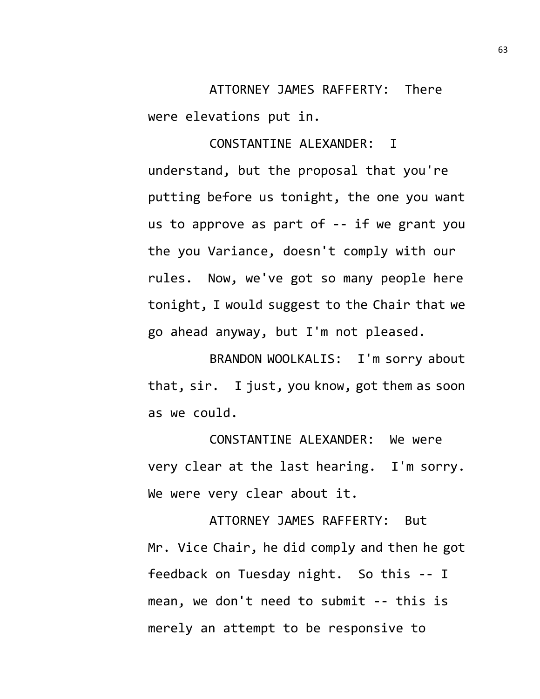ATTORNEY JAMES RAFFERTY: There were elevations put in.

CONSTANTINE ALEXANDER: I understand, but the proposal that you're putting before us tonight, the one you want us to approve as part of -- if we grant you the you Variance, doesn't comply with our rules. Now, we've got so many people here tonight, I would suggest to the Chair that we go ahead anyway, but I'm not pleased.

BRANDON WOOLKALIS: I'm sorry about that, sir. I just, you know, got them as soon as we could.

CONSTANTINE ALEXANDER: We were very clear at the last hearing. I'm sorry. We were very clear about it.

ATTORNEY JAMES RAFFERTY: But Mr. Vice Chair, he did comply and then he got feedback on Tuesday night. So this -- I mean, we don't need to submit -- this is merely an attempt to be responsive to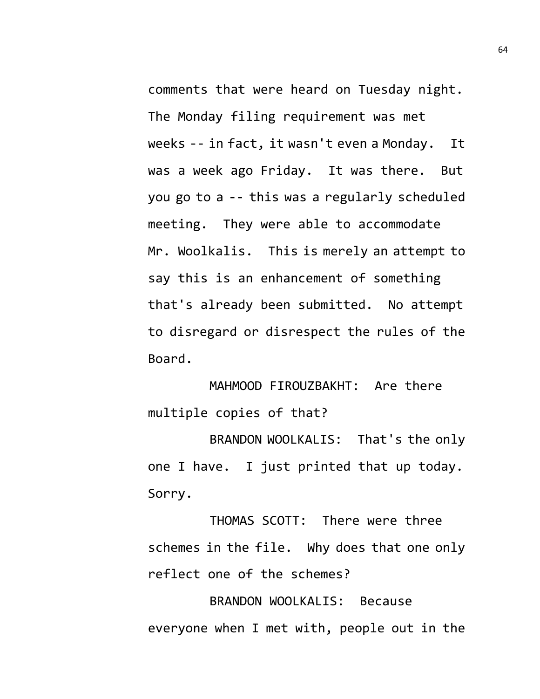comments that were heard on Tuesday night. The Monday filing requirement was met weeks -- in fact, it wasn't even a Monday. It was a week ago Friday. It was there. But you go to a -- this was a regularly scheduled meeting. They were able to accommodate Mr. Woolkalis. This is merely an attempt to say this is an enhancement of something that's already been submitted. No attempt to disregard or disrespect the rules of the Board.

MAHMOOD FIROUZBAKHT: Are there multiple copies of that?

BRANDON WOOLKALIS: That's the only one I have. I just printed that up today. Sorry.

THOMAS SCOTT: There were three schemes in the file. Why does that one only reflect one of the schemes?

BRANDON WOOLKALIS: Because everyone when I met with, people out in the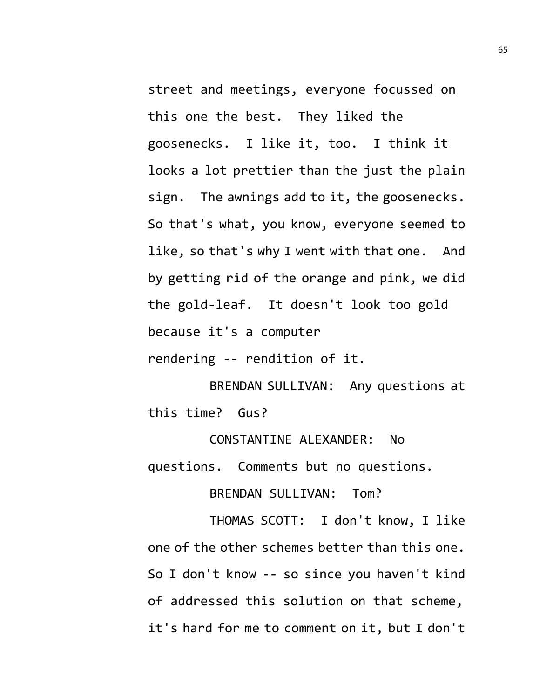street and meetings, everyone focussed on this one the best. They liked the goosenecks. I like it, too. I think it looks a lot prettier than the just the plain sign. The awnings add to it, the goosenecks. So that's what, you know, everyone seemed to like, so that's why I went with that one. And by getting rid of the orange and pink, we did the gold-leaf. It doesn't look too gold because it's a computer

rendering -- rendition of it.

BRENDAN SULLIVAN: Any questions at this time? Gus?

CONSTANTINE ALEXANDER: No questions. Comments but no questions.

BRENDAN SULLIVAN: Tom?

THOMAS SCOTT: I don't know, I like one of the other schemes better than this one. So I don't know -- so since you haven't kind of addressed this solution on that scheme, it's hard for me to comment on it, but I don't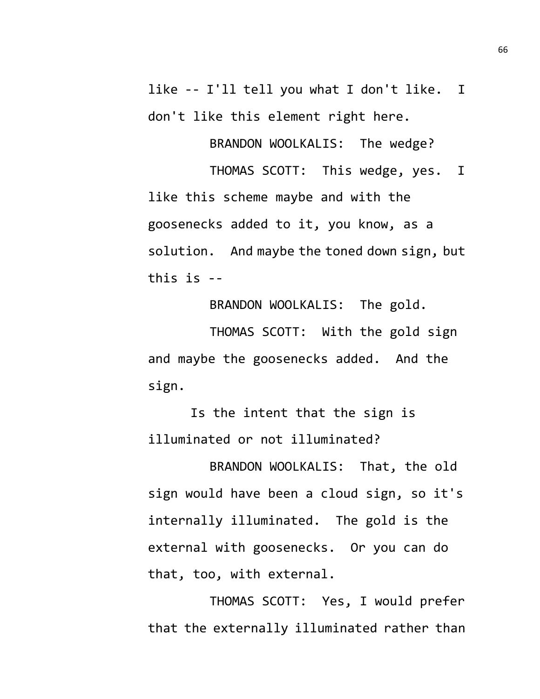like -- I'll tell you what I don't like. I don't like this element right here.

BRANDON WOOLKALIS: The wedge?

THOMAS SCOTT: This wedge, yes. I like this scheme maybe and with the goosenecks added to it, you know, as a solution. And maybe the toned down sign, but this is --

BRANDON WOOLKALIS: The gold.

THOMAS SCOTT: With the gold sign and maybe the goosenecks added. And the sign.

Is the intent that the sign is illuminated or not illuminated?

BRANDON WOOLKALIS: That, the old sign would have been a cloud sign, so it's internally illuminated. The gold is the external with goosenecks. Or you can do that, too, with external.

THOMAS SCOTT: Yes, I would prefer that the externally illuminated rather than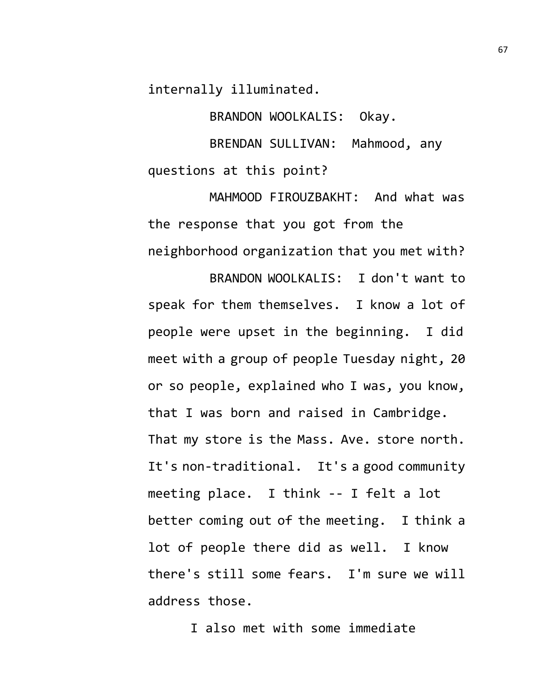internally illuminated.

BRANDON WOOLKALIS: Okay.

BRENDAN SULLIVAN: Mahmood, any questions at this point?

MAHMOOD FIROUZBAKHT: And what was the response that you got from the neighborhood organization that you met with?

BRANDON WOOLKALIS: I don't want to speak for them themselves. I know a lot of people were upset in the beginning. I did meet with a group of people Tuesday night, 20 or so people, explained who I was, you know, that I was born and raised in Cambridge. That my store is the Mass. Ave. store north. It's non-traditional. It's a good community meeting place. I think -- I felt a lot better coming out of the meeting. I think a lot of people there did as well. I know there's still some fears. I'm sure we will address those.

I also met with some immediate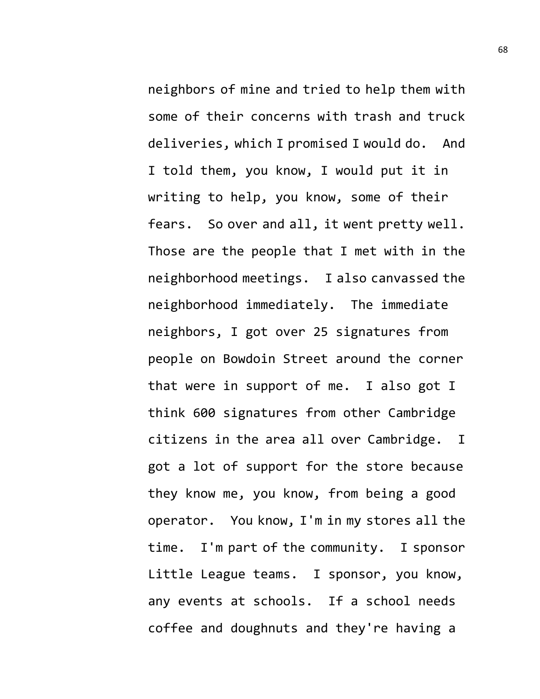neighbors of mine and tried to help them with some of their concerns with trash and truck deliveries, which I promised I would do. And I told them, you know, I would put it in writing to help, you know, some of their fears. So over and all, it went pretty well. Those are the people that I met with in the neighborhood meetings. I also canvassed the neighborhood immediately. The immediate neighbors, I got over 25 signatures from people on Bowdoin Street around the corner that were in support of me. I also got I think 600 signatures from other Cambridge citizens in the area all over Cambridge. I got a lot of support for the store because they know me, you know, from being a good operator. You know, I'm in my stores all the time. I'm part of the community. I sponsor Little League teams. I sponsor, you know, any events at schools. If a school needs coffee and doughnuts and they're having a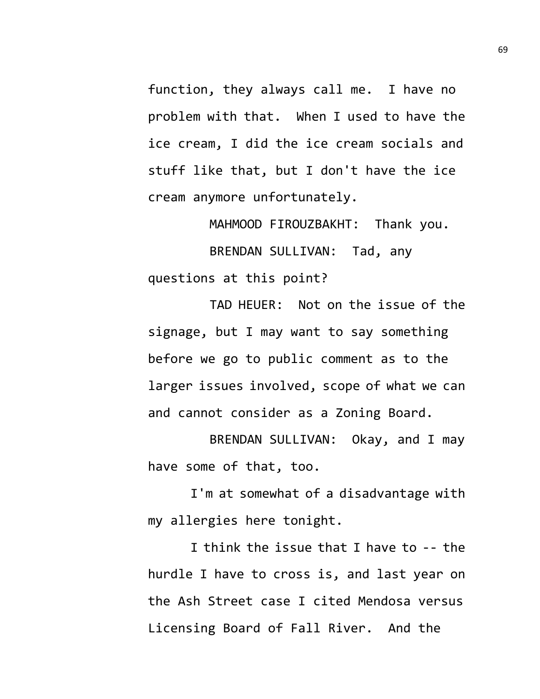function, they always call me. I have no problem with that. When I used to have the ice cream, I did the ice cream socials and stuff like that, but I don't have the ice cream anymore unfortunately.

MAHMOOD FIROUZBAKHT: Thank you. BRENDAN SULLIVAN: Tad, any questions at this point?

TAD HEUER: Not on the issue of the signage, but I may want to say something before we go to public comment as to the larger issues involved, scope of what we can and cannot consider as a Zoning Board.

BRENDAN SULLIVAN: Okay, and I may have some of that, too.

I'm at somewhat of a disadvantage with my allergies here tonight.

I think the issue that I have to -- the hurdle I have to cross is, and last year on the Ash Street case I cited Mendosa versus Licensing Board of Fall River. And the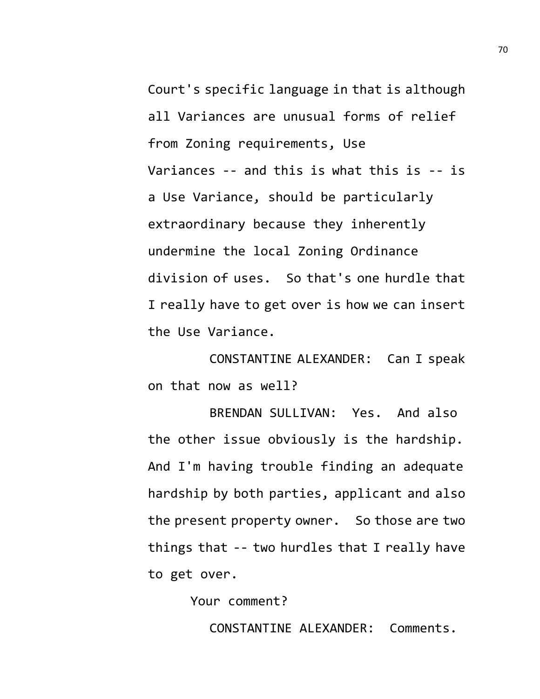Court's specific language in that is although all Variances are unusual forms of relief from Zoning requirements, Use Variances -- and this is what this is -- is a Use Variance, should be particularly extraordinary because they inherently undermine the local Zoning Ordinance division of uses. So that's one hurdle that I really have to get over is how we can insert the Use Variance.

CONSTANTINE ALEXANDER: Can I speak on that now as well?

BRENDAN SULLIVAN: Yes. And also the other issue obviously is the hardship. And I'm having trouble finding an adequate hardship by both parties, applicant and also the present property owner. So those are two things that -- two hurdles that I really have to get over.

Your comment?

CONSTANTINE ALEXANDER: Comments.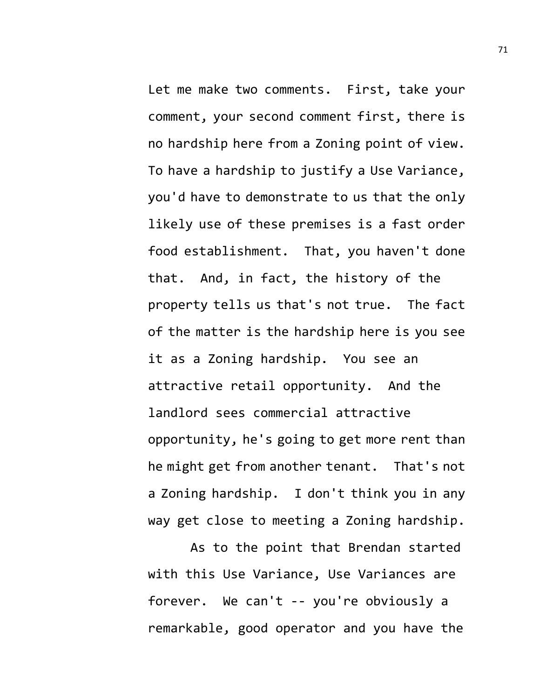Let me make two comments. First, take your comment, your second comment first, there is no hardship here from a Zoning point of view. To have a hardship to justify a Use Variance, you'd have to demonstrate to us that the only likely use of these premises is a fast order food establishment. That, you haven't done that. And, in fact, the history of the property tells us that's not true. The fact of the matter is the hardship here is you see it as a Zoning hardship. You see an attractive retail opportunity. And the landlord sees commercial attractive opportunity, he's going to get more rent than he might get from another tenant. That's not a Zoning hardship. I don't think you in any way get close to meeting a Zoning hardship.

As to the point that Brendan started with this Use Variance, Use Variances are forever. We can't -- you're obviously a remarkable, good operator and you have the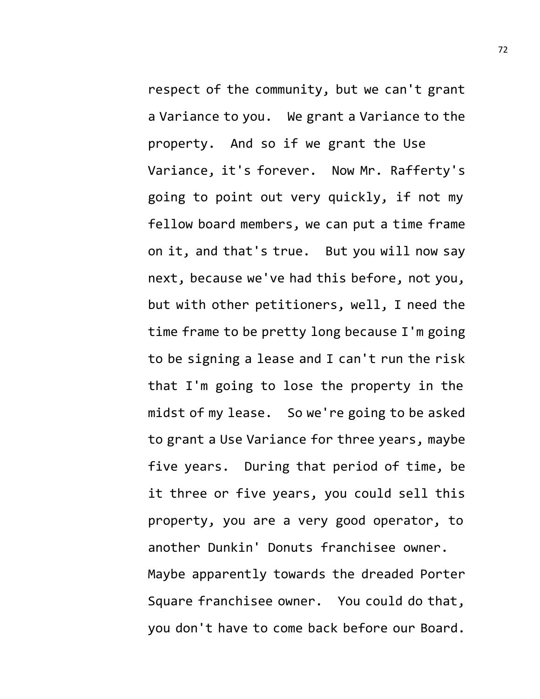respect of the community, but we can't grant a Variance to you. We grant a Variance to the property. And so if we grant the Use Variance, it's forever. Now Mr. Rafferty's going to point out very quickly, if not my fellow board members, we can put a time frame on it, and that's true. But you will now say next, because we've had this before, not you, but with other petitioners, well, I need the time frame to be pretty long because I'm going to be signing a lease and I can't run the risk that I'm going to lose the property in the midst of my lease. So we're going to be asked to grant a Use Variance for three years, maybe five years. During that period of time, be it three or five years, you could sell this property, you are a very good operator, to another Dunkin' Donuts franchisee owner. Maybe apparently towards the dreaded Porter Square franchisee owner. You could do that, you don't have to come back before our Board.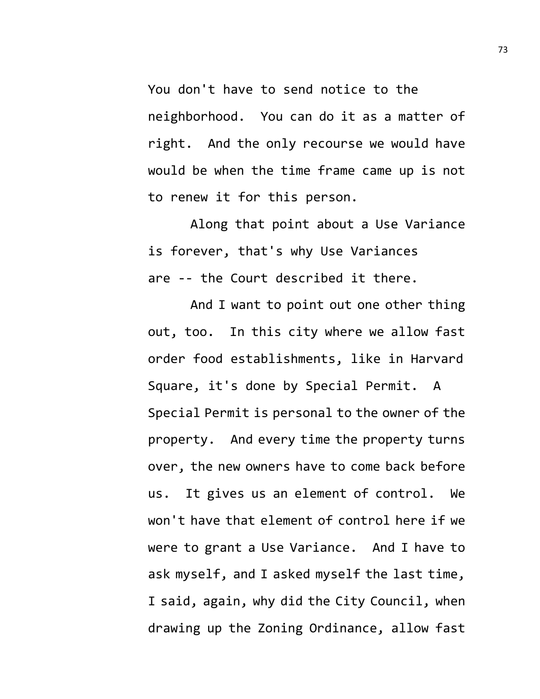You don't have to send notice to the neighborhood. You can do it as a matter of right. And the only recourse we would have would be when the time frame came up is not to renew it for this person.

Along that point about a Use Variance is forever, that's why Use Variances are -- the Court described it there.

And I want to point out one other thing out, too. In this city where we allow fast order food establishments, like in Harvard Square, it's done by Special Permit. A Special Permit is personal to the owner of the property. And every time the property turns over, the new owners have to come back before us. It gives us an element of control. We won't have that element of control here if we were to grant a Use Variance. And I have to ask myself, and I asked myself the last time, I said, again, why did the City Council, when drawing up the Zoning Ordinance, allow fast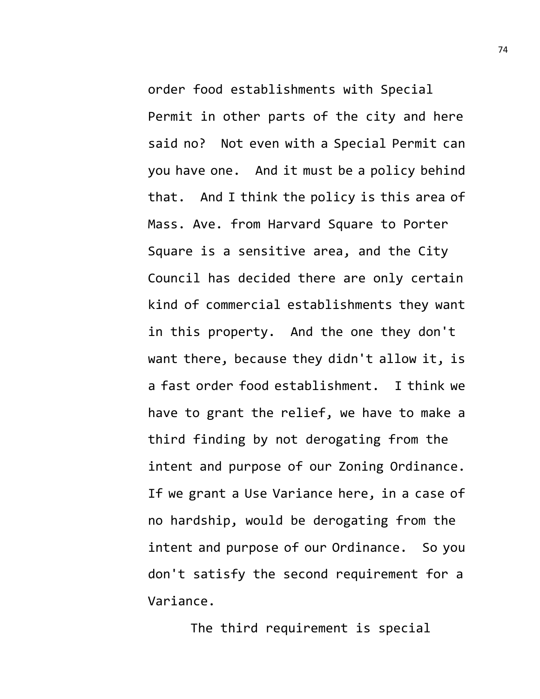order food establishments with Special Permit in other parts of the city and here said no? Not even with a Special Permit can you have one. And it must be a policy behind that. And I think the policy is this area of Mass. Ave. from Harvard Square to Porter Square is a sensitive area, and the City Council has decided there are only certain kind of commercial establishments they want in this property. And the one they don't want there, because they didn't allow it, is a fast order food establishment. I think we have to grant the relief, we have to make a third finding by not derogating from the intent and purpose of our Zoning Ordinance. If we grant a Use Variance here, in a case of no hardship, would be derogating from the intent and purpose of our Ordinance. So you don't satisfy the second requirement for a Variance.

The third requirement is special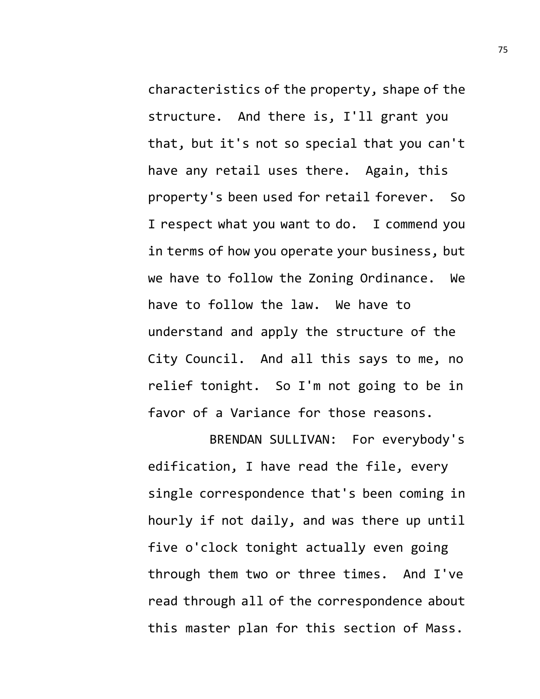characteristics of the property, shape of the structure. And there is, I'll grant you that, but it's not so special that you can't have any retail uses there. Again, this property's been used for retail forever. So I respect what you want to do. I commend you in terms of how you operate your business, but we have to follow the Zoning Ordinance. We have to follow the law. We have to understand and apply the structure of the City Council. And all this says to me, no relief tonight. So I'm not going to be in favor of a Variance for those reasons.

BRENDAN SULLIVAN: For everybody's edification, I have read the file, every single correspondence that's been coming in hourly if not daily, and was there up until five o'clock tonight actually even going through them two or three times. And I've read through all of the correspondence about this master plan for this section of Mass.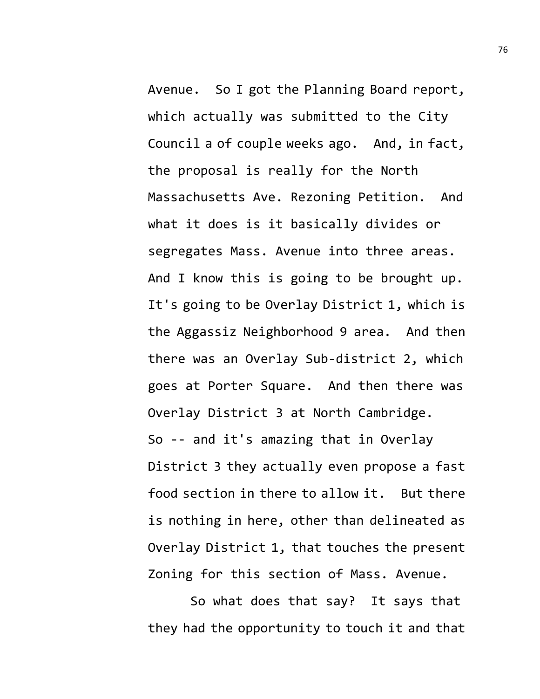Avenue. So I got the Planning Board report, which actually was submitted to the City Council a of couple weeks ago. And, in fact, the proposal is really for the North Massachusetts Ave. Rezoning Petition. And what it does is it basically divides or segregates Mass. Avenue into three areas. And I know this is going to be brought up. It's going to be Overlay District 1, which is the Aggassiz Neighborhood 9 area. And then there was an Overlay Sub-district 2, which goes at Porter Square. And then there was Overlay District 3 at North Cambridge. So -- and it's amazing that in Overlay District 3 they actually even propose a fast food section in there to allow it. But there is nothing in here, other than delineated as Overlay District 1, that touches the present

So what does that say? It says that they had the opportunity to touch it and that

Zoning for this section of Mass. Avenue.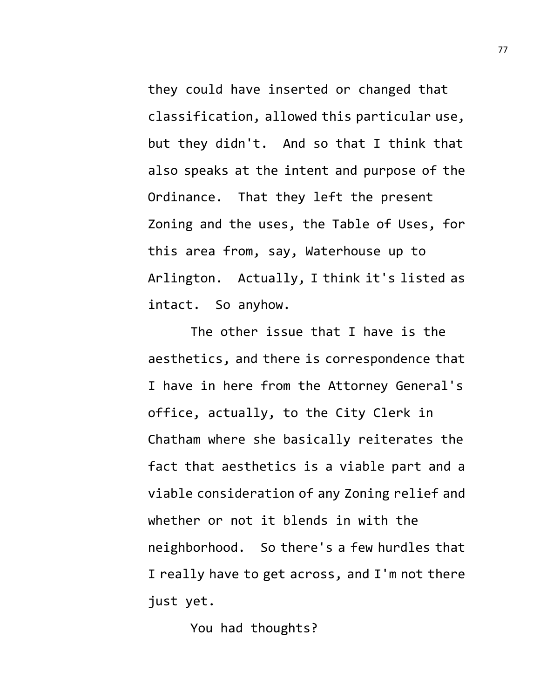they could have inserted or changed that classification, allowed this particular use, but they didn't. And so that I think that also speaks at the intent and purpose of the Ordinance. That they left the present Zoning and the uses, the Table of Uses, for this area from, say, Waterhouse up to Arlington. Actually, I think it's listed as intact. So anyhow.

The other issue that I have is the aesthetics, and there is correspondence that I have in here from the Attorney General's office, actually, to the City Clerk in Chatham where she basically reiterates the fact that aesthetics is a viable part and a viable consideration of any Zoning relief and whether or not it blends in with the neighborhood. So there's a few hurdles that I really have to get across, and I'm not there just yet.

You had thoughts?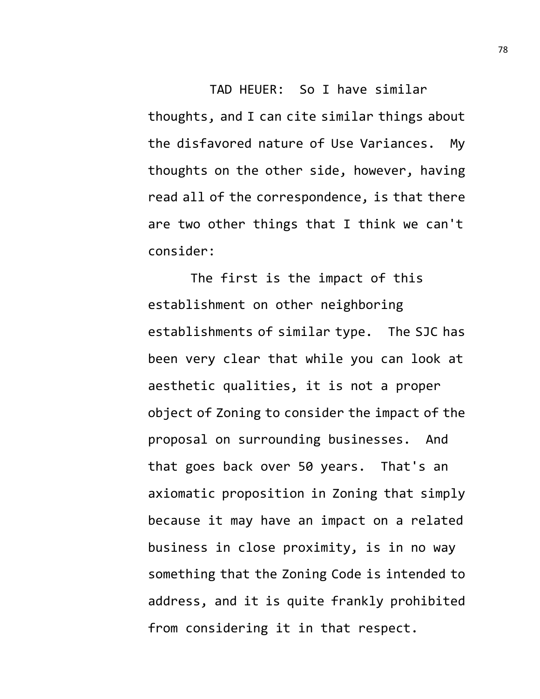TAD HEUER: So I have similar thoughts, and I can cite similar things about the disfavored nature of Use Variances. My thoughts on the other side, however, having read all of the correspondence, is that there are two other things that I think we can't consider:

The first is the impact of this establishment on other neighboring establishments of similar type. The SJC has been very clear that while you can look at aesthetic qualities, it is not a proper object of Zoning to consider the impact of the proposal on surrounding businesses. And that goes back over 50 years. That's an axiomatic proposition in Zoning that simply because it may have an impact on a related business in close proximity, is in no way something that the Zoning Code is intended to address, and it is quite frankly prohibited from considering it in that respect.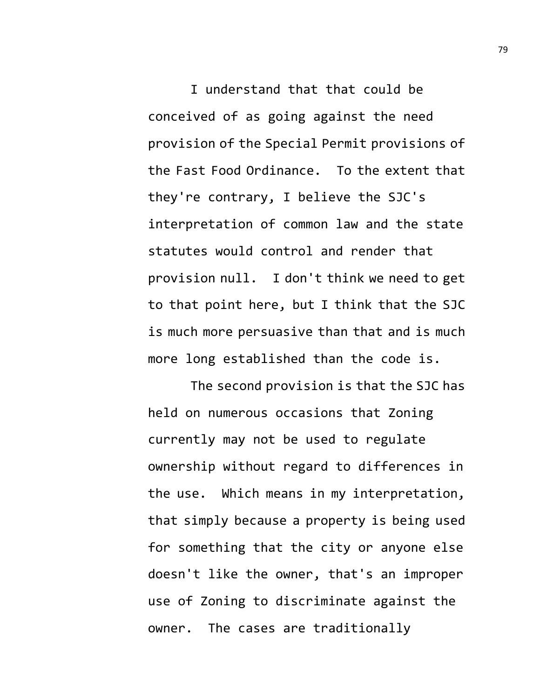I understand that that could be conceived of as going against the need provision of the Special Permit provisions of the Fast Food Ordinance. To the extent that they're contrary, I believe the SJC's interpretation of common law and the state statutes would control and render that provision null. I don't think we need to get to that point here, but I think that the SJC is much more persuasive than that and is much more long established than the code is.

The second provision is that the SJC has held on numerous occasions that Zoning currently may not be used to regulate ownership without regard to differences in the use. Which means in my interpretation, that simply because a property is being used for something that the city or anyone else doesn't like the owner, that's an improper use of Zoning to discriminate against the owner. The cases are traditionally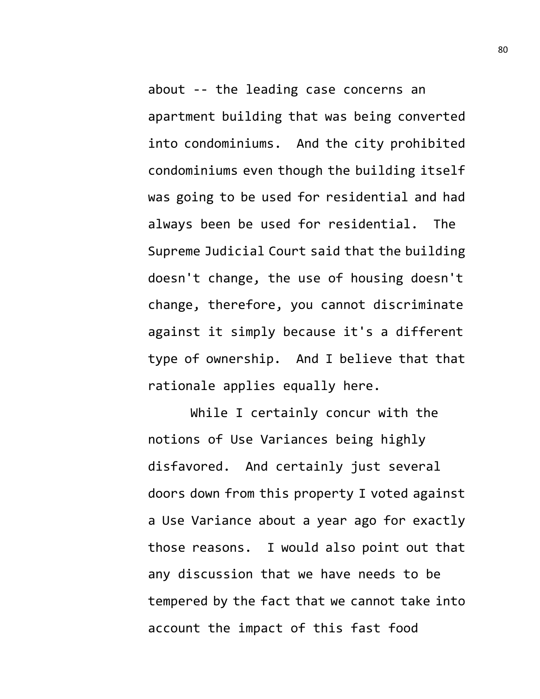about -- the leading case concerns an apartment building that was being converted into condominiums. And the city prohibited condominiums even though the building itself was going to be used for residential and had always been be used for residential. The Supreme Judicial Court said that the building doesn't change, the use of housing doesn't change, therefore, you cannot discriminate against it simply because it's a different type of ownership. And I believe that that rationale applies equally here.

While I certainly concur with the notions of Use Variances being highly disfavored. And certainly just several doors down from this property I voted against a Use Variance about a year ago for exactly those reasons. I would also point out that any discussion that we have needs to be tempered by the fact that we cannot take into account the impact of this fast food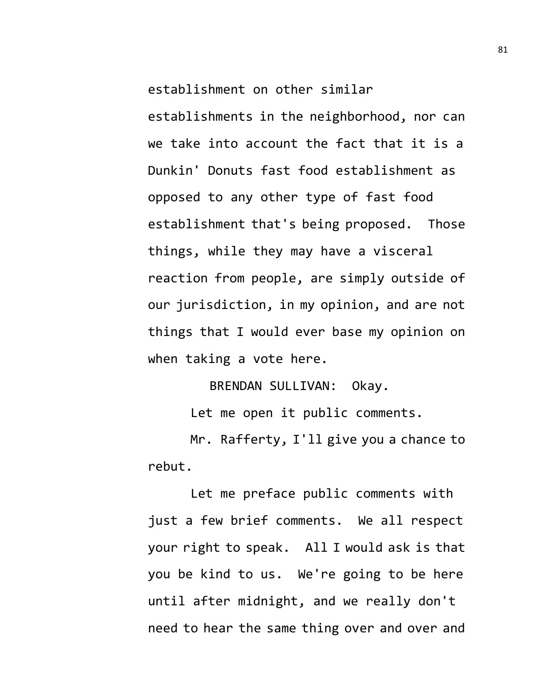establishment on other similar

establishments in the neighborhood, nor can we take into account the fact that it is a Dunkin' Donuts fast food establishment as opposed to any other type of fast food establishment that's being proposed. Those things, while they may have a visceral reaction from people, are simply outside of our jurisdiction, in my opinion, and are not things that I would ever base my opinion on when taking a vote here.

BRENDAN SULLIVAN: Okay.

Let me open it public comments.

Mr. Rafferty, I'll give you a chance to rebut.

Let me preface public comments with just a few brief comments. We all respect your right to speak. All I would ask is that you be kind to us. We're going to be here until after midnight, and we really don't need to hear the same thing over and over and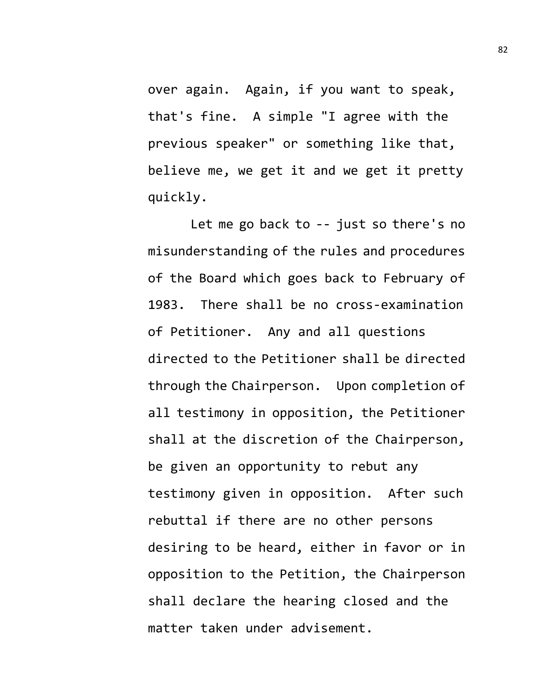over again. Again, if you want to speak, that's fine. A simple "I agree with the previous speaker" or something like that, believe me, we get it and we get it pretty quickly.

Let me go back to -- just so there's no misunderstanding of the rules and procedures of the Board which goes back to February of 1983. There shall be no cross-examination of Petitioner. Any and all questions directed to the Petitioner shall be directed through the Chairperson. Upon completion of all testimony in opposition, the Petitioner shall at the discretion of the Chairperson, be given an opportunity to rebut any testimony given in opposition. After such rebuttal if there are no other persons desiring to be heard, either in favor or in opposition to the Petition, the Chairperson shall declare the hearing closed and the matter taken under advisement.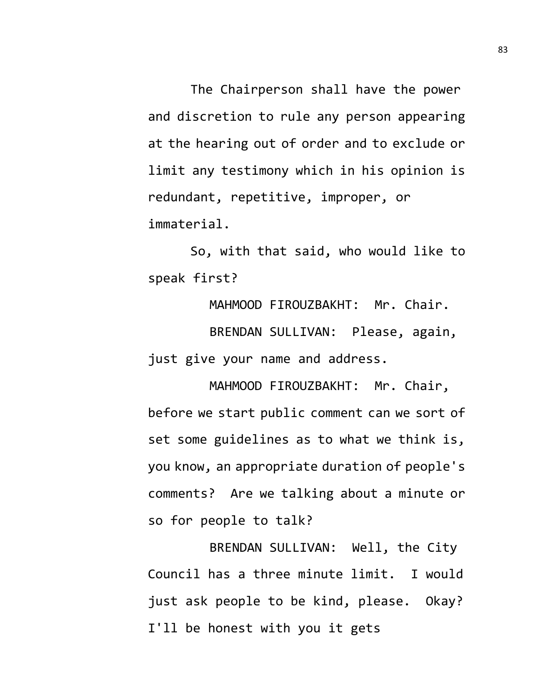The Chairperson shall have the power and discretion to rule any person appearing at the hearing out of order and to exclude or limit any testimony which in his opinion is redundant, repetitive, improper, or immaterial.

So, with that said, who would like to speak first?

MAHMOOD FIROUZBAKHT: Mr. Chair. BRENDAN SULLIVAN: Please, again, just give your name and address.

MAHMOOD FIROUZBAKHT: Mr. Chair, before we start public comment can we sort of set some guidelines as to what we think is, you know, an appropriate duration of people's comments? Are we talking about a minute or so for people to talk?

BRENDAN SULLIVAN: Well, the City Council has a three minute limit. I would just ask people to be kind, please. Okay? I'll be honest with you it gets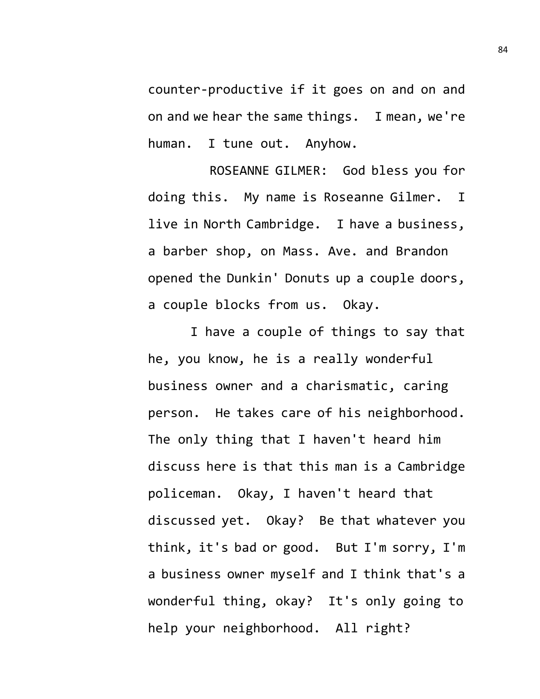counter-productive if it goes on and on and on and we hear the same things. I mean, we're human. I tune out. Anyhow.

ROSEANNE GILMER: God bless you for doing this. My name is Roseanne Gilmer. I live in North Cambridge. I have a business, a barber shop, on Mass. Ave. and Brandon opened the Dunkin' Donuts up a couple doors, a couple blocks from us. Okay.

I have a couple of things to say that he, you know, he is a really wonderful business owner and a charismatic, caring person. He takes care of his neighborhood. The only thing that I haven't heard him discuss here is that this man is a Cambridge policeman. Okay, I haven't heard that discussed yet. Okay? Be that whatever you think, it's bad or good. But I'm sorry, I'm a business owner myself and I think that's a wonderful thing, okay? It's only going to help your neighborhood. All right?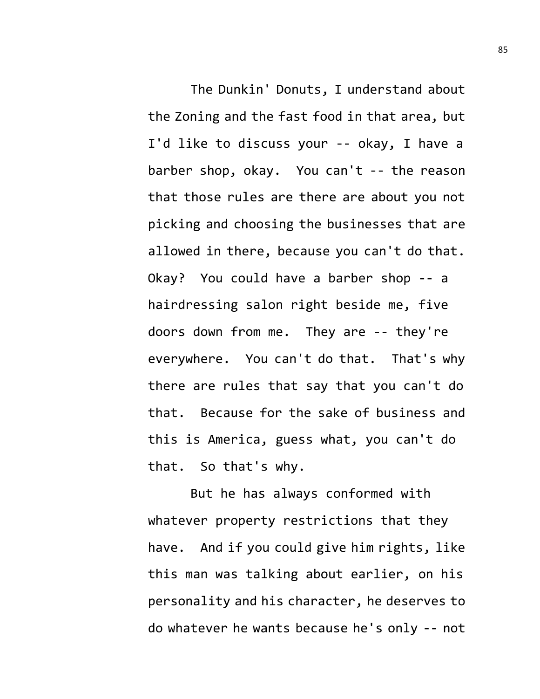The Dunkin' Donuts, I understand about the Zoning and the fast food in that area, but I'd like to discuss your -- okay, I have a barber shop, okay. You can't -- the reason that those rules are there are about you not picking and choosing the businesses that are allowed in there, because you can't do that. Okay? You could have a barber shop -- a hairdressing salon right beside me, five doors down from me. They are -- they're everywhere. You can't do that. That's why there are rules that say that you can't do that. Because for the sake of business and this is America, guess what, you can't do that. So that's why.

But he has always conformed with whatever property restrictions that they have. And if you could give him rights, like this man was talking about earlier, on his personality and his character, he deserves to do whatever he wants because he's only -- not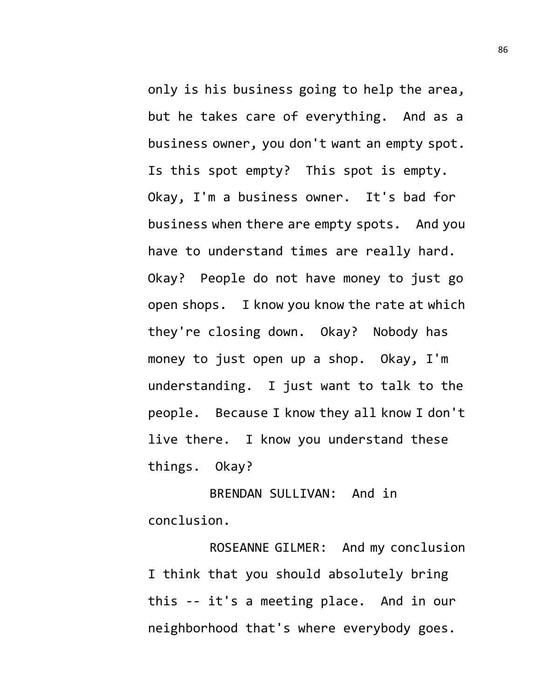only is his business going to help the area, but he takes care of everything. And as a business owner, you don't want an empty spot. Is this spot empty? This spot is empty. Okay, I'm a business owner. It's bad for business when there are empty spots. And you have to understand times are really hard. Okay? People do not have money to just go open shops. I know you know the rate at which they're closing down. Okay? Nobody has money to just open up a shop. Okay, I'm understanding. I just want to talk to the people. Because I know they all know I don't live there. I know you understand these things. Okay?

BRENDAN SULLIVAN: And in conclusion.

ROSEANNE GILMER: And my conclusion I think that you should absolutely bring this -- it's a meeting place. And in our neighborhood that's where everybody goes.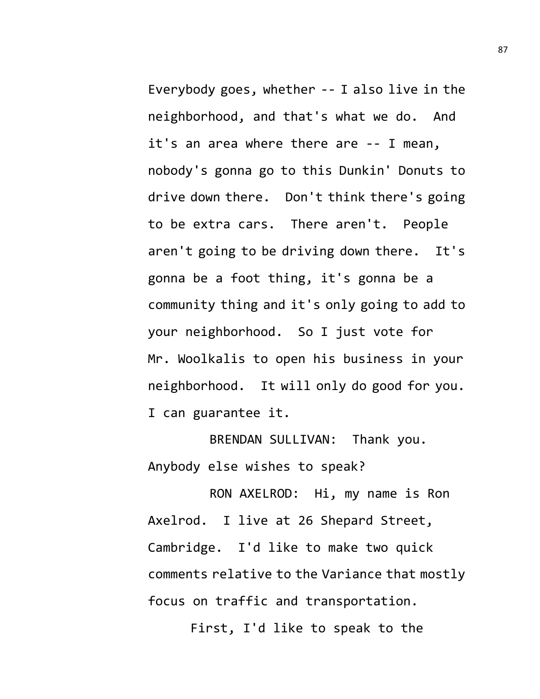Everybody goes, whether -- I also live in the neighborhood, and that's what we do. And it's an area where there are -- I mean, nobody's gonna go to this Dunkin' Donuts to drive down there. Don't think there's going to be extra cars. There aren't. People aren't going to be driving down there. It's gonna be a foot thing, it's gonna be a community thing and it's only going to add to your neighborhood. So I just vote for Mr. Woolkalis to open his business in your neighborhood. It will only do good for you. I can guarantee it.

BRENDAN SULLIVAN: Thank you. Anybody else wishes to speak?

RON AXELROD: Hi, my name is Ron Axelrod. I live at 26 Shepard Street, Cambridge. I'd like to make two quick comments relative to the Variance that mostly focus on traffic and transportation.

First, I'd like to speak to the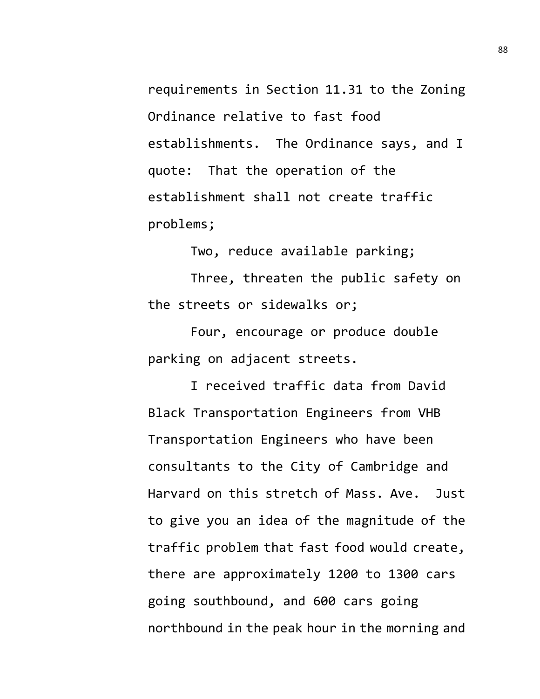requirements in Section 11.31 to the Zoning Ordinance relative to fast food establishments. The Ordinance says, and I quote: That the operation of the establishment shall not create traffic problems;

Two, reduce available parking;

Three, threaten the public safety on the streets or sidewalks or;

Four, encourage or produce double parking on adjacent streets.

I received traffic data from David Black Transportation Engineers from VHB Transportation Engineers who have been consultants to the City of Cambridge and Harvard on this stretch of Mass. Ave. Just to give you an idea of the magnitude of the traffic problem that fast food would create, there are approximately 1200 to 1300 cars going southbound, and 600 cars going northbound in the peak hour in the morning and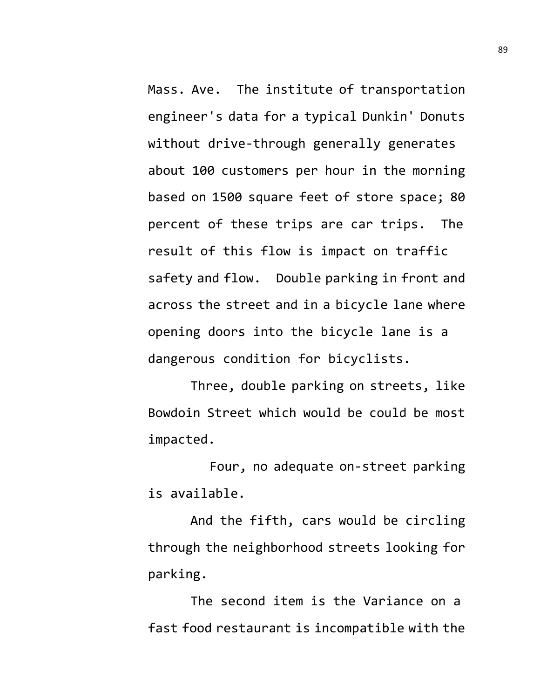Mass. Ave. The institute of transportation engineer's data for a typical Dunkin' Donuts without drive-through generally generates about 100 customers per hour in the morning based on 1500 square feet of store space; 80 percent of these trips are car trips. The result of this flow is impact on traffic safety and flow. Double parking in front and across the street and in a bicycle lane where opening doors into the bicycle lane is a dangerous condition for bicyclists.

Three, double parking on streets, like Bowdoin Street which would be could be most impacted.

Four, no adequate on-street parking is available.

And the fifth, cars would be circling through the neighborhood streets looking for parking.

The second item is the Variance on a fast food restaurant is incompatible with the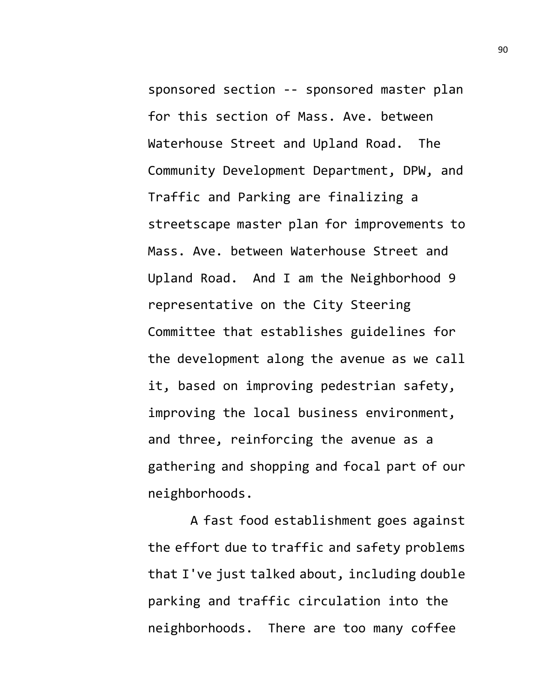sponsored section -- sponsored master plan for this section of Mass. Ave. between Waterhouse Street and Upland Road. The Community Development Department, DPW, and Traffic and Parking are finalizing a streetscape master plan for improvements to Mass. Ave. between Waterhouse Street and Upland Road. And I am the Neighborhood 9 representative on the City Steering Committee that establishes guidelines for the development along the avenue as we call it, based on improving pedestrian safety, improving the local business environment, and three, reinforcing the avenue as a gathering and shopping and focal part of our neighborhoods.

A fast food establishment goes against the effort due to traffic and safety problems that I've just talked about, including double parking and traffic circulation into the neighborhoods. There are too many coffee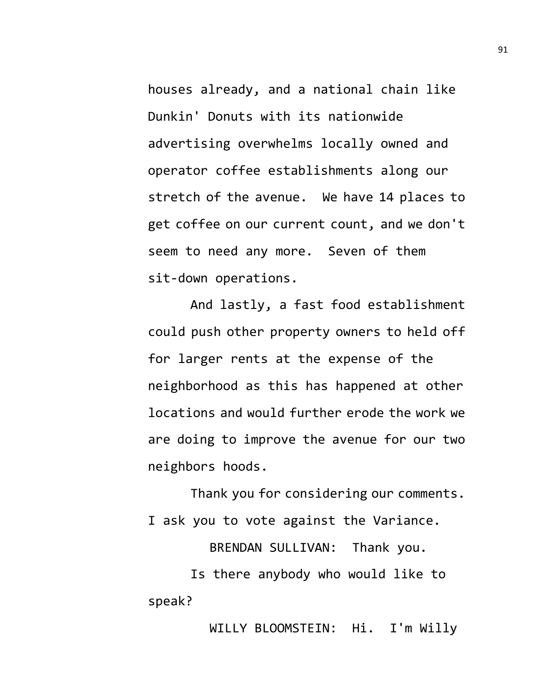houses already, and a national chain like Dunkin' Donuts with its nationwide advertising overwhelms locally owned and operator coffee establishments along our stretch of the avenue. We have 14 places to get coffee on our current count, and we don't seem to need any more. Seven of them sit-down operations.

And lastly, a fast food establishment could push other property owners to held off for larger rents at the expense of the neighborhood as this has happened at other locations and would further erode the work we are doing to improve the avenue for our two neighbors hoods.

Thank you for considering our comments. I ask you to vote against the Variance.

BRENDAN SULLIVAN: Thank you.

Is there anybody who would like to speak?

WILLY BLOOMSTEIN: Hi. I'm Willy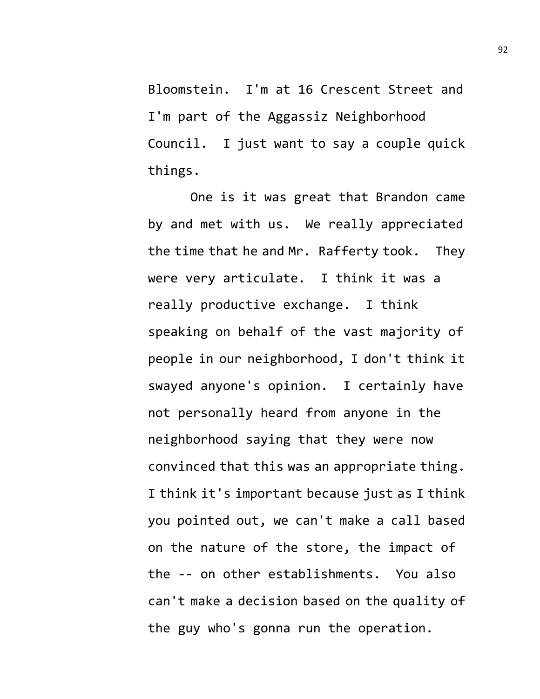Bloomstein. I'm at 16 Crescent Street and I'm part of the Aggassiz Neighborhood Council. I just want to say a couple quick things.

One is it was great that Brandon came by and met with us. We really appreciated the time that he and Mr. Rafferty took. They were very articulate. I think it was a really productive exchange. I think speaking on behalf of the vast majority of people in our neighborhood, I don't think it swayed anyone's opinion. I certainly have not personally heard from anyone in the neighborhood saying that they were now convinced that this was an appropriate thing. I think it's important because just as I think you pointed out, we can't make a call based on the nature of the store, the impact of the -- on other establishments. You also can't make a decision based on the quality of the guy who's gonna run the operation.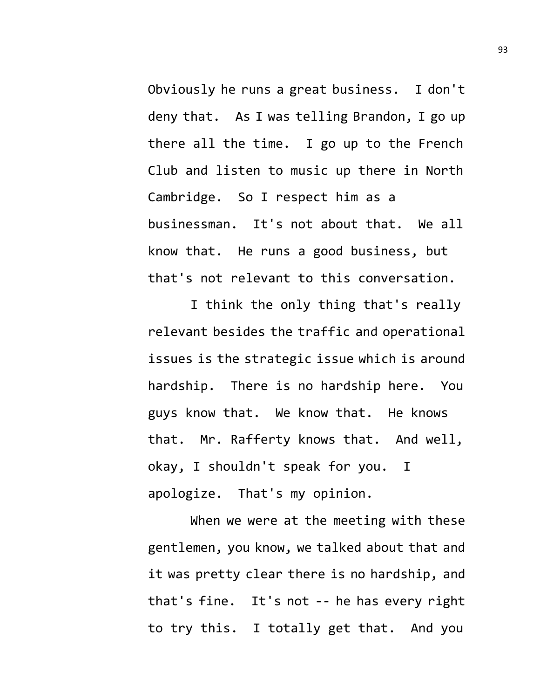Obviously he runs a great business. I don't deny that. As I was telling Brandon, I go up there all the time. I go up to the French Club and listen to music up there in North Cambridge. So I respect him as a businessman. It's not about that. We all know that. He runs a good business, but that's not relevant to this conversation.

I think the only thing that's really relevant besides the traffic and operational issues is the strategic issue which is around hardship. There is no hardship here. You guys know that. We know that. He knows that. Mr. Rafferty knows that. And well, okay, I shouldn't speak for you. I apologize. That's my opinion.

When we were at the meeting with these gentlemen, you know, we talked about that and it was pretty clear there is no hardship, and that's fine. It's not -- he has every right to try this. I totally get that. And you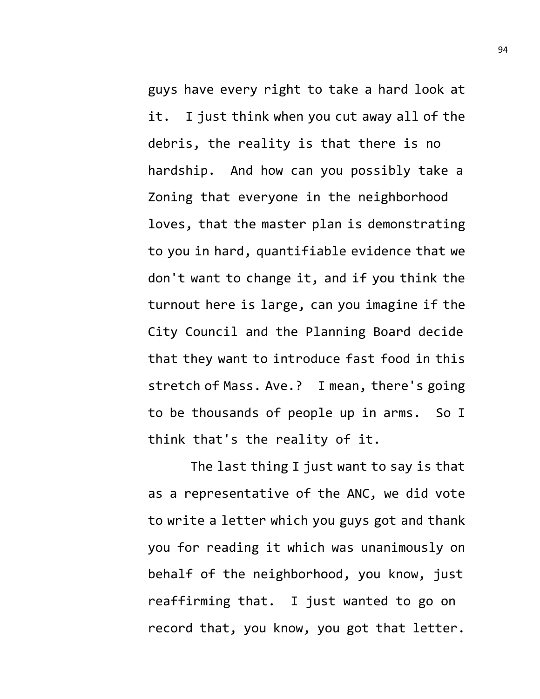guys have every right to take a hard look at it. I just think when you cut away all of the debris, the reality is that there is no hardship. And how can you possibly take a Zoning that everyone in the neighborhood loves, that the master plan is demonstrating to you in hard, quantifiable evidence that we don't want to change it, and if you think the turnout here is large, can you imagine if the City Council and the Planning Board decide that they want to introduce fast food in this stretch of Mass. Ave.? I mean, there's going to be thousands of people up in arms. So I think that's the reality of it.

The last thing I just want to say is that as a representative of the ANC, we did vote to write a letter which you guys got and thank you for reading it which was unanimously on behalf of the neighborhood, you know, just reaffirming that. I just wanted to go on record that, you know, you got that letter.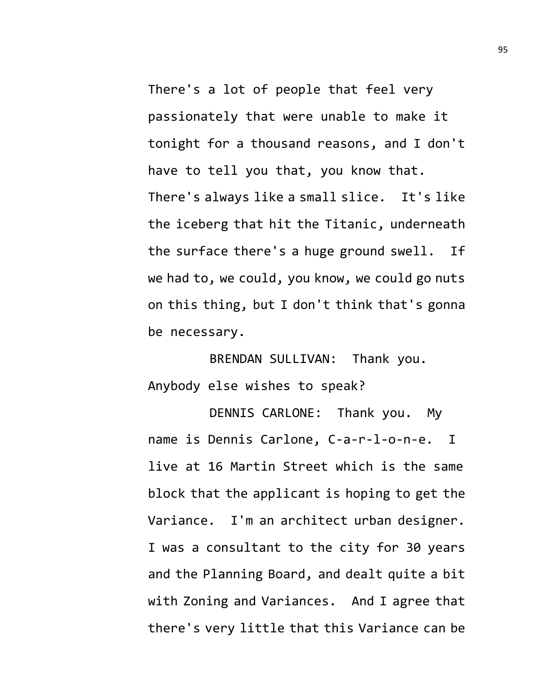There's a lot of people that feel very passionately that were unable to make it tonight for a thousand reasons, and I don't have to tell you that, you know that. There's always like a small slice. It's like the iceberg that hit the Titanic, underneath the surface there's a huge ground swell. If we had to, we could, you know, we could go nuts on this thing, but I don't think that's gonna be necessary.

BRENDAN SULLIVAN: Thank you. Anybody else wishes to speak?

DENNIS CARLONE: Thank you. My name is Dennis Carlone, C-a-r-l-o-n-e. I live at 16 Martin Street which is the same block that the applicant is hoping to get the Variance. I'm an architect urban designer. I was a consultant to the city for 30 years and the Planning Board, and dealt quite a bit with Zoning and Variances. And I agree that there's very little that this Variance can be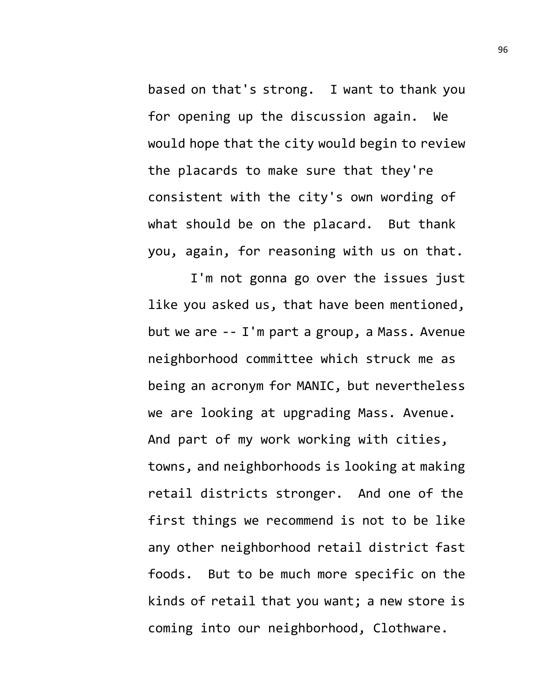based on that's strong. I want to thank you for opening up the discussion again. We would hope that the city would begin to review the placards to make sure that they're consistent with the city's own wording of what should be on the placard. But thank you, again, for reasoning with us on that.

I'm not gonna go over the issues just like you asked us, that have been mentioned, but we are -- I'm part a group, a Mass. Avenue neighborhood committee which struck me as being an acronym for MANIC, but nevertheless we are looking at upgrading Mass. Avenue. And part of my work working with cities, towns, and neighborhoods is looking at making retail districts stronger. And one of the first things we recommend is not to be like any other neighborhood retail district fast foods. But to be much more specific on the kinds of retail that you want; a new store is coming into our neighborhood, Clothware.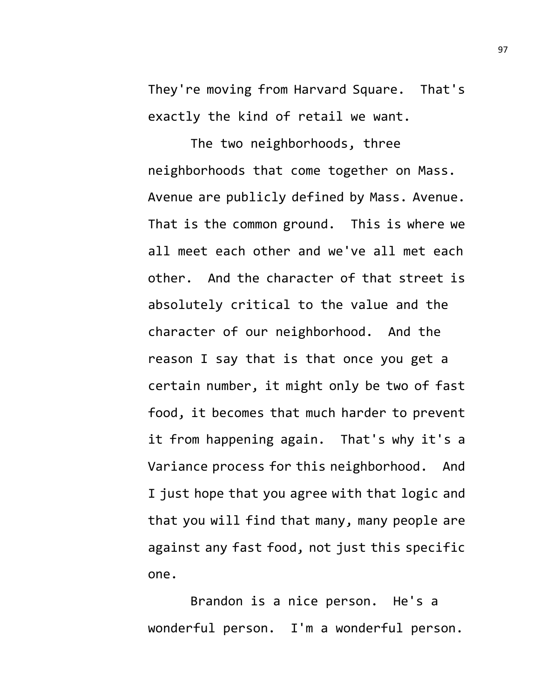They're moving from Harvard Square. That's exactly the kind of retail we want.

The two neighborhoods, three neighborhoods that come together on Mass. Avenue are publicly defined by Mass. Avenue. That is the common ground. This is where we all meet each other and we've all met each other. And the character of that street is absolutely critical to the value and the character of our neighborhood. And the reason I say that is that once you get a certain number, it might only be two of fast food, it becomes that much harder to prevent it from happening again. That's why it's a Variance process for this neighborhood. And I just hope that you agree with that logic and that you will find that many, many people are against any fast food, not just this specific one.

Brandon is a nice person. He's a wonderful person. I'm a wonderful person.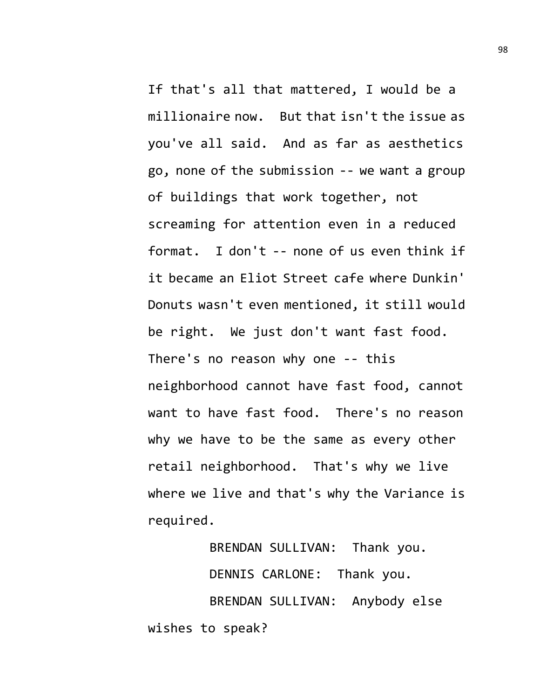If that's all that mattered, I would be a millionaire now. But that isn't the issue as you've all said. And as far as aesthetics go, none of the submission -- we want a group of buildings that work together, not screaming for attention even in a reduced format. I don't -- none of us even think if it became an Eliot Street cafe where Dunkin' Donuts wasn't even mentioned, it still would be right. We just don't want fast food. There's no reason why one -- this neighborhood cannot have fast food, cannot want to have fast food. There's no reason why we have to be the same as every other retail neighborhood. That's why we live where we live and that's why the Variance is required.

BRENDAN SULLIVAN: Thank you. DENNIS CARLONE: Thank you. BRENDAN SULLIVAN: Anybody else wishes to speak?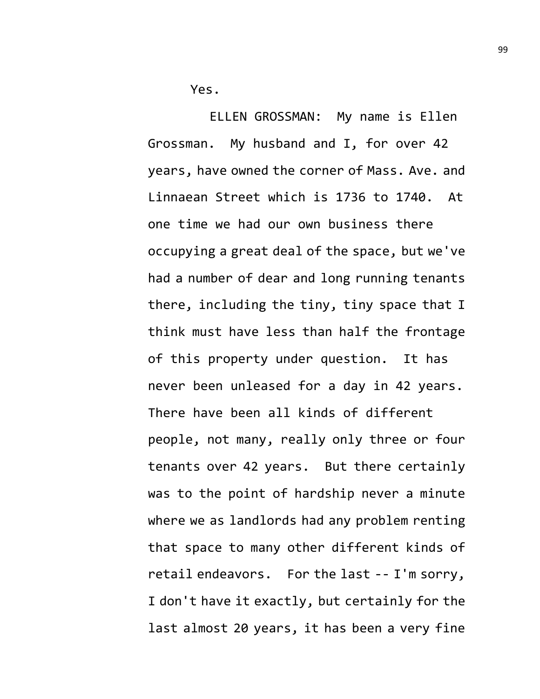Yes.

ELLEN GROSSMAN: My name is Ellen Grossman. My husband and I, for over 42 years, have owned the corner of Mass. Ave. and Linnaean Street which is 1736 to 1740. At one time we had our own business there occupying a great deal of the space, but we've had a number of dear and long running tenants there, including the tiny, tiny space that I think must have less than half the frontage of this property under question. It has never been unleased for a day in 42 years. There have been all kinds of different people, not many, really only three or four tenants over 42 years. But there certainly was to the point of hardship never a minute where we as landlords had any problem renting that space to many other different kinds of retail endeavors. For the last -- I'm sorry, I don't have it exactly, but certainly for the last almost 20 years, it has been a very fine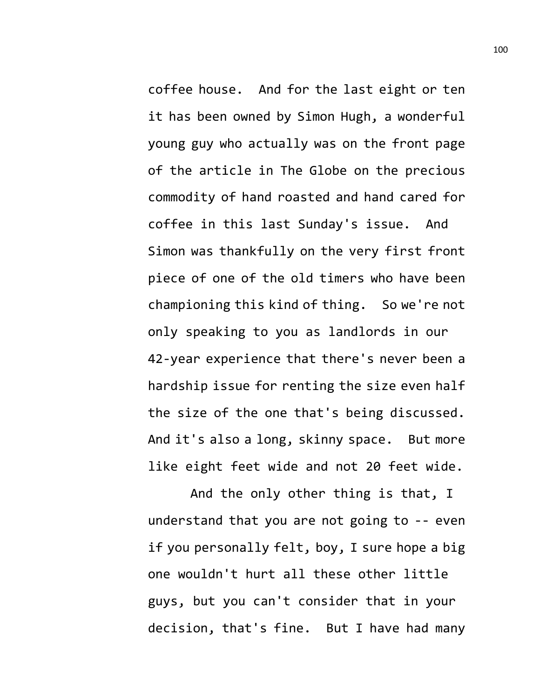coffee house. And for the last eight or ten it has been owned by Simon Hugh, a wonderful young guy who actually was on the front page of the article in The Globe on the precious commodity of hand roasted and hand cared for coffee in this last Sunday's issue. And Simon was thankfully on the very first front piece of one of the old timers who have been championing this kind of thing. So we're not only speaking to you as landlords in our 42-year experience that there's never been a hardship issue for renting the size even half the size of the one that's being discussed. And it's also a long, skinny space. But more like eight feet wide and not 20 feet wide.

And the only other thing is that, I understand that you are not going to -- even if you personally felt, boy, I sure hope a big one wouldn't hurt all these other little guys, but you can't consider that in your decision, that's fine. But I have had many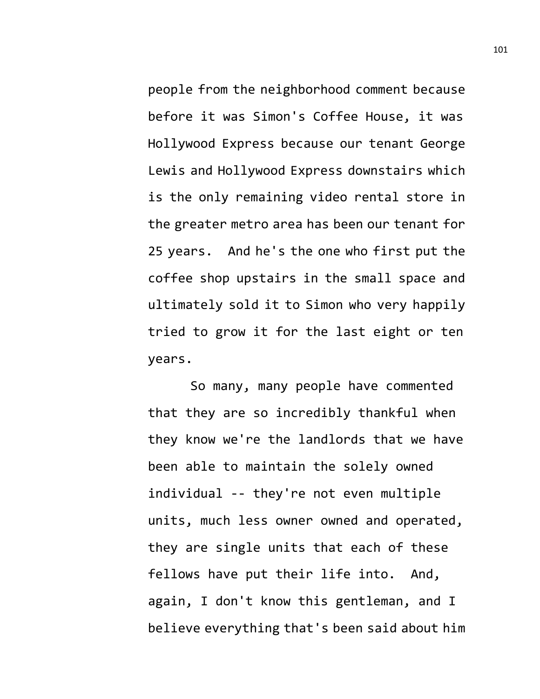people from the neighborhood comment because before it was Simon's Coffee House, it was Hollywood Express because our tenant George Lewis and Hollywood Express downstairs which is the only remaining video rental store in the greater metro area has been our tenant for 25 years. And he's the one who first put the coffee shop upstairs in the small space and ultimately sold it to Simon who very happily tried to grow it for the last eight or ten years.

So many, many people have commented that they are so incredibly thankful when they know we're the landlords that we have been able to maintain the solely owned individual -- they're not even multiple units, much less owner owned and operated, they are single units that each of these fellows have put their life into. And, again, I don't know this gentleman, and I believe everything that's been said about him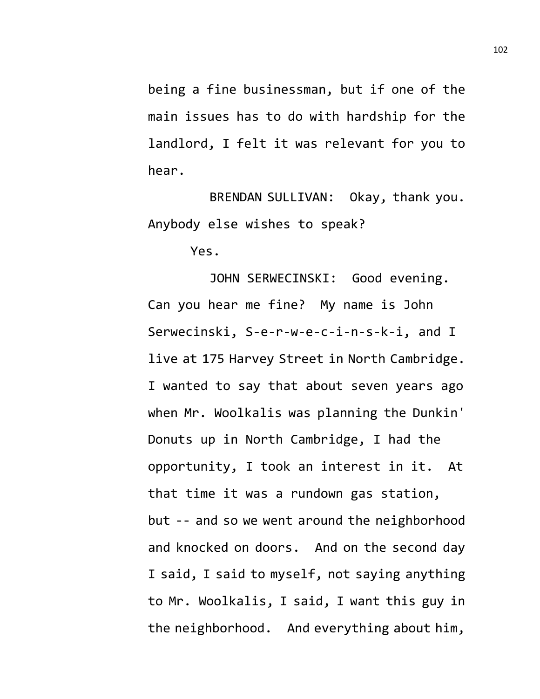being a fine businessman, but if one of the main issues has to do with hardship for the landlord, I felt it was relevant for you to hear.

BRENDAN SULLIVAN: Okay, thank you. Anybody else wishes to speak?

Yes.

JOHN SERWECINSKI: Good evening. Can you hear me fine? My name is John Serwecinski, S-e-r-w-e-c-i-n-s-k-i, and I live at 175 Harvey Street in North Cambridge. I wanted to say that about seven years ago when Mr. Woolkalis was planning the Dunkin' Donuts up in North Cambridge, I had the opportunity, I took an interest in it. At that time it was a rundown gas station, but -- and so we went around the neighborhood and knocked on doors. And on the second day I said, I said to myself, not saying anything to Mr. Woolkalis, I said, I want this guy in the neighborhood. And everything about him,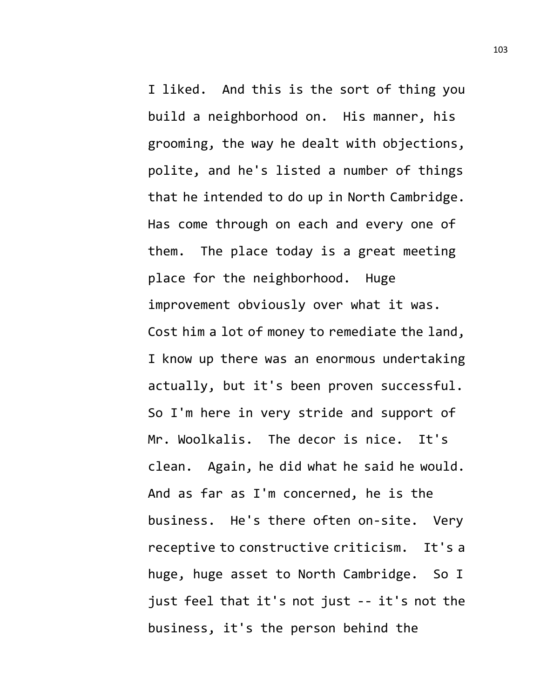I liked. And this is the sort of thing you build a neighborhood on. His manner, his grooming, the way he dealt with objections, polite, and he's listed a number of things that he intended to do up in North Cambridge. Has come through on each and every one of them. The place today is a great meeting place for the neighborhood. Huge improvement obviously over what it was. Cost him a lot of money to remediate the land, I know up there was an enormous undertaking actually, but it's been proven successful. So I'm here in very stride and support of Mr. Woolkalis. The decor is nice. It's clean. Again, he did what he said he would. And as far as I'm concerned, he is the business. He's there often on-site. Very receptive to constructive criticism. It's a huge, huge asset to North Cambridge. So I just feel that it's not just -- it's not the business, it's the person behind the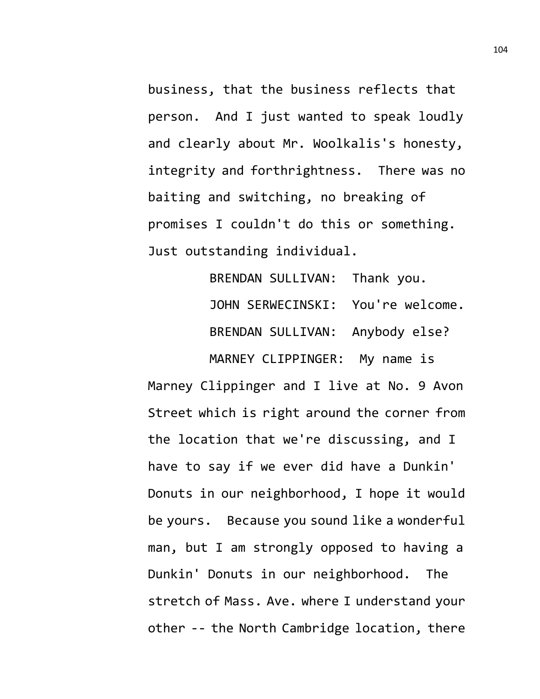business, that the business reflects that person. And I just wanted to speak loudly and clearly about Mr. Woolkalis's honesty, integrity and forthrightness. There was no baiting and switching, no breaking of promises I couldn't do this or something. Just outstanding individual.

> BRENDAN SULLIVAN: Thank you. JOHN SERWECINSKI: You're welcome. BRENDAN SULLIVAN: Anybody else? MARNEY CLIPPINGER: My name is

Marney Clippinger and I live at No. 9 Avon Street which is right around the corner from the location that we're discussing, and I have to say if we ever did have a Dunkin' Donuts in our neighborhood, I hope it would be yours. Because you sound like a wonderful man, but I am strongly opposed to having a Dunkin' Donuts in our neighborhood. The stretch of Mass. Ave. where I understand your other -- the North Cambridge location, there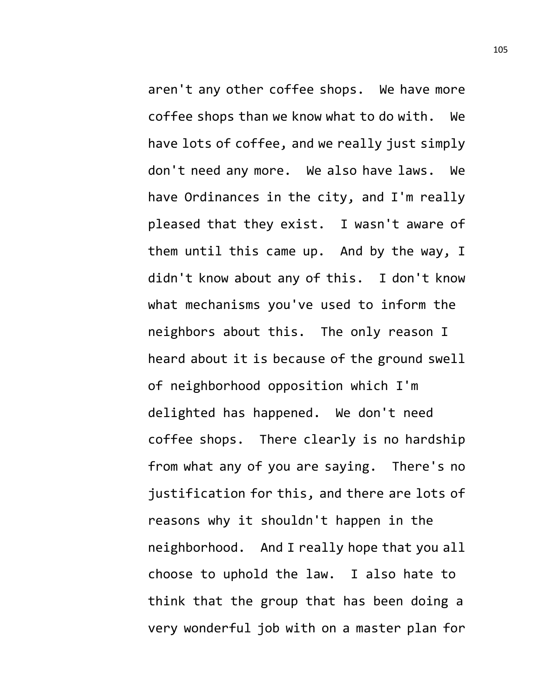aren't any other coffee shops. We have more coffee shops than we know what to do with. We have lots of coffee, and we really just simply don't need any more. We also have laws. We have Ordinances in the city, and I'm really pleased that they exist. I wasn't aware of them until this came up. And by the way, I didn't know about any of this. I don't know what mechanisms you've used to inform the neighbors about this. The only reason I heard about it is because of the ground swell of neighborhood opposition which I'm delighted has happened. We don't need coffee shops. There clearly is no hardship from what any of you are saying. There's no justification for this, and there are lots of reasons why it shouldn't happen in the neighborhood. And I really hope that you all choose to uphold the law. I also hate to think that the group that has been doing a very wonderful job with on a master plan for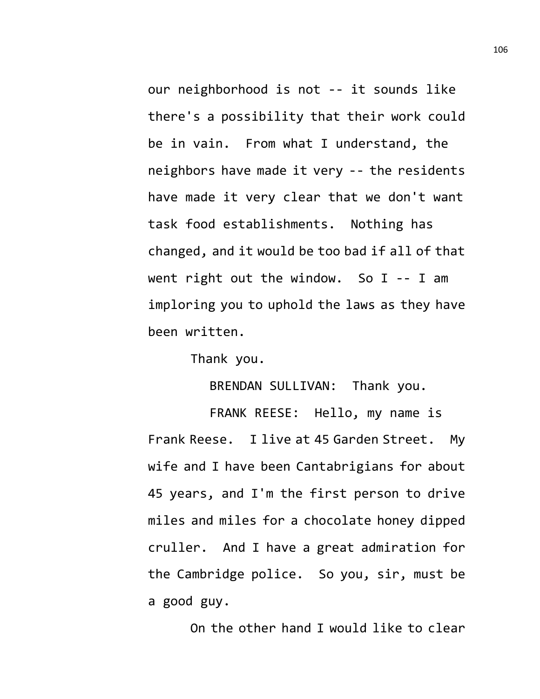our neighborhood is not -- it sounds like there's a possibility that their work could be in vain. From what I understand, the neighbors have made it very -- the residents have made it very clear that we don't want task food establishments. Nothing has changed, and it would be too bad if all of that went right out the window. So I -- I am imploring you to uphold the laws as they have been written.

Thank you.

BRENDAN SULLIVAN: Thank you.

FRANK REESE: Hello, my name is Frank Reese. I live at 45 Garden Street. My wife and I have been Cantabrigians for about 45 years, and I'm the first person to drive miles and miles for a chocolate honey dipped cruller. And I have a great admiration for the Cambridge police. So you, sir, must be a good guy.

On the other hand I would like to clear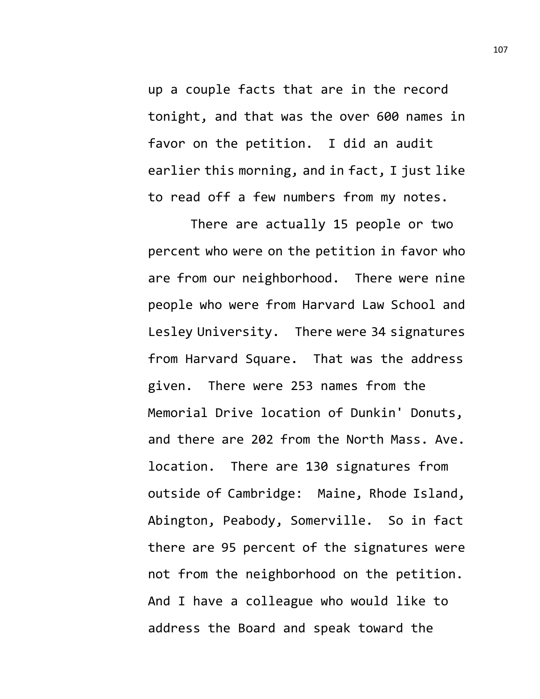up a couple facts that are in the record tonight, and that was the over 600 names in favor on the petition. I did an audit earlier this morning, and in fact, I just like to read off a few numbers from my notes.

There are actually 15 people or two percent who were on the petition in favor who are from our neighborhood. There were nine people who were from Harvard Law School and Lesley University. There were 34 signatures from Harvard Square. That was the address given. There were 253 names from the Memorial Drive location of Dunkin' Donuts, and there are 202 from the North Mass. Ave. location. There are 130 signatures from outside of Cambridge: Maine, Rhode Island, Abington, Peabody, Somerville. So in fact there are 95 percent of the signatures were not from the neighborhood on the petition. And I have a colleague who would like to address the Board and speak toward the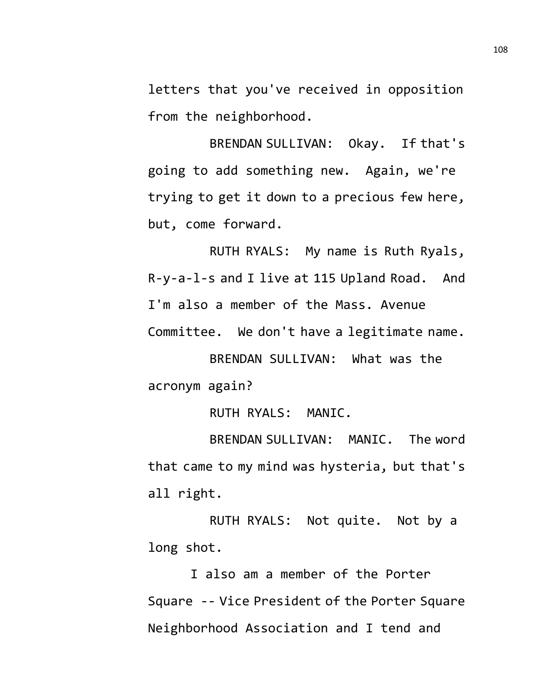letters that you've received in opposition from the neighborhood.

BRENDAN SULLIVAN: Okay. If that's going to add something new. Again, we're trying to get it down to a precious few here, but, come forward.

RUTH RYALS: My name is Ruth Ryals, R-y-a-l-s and I live at 115 Upland Road. And I'm also a member of the Mass. Avenue Committee. We don't have a legitimate name.

BRENDAN SULLIVAN: What was the acronym again?

RUTH RYALS: MANIC.

BRENDAN SULLIVAN: MANIC. The word that came to my mind was hysteria, but that's all right.

RUTH RYALS: Not quite. Not by a long shot.

I also am a member of the Porter Square -- Vice President of the Porter Square Neighborhood Association and I tend and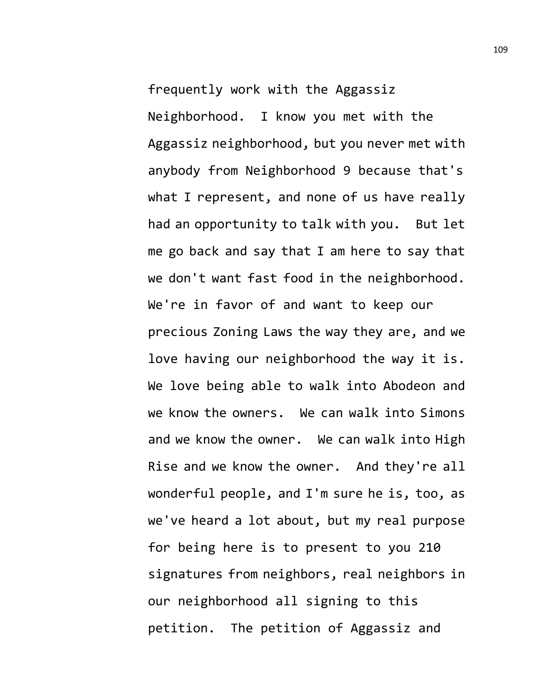frequently work with the Aggassiz Neighborhood. I know you met with the Aggassiz neighborhood, but you never met with anybody from Neighborhood 9 because that's what I represent, and none of us have really had an opportunity to talk with you. But let me go back and say that I am here to say that we don't want fast food in the neighborhood. We're in favor of and want to keep our precious Zoning Laws the way they are, and we love having our neighborhood the way it is. We love being able to walk into Abodeon and we know the owners. We can walk into Simons and we know the owner. We can walk into High Rise and we know the owner. And they're all wonderful people, and I'm sure he is, too, as we've heard a lot about, but my real purpose for being here is to present to you 210 signatures from neighbors, real neighbors in our neighborhood all signing to this petition. The petition of Aggassiz and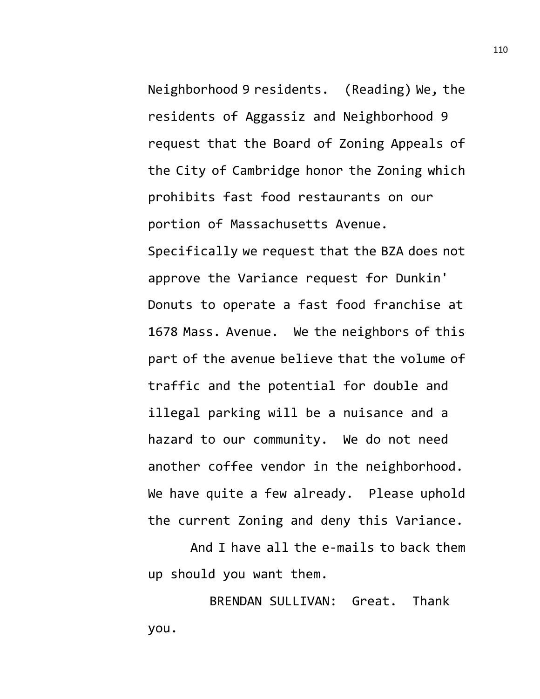Neighborhood 9 residents. (Reading) We, the residents of Aggassiz and Neighborhood 9 request that the Board of Zoning Appeals of the City of Cambridge honor the Zoning which prohibits fast food restaurants on our portion of Massachusetts Avenue. Specifically we request that the BZA does not approve the Variance request for Dunkin' Donuts to operate a fast food franchise at 1678 Mass. Avenue. We the neighbors of this part of the avenue believe that the volume of traffic and the potential for double and illegal parking will be a nuisance and a hazard to our community. We do not need another coffee vendor in the neighborhood. We have quite a few already. Please uphold the current Zoning and deny this Variance.

And I have all the e-mails to back them up should you want them.

BRENDAN SULLIVAN: Great. Thank you.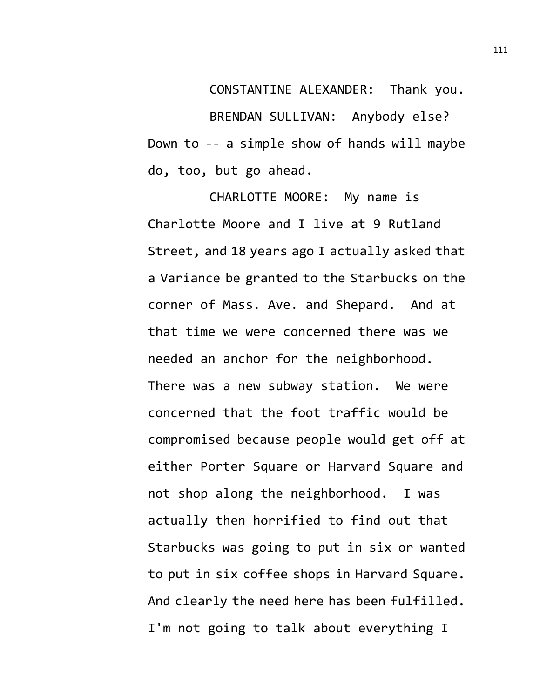CONSTANTINE ALEXANDER: Thank you. BRENDAN SULLIVAN: Anybody else? Down to -- a simple show of hands will maybe do, too, but go ahead.

CHARLOTTE MOORE: My name is Charlotte Moore and I live at 9 Rutland Street, and 18 years ago I actually asked that a Variance be granted to the Starbucks on the corner of Mass. Ave. and Shepard. And at that time we were concerned there was we needed an anchor for the neighborhood. There was a new subway station. We were concerned that the foot traffic would be compromised because people would get off at either Porter Square or Harvard Square and not shop along the neighborhood. I was actually then horrified to find out that Starbucks was going to put in six or wanted to put in six coffee shops in Harvard Square. And clearly the need here has been fulfilled. I'm not going to talk about everything I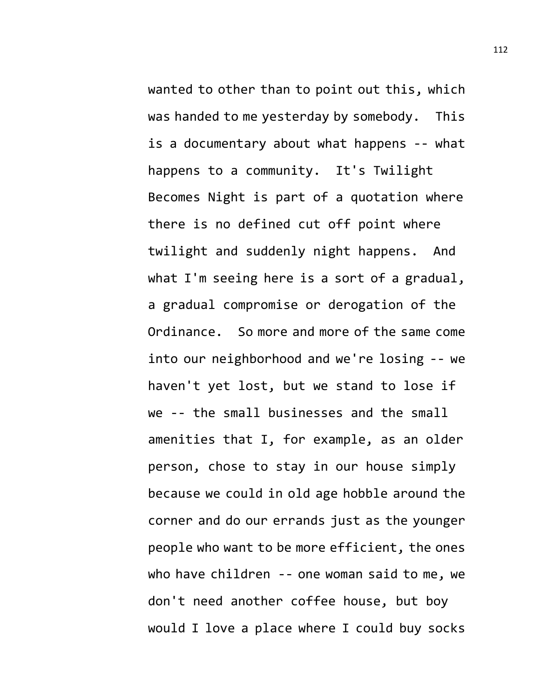wanted to other than to point out this, which was handed to me yesterday by somebody. This is a documentary about what happens -- what happens to a community. It's Twilight Becomes Night is part of a quotation where there is no defined cut off point where twilight and suddenly night happens. And what I'm seeing here is a sort of a gradual, a gradual compromise or derogation of the Ordinance. So more and more of the same come into our neighborhood and we're losing -- we haven't yet lost, but we stand to lose if we -- the small businesses and the small amenities that I, for example, as an older person, chose to stay in our house simply because we could in old age hobble around the corner and do our errands just as the younger people who want to be more efficient, the ones who have children -- one woman said to me, we don't need another coffee house, but boy would I love a place where I could buy socks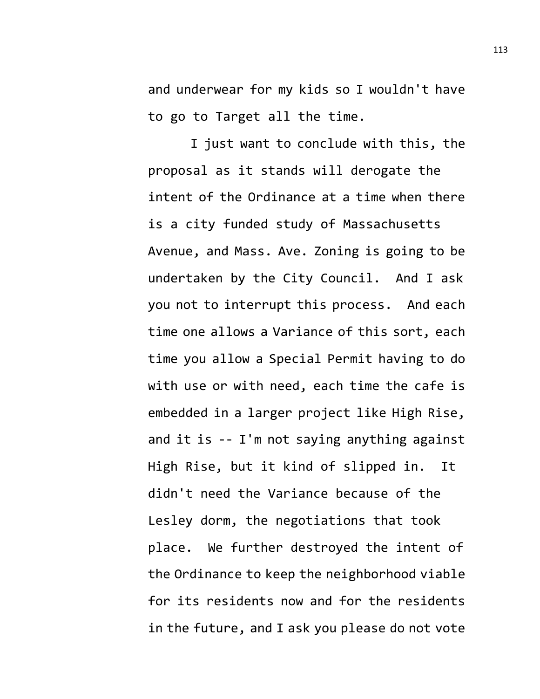and underwear for my kids so I wouldn't have to go to Target all the time.

I just want to conclude with this, the proposal as it stands will derogate the intent of the Ordinance at a time when there is a city funded study of Massachusetts Avenue, and Mass. Ave. Zoning is going to be undertaken by the City Council. And I ask you not to interrupt this process. And each time one allows a Variance of this sort, each time you allow a Special Permit having to do with use or with need, each time the cafe is embedded in a larger project like High Rise, and it is -- I'm not saying anything against High Rise, but it kind of slipped in. It didn't need the Variance because of the Lesley dorm, the negotiations that took place. We further destroyed the intent of the Ordinance to keep the neighborhood viable for its residents now and for the residents in the future, and I ask you please do not vote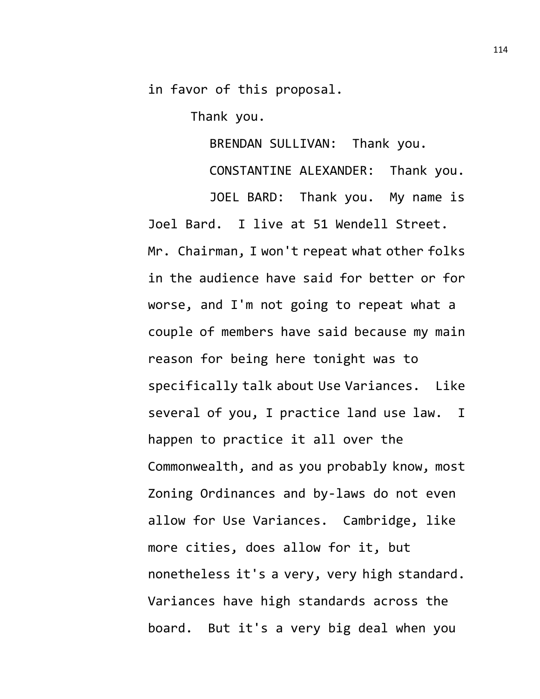in favor of this proposal.

Thank you.

BRENDAN SULLIVAN: Thank you.

CONSTANTINE ALEXANDER: Thank you.

JOEL BARD: Thank you. My name is Joel Bard. I live at 51 Wendell Street. Mr. Chairman, I won't repeat what other folks in the audience have said for better or for worse, and I'm not going to repeat what a couple of members have said because my main reason for being here tonight was to specifically talk about Use Variances. Like several of you, I practice land use law. I happen to practice it all over the Commonwealth, and as you probably know, most Zoning Ordinances and by-laws do not even allow for Use Variances. Cambridge, like more cities, does allow for it, but nonetheless it's a very, very high standard. Variances have high standards across the board. But it's a very big deal when you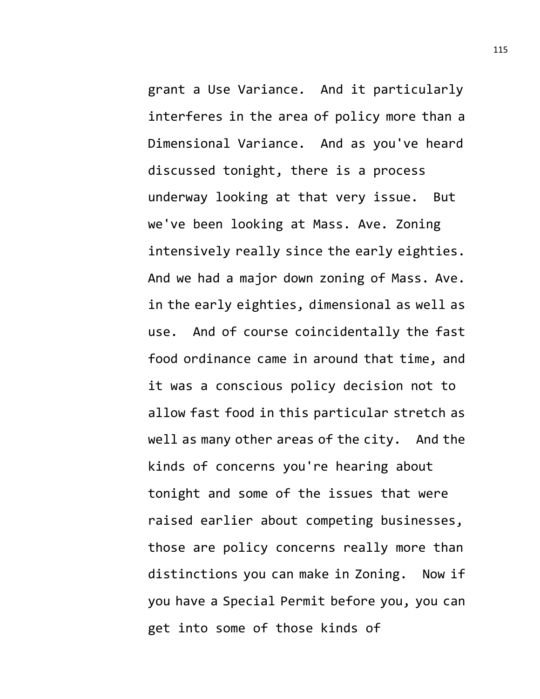grant a Use Variance. And it particularly interferes in the area of policy more than a Dimensional Variance. And as you've heard discussed tonight, there is a process underway looking at that very issue. But we've been looking at Mass. Ave. Zoning intensively really since the early eighties. And we had a major down zoning of Mass. Ave. in the early eighties, dimensional as well as use. And of course coincidentally the fast food ordinance came in around that time, and it was a conscious policy decision not to allow fast food in this particular stretch as well as many other areas of the city. And the kinds of concerns you're hearing about tonight and some of the issues that were raised earlier about competing businesses, those are policy concerns really more than distinctions you can make in Zoning. Now if you have a Special Permit before you, you can get into some of those kinds of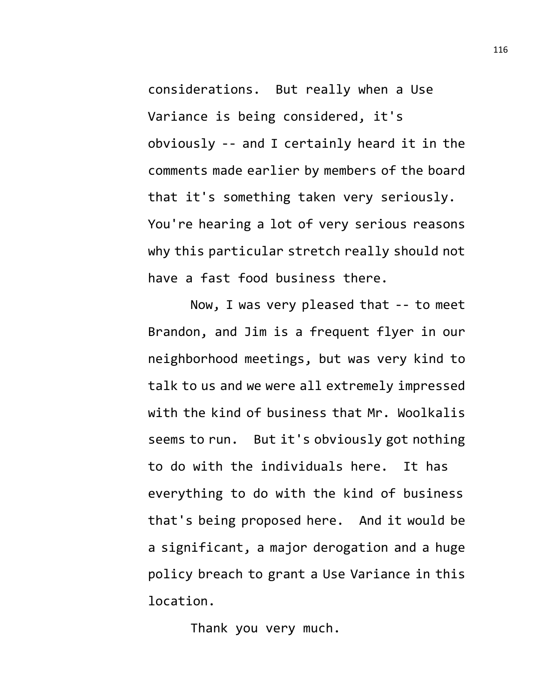considerations. But really when a Use Variance is being considered, it's obviously -- and I certainly heard it in the comments made earlier by members of the board that it's something taken very seriously. You're hearing a lot of very serious reasons why this particular stretch really should not have a fast food business there.

Now, I was very pleased that -- to meet Brandon, and Jim is a frequent flyer in our neighborhood meetings, but was very kind to talk to us and we were all extremely impressed with the kind of business that Mr. Woolkalis seems to run. But it's obviously got nothing to do with the individuals here. It has everything to do with the kind of business that's being proposed here. And it would be a significant, a major derogation and a huge policy breach to grant a Use Variance in this location.

Thank you very much.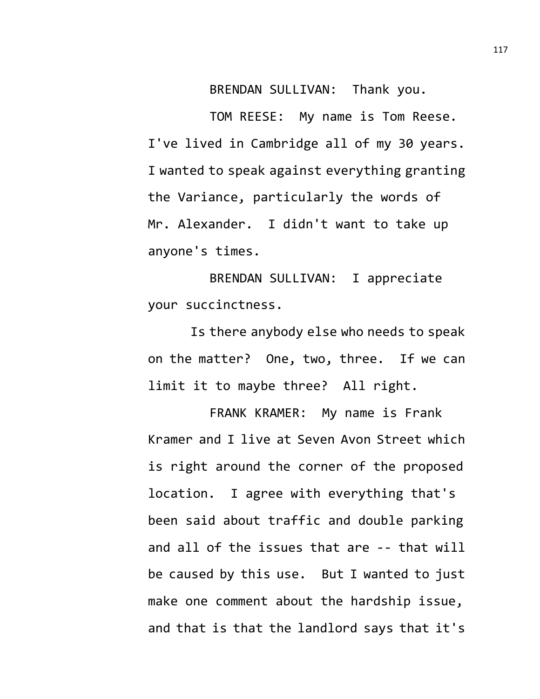BRENDAN SULLIVAN: Thank you.

TOM REESE: My name is Tom Reese. I've lived in Cambridge all of my 30 years. I wanted to speak against everything granting the Variance, particularly the words of Mr. Alexander. I didn't want to take up anyone's times.

BRENDAN SULLIVAN: I appreciate your succinctness.

Is there anybody else who needs to speak on the matter? One, two, three. If we can limit it to maybe three? All right.

FRANK KRAMER: My name is Frank Kramer and I live at Seven Avon Street which is right around the corner of the proposed location. I agree with everything that's been said about traffic and double parking and all of the issues that are -- that will be caused by this use. But I wanted to just make one comment about the hardship issue, and that is that the landlord says that it's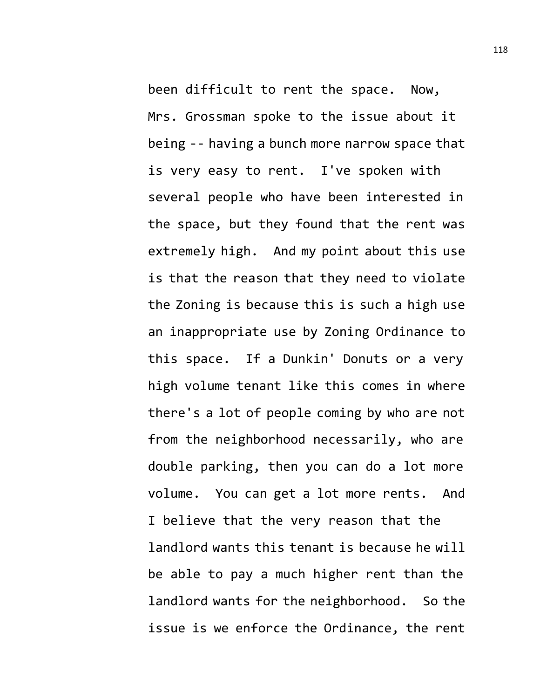been difficult to rent the space. Now, Mrs. Grossman spoke to the issue about it being -- having a bunch more narrow space that is very easy to rent. I've spoken with several people who have been interested in the space, but they found that the rent was extremely high. And my point about this use is that the reason that they need to violate the Zoning is because this is such a high use an inappropriate use by Zoning Ordinance to this space. If a Dunkin' Donuts or a very high volume tenant like this comes in where there's a lot of people coming by who are not from the neighborhood necessarily, who are double parking, then you can do a lot more volume. You can get a lot more rents. And I believe that the very reason that the landlord wants this tenant is because he will be able to pay a much higher rent than the landlord wants for the neighborhood. So the issue is we enforce the Ordinance, the rent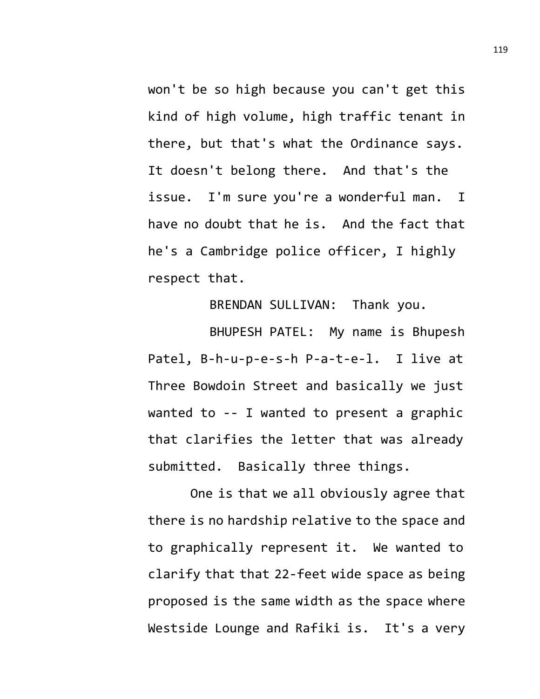won't be so high because you can't get this kind of high volume, high traffic tenant in there, but that's what the Ordinance says. It doesn't belong there. And that's the issue. I'm sure you're a wonderful man. I have no doubt that he is. And the fact that he's a Cambridge police officer, I highly respect that.

BRENDAN SULLIVAN: Thank you.

BHUPESH PATEL: My name is Bhupesh Patel, B-h-u-p-e-s-h P-a-t-e-l. I live at Three Bowdoin Street and basically we just wanted to -- I wanted to present a graphic that clarifies the letter that was already submitted. Basically three things.

One is that we all obviously agree that there is no hardship relative to the space and to graphically represent it. We wanted to clarify that that 22-feet wide space as being proposed is the same width as the space where Westside Lounge and Rafiki is. It's a very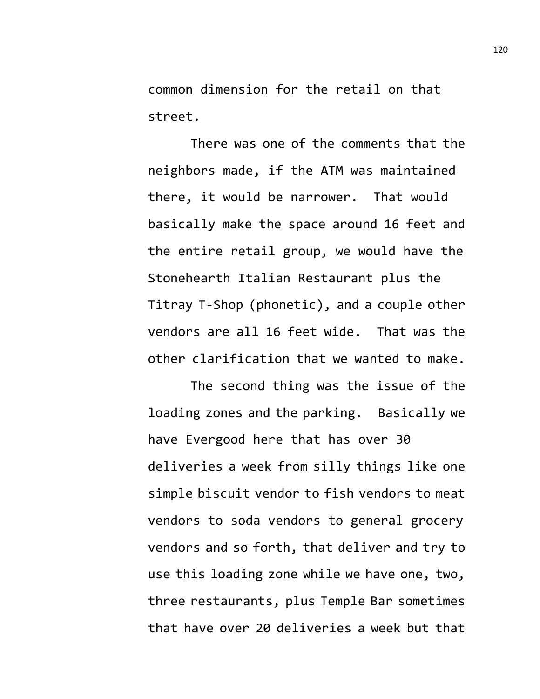common dimension for the retail on that street.

There was one of the comments that the neighbors made, if the ATM was maintained there, it would be narrower. That would basically make the space around 16 feet and the entire retail group, we would have the Stonehearth Italian Restaurant plus the Titray T-Shop (phonetic), and a couple other vendors are all 16 feet wide. That was the other clarification that we wanted to make.

The second thing was the issue of the loading zones and the parking. Basically we have Evergood here that has over 30 deliveries a week from silly things like one simple biscuit vendor to fish vendors to meat vendors to soda vendors to general grocery vendors and so forth, that deliver and try to use this loading zone while we have one, two, three restaurants, plus Temple Bar sometimes that have over 20 deliveries a week but that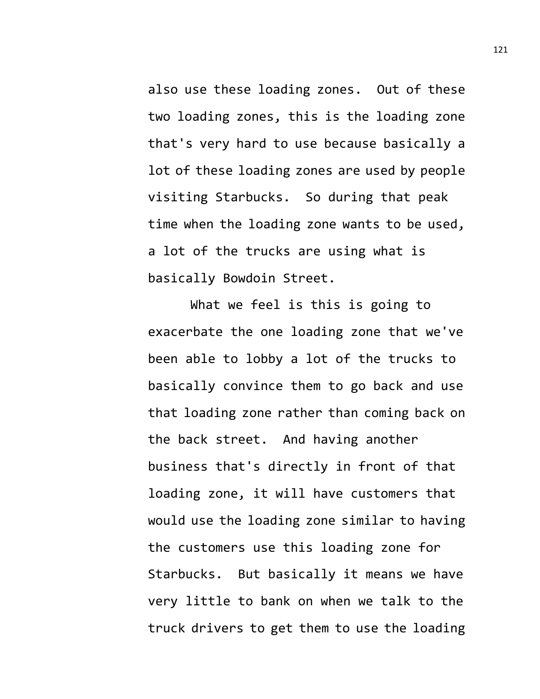also use these loading zones. Out of these two loading zones, this is the loading zone that's very hard to use because basically a lot of these loading zones are used by people visiting Starbucks. So during that peak time when the loading zone wants to be used, a lot of the trucks are using what is basically Bowdoin Street.

What we feel is this is going to exacerbate the one loading zone that we've been able to lobby a lot of the trucks to basically convince them to go back and use that loading zone rather than coming back on the back street. And having another business that's directly in front of that loading zone, it will have customers that would use the loading zone similar to having the customers use this loading zone for Starbucks. But basically it means we have very little to bank on when we talk to the truck drivers to get them to use the loading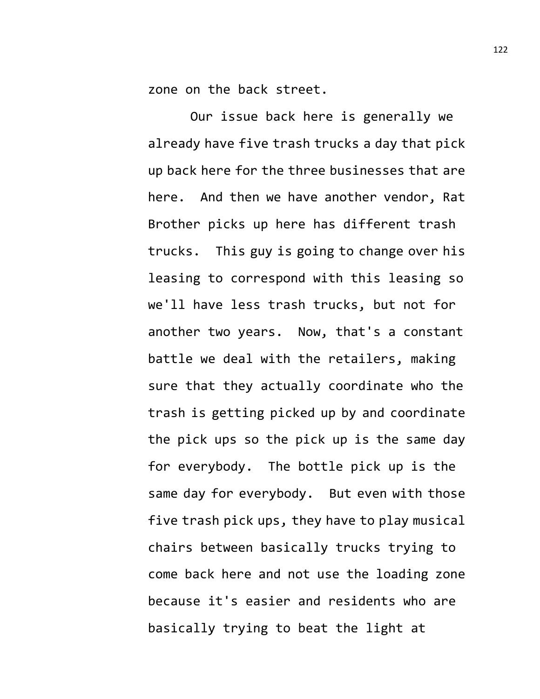zone on the back street.

Our issue back here is generally we already have five trash trucks a day that pick up back here for the three businesses that are here. And then we have another vendor, Rat Brother picks up here has different trash trucks. This guy is going to change over his leasing to correspond with this leasing so we'll have less trash trucks, but not for another two years. Now, that's a constant battle we deal with the retailers, making sure that they actually coordinate who the trash is getting picked up by and coordinate the pick ups so the pick up is the same day for everybody. The bottle pick up is the same day for everybody. But even with those five trash pick ups, they have to play musical chairs between basically trucks trying to come back here and not use the loading zone because it's easier and residents who are basically trying to beat the light at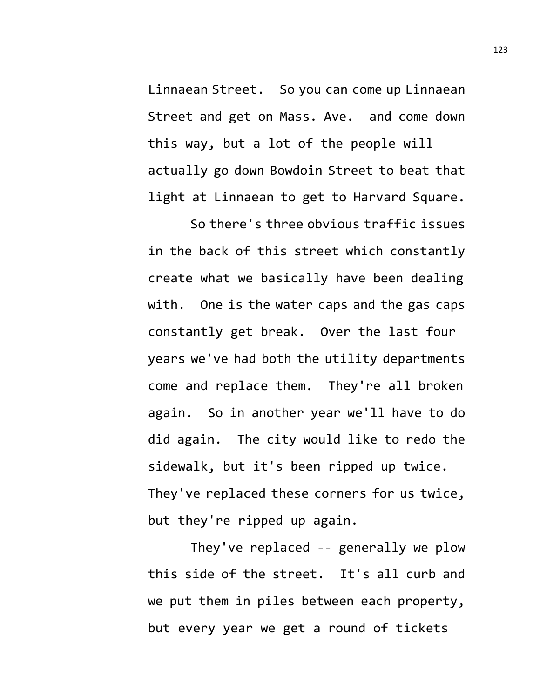Linnaean Street. So you can come up Linnaean Street and get on Mass. Ave. and come down this way, but a lot of the people will actually go down Bowdoin Street to beat that light at Linnaean to get to Harvard Square.

So there's three obvious traffic issues in the back of this street which constantly create what we basically have been dealing with. One is the water caps and the gas caps constantly get break. Over the last four years we've had both the utility departments come and replace them. They're all broken again. So in another year we'll have to do did again. The city would like to redo the sidewalk, but it's been ripped up twice. They've replaced these corners for us twice, but they're ripped up again.

They've replaced -- generally we plow this side of the street. It's all curb and we put them in piles between each property, but every year we get a round of tickets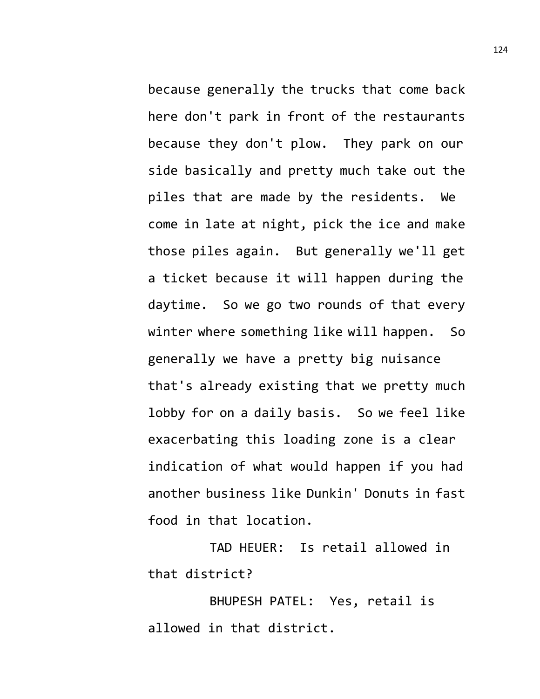because generally the trucks that come back here don't park in front of the restaurants because they don't plow. They park on our side basically and pretty much take out the piles that are made by the residents. We come in late at night, pick the ice and make those piles again. But generally we'll get a ticket because it will happen during the daytime. So we go two rounds of that every winter where something like will happen. So generally we have a pretty big nuisance that's already existing that we pretty much lobby for on a daily basis. So we feel like exacerbating this loading zone is a clear indication of what would happen if you had another business like Dunkin' Donuts in fast food in that location.

TAD HEUER: Is retail allowed in that district?

BHUPESH PATEL: Yes, retail is allowed in that district.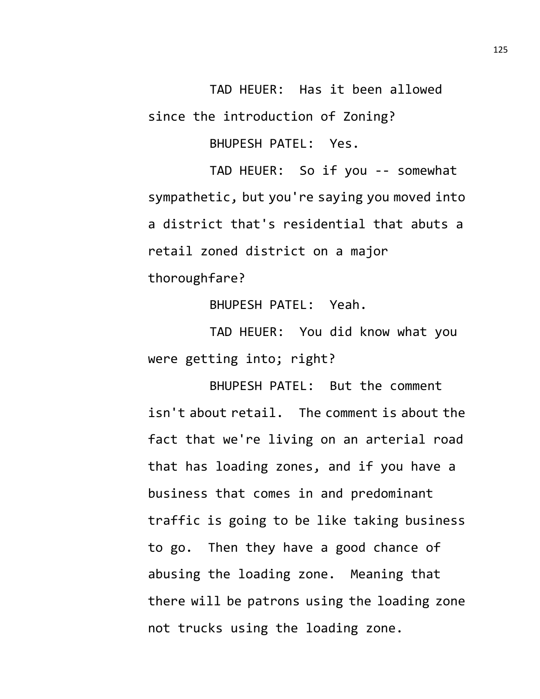TAD HEUER: Has it been allowed since the introduction of Zoning?

BHUPESH PATEL: Yes.

TAD HEUER: So if you -- somewhat sympathetic, but you're saying you moved into a district that's residential that abuts a retail zoned district on a major thoroughfare?

BHUPESH PATEL: Yeah.

TAD HEUER: You did know what you were getting into; right?

BHUPESH PATEL: But the comment isn't about retail. The comment is about the fact that we're living on an arterial road that has loading zones, and if you have a business that comes in and predominant traffic is going to be like taking business to go. Then they have a good chance of abusing the loading zone. Meaning that there will be patrons using the loading zone not trucks using the loading zone.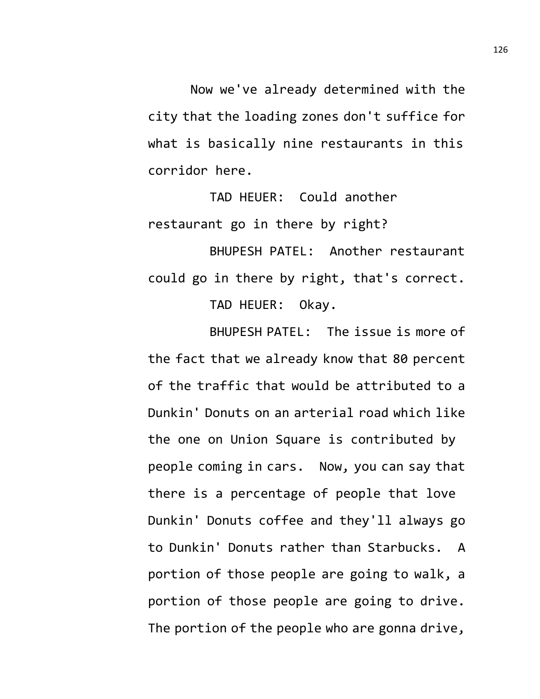Now we've already determined with the city that the loading zones don't suffice for what is basically nine restaurants in this corridor here.

TAD HEUER: Could another restaurant go in there by right?

BHUPESH PATEL: Another restaurant could go in there by right, that's correct. TAD HEUER: Okay.

BHUPESH PATEL: The issue is more of the fact that we already know that 80 percent of the traffic that would be attributed to a Dunkin' Donuts on an arterial road which like the one on Union Square is contributed by people coming in cars. Now, you can say that there is a percentage of people that love Dunkin' Donuts coffee and they'll always go to Dunkin' Donuts rather than Starbucks. A portion of those people are going to walk, a portion of those people are going to drive. The portion of the people who are gonna drive,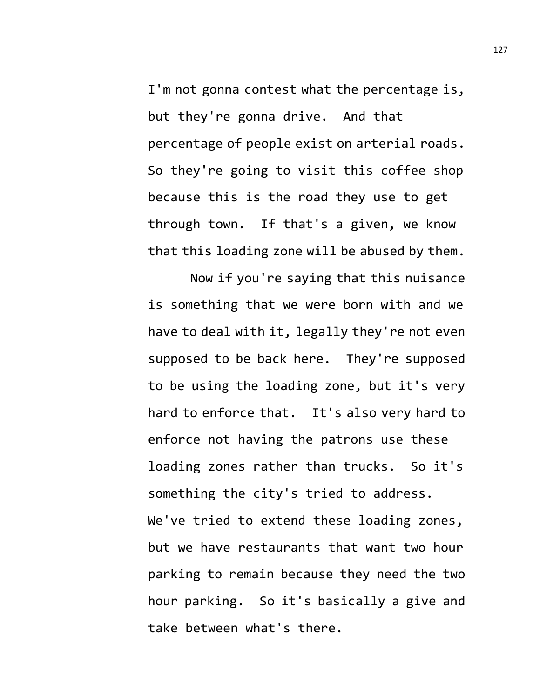I'm not gonna contest what the percentage is, but they're gonna drive. And that percentage of people exist on arterial roads. So they're going to visit this coffee shop because this is the road they use to get through town. If that's a given, we know that this loading zone will be abused by them.

Now if you're saying that this nuisance is something that we were born with and we have to deal with it, legally they're not even supposed to be back here. They're supposed to be using the loading zone, but it's very hard to enforce that. It's also very hard to enforce not having the patrons use these loading zones rather than trucks. So it's something the city's tried to address. We've tried to extend these loading zones, but we have restaurants that want two hour parking to remain because they need the two hour parking. So it's basically a give and take between what's there.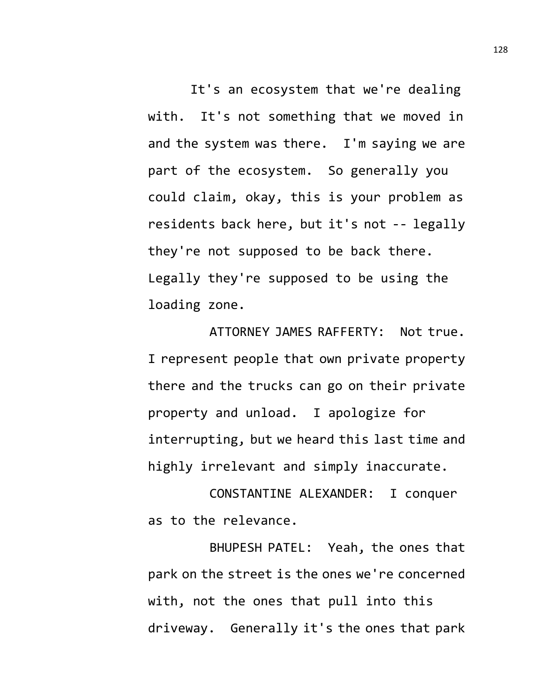It's an ecosystem that we're dealing with. It's not something that we moved in and the system was there. I'm saying we are part of the ecosystem. So generally you could claim, okay, this is your problem as residents back here, but it's not -- legally they're not supposed to be back there. Legally they're supposed to be using the loading zone.

ATTORNEY JAMES RAFFERTY: Not true. I represent people that own private property there and the trucks can go on their private property and unload. I apologize for interrupting, but we heard this last time and highly irrelevant and simply inaccurate.

CONSTANTINE ALEXANDER: I conquer as to the relevance.

BHUPESH PATEL: Yeah, the ones that park on the street is the ones we're concerned with, not the ones that pull into this driveway. Generally it's the ones that park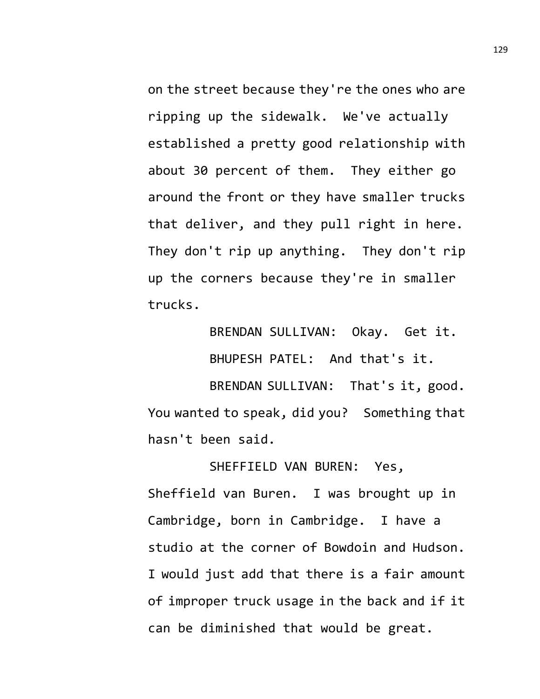on the street because they're the ones who are ripping up the sidewalk. We've actually established a pretty good relationship with about 30 percent of them. They either go around the front or they have smaller trucks that deliver, and they pull right in here. They don't rip up anything. They don't rip up the corners because they're in smaller trucks.

> BRENDAN SULLIVAN: Okay. Get it. BHUPESH PATEL: And that's it.

BRENDAN SULLIVAN: That's it, good. You wanted to speak, did you? Something that hasn't been said.

SHEFFIELD VAN BUREN: Yes, Sheffield van Buren. I was brought up in Cambridge, born in Cambridge. I have a studio at the corner of Bowdoin and Hudson. I would just add that there is a fair amount of improper truck usage in the back and if it can be diminished that would be great.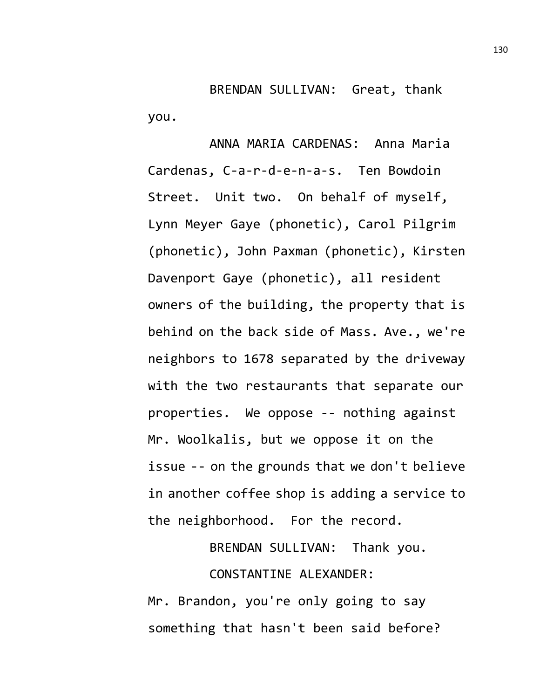BRENDAN SULLIVAN: Great, thank you.

ANNA MARIA CARDENAS: Anna Maria Cardenas, C-a-r-d-e-n-a-s. Ten Bowdoin Street. Unit two. On behalf of myself, Lynn Meyer Gaye (phonetic), Carol Pilgrim (phonetic), John Paxman (phonetic), Kirsten Davenport Gaye (phonetic), all resident owners of the building, the property that is behind on the back side of Mass. Ave., we're neighbors to 1678 separated by the driveway with the two restaurants that separate our properties. We oppose -- nothing against Mr. Woolkalis, but we oppose it on the issue -- on the grounds that we don't believe in another coffee shop is adding a service to the neighborhood. For the record.

BRENDAN SULLIVAN: Thank you.

CONSTANTINE ALEXANDER:

Mr. Brandon, you're only going to say something that hasn't been said before?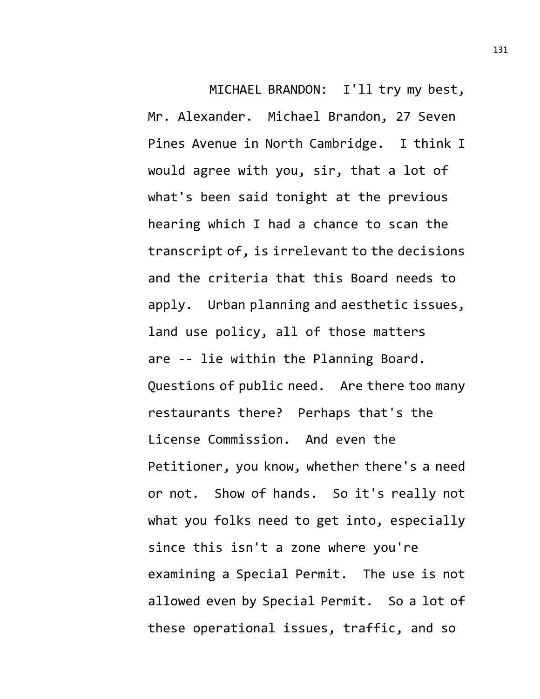MICHAEL BRANDON: I'll try my best, Mr. Alexander. Michael Brandon, 27 Seven Pines Avenue in North Cambridge. I think I would agree with you, sir, that a lot of what's been said tonight at the previous hearing which I had a chance to scan the transcript of, is irrelevant to the decisions and the criteria that this Board needs to apply. Urban planning and aesthetic issues, land use policy, all of those matters are -- lie within the Planning Board. Questions of public need. Are there too many restaurants there? Perhaps that's the License Commission. And even the Petitioner, you know, whether there's a need or not. Show of hands. So it's really not what you folks need to get into, especially since this isn't a zone where you're examining a Special Permit. The use is not allowed even by Special Permit. So a lot of these operational issues, traffic, and so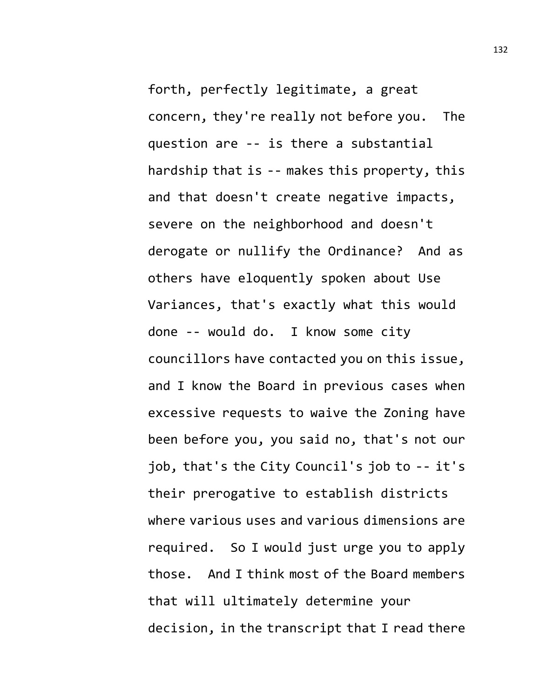forth, perfectly legitimate, a great concern, they're really not before you. The question are -- is there a substantial hardship that is -- makes this property, this and that doesn't create negative impacts, severe on the neighborhood and doesn't derogate or nullify the Ordinance? And as others have eloquently spoken about Use Variances, that's exactly what this would done -- would do. I know some city councillors have contacted you on this issue, and I know the Board in previous cases when excessive requests to waive the Zoning have been before you, you said no, that's not our job, that's the City Council's job to -- it's their prerogative to establish districts where various uses and various dimensions are required. So I would just urge you to apply those. And I think most of the Board members that will ultimately determine your decision, in the transcript that I read there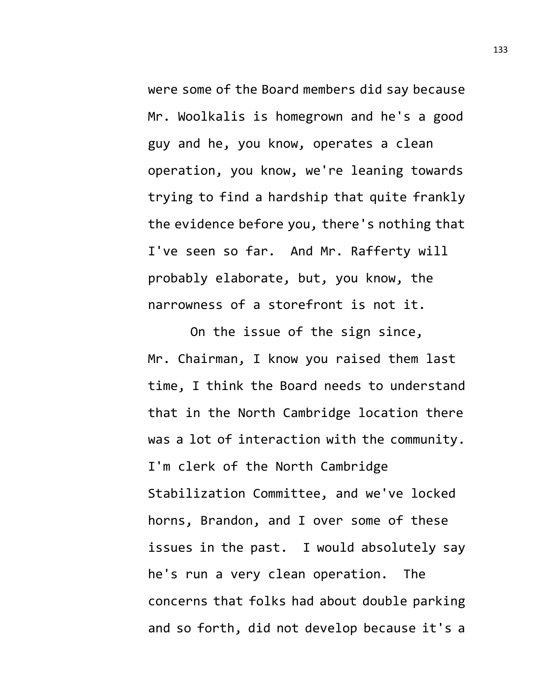were some of the Board members did say because Mr. Woolkalis is homegrown and he's a good guy and he, you know, operates a clean operation, you know, we're leaning towards trying to find a hardship that quite frankly the evidence before you, there's nothing that I've seen so far. And Mr. Rafferty will probably elaborate, but, you know, the narrowness of a storefront is not it.

On the issue of the sign since, Mr. Chairman, I know you raised them last time, I think the Board needs to understand that in the North Cambridge location there was a lot of interaction with the community. I'm clerk of the North Cambridge Stabilization Committee, and we've locked horns, Brandon, and I over some of these issues in the past. I would absolutely say he's run a very clean operation. The concerns that folks had about double parking and so forth, did not develop because it's a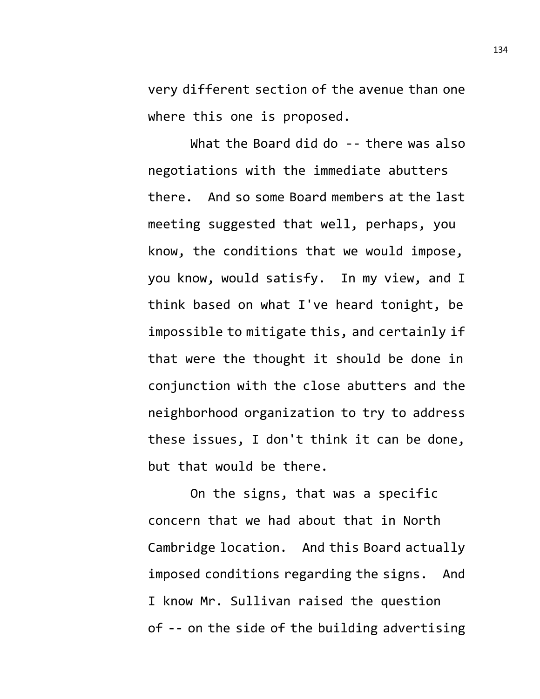very different section of the avenue than one where this one is proposed.

What the Board did do -- there was also negotiations with the immediate abutters there. And so some Board members at the last meeting suggested that well, perhaps, you know, the conditions that we would impose, you know, would satisfy. In my view, and I think based on what I've heard tonight, be impossible to mitigate this, and certainly if that were the thought it should be done in conjunction with the close abutters and the neighborhood organization to try to address these issues, I don't think it can be done, but that would be there.

On the signs, that was a specific concern that we had about that in North Cambridge location. And this Board actually imposed conditions regarding the signs. And I know Mr. Sullivan raised the question of -- on the side of the building advertising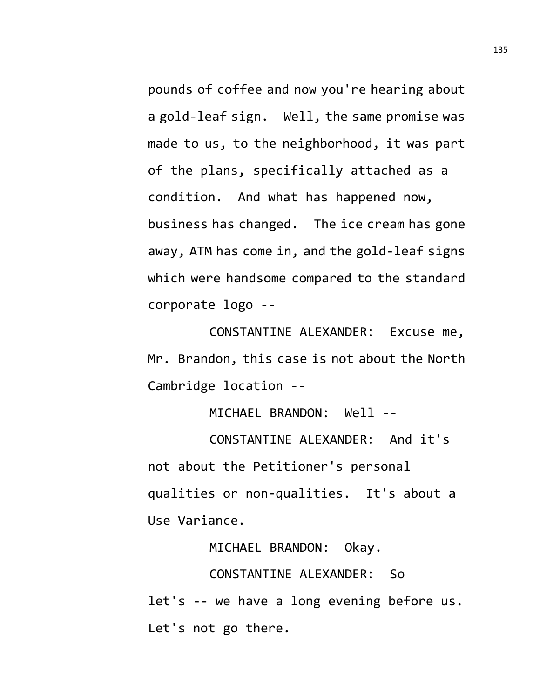pounds of coffee and now you're hearing about a gold-leaf sign. Well, the same promise was made to us, to the neighborhood, it was part of the plans, specifically attached as a condition. And what has happened now, business has changed. The ice cream has gone away, ATM has come in, and the gold-leaf signs which were handsome compared to the standard corporate logo --

CONSTANTINE ALEXANDER: Excuse me, Mr. Brandon, this case is not about the North Cambridge location --

MICHAEL BRANDON: Well --

CONSTANTINE ALEXANDER: And it's not about the Petitioner's personal qualities or non-qualities. It's about a Use Variance.

MICHAEL BRANDON: Okay.

CONSTANTINE ALEXANDER: So

let's -- we have a long evening before us. Let's not go there.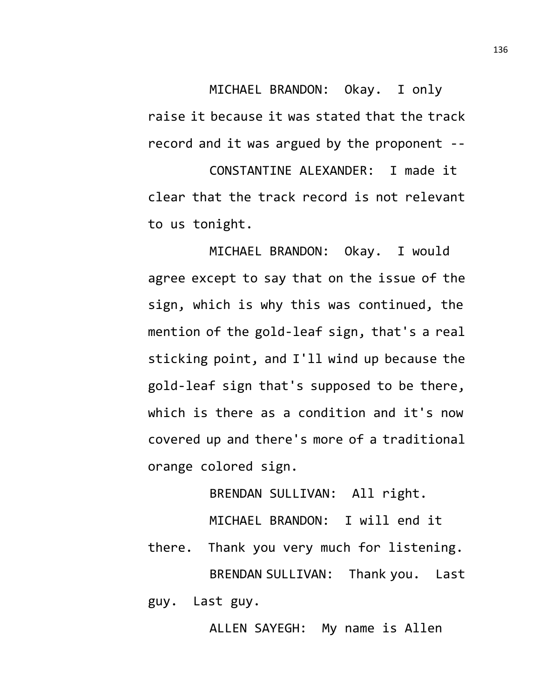MICHAEL BRANDON: Okay. I only raise it because it was stated that the track record and it was argued by the proponent --

CONSTANTINE ALEXANDER: I made it clear that the track record is not relevant to us tonight.

MICHAEL BRANDON: Okay. I would agree except to say that on the issue of the sign, which is why this was continued, the mention of the gold-leaf sign, that's a real sticking point, and I'll wind up because the gold-leaf sign that's supposed to be there, which is there as a condition and it's now covered up and there's more of a traditional orange colored sign.

BRENDAN SULLIVAN: All right.

MICHAEL BRANDON: I will end it

there. Thank you very much for listening. BRENDAN SULLIVAN: Thank you. Last guy. Last guy.

ALLEN SAYEGH: My name is Allen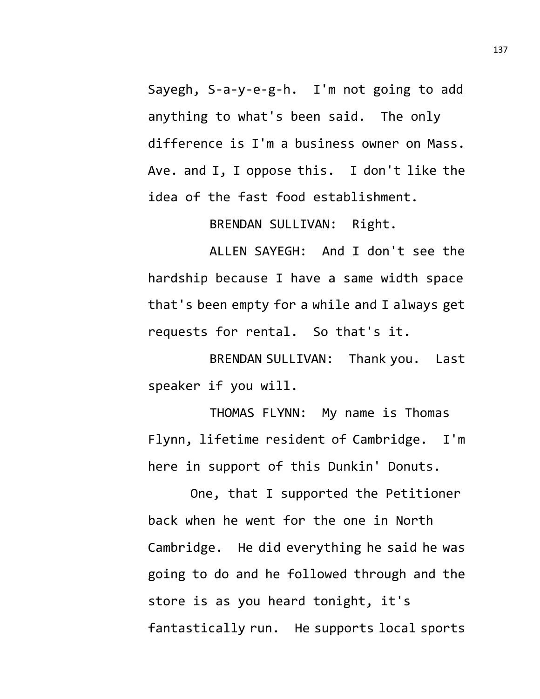Sayegh, S-a-y-e-g-h. I'm not going to add anything to what's been said. The only difference is I'm a business owner on Mass. Ave. and I, I oppose this. I don't like the idea of the fast food establishment.

BRENDAN SULLIVAN: Right.

ALLEN SAYEGH: And I don't see the hardship because I have a same width space that's been empty for a while and I always get requests for rental. So that's it.

BRENDAN SULLIVAN: Thank you. Last speaker if you will.

THOMAS FLYNN: My name is Thomas Flynn, lifetime resident of Cambridge. I'm here in support of this Dunkin' Donuts.

One, that I supported the Petitioner back when he went for the one in North Cambridge. He did everything he said he was going to do and he followed through and the store is as you heard tonight, it's fantastically run. He supports local sports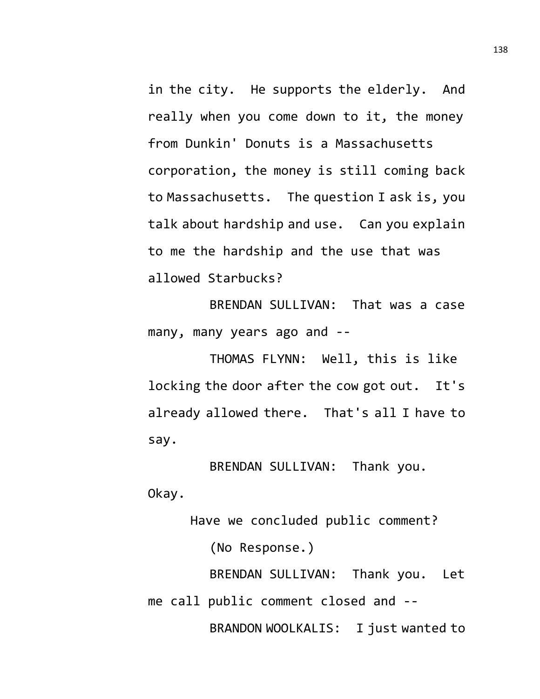in the city. He supports the elderly. And really when you come down to it, the money from Dunkin' Donuts is a Massachusetts corporation, the money is still coming back to Massachusetts. The question I ask is, you talk about hardship and use. Can you explain to me the hardship and the use that was allowed Starbucks?

BRENDAN SULLIVAN: That was a case many, many years ago and --

THOMAS FLYNN: Well, this is like locking the door after the cow got out. It's already allowed there. That's all I have to say.

BRENDAN SULLIVAN: Thank you. Okay.

Have we concluded public comment? (No Response.) BRENDAN SULLIVAN: Thank you. Let me call public comment closed and -- BRANDON WOOLKALIS: I just wanted to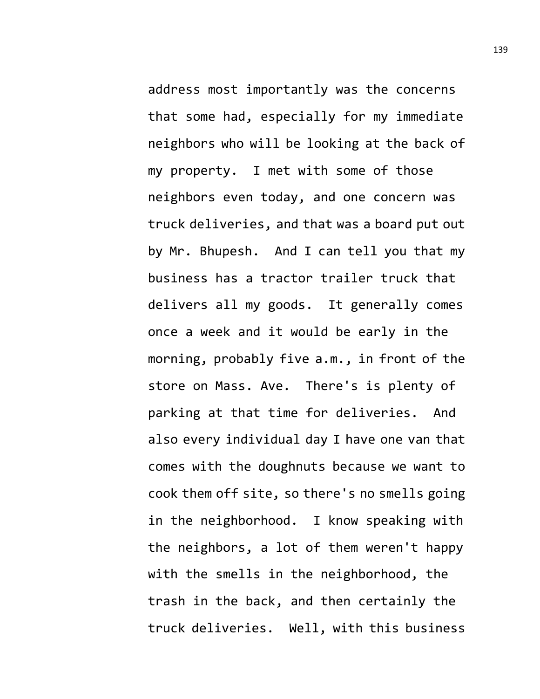address most importantly was the concerns that some had, especially for my immediate neighbors who will be looking at the back of my property. I met with some of those neighbors even today, and one concern was truck deliveries, and that was a board put out by Mr. Bhupesh. And I can tell you that my business has a tractor trailer truck that delivers all my goods. It generally comes once a week and it would be early in the morning, probably five a.m., in front of the store on Mass. Ave. There's is plenty of parking at that time for deliveries. And also every individual day I have one van that comes with the doughnuts because we want to cook them off site, so there's no smells going in the neighborhood. I know speaking with the neighbors, a lot of them weren't happy with the smells in the neighborhood, the trash in the back, and then certainly the truck deliveries. Well, with this business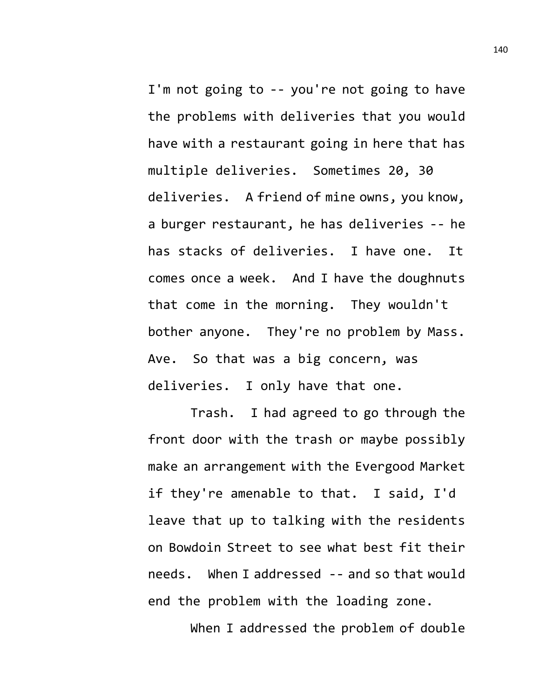I'm not going to -- you're not going to have the problems with deliveries that you would have with a restaurant going in here that has multiple deliveries. Sometimes 20, 30 deliveries. A friend of mine owns, you know, a burger restaurant, he has deliveries -- he has stacks of deliveries. I have one. It comes once a week. And I have the doughnuts that come in the morning. They wouldn't bother anyone. They're no problem by Mass. Ave. So that was a big concern, was deliveries. I only have that one.

Trash. I had agreed to go through the front door with the trash or maybe possibly make an arrangement with the Evergood Market if they're amenable to that. I said, I'd leave that up to talking with the residents on Bowdoin Street to see what best fit their needs. When I addressed -- and so that would end the problem with the loading zone.

When I addressed the problem of double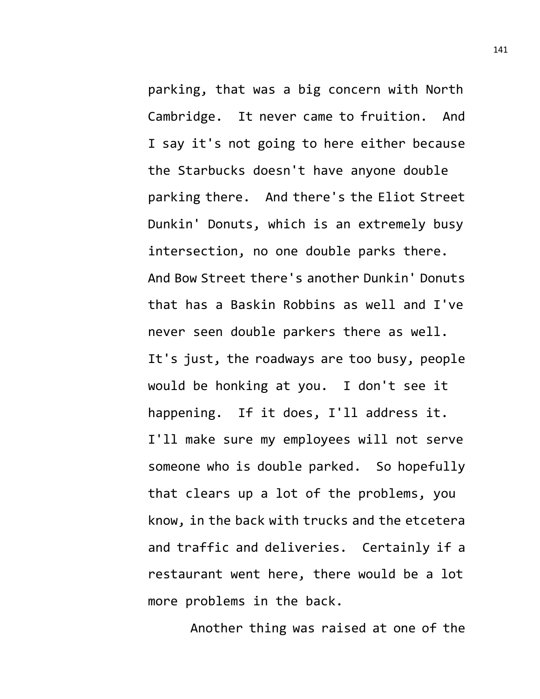parking, that was a big concern with North Cambridge. It never came to fruition. And I say it's not going to here either because the Starbucks doesn't have anyone double parking there. And there's the Eliot Street Dunkin' Donuts, which is an extremely busy intersection, no one double parks there. And Bow Street there's another Dunkin' Donuts that has a Baskin Robbins as well and I've never seen double parkers there as well. It's just, the roadways are too busy, people would be honking at you. I don't see it happening. If it does, I'll address it. I'll make sure my employees will not serve someone who is double parked. So hopefully that clears up a lot of the problems, you know, in the back with trucks and the etcetera and traffic and deliveries. Certainly if a restaurant went here, there would be a lot more problems in the back.

Another thing was raised at one of the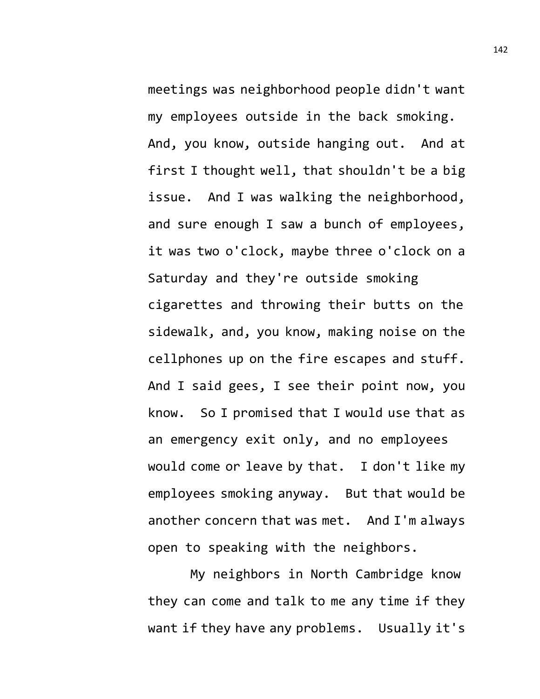meetings was neighborhood people didn't want my employees outside in the back smoking. And, you know, outside hanging out. And at first I thought well, that shouldn't be a big issue. And I was walking the neighborhood, and sure enough I saw a bunch of employees, it was two o'clock, maybe three o'clock on a Saturday and they're outside smoking cigarettes and throwing their butts on the sidewalk, and, you know, making noise on the cellphones up on the fire escapes and stuff. And I said gees, I see their point now, you know. So I promised that I would use that as an emergency exit only, and no employees would come or leave by that. I don't like my employees smoking anyway. But that would be another concern that was met. And I'm always open to speaking with the neighbors.

My neighbors in North Cambridge know they can come and talk to me any time if they want if they have any problems. Usually it's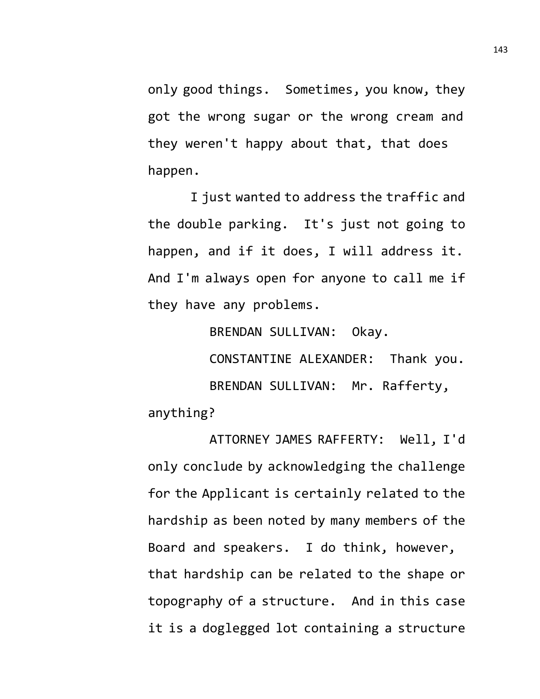only good things. Sometimes, you know, they got the wrong sugar or the wrong cream and they weren't happy about that, that does happen.

I just wanted to address the traffic and the double parking. It's just not going to happen, and if it does, I will address it. And I'm always open for anyone to call me if they have any problems.

BRENDAN SULLIVAN: Okay.

CONSTANTINE ALEXANDER: Thank you. BRENDAN SULLIVAN: Mr. Rafferty, anything?

ATTORNEY JAMES RAFFERTY: Well, I'd only conclude by acknowledging the challenge for the Applicant is certainly related to the hardship as been noted by many members of the Board and speakers. I do think, however, that hardship can be related to the shape or topography of a structure. And in this case it is a doglegged lot containing a structure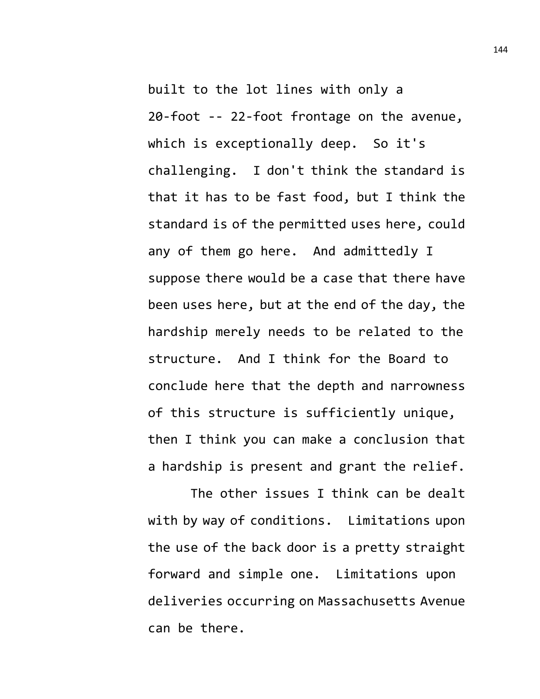built to the lot lines with only a 20-foot -- 22-foot frontage on the avenue, which is exceptionally deep. So it's challenging. I don't think the standard is that it has to be fast food, but I think the standard is of the permitted uses here, could any of them go here. And admittedly I suppose there would be a case that there have been uses here, but at the end of the day, the hardship merely needs to be related to the structure. And I think for the Board to conclude here that the depth and narrowness of this structure is sufficiently unique, then I think you can make a conclusion that a hardship is present and grant the relief.

The other issues I think can be dealt with by way of conditions. Limitations upon the use of the back door is a pretty straight forward and simple one. Limitations upon deliveries occurring on Massachusetts Avenue can be there.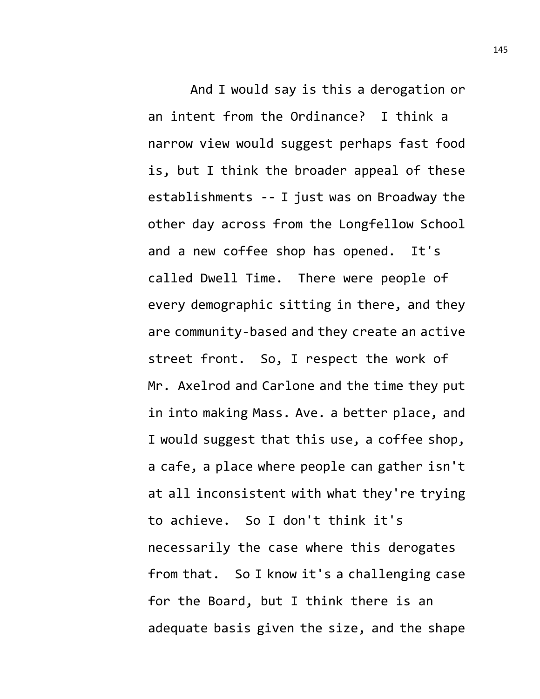And I would say is this a derogation or an intent from the Ordinance? I think a narrow view would suggest perhaps fast food is, but I think the broader appeal of these establishments -- I just was on Broadway the other day across from the Longfellow School and a new coffee shop has opened. It's called Dwell Time. There were people of every demographic sitting in there, and they are community-based and they create an active street front. So, I respect the work of Mr. Axelrod and Carlone and the time they put in into making Mass. Ave. a better place, and I would suggest that this use, a coffee shop, a cafe, a place where people can gather isn't at all inconsistent with what they're trying to achieve. So I don't think it's necessarily the case where this derogates from that. So I know it's a challenging case for the Board, but I think there is an adequate basis given the size, and the shape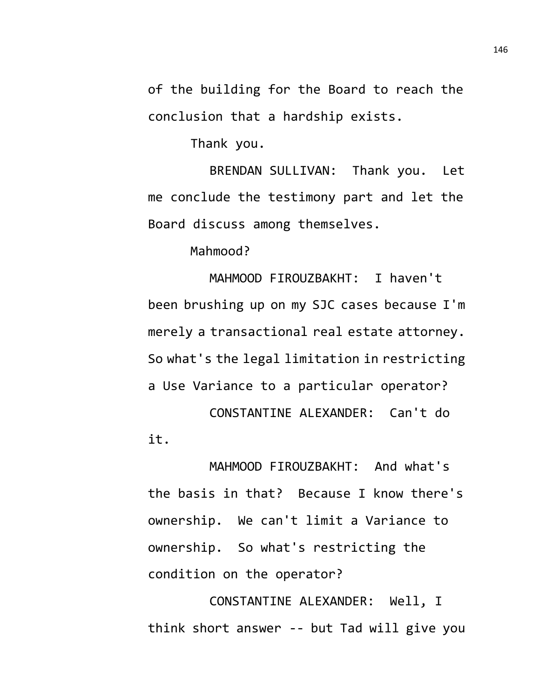of the building for the Board to reach the conclusion that a hardship exists.

Thank you.

BRENDAN SULLIVAN: Thank you. Let me conclude the testimony part and let the Board discuss among themselves.

Mahmood?

MAHMOOD FIROUZBAKHT: I haven't been brushing up on my SJC cases because I'm merely a transactional real estate attorney. So what's the legal limitation in restricting a Use Variance to a particular operator? CONSTANTINE ALEXANDER: Can't do

it.

MAHMOOD FIROUZBAKHT: And what's the basis in that? Because I know there's ownership. We can't limit a Variance to ownership. So what's restricting the condition on the operator?

CONSTANTINE ALEXANDER: Well, I think short answer -- but Tad will give you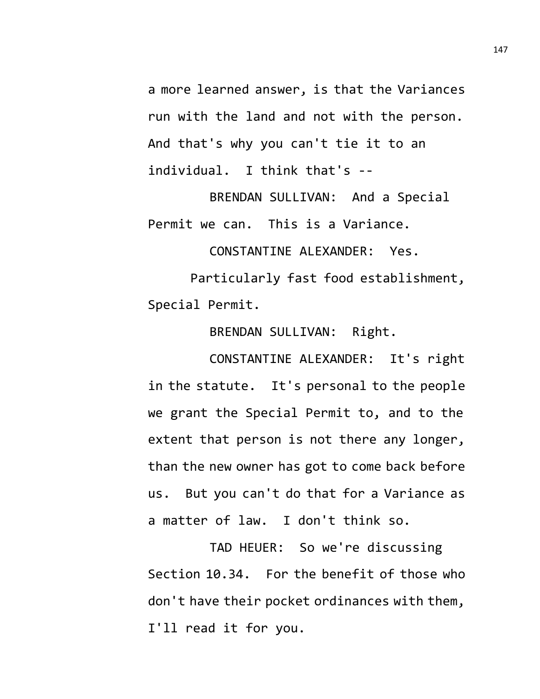a more learned answer, is that the Variances run with the land and not with the person. And that's why you can't tie it to an individual. I think that's --

BRENDAN SULLIVAN: And a Special Permit we can. This is a Variance.

CONSTANTINE ALEXANDER: Yes.

Particularly fast food establishment, Special Permit.

BRENDAN SULLIVAN: Right.

CONSTANTINE ALEXANDER: It's right in the statute. It's personal to the people we grant the Special Permit to, and to the extent that person is not there any longer, than the new owner has got to come back before us. But you can't do that for a Variance as a matter of law. I don't think so.

TAD HEUER: So we're discussing Section 10.34. For the benefit of those who don't have their pocket ordinances with them, I'll read it for you.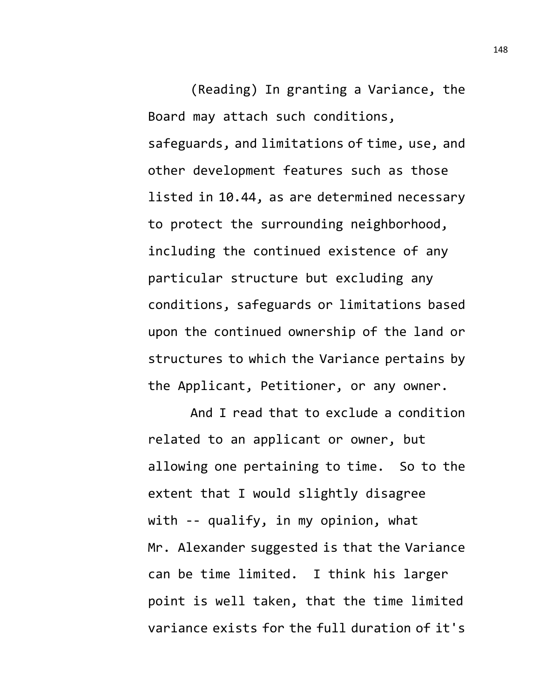(Reading) In granting a Variance, the Board may attach such conditions, safeguards, and limitations of time, use, and other development features such as those listed in 10.44, as are determined necessary to protect the surrounding neighborhood, including the continued existence of any particular structure but excluding any conditions, safeguards or limitations based upon the continued ownership of the land or structures to which the Variance pertains by the Applicant, Petitioner, or any owner.

And I read that to exclude a condition related to an applicant or owner, but allowing one pertaining to time. So to the extent that I would slightly disagree with -- qualify, in my opinion, what Mr. Alexander suggested is that the Variance can be time limited. I think his larger point is well taken, that the time limited variance exists for the full duration of it's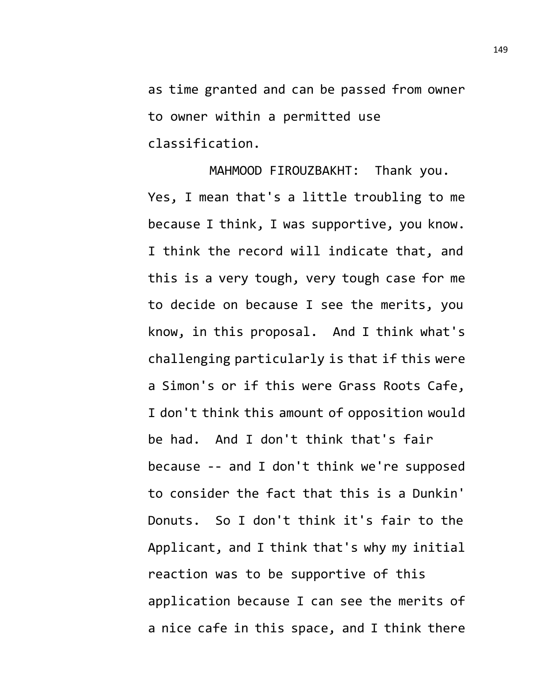as time granted and can be passed from owner to owner within a permitted use classification.

MAHMOOD FIROUZBAKHT: Thank you. Yes, I mean that's a little troubling to me because I think, I was supportive, you know. I think the record will indicate that, and this is a very tough, very tough case for me to decide on because I see the merits, you know, in this proposal. And I think what's challenging particularly is that if this were a Simon's or if this were Grass Roots Cafe, I don't think this amount of opposition would be had. And I don't think that's fair because -- and I don't think we're supposed to consider the fact that this is a Dunkin' Donuts. So I don't think it's fair to the Applicant, and I think that's why my initial reaction was to be supportive of this application because I can see the merits of a nice cafe in this space, and I think there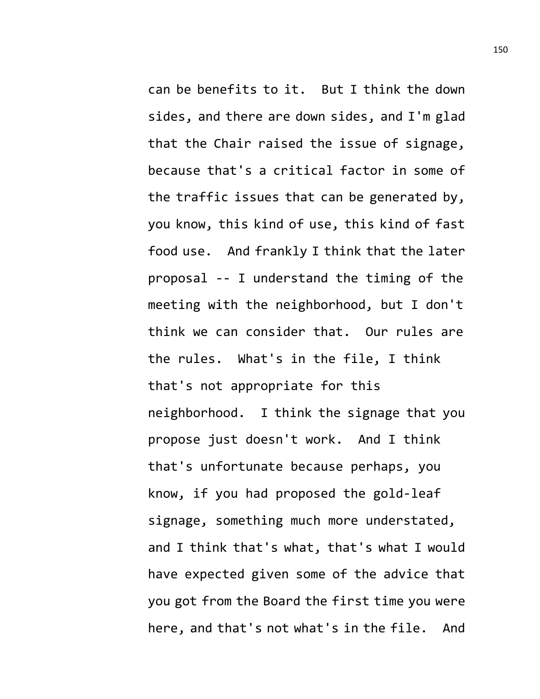can be benefits to it. But I think the down sides, and there are down sides, and I'm glad that the Chair raised the issue of signage, because that's a critical factor in some of the traffic issues that can be generated by, you know, this kind of use, this kind of fast food use. And frankly I think that the later proposal -- I understand the timing of the meeting with the neighborhood, but I don't think we can consider that. Our rules are the rules. What's in the file, I think that's not appropriate for this neighborhood. I think the signage that you propose just doesn't work. And I think that's unfortunate because perhaps, you know, if you had proposed the gold-leaf signage, something much more understated, and I think that's what, that's what I would have expected given some of the advice that you got from the Board the first time you were here, and that's not what's in the file. And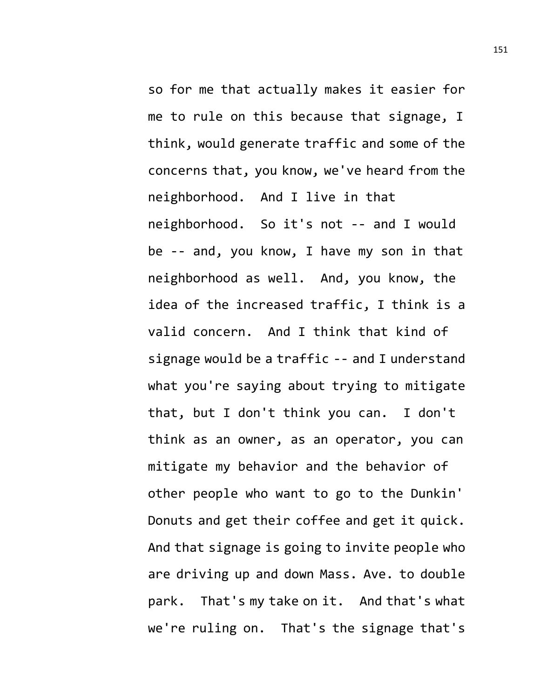so for me that actually makes it easier for me to rule on this because that signage, I think, would generate traffic and some of the concerns that, you know, we've heard from the neighborhood. And I live in that neighborhood. So it's not -- and I would be -- and, you know, I have my son in that neighborhood as well. And, you know, the idea of the increased traffic, I think is a valid concern. And I think that kind of signage would be a traffic -- and I understand what you're saying about trying to mitigate that, but I don't think you can. I don't think as an owner, as an operator, you can mitigate my behavior and the behavior of other people who want to go to the Dunkin' Donuts and get their coffee and get it quick. And that signage is going to invite people who are driving up and down Mass. Ave. to double park. That's my take on it. And that's what we're ruling on. That's the signage that's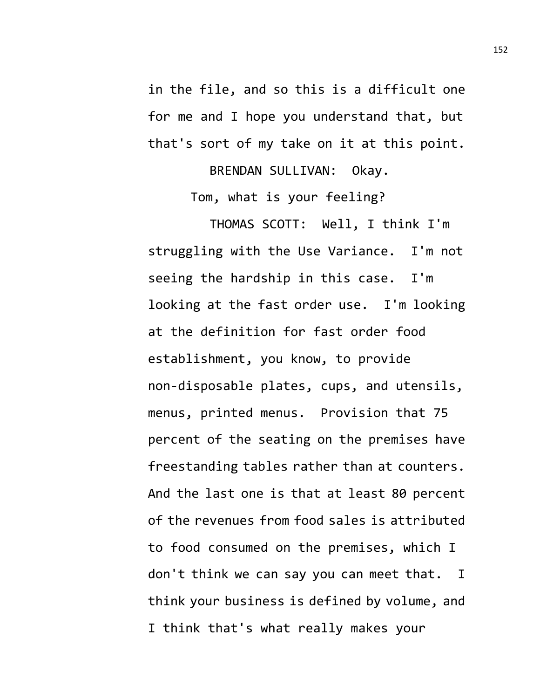in the file, and so this is a difficult one for me and I hope you understand that, but that's sort of my take on it at this point.

BRENDAN SULLIVAN: Okay.

Tom, what is your feeling?

THOMAS SCOTT: Well, I think I'm struggling with the Use Variance. I'm not seeing the hardship in this case. I'm looking at the fast order use. I'm looking at the definition for fast order food establishment, you know, to provide non-disposable plates, cups, and utensils, menus, printed menus. Provision that 75 percent of the seating on the premises have freestanding tables rather than at counters. And the last one is that at least 80 percent of the revenues from food sales is attributed to food consumed on the premises, which I don't think we can say you can meet that. I think your business is defined by volume, and I think that's what really makes your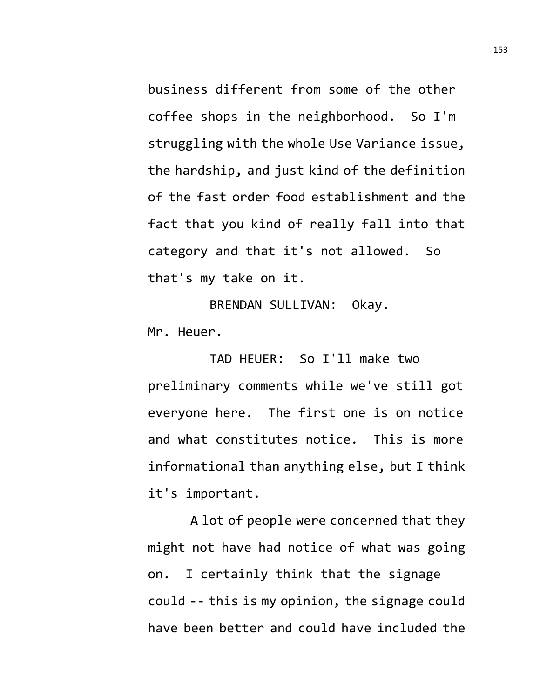business different from some of the other coffee shops in the neighborhood. So I'm struggling with the whole Use Variance issue, the hardship, and just kind of the definition of the fast order food establishment and the fact that you kind of really fall into that category and that it's not allowed. So that's my take on it.

BRENDAN SULLIVAN: Okay. Mr. Heuer.

TAD HEUER: So I'll make two preliminary comments while we've still got everyone here. The first one is on notice and what constitutes notice. This is more informational than anything else, but I think it's important.

A lot of people were concerned that they might not have had notice of what was going on. I certainly think that the signage could -- this is my opinion, the signage could have been better and could have included the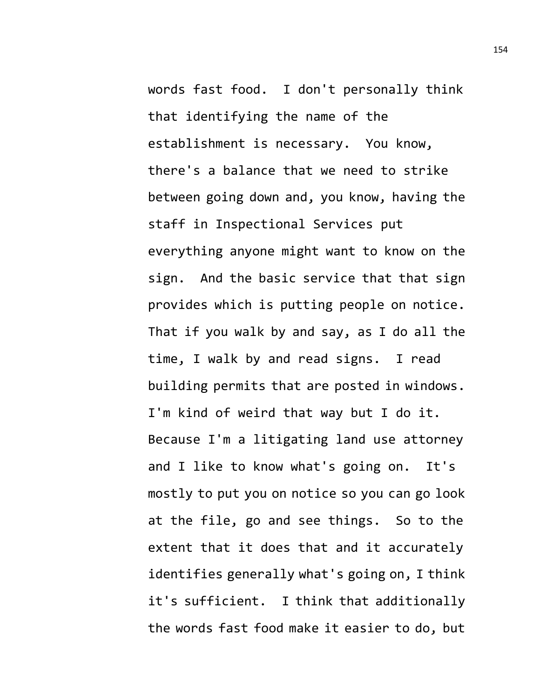words fast food. I don't personally think that identifying the name of the establishment is necessary. You know, there's a balance that we need to strike between going down and, you know, having the staff in Inspectional Services put everything anyone might want to know on the sign. And the basic service that that sign provides which is putting people on notice. That if you walk by and say, as I do all the time, I walk by and read signs. I read building permits that are posted in windows. I'm kind of weird that way but I do it. Because I'm a litigating land use attorney and I like to know what's going on. It's mostly to put you on notice so you can go look at the file, go and see things. So to the extent that it does that and it accurately identifies generally what's going on, I think it's sufficient. I think that additionally the words fast food make it easier to do, but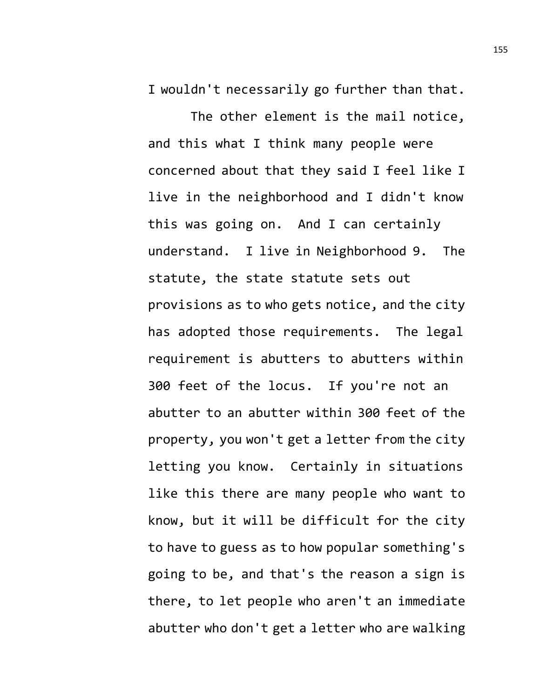I wouldn't necessarily go further than that.

The other element is the mail notice, and this what I think many people were concerned about that they said I feel like I live in the neighborhood and I didn't know this was going on. And I can certainly understand. I live in Neighborhood 9. The statute, the state statute sets out provisions as to who gets notice, and the city has adopted those requirements. The legal requirement is abutters to abutters within 300 feet of the locus. If you're not an abutter to an abutter within 300 feet of the property, you won't get a letter from the city letting you know. Certainly in situations like this there are many people who want to know, but it will be difficult for the city to have to guess as to how popular something's going to be, and that's the reason a sign is there, to let people who aren't an immediate abutter who don't get a letter who are walking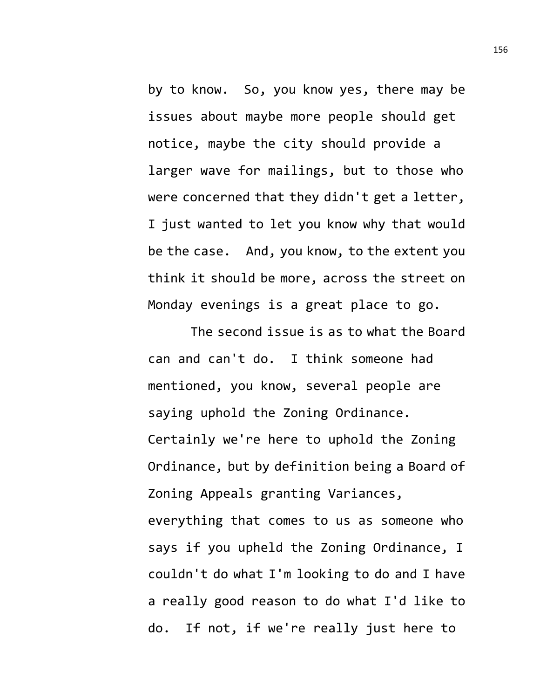by to know. So, you know yes, there may be issues about maybe more people should get notice, maybe the city should provide a larger wave for mailings, but to those who were concerned that they didn't get a letter, I just wanted to let you know why that would be the case. And, you know, to the extent you think it should be more, across the street on Monday evenings is a great place to go.

The second issue is as to what the Board can and can't do. I think someone had mentioned, you know, several people are saying uphold the Zoning Ordinance. Certainly we're here to uphold the Zoning Ordinance, but by definition being a Board of Zoning Appeals granting Variances, everything that comes to us as someone who says if you upheld the Zoning Ordinance, I couldn't do what I'm looking to do and I have a really good reason to do what I'd like to do. If not, if we're really just here to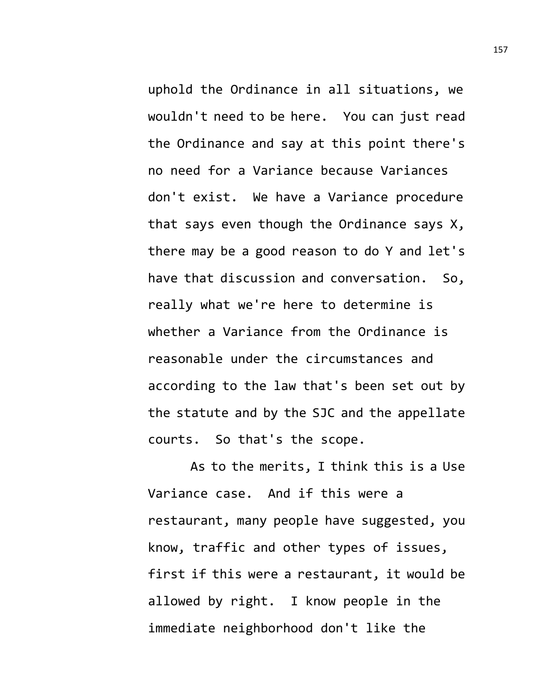uphold the Ordinance in all situations, we wouldn't need to be here. You can just read the Ordinance and say at this point there's no need for a Variance because Variances don't exist. We have a Variance procedure that says even though the Ordinance says X, there may be a good reason to do Y and let's have that discussion and conversation. So, really what we're here to determine is whether a Variance from the Ordinance is reasonable under the circumstances and according to the law that's been set out by the statute and by the SJC and the appellate courts. So that's the scope.

As to the merits, I think this is a Use Variance case. And if this were a restaurant, many people have suggested, you know, traffic and other types of issues, first if this were a restaurant, it would be allowed by right. I know people in the immediate neighborhood don't like the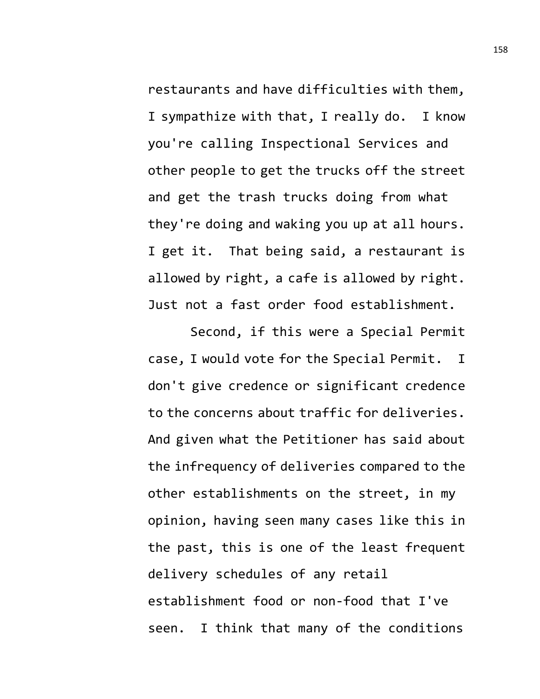restaurants and have difficulties with them, I sympathize with that, I really do. I know you're calling Inspectional Services and other people to get the trucks off the street and get the trash trucks doing from what they're doing and waking you up at all hours. I get it. That being said, a restaurant is allowed by right, a cafe is allowed by right. Just not a fast order food establishment.

Second, if this were a Special Permit case, I would vote for the Special Permit. I don't give credence or significant credence to the concerns about traffic for deliveries. And given what the Petitioner has said about the infrequency of deliveries compared to the other establishments on the street, in my opinion, having seen many cases like this in the past, this is one of the least frequent delivery schedules of any retail establishment food or non-food that I've seen. I think that many of the conditions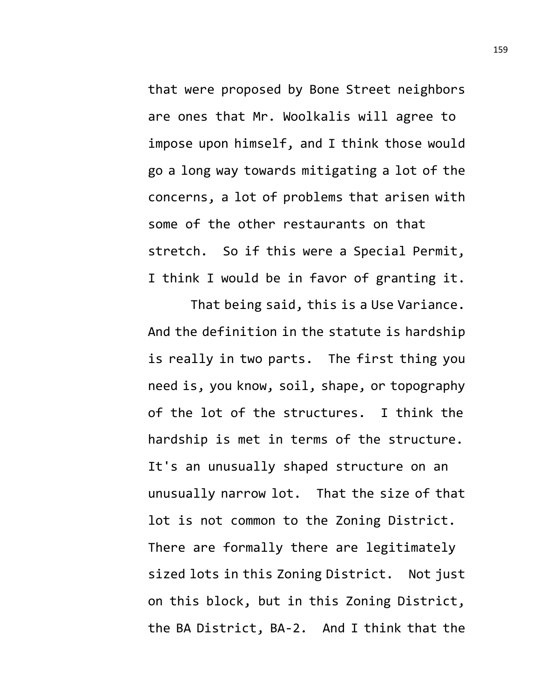that were proposed by Bone Street neighbors are ones that Mr. Woolkalis will agree to impose upon himself, and I think those would go a long way towards mitigating a lot of the concerns, a lot of problems that arisen with some of the other restaurants on that stretch. So if this were a Special Permit, I think I would be in favor of granting it.

That being said, this is a Use Variance. And the definition in the statute is hardship is really in two parts. The first thing you need is, you know, soil, shape, or topography of the lot of the structures. I think the hardship is met in terms of the structure. It's an unusually shaped structure on an unusually narrow lot. That the size of that lot is not common to the Zoning District. There are formally there are legitimately sized lots in this Zoning District. Not just on this block, but in this Zoning District, the BA District, BA-2. And I think that the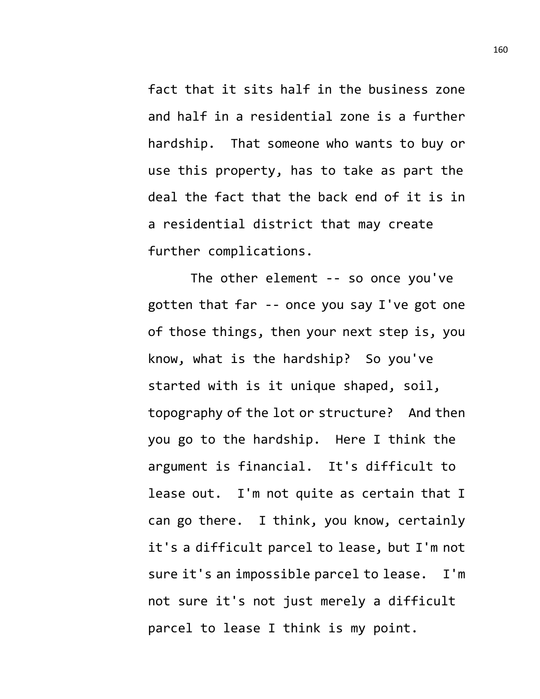fact that it sits half in the business zone and half in a residential zone is a further hardship. That someone who wants to buy or use this property, has to take as part the deal the fact that the back end of it is in a residential district that may create further complications.

The other element -- so once you've gotten that far -- once you say I've got one of those things, then your next step is, you know, what is the hardship? So you've started with is it unique shaped, soil, topography of the lot or structure? And then you go to the hardship. Here I think the argument is financial. It's difficult to lease out. I'm not quite as certain that I can go there. I think, you know, certainly it's a difficult parcel to lease, but I'm not sure it's an impossible parcel to lease. I'm not sure it's not just merely a difficult parcel to lease I think is my point.

160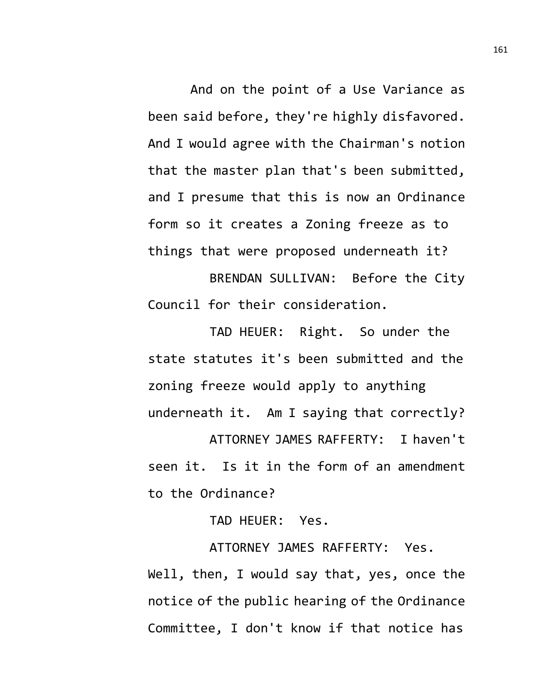And on the point of a Use Variance as been said before, they're highly disfavored. And I would agree with the Chairman's notion that the master plan that's been submitted, and I presume that this is now an Ordinance form so it creates a Zoning freeze as to things that were proposed underneath it?

BRENDAN SULLIVAN: Before the City Council for their consideration.

TAD HEUER: Right. So under the state statutes it's been submitted and the zoning freeze would apply to anything underneath it. Am I saying that correctly?

ATTORNEY JAMES RAFFERTY: I haven't seen it. Is it in the form of an amendment to the Ordinance?

TAD HEUER: Yes.

ATTORNEY JAMES RAFFERTY: Yes. Well, then, I would say that, yes, once the notice of the public hearing of the Ordinance Committee, I don't know if that notice has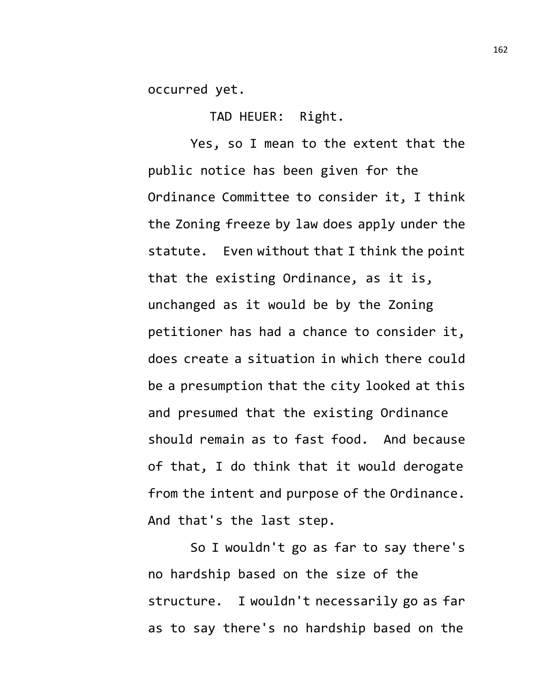occurred yet.

TAD HEUER: Right.

Yes, so I mean to the extent that the public notice has been given for the Ordinance Committee to consider it, I think the Zoning freeze by law does apply under the statute. Even without that I think the point that the existing Ordinance, as it is, unchanged as it would be by the Zoning petitioner has had a chance to consider it, does create a situation in which there could be a presumption that the city looked at this and presumed that the existing Ordinance should remain as to fast food. And because of that, I do think that it would derogate from the intent and purpose of the Ordinance. And that's the last step.

So I wouldn't go as far to say there's no hardship based on the size of the structure. I wouldn't necessarily go as far as to say there's no hardship based on the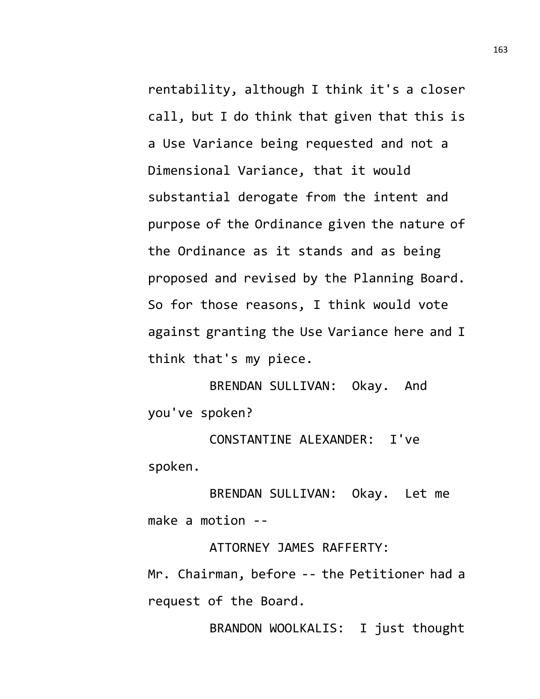rentability, although I think it's a closer call, but I do think that given that this is a Use Variance being requested and not a Dimensional Variance, that it would substantial derogate from the intent and purpose of the Ordinance given the nature of the Ordinance as it stands and as being proposed and revised by the Planning Board. So for those reasons, I think would vote against granting the Use Variance here and I think that's my piece.

BRENDAN SULLIVAN: Okay. And you've spoken?

CONSTANTINE ALEXANDER: I've spoken.

BRENDAN SULLIVAN: Okay. Let me make a motion --

ATTORNEY JAMES RAFFERTY:

Mr. Chairman, before -- the Petitioner had a request of the Board.

BRANDON WOOLKALIS: I just thought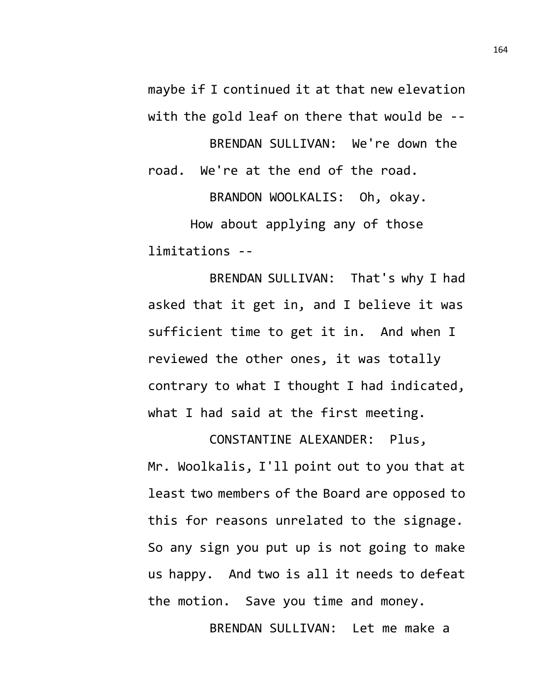maybe if I continued it at that new elevation with the gold leaf on there that would be --

BRENDAN SULLIVAN: We're down the road. We're at the end of the road.

BRANDON WOOLKALIS: Oh, okay. How about applying any of those limitations --

BRENDAN SULLIVAN: That's why I had asked that it get in, and I believe it was sufficient time to get it in. And when I reviewed the other ones, it was totally contrary to what I thought I had indicated, what I had said at the first meeting.

CONSTANTINE ALEXANDER: Plus, Mr. Woolkalis, I'll point out to you that at least two members of the Board are opposed to this for reasons unrelated to the signage. So any sign you put up is not going to make us happy. And two is all it needs to defeat the motion. Save you time and money.

BRENDAN SULLIVAN: Let me make a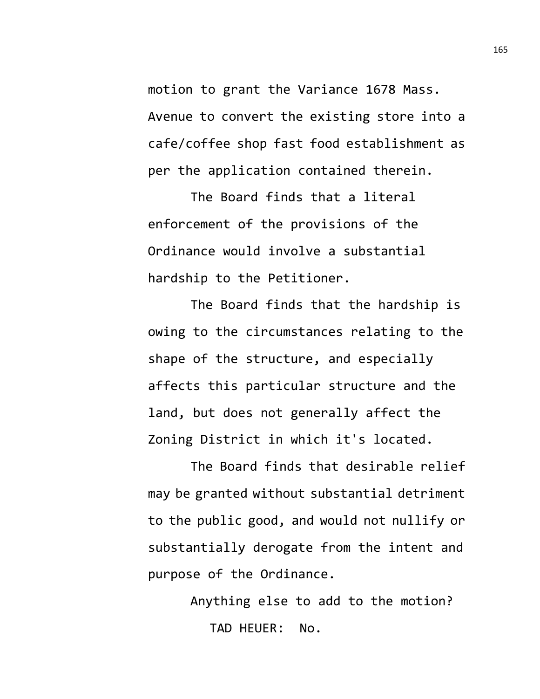motion to grant the Variance 1678 Mass. Avenue to convert the existing store into a cafe/coffee shop fast food establishment as per the application contained therein.

The Board finds that a literal enforcement of the provisions of the Ordinance would involve a substantial hardship to the Petitioner.

The Board finds that the hardship is owing to the circumstances relating to the shape of the structure, and especially affects this particular structure and the land, but does not generally affect the Zoning District in which it's located.

The Board finds that desirable relief may be granted without substantial detriment to the public good, and would not nullify or substantially derogate from the intent and purpose of the Ordinance.

> Anything else to add to the motion? TAD HEUER: No.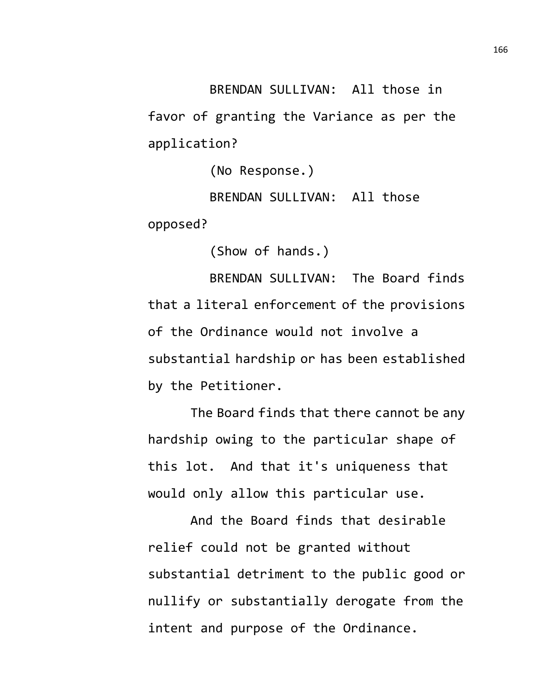BRENDAN SULLIVAN: All those in favor of granting the Variance as per the application?

(No Response.)

BRENDAN SULLIVAN: All those opposed?

(Show of hands.)

BRENDAN SULLIVAN: The Board finds that a literal enforcement of the provisions of the Ordinance would not involve a substantial hardship or has been established by the Petitioner.

The Board finds that there cannot be any hardship owing to the particular shape of this lot. And that it's uniqueness that would only allow this particular use.

And the Board finds that desirable relief could not be granted without substantial detriment to the public good or nullify or substantially derogate from the intent and purpose of the Ordinance.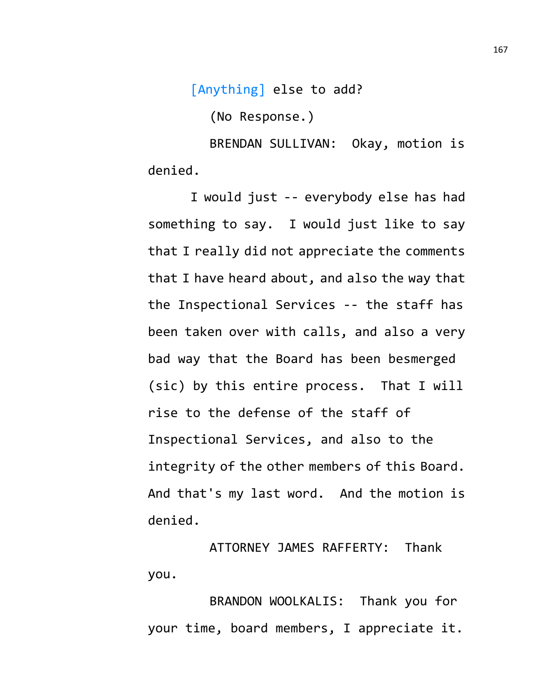[Anything] else to add?

(No Response.)

BRENDAN SULLIVAN: Okay, motion is denied.

I would just -- everybody else has had something to say. I would just like to say that I really did not appreciate the comments that I have heard about, and also the way that the Inspectional Services -- the staff has been taken over with calls, and also a very bad way that the Board has been besmerged (sic) by this entire process. That I will rise to the defense of the staff of Inspectional Services, and also to the integrity of the other members of this Board. And that's my last word. And the motion is denied.

ATTORNEY JAMES RAFFERTY: Thank you.

BRANDON WOOLKALIS: Thank you for your time, board members, I appreciate it.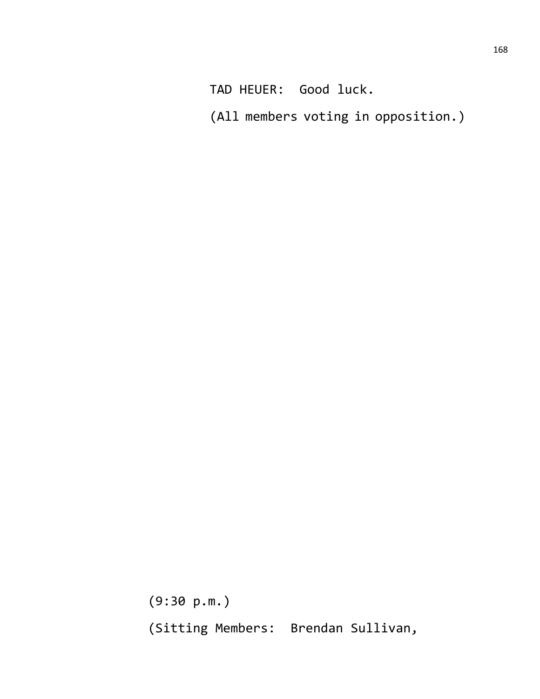TAD HEUER: Good luck.

(All members voting in opposition.)

(9:30 p.m.) (Sitting Members: Brendan Sullivan,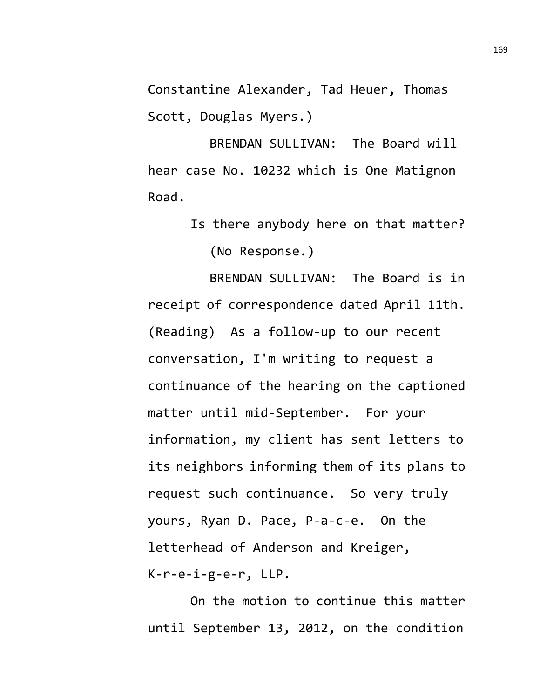Constantine Alexander, Tad Heuer, Thomas Scott, Douglas Myers.)

BRENDAN SULLIVAN: The Board will hear case No. 10232 which is One Matignon Road.

> Is there anybody here on that matter? (No Response.)

BRENDAN SULLIVAN: The Board is in receipt of correspondence dated April 11th. (Reading) As a follow-up to our recent conversation, I'm writing to request a continuance of the hearing on the captioned matter until mid-September. For your information, my client has sent letters to its neighbors informing them of its plans to request such continuance. So very truly yours, Ryan D. Pace, P-a-c-e. On the letterhead of Anderson and Kreiger, K-r-e-i-g-e-r, LLP.

On the motion to continue this matter until September 13, 2012, on the condition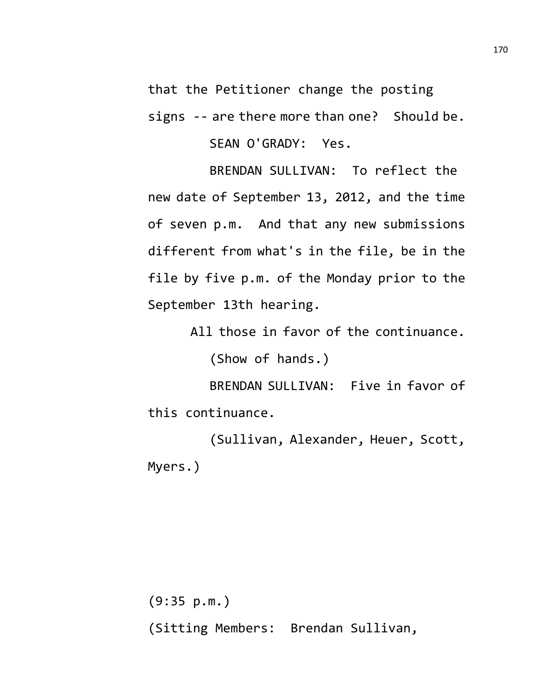that the Petitioner change the posting signs -- are there more than one? Should be.

SEAN O'GRADY: Yes.

BRENDAN SULLIVAN: To reflect the new date of September 13, 2012, and the time of seven p.m. And that any new submissions different from what's in the file, be in the file by five p.m. of the Monday prior to the September 13th hearing.

All those in favor of the continuance.

(Show of hands.)

BRENDAN SULLIVAN: Five in favor of this continuance.

(Sullivan, Alexander, Heuer, Scott, Myers.)

(9:35 p.m.) (Sitting Members: Brendan Sullivan,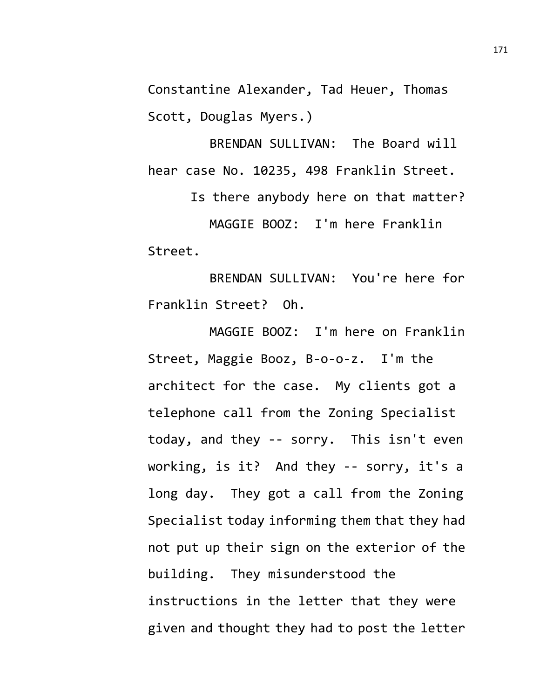Constantine Alexander, Tad Heuer, Thomas Scott, Douglas Myers.)

BRENDAN SULLIVAN: The Board will hear case No. 10235, 498 Franklin Street.

Is there anybody here on that matter? MAGGIE BOOZ: I'm here Franklin Street.

BRENDAN SULLIVAN: You're here for Franklin Street? Oh.

MAGGIE BOOZ: I'm here on Franklin Street, Maggie Booz, B-o-o-z. I'm the architect for the case. My clients got a telephone call from the Zoning Specialist today, and they -- sorry. This isn't even working, is it? And they -- sorry, it's a long day. They got a call from the Zoning Specialist today informing them that they had not put up their sign on the exterior of the building. They misunderstood the instructions in the letter that they were given and thought they had to post the letter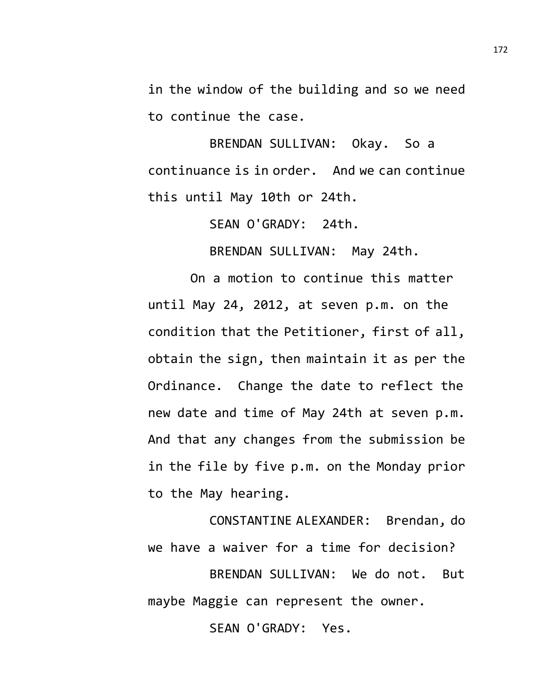in the window of the building and so we need to continue the case.

BRENDAN SULLIVAN: Okay. So a continuance is in order. And we can continue this until May 10th or 24th.

SEAN O'GRADY: 24th.

BRENDAN SULLIVAN: May 24th.

On a motion to continue this matter until May 24, 2012, at seven p.m. on the condition that the Petitioner, first of all, obtain the sign, then maintain it as per the Ordinance. Change the date to reflect the new date and time of May 24th at seven p.m. And that any changes from the submission be in the file by five p.m. on the Monday prior to the May hearing.

CONSTANTINE ALEXANDER: Brendan, do we have a waiver for a time for decision?

BRENDAN SULLIVAN: We do not. But maybe Maggie can represent the owner.

SEAN O'GRADY: Yes.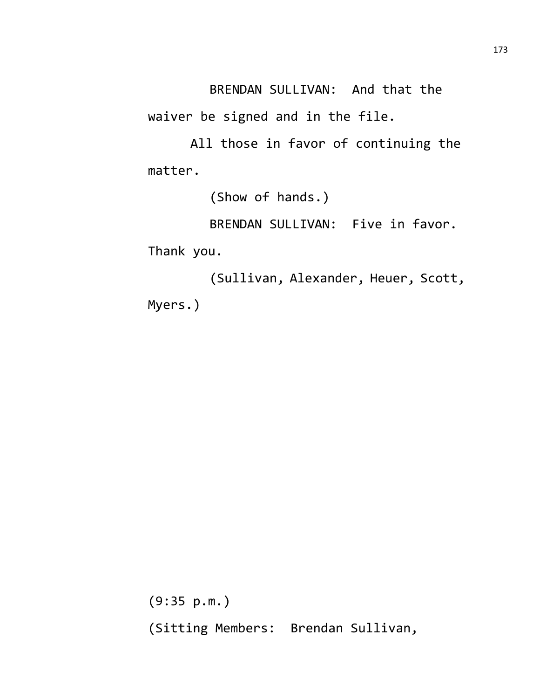BRENDAN SULLIVAN: And that the waiver be signed and in the file.

All those in favor of continuing the matter.

(Show of hands.)

BRENDAN SULLIVAN: Five in favor.

Thank you.

(Sullivan, Alexander, Heuer, Scott, Myers.)

(9:35 p.m.) (Sitting Members: Brendan Sullivan,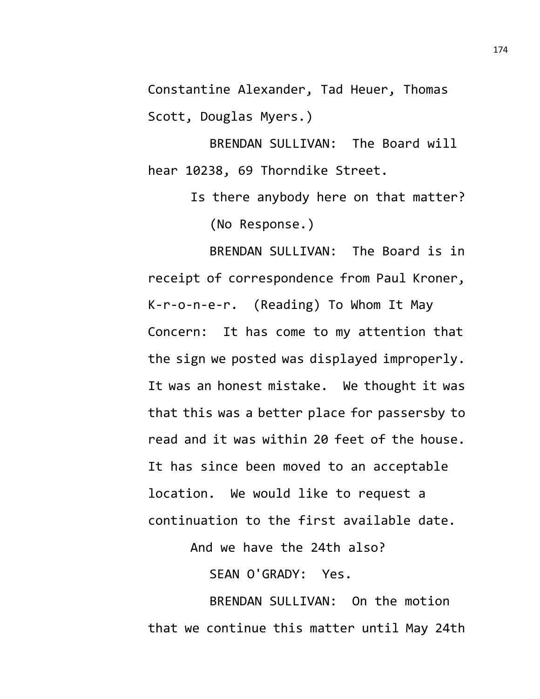Constantine Alexander, Tad Heuer, Thomas Scott, Douglas Myers.)

BRENDAN SULLIVAN: The Board will hear 10238, 69 Thorndike Street.

> Is there anybody here on that matter? (No Response.)

BRENDAN SULLIVAN: The Board is in receipt of correspondence from Paul Kroner, K-r-o-n-e-r. (Reading) To Whom It May Concern: It has come to my attention that the sign we posted was displayed improperly. It was an honest mistake. We thought it was that this was a better place for passersby to read and it was within 20 feet of the house. It has since been moved to an acceptable location. We would like to request a continuation to the first available date.

And we have the 24th also?

SEAN O'GRADY: Yes.

BRENDAN SULLIVAN: On the motion that we continue this matter until May 24th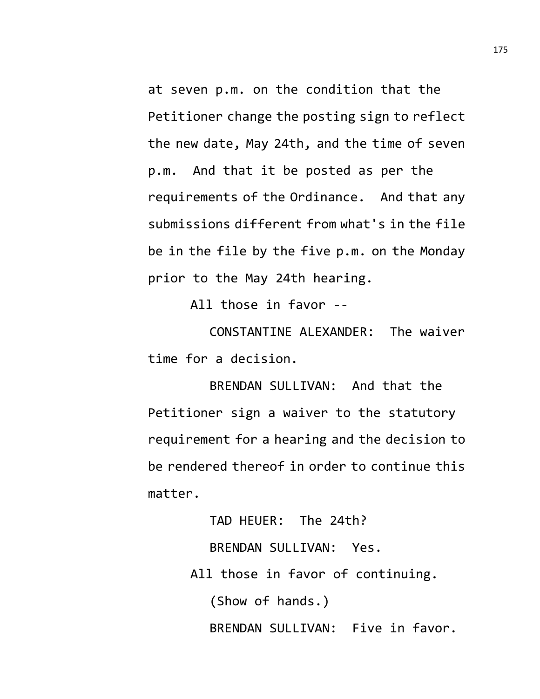at seven p.m. on the condition that the Petitioner change the posting sign to reflect the new date, May 24th, and the time of seven p.m. And that it be posted as per the requirements of the Ordinance. And that any submissions different from what's in the file be in the file by the five p.m. on the Monday prior to the May 24th hearing.

All those in favor --

CONSTANTINE ALEXANDER: The waiver time for a decision.

BRENDAN SULLIVAN: And that the Petitioner sign a waiver to the statutory requirement for a hearing and the decision to be rendered thereof in order to continue this matter.

> TAD HEUER: The 24th? BRENDAN SULLIVAN: Yes. All those in favor of continuing. (Show of hands.) BRENDAN SULLIVAN: Five in favor.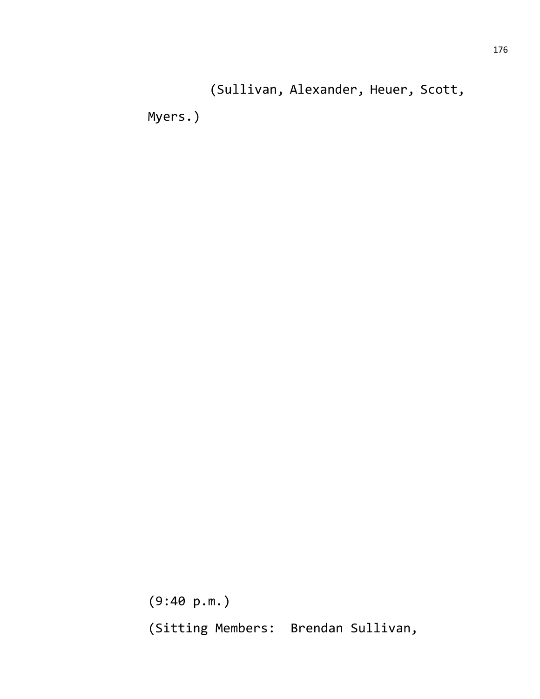(Sullivan, Alexander, Heuer, Scott,

Myers.)

(9:40 p.m.) (Sitting Members: Brendan Sullivan,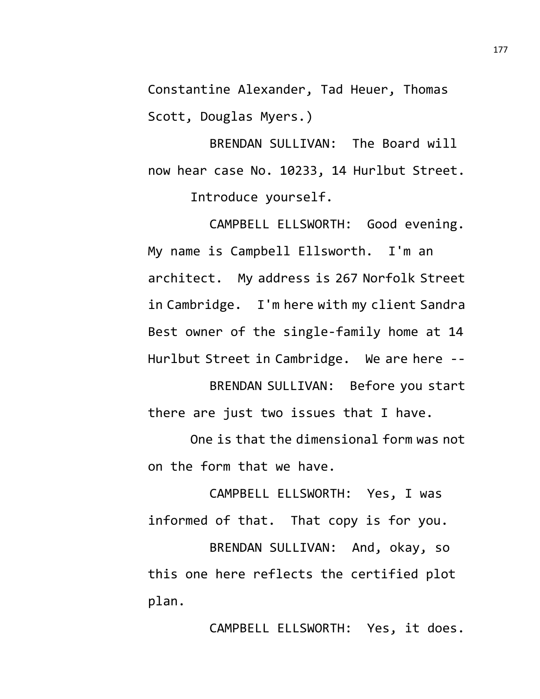Constantine Alexander, Tad Heuer, Thomas Scott, Douglas Myers.)

BRENDAN SULLIVAN: The Board will now hear case No. 10233, 14 Hurlbut Street. Introduce yourself.

CAMPBELL ELLSWORTH: Good evening. My name is Campbell Ellsworth. I'm an architect. My address is 267 Norfolk Street in Cambridge. I'm here with my client Sandra Best owner of the single-family home at 14 Hurlbut Street in Cambridge. We are here --

BRENDAN SULLIVAN: Before you start there are just two issues that I have.

One is that the dimensional form was not on the form that we have.

CAMPBELL ELLSWORTH: Yes, I was informed of that. That copy is for you.

BRENDAN SULLIVAN: And, okay, so this one here reflects the certified plot plan.

CAMPBELL ELLSWORTH: Yes, it does.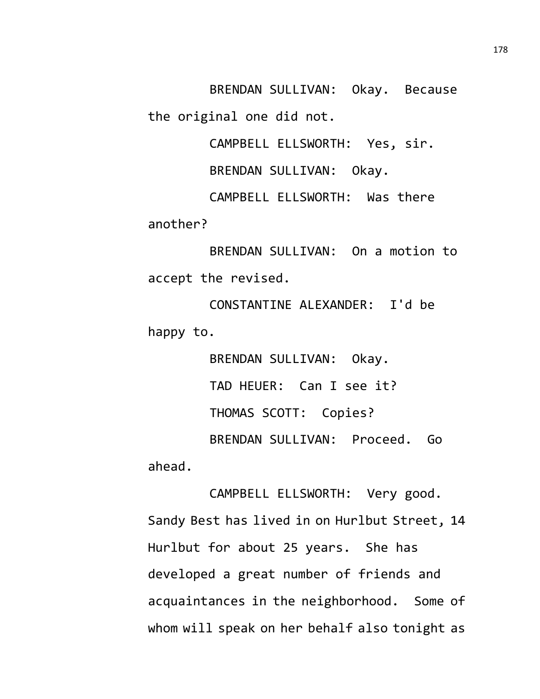BRENDAN SULLIVAN: Okay. Because the original one did not.

CAMPBELL ELLSWORTH: Yes, sir.

BRENDAN SULLIVAN: Okay.

CAMPBELL ELLSWORTH: Was there another?

BRENDAN SULLIVAN: On a motion to accept the revised.

CONSTANTINE ALEXANDER: I'd be happy to.

BRENDAN SULLIVAN: Okay. TAD HEUER: Can I see it? THOMAS SCOTT: Copies? BRENDAN SULLIVAN: Proceed. Go ahead.

CAMPBELL ELLSWORTH: Very good. Sandy Best has lived in on Hurlbut Street, 14 Hurlbut for about 25 years. She has developed a great number of friends and acquaintances in the neighborhood. Some of whom will speak on her behalf also tonight as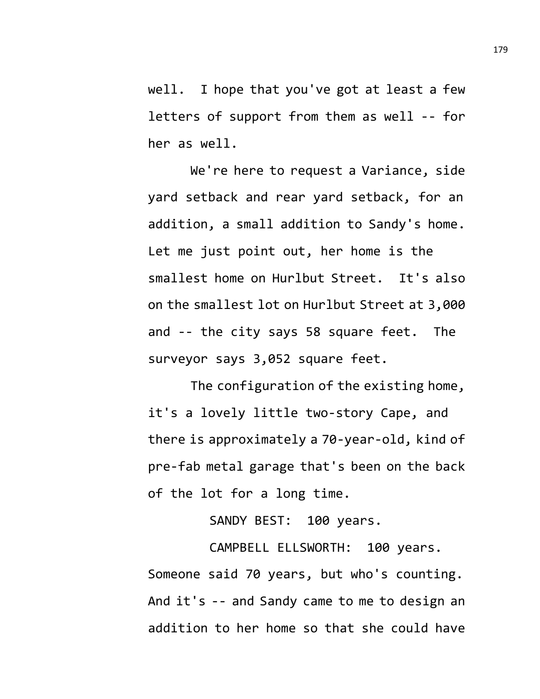well. I hope that you've got at least a few letters of support from them as well -- for her as well.

We're here to request a Variance, side yard setback and rear yard setback, for an addition, a small addition to Sandy's home. Let me just point out, her home is the smallest home on Hurlbut Street. It's also on the smallest lot on Hurlbut Street at 3,000 and -- the city says 58 square feet. The surveyor says 3,052 square feet.

The configuration of the existing home, it's a lovely little two-story Cape, and there is approximately a 70-year-old, kind of pre-fab metal garage that's been on the back of the lot for a long time.

SANDY BEST: 100 years.

CAMPBELL ELLSWORTH: 100 years. Someone said 70 years, but who's counting. And it's -- and Sandy came to me to design an addition to her home so that she could have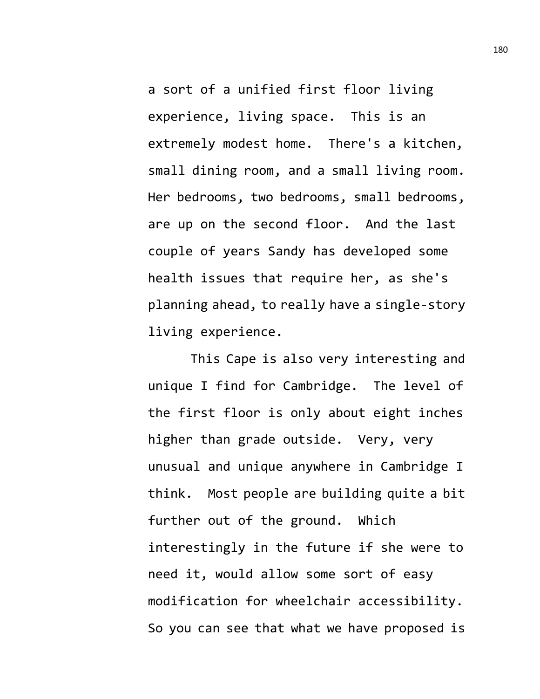a sort of a unified first floor living experience, living space. This is an extremely modest home. There's a kitchen, small dining room, and a small living room. Her bedrooms, two bedrooms, small bedrooms, are up on the second floor. And the last couple of years Sandy has developed some health issues that require her, as she's planning ahead, to really have a single-story living experience.

This Cape is also very interesting and unique I find for Cambridge. The level of the first floor is only about eight inches higher than grade outside. Very, very unusual and unique anywhere in Cambridge I think. Most people are building quite a bit further out of the ground. Which interestingly in the future if she were to need it, would allow some sort of easy modification for wheelchair accessibility. So you can see that what we have proposed is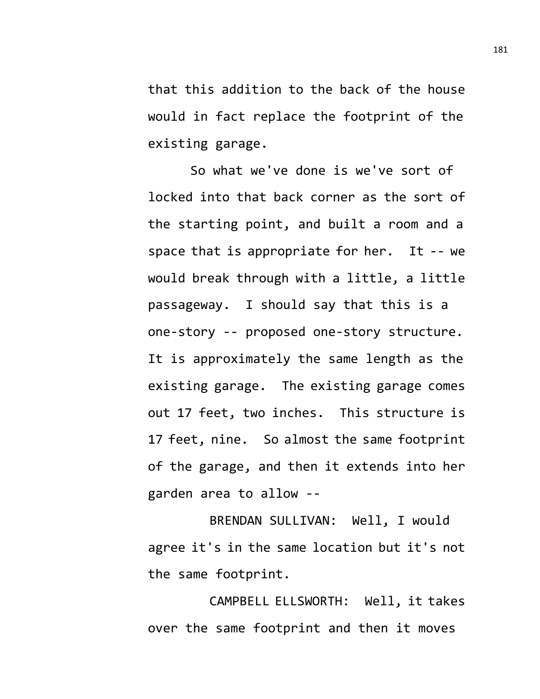that this addition to the back of the house would in fact replace the footprint of the existing garage.

So what we've done is we've sort of locked into that back corner as the sort of the starting point, and built a room and a space that is appropriate for her. It -- we would break through with a little, a little passageway. I should say that this is a one-story -- proposed one-story structure. It is approximately the same length as the existing garage. The existing garage comes out 17 feet, two inches. This structure is 17 feet, nine. So almost the same footprint of the garage, and then it extends into her garden area to allow --

BRENDAN SULLIVAN: Well, I would agree it's in the same location but it's not the same footprint.

CAMPBELL ELLSWORTH: Well, it takes over the same footprint and then it moves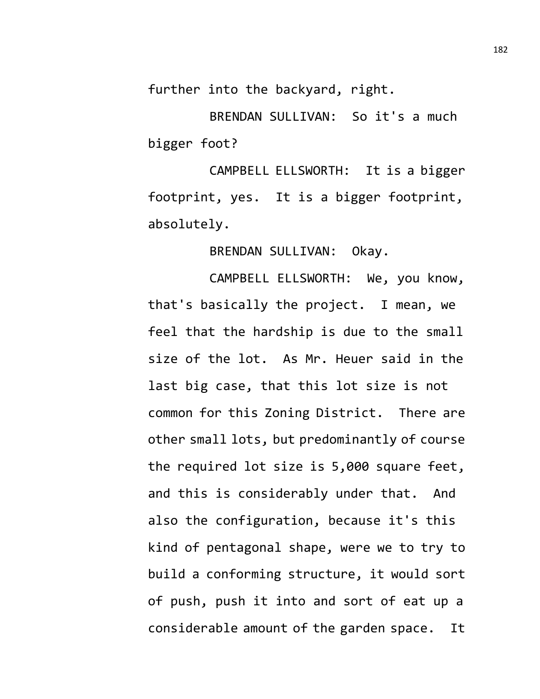further into the backyard, right.

BRENDAN SULLIVAN: So it's a much bigger foot?

CAMPBELL ELLSWORTH: It is a bigger footprint, yes. It is a bigger footprint, absolutely.

BRENDAN SULLIVAN: Okay.

CAMPBELL ELLSWORTH: We, you know, that's basically the project. I mean, we feel that the hardship is due to the small size of the lot. As Mr. Heuer said in the last big case, that this lot size is not common for this Zoning District. There are other small lots, but predominantly of course the required lot size is 5,000 square feet, and this is considerably under that. And also the configuration, because it's this kind of pentagonal shape, were we to try to build a conforming structure, it would sort of push, push it into and sort of eat up a considerable amount of the garden space. It

182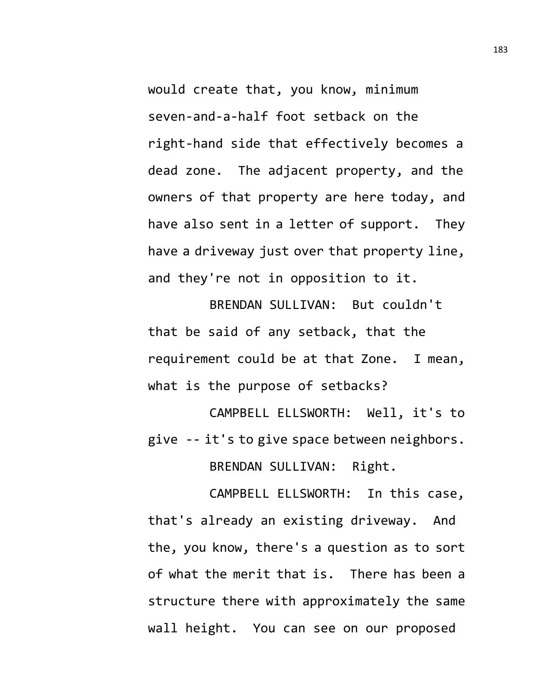would create that, you know, minimum seven-and-a-half foot setback on the right-hand side that effectively becomes a dead zone. The adjacent property, and the owners of that property are here today, and have also sent in a letter of support. They have a driveway just over that property line, and they're not in opposition to it.

BRENDAN SULLIVAN: But couldn't that be said of any setback, that the requirement could be at that Zone. I mean, what is the purpose of setbacks?

CAMPBELL ELLSWORTH: Well, it's to give -- it's to give space between neighbors. BRENDAN SULLIVAN: Right.

CAMPBELL ELLSWORTH: In this case, that's already an existing driveway. And the, you know, there's a question as to sort of what the merit that is. There has been a structure there with approximately the same wall height. You can see on our proposed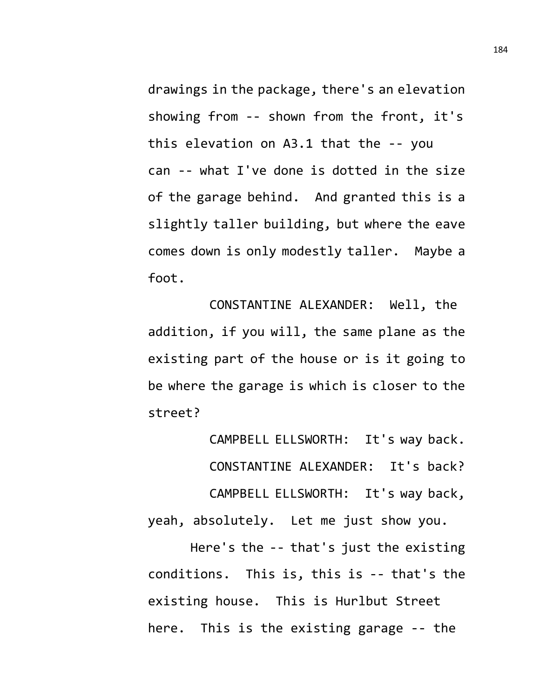drawings in the package, there's an elevation showing from -- shown from the front, it's this elevation on A3.1 that the -- you can -- what I've done is dotted in the size of the garage behind. And granted this is a slightly taller building, but where the eave comes down is only modestly taller. Maybe a foot.

CONSTANTINE ALEXANDER: Well, the addition, if you will, the same plane as the existing part of the house or is it going to be where the garage is which is closer to the street?

CAMPBELL ELLSWORTH: It's way back. CONSTANTINE ALEXANDER: It's back? CAMPBELL ELLSWORTH: It's way back, yeah, absolutely. Let me just show you.

Here's the -- that's just the existing conditions. This is, this is -- that's the existing house. This is Hurlbut Street here. This is the existing garage -- the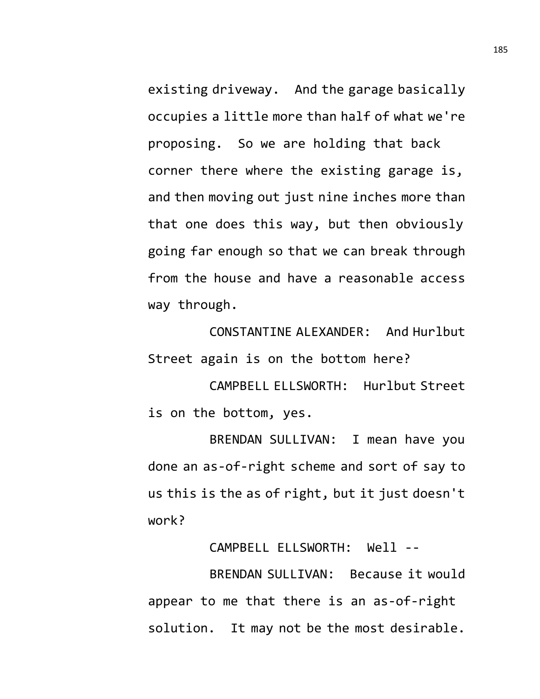existing driveway. And the garage basically occupies a little more than half of what we're proposing. So we are holding that back corner there where the existing garage is, and then moving out just nine inches more than that one does this way, but then obviously going far enough so that we can break through from the house and have a reasonable access way through.

CONSTANTINE ALEXANDER: And Hurlbut Street again is on the bottom here?

CAMPBELL ELLSWORTH: Hurlbut Street is on the bottom, yes.

BRENDAN SULLIVAN: I mean have you done an as-of-right scheme and sort of say to us this is the as of right, but it just doesn't work?

CAMPBELL ELLSWORTH: Well --

BRENDAN SULLIVAN: Because it would appear to me that there is an as-of-right solution. It may not be the most desirable.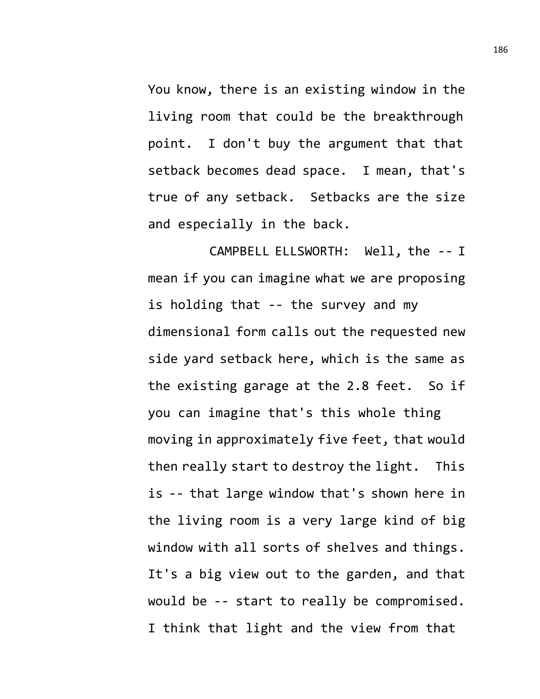You know, there is an existing window in the living room that could be the breakthrough point. I don't buy the argument that that setback becomes dead space. I mean, that's true of any setback. Setbacks are the size and especially in the back.

CAMPBELL ELLSWORTH: Well, the -- I mean if you can imagine what we are proposing is holding that -- the survey and my dimensional form calls out the requested new side yard setback here, which is the same as the existing garage at the 2.8 feet. So if you can imagine that's this whole thing moving in approximately five feet, that would then really start to destroy the light. This is -- that large window that's shown here in the living room is a very large kind of big window with all sorts of shelves and things. It's a big view out to the garden, and that would be -- start to really be compromised. I think that light and the view from that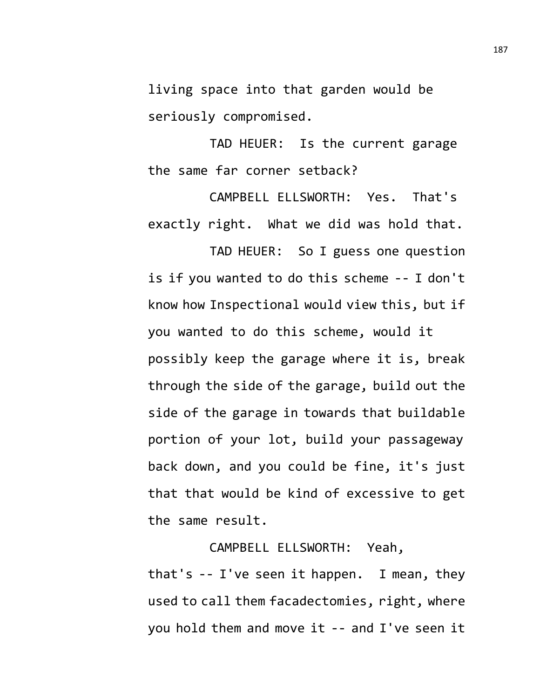living space into that garden would be seriously compromised.

TAD HEUER: Is the current garage the same far corner setback?

CAMPBELL ELLSWORTH: Yes. That's exactly right. What we did was hold that.

TAD HEUER: So I guess one question is if you wanted to do this scheme -- I don't know how Inspectional would view this, but if you wanted to do this scheme, would it possibly keep the garage where it is, break through the side of the garage, build out the side of the garage in towards that buildable portion of your lot, build your passageway back down, and you could be fine, it's just that that would be kind of excessive to get the same result.

CAMPBELL ELLSWORTH: Yeah, that's -- I've seen it happen. I mean, they used to call them facadectomies, right, where you hold them and move it -- and I've seen it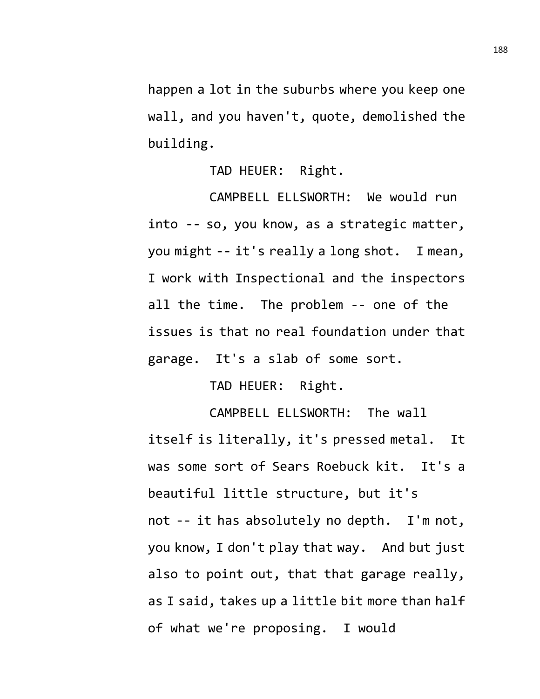happen a lot in the suburbs where you keep one wall, and you haven't, quote, demolished the building.

TAD HEUER: Right.

CAMPBELL ELLSWORTH: We would run into -- so, you know, as a strategic matter, you might -- it's really a long shot. I mean, I work with Inspectional and the inspectors all the time. The problem -- one of the issues is that no real foundation under that garage. It's a slab of some sort.

TAD HEUER: Right.

CAMPBELL ELLSWORTH: The wall itself is literally, it's pressed metal. It was some sort of Sears Roebuck kit. It's a beautiful little structure, but it's not -- it has absolutely no depth. I'm not, you know, I don't play that way. And but just also to point out, that that garage really, as I said, takes up a little bit more than half of what we're proposing. I would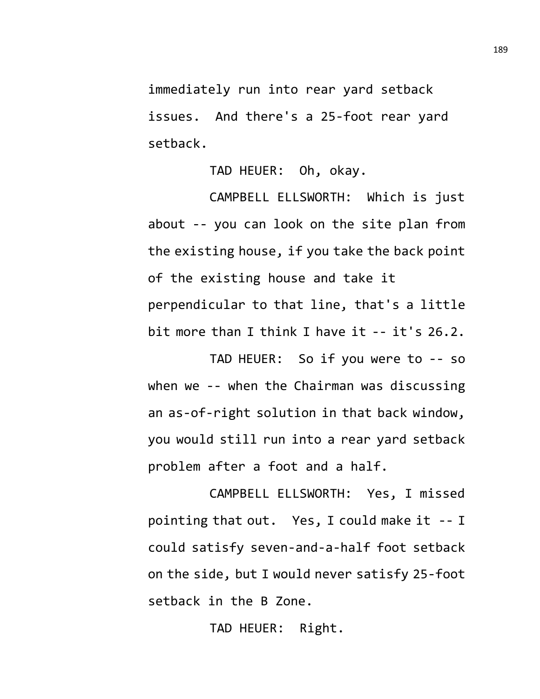immediately run into rear yard setback issues. And there's a 25-foot rear yard setback.

TAD HEUER: Oh, okay.

CAMPBELL ELLSWORTH: Which is just about -- you can look on the site plan from the existing house, if you take the back point of the existing house and take it perpendicular to that line, that's a little bit more than I think I have it -- it's 26.2.

TAD HEUER: So if you were to -- so when we -- when the Chairman was discussing an as-of-right solution in that back window, you would still run into a rear yard setback problem after a foot and a half.

CAMPBELL ELLSWORTH: Yes, I missed pointing that out. Yes, I could make it -- I could satisfy seven-and-a-half foot setback on the side, but I would never satisfy 25-foot setback in the B Zone.

TAD HEUER: Right.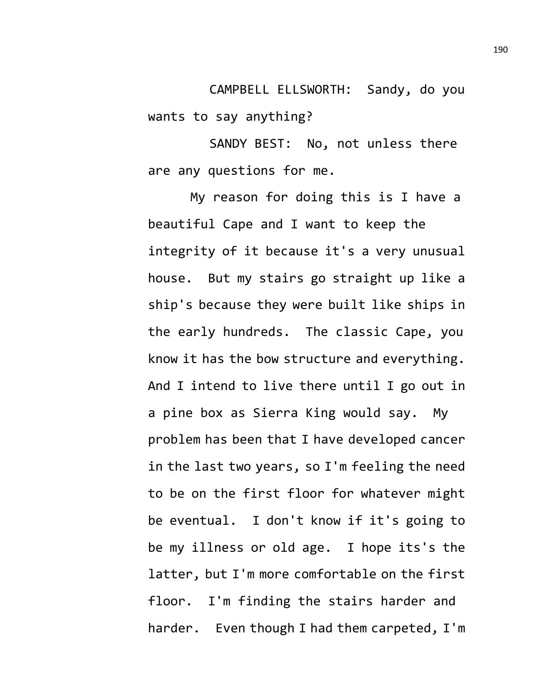CAMPBELL ELLSWORTH: Sandy, do you wants to say anything?

SANDY BEST: No, not unless there are any questions for me.

My reason for doing this is I have a beautiful Cape and I want to keep the integrity of it because it's a very unusual house. But my stairs go straight up like a ship's because they were built like ships in the early hundreds. The classic Cape, you know it has the bow structure and everything. And I intend to live there until I go out in a pine box as Sierra King would say. My problem has been that I have developed cancer in the last two years, so I'm feeling the need to be on the first floor for whatever might be eventual. I don't know if it's going to be my illness or old age. I hope its's the latter, but I'm more comfortable on the first floor. I'm finding the stairs harder and harder. Even though I had them carpeted, I'm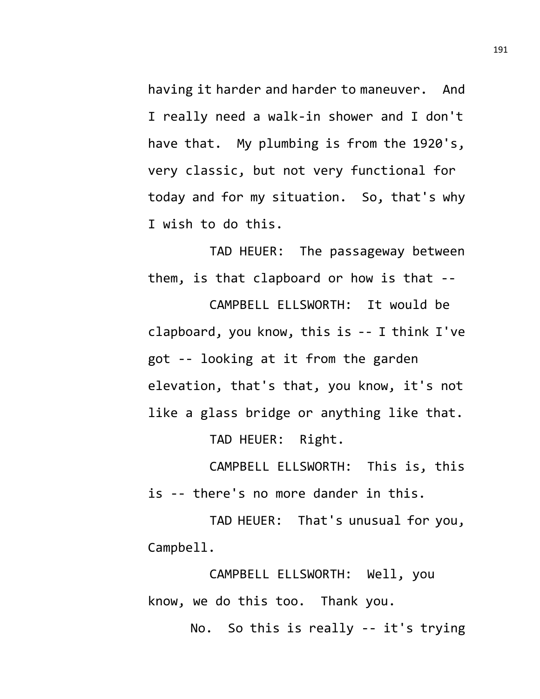having it harder and harder to maneuver. And I really need a walk-in shower and I don't have that. My plumbing is from the 1920's, very classic, but not very functional for today and for my situation. So, that's why I wish to do this.

TAD HEUER: The passageway between them, is that clapboard or how is that --

CAMPBELL ELLSWORTH: It would be clapboard, you know, this is -- I think I've got -- looking at it from the garden elevation, that's that, you know, it's not like a glass bridge or anything like that.

TAD HEUER: Right.

CAMPBELL ELLSWORTH: This is, this is -- there's no more dander in this.

TAD HEUER: That's unusual for you, Campbell.

CAMPBELL ELLSWORTH: Well, you know, we do this too. Thank you.

No. So this is really -- it's trying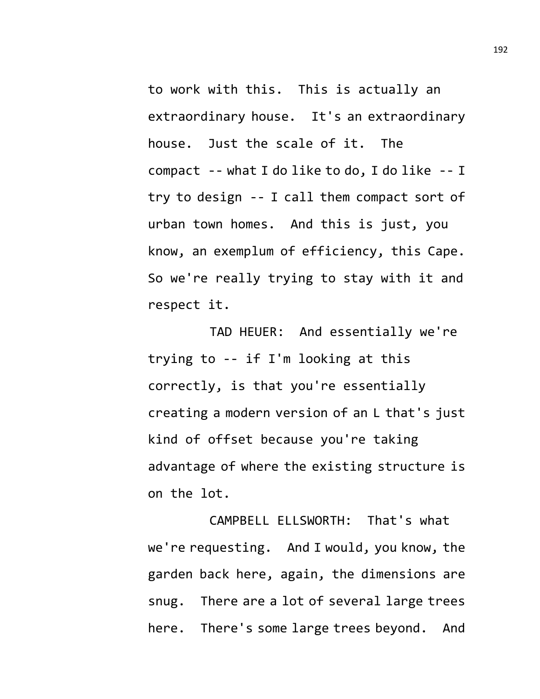to work with this. This is actually an extraordinary house. It's an extraordinary house. Just the scale of it. The compact -- what I do like to do, I do like -- I try to design -- I call them compact sort of urban town homes. And this is just, you know, an exemplum of efficiency, this Cape. So we're really trying to stay with it and respect it.

TAD HEUER: And essentially we're trying to -- if I'm looking at this correctly, is that you're essentially creating a modern version of an L that's just kind of offset because you're taking advantage of where the existing structure is on the lot.

CAMPBELL ELLSWORTH: That's what we're requesting. And I would, you know, the garden back here, again, the dimensions are snug. There are a lot of several large trees here. There's some large trees beyond. And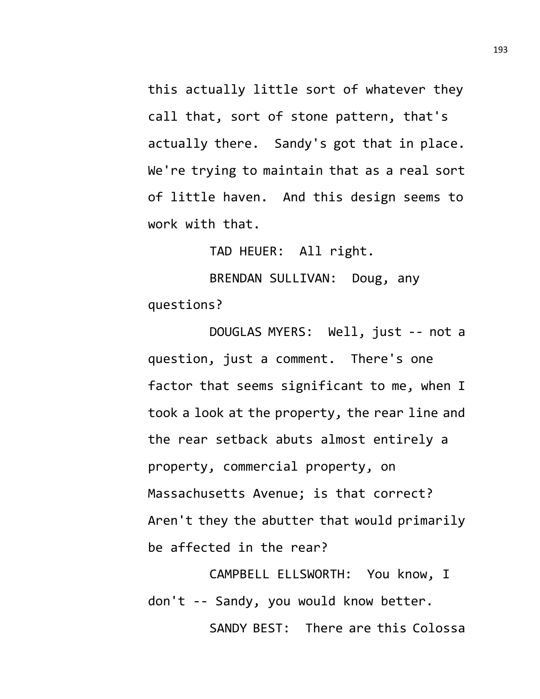this actually little sort of whatever they call that, sort of stone pattern, that's actually there. Sandy's got that in place. We're trying to maintain that as a real sort of little haven. And this design seems to work with that.

TAD HEUER: All right.

BRENDAN SULLIVAN: Doug, any questions?

DOUGLAS MYERS: Well, just -- not a question, just a comment. There's one factor that seems significant to me, when I took a look at the property, the rear line and the rear setback abuts almost entirely a property, commercial property, on Massachusetts Avenue; is that correct? Aren't they the abutter that would primarily be affected in the rear?

CAMPBELL ELLSWORTH: You know, I don't -- Sandy, you would know better. SANDY BEST: There are this Colossa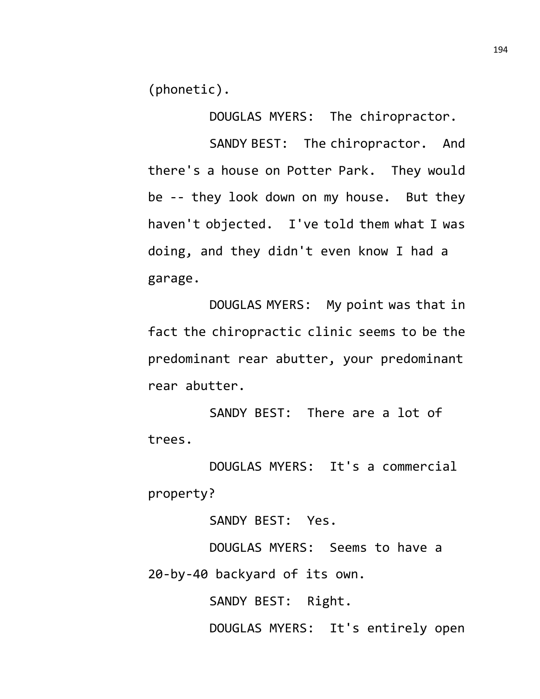(phonetic).

DOUGLAS MYERS: The chiropractor.

SANDY BEST: The chiropractor. And there's a house on Potter Park. They would be -- they look down on my house. But they haven't objected. I've told them what I was doing, and they didn't even know I had a garage.

DOUGLAS MYERS: My point was that in fact the chiropractic clinic seems to be the predominant rear abutter, your predominant rear abutter.

SANDY BEST: There are a lot of trees.

DOUGLAS MYERS: It's a commercial property?

SANDY BEST: Yes.

DOUGLAS MYERS: Seems to have a 20-by-40 backyard of its own.

SANDY BEST: Right.

DOUGLAS MYERS: It's entirely open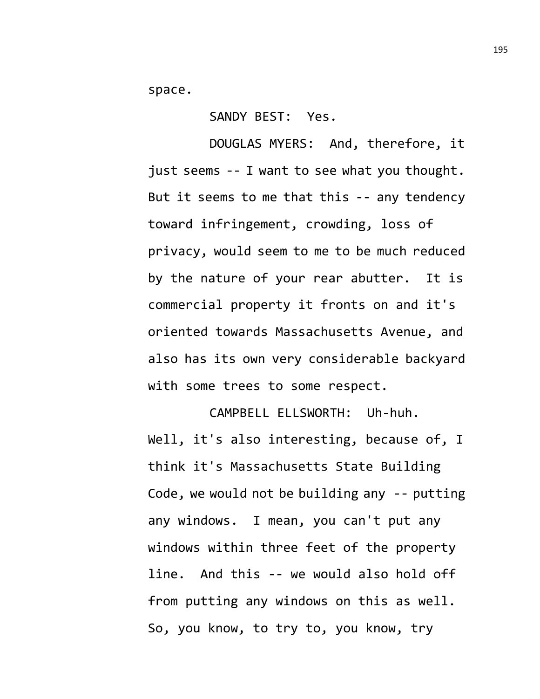space.

SANDY BEST: Yes.

DOUGLAS MYERS: And, therefore, it just seems -- I want to see what you thought. But it seems to me that this -- any tendency toward infringement, crowding, loss of privacy, would seem to me to be much reduced by the nature of your rear abutter. It is commercial property it fronts on and it's oriented towards Massachusetts Avenue, and also has its own very considerable backyard with some trees to some respect.

CAMPBELL ELLSWORTH: Uh-huh. Well, it's also interesting, because of, I think it's Massachusetts State Building Code, we would not be building any -- putting any windows. I mean, you can't put any windows within three feet of the property line. And this -- we would also hold off from putting any windows on this as well. So, you know, to try to, you know, try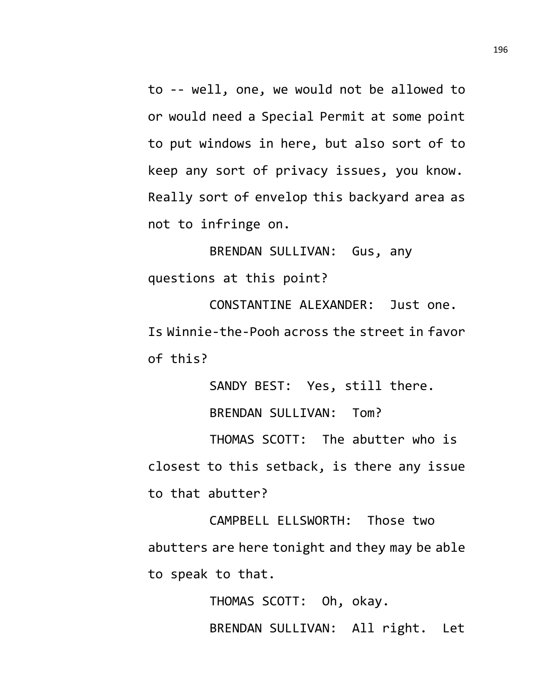to -- well, one, we would not be allowed to or would need a Special Permit at some point to put windows in here, but also sort of to keep any sort of privacy issues, you know. Really sort of envelop this backyard area as not to infringe on.

BRENDAN SULLIVAN: Gus, any questions at this point?

CONSTANTINE ALEXANDER: Just one. Is Winnie-the-Pooh across the street in favor of this?

SANDY BEST: Yes, still there.

BRENDAN SULLIVAN: Tom?

THOMAS SCOTT: The abutter who is closest to this setback, is there any issue to that abutter?

CAMPBELL ELLSWORTH: Those two abutters are here tonight and they may be able to speak to that.

> THOMAS SCOTT: Oh, okay. BRENDAN SULLIVAN: All right. Let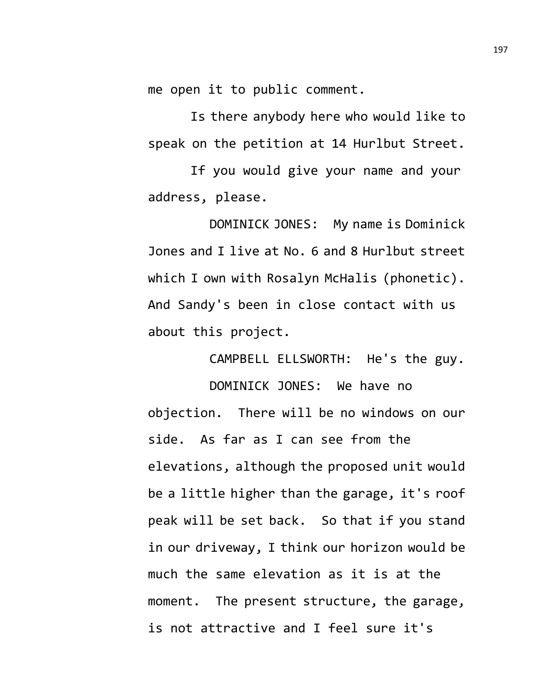me open it to public comment.

Is there anybody here who would like to speak on the petition at 14 Hurlbut Street.

If you would give your name and your address, please.

DOMINICK JONES: My name is Dominick Jones and I live at No. 6 and 8 Hurlbut street which I own with Rosalyn McHalis (phonetic). And Sandy's been in close contact with us about this project.

CAMPBELL ELLSWORTH: He's the guy.

DOMINICK JONES: We have no objection. There will be no windows on our side. As far as I can see from the elevations, although the proposed unit would be a little higher than the garage, it's roof peak will be set back. So that if you stand in our driveway, I think our horizon would be much the same elevation as it is at the moment. The present structure, the garage, is not attractive and I feel sure it's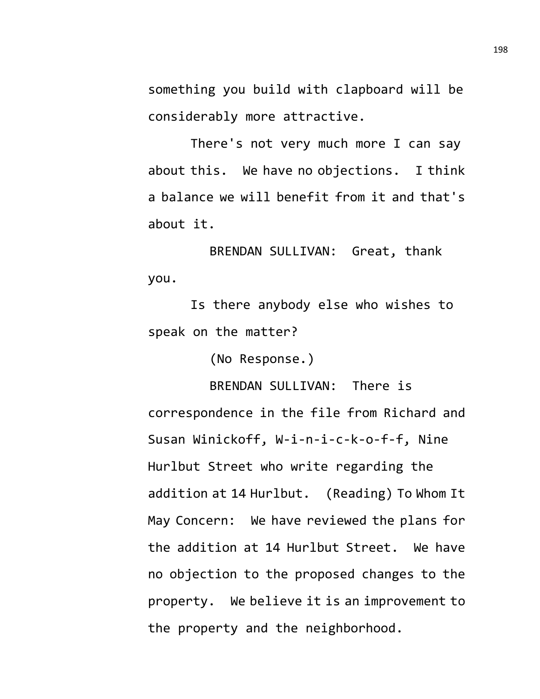something you build with clapboard will be considerably more attractive.

There's not very much more I can say about this. We have no objections. I think a balance we will benefit from it and that's about it.

BRENDAN SULLIVAN: Great, thank you.

Is there anybody else who wishes to speak on the matter?

(No Response.)

BRENDAN SULLIVAN: There is correspondence in the file from Richard and Susan Winickoff, W-i-n-i-c-k-o-f-f, Nine Hurlbut Street who write regarding the addition at 14 Hurlbut. (Reading) To Whom It May Concern: We have reviewed the plans for the addition at 14 Hurlbut Street. We have no objection to the proposed changes to the property. We believe it is an improvement to the property and the neighborhood.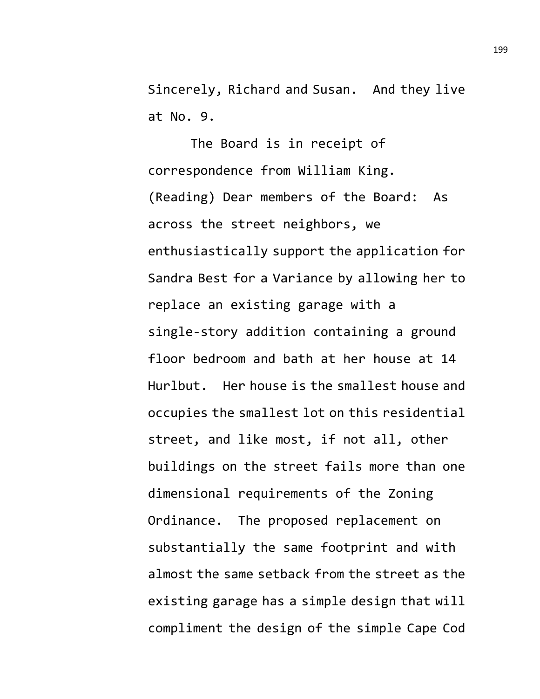Sincerely, Richard and Susan. And they live at No. 9.

The Board is in receipt of correspondence from William King. (Reading) Dear members of the Board: As across the street neighbors, we enthusiastically support the application for Sandra Best for a Variance by allowing her to replace an existing garage with a single-story addition containing a ground floor bedroom and bath at her house at 14 Hurlbut. Her house is the smallest house and occupies the smallest lot on this residential street, and like most, if not all, other buildings on the street fails more than one dimensional requirements of the Zoning Ordinance. The proposed replacement on substantially the same footprint and with almost the same setback from the street as the existing garage has a simple design that will compliment the design of the simple Cape Cod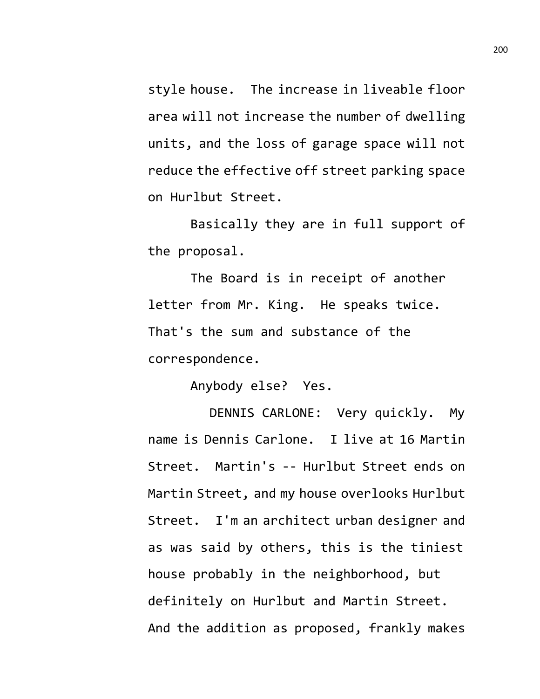style house. The increase in liveable floor area will not increase the number of dwelling units, and the loss of garage space will not reduce the effective off street parking space on Hurlbut Street.

Basically they are in full support of the proposal.

The Board is in receipt of another letter from Mr. King. He speaks twice. That's the sum and substance of the correspondence.

Anybody else? Yes.

DENNIS CARLONE: Very quickly. My name is Dennis Carlone. I live at 16 Martin Street. Martin's -- Hurlbut Street ends on Martin Street, and my house overlooks Hurlbut Street. I'm an architect urban designer and as was said by others, this is the tiniest house probably in the neighborhood, but definitely on Hurlbut and Martin Street. And the addition as proposed, frankly makes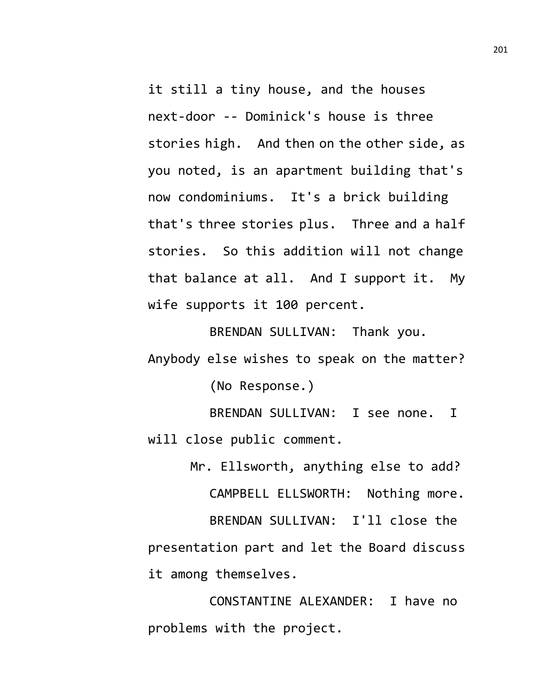it still a tiny house, and the houses next-door -- Dominick's house is three stories high. And then on the other side, as you noted, is an apartment building that's now condominiums. It's a brick building that's three stories plus. Three and a half stories. So this addition will not change that balance at all. And I support it. My wife supports it 100 percent.

BRENDAN SULLIVAN: Thank you. Anybody else wishes to speak on the matter?

(No Response.)

BRENDAN SULLIVAN: I see none. I will close public comment.

Mr. Ellsworth, anything else to add? CAMPBELL ELLSWORTH: Nothing more. BRENDAN SULLIVAN: I'll close the presentation part and let the Board discuss it among themselves.

CONSTANTINE ALEXANDER: I have no problems with the project.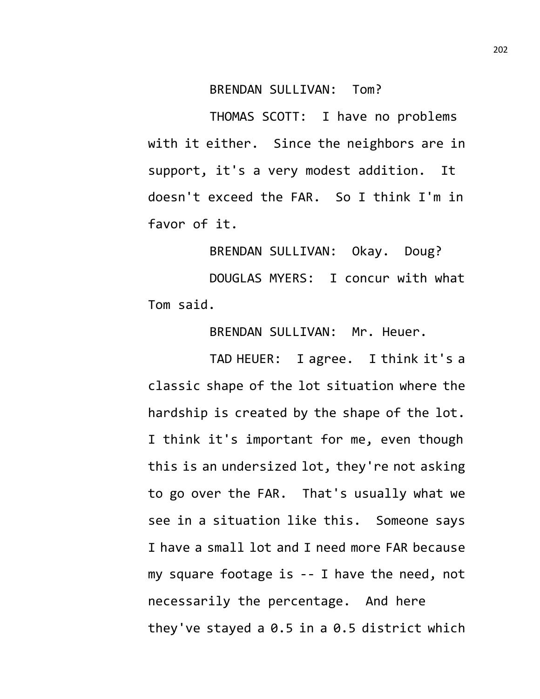## BRENDAN SULLIVAN: Tom?

THOMAS SCOTT: I have no problems with it either. Since the neighbors are in support, it's a very modest addition. It doesn't exceed the FAR. So I think I'm in favor of it.

BRENDAN SULLIVAN: Okay. Doug? DOUGLAS MYERS: I concur with what Tom said.

BRENDAN SULLIVAN: Mr. Heuer.

TAD HEUER: I agree. I think it's a classic shape of the lot situation where the hardship is created by the shape of the lot. I think it's important for me, even though this is an undersized lot, they're not asking to go over the FAR. That's usually what we see in a situation like this. Someone says I have a small lot and I need more FAR because my square footage is -- I have the need, not necessarily the percentage. And here they've stayed a 0.5 in a 0.5 district which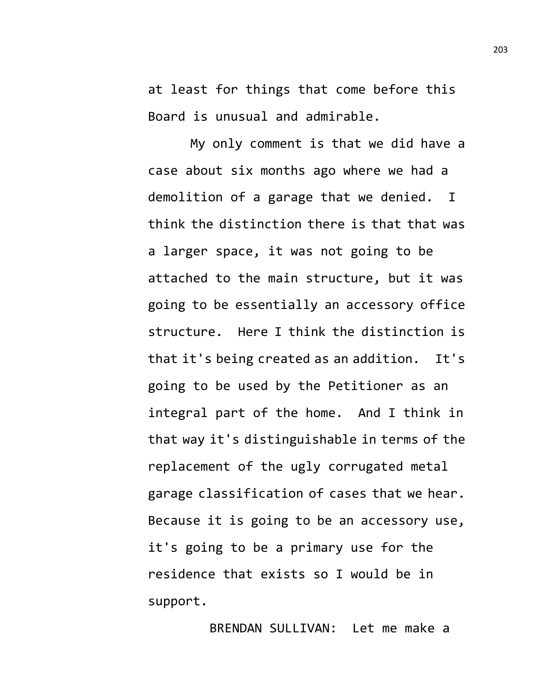at least for things that come before this Board is unusual and admirable.

My only comment is that we did have a case about six months ago where we had a demolition of a garage that we denied. I think the distinction there is that that was a larger space, it was not going to be attached to the main structure, but it was going to be essentially an accessory office structure. Here I think the distinction is that it's being created as an addition. It's going to be used by the Petitioner as an integral part of the home. And I think in that way it's distinguishable in terms of the replacement of the ugly corrugated metal garage classification of cases that we hear. Because it is going to be an accessory use, it's going to be a primary use for the residence that exists so I would be in support.

BRENDAN SULLIVAN: Let me make a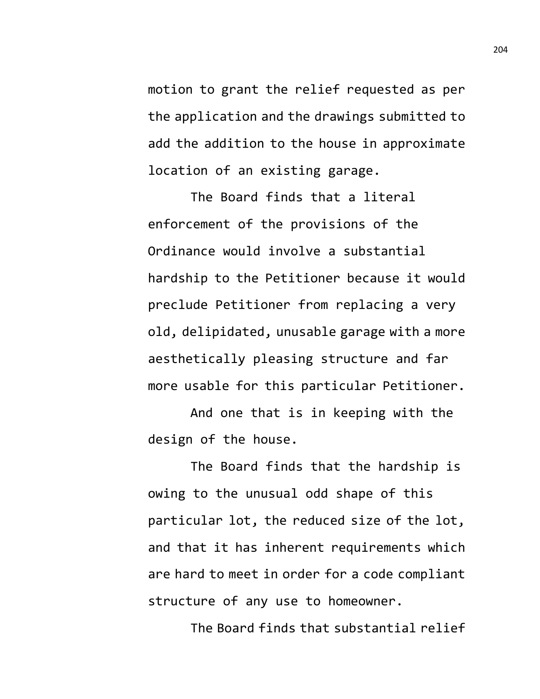motion to grant the relief requested as per the application and the drawings submitted to add the addition to the house in approximate location of an existing garage.

The Board finds that a literal enforcement of the provisions of the Ordinance would involve a substantial hardship to the Petitioner because it would preclude Petitioner from replacing a very old, delipidated, unusable garage with a more aesthetically pleasing structure and far more usable for this particular Petitioner.

And one that is in keeping with the design of the house.

The Board finds that the hardship is owing to the unusual odd shape of this particular lot, the reduced size of the lot, and that it has inherent requirements which are hard to meet in order for a code compliant structure of any use to homeowner.

The Board finds that substantial relief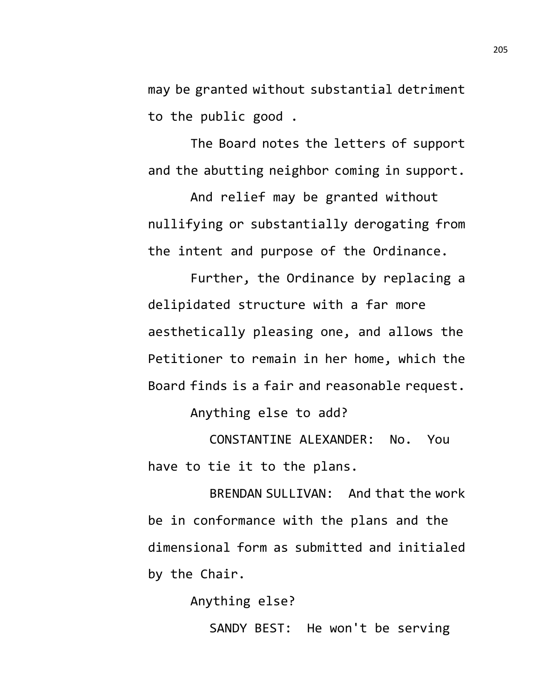may be granted without substantial detriment to the public good .

The Board notes the letters of support and the abutting neighbor coming in support.

And relief may be granted without nullifying or substantially derogating from the intent and purpose of the Ordinance.

Further, the Ordinance by replacing a delipidated structure with a far more aesthetically pleasing one, and allows the Petitioner to remain in her home, which the Board finds is a fair and reasonable request.

Anything else to add?

CONSTANTINE ALEXANDER: No. You have to tie it to the plans.

BRENDAN SULLIVAN: And that the work be in conformance with the plans and the dimensional form as submitted and initialed by the Chair.

Anything else?

SANDY BEST: He won't be serving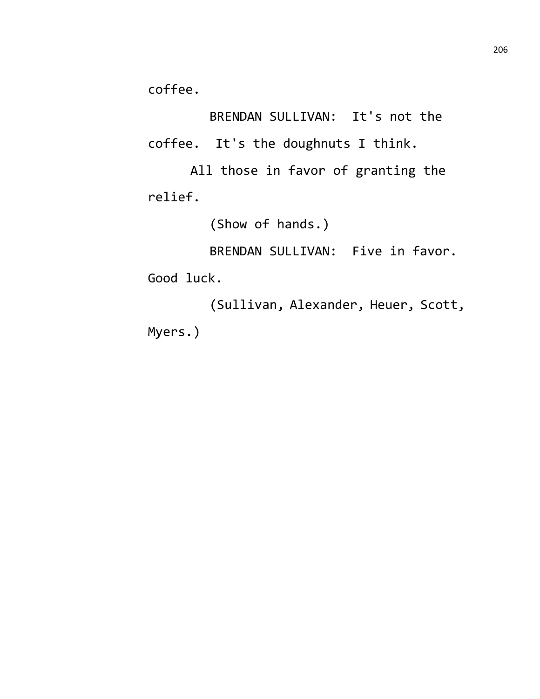coffee.

BRENDAN SULLIVAN: It's not the coffee. It's the doughnuts I think.

All those in favor of granting the relief.

(Show of hands.)

BRENDAN SULLIVAN: Five in favor. Good luck.

(Sullivan, Alexander, Heuer, Scott, Myers.)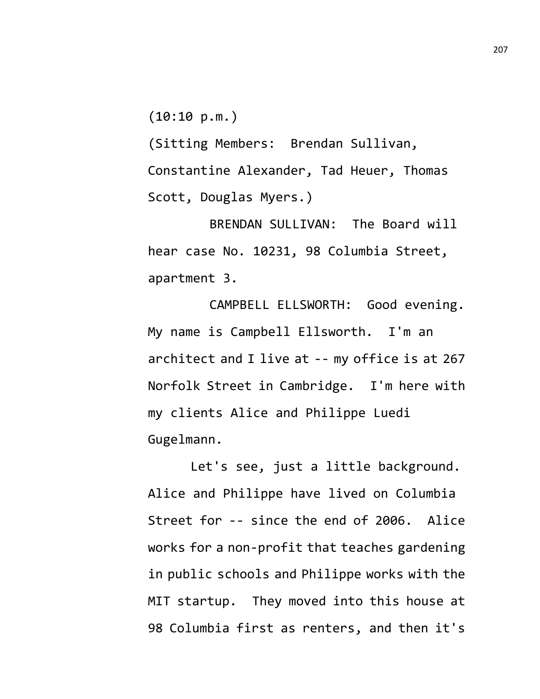$(10:10 p.m.)$ 

(Sitting Members: Brendan Sullivan, Constantine Alexander, Tad Heuer, Thomas Scott, Douglas Myers.)

BRENDAN SULLIVAN: The Board will hear case No. 10231, 98 Columbia Street, apartment 3.

CAMPBELL ELLSWORTH: Good evening. My name is Campbell Ellsworth. I'm an architect and I live at -- my office is at 267 Norfolk Street in Cambridge. I'm here with my clients Alice and Philippe Luedi Gugelmann.

Let's see, just a little background. Alice and Philippe have lived on Columbia Street for -- since the end of 2006. Alice works for a non-profit that teaches gardening in public schools and Philippe works with the MIT startup. They moved into this house at 98 Columbia first as renters, and then it's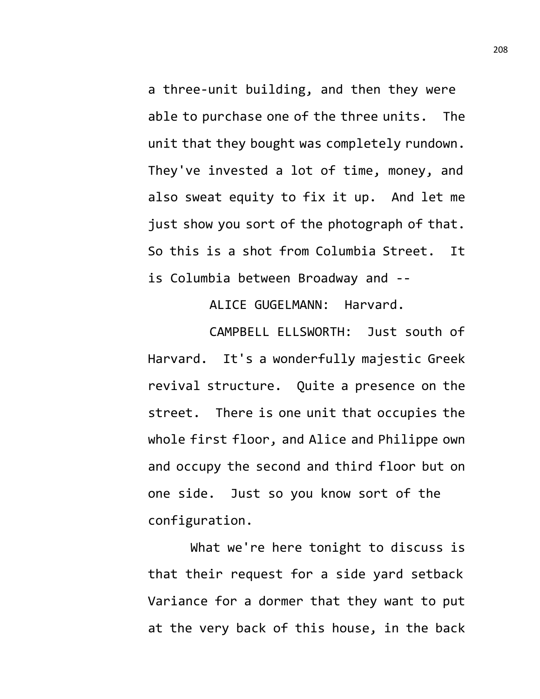a three-unit building, and then they were able to purchase one of the three units. The unit that they bought was completely rundown. They've invested a lot of time, money, and also sweat equity to fix it up. And let me just show you sort of the photograph of that. So this is a shot from Columbia Street. It is Columbia between Broadway and --

ALICE GUGELMANN: Harvard.

CAMPBELL ELLSWORTH: Just south of Harvard. It's a wonderfully majestic Greek revival structure. Quite a presence on the street. There is one unit that occupies the whole first floor, and Alice and Philippe own and occupy the second and third floor but on one side. Just so you know sort of the configuration.

What we're here tonight to discuss is that their request for a side yard setback Variance for a dormer that they want to put at the very back of this house, in the back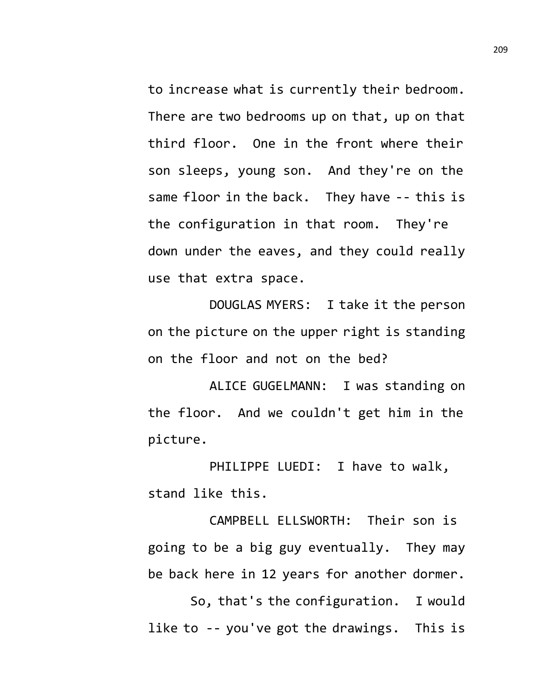to increase what is currently their bedroom. There are two bedrooms up on that, up on that third floor. One in the front where their son sleeps, young son. And they're on the same floor in the back. They have -- this is the configuration in that room. They're down under the eaves, and they could really use that extra space.

DOUGLAS MYERS: I take it the person on the picture on the upper right is standing on the floor and not on the bed?

ALICE GUGELMANN: I was standing on the floor. And we couldn't get him in the picture.

PHILIPPE LUEDI: I have to walk, stand like this.

CAMPBELL ELLSWORTH: Their son is going to be a big guy eventually. They may be back here in 12 years for another dormer.

So, that's the configuration. I would like to -- you've got the drawings. This is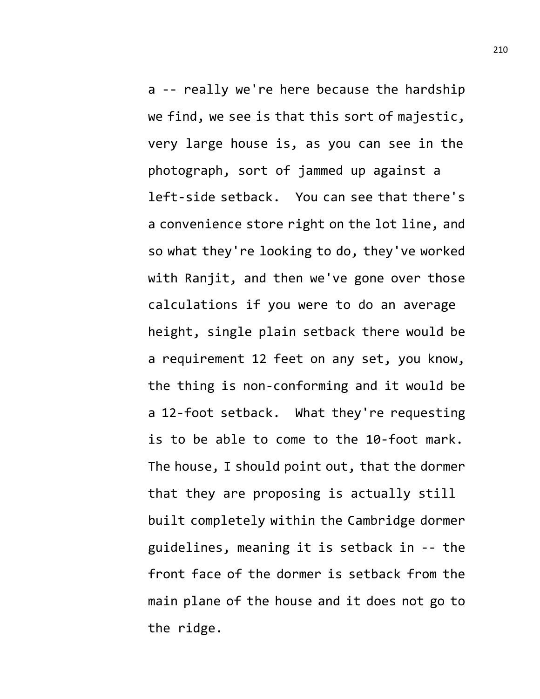a -- really we're here because the hardship we find, we see is that this sort of majestic, very large house is, as you can see in the photograph, sort of jammed up against a left-side setback. You can see that there's a convenience store right on the lot line, and so what they're looking to do, they've worked with Ranjit, and then we've gone over those calculations if you were to do an average height, single plain setback there would be a requirement 12 feet on any set, you know, the thing is non-conforming and it would be a 12-foot setback. What they're requesting is to be able to come to the 10-foot mark. The house, I should point out, that the dormer that they are proposing is actually still built completely within the Cambridge dormer guidelines, meaning it is setback in -- the front face of the dormer is setback from the main plane of the house and it does not go to the ridge.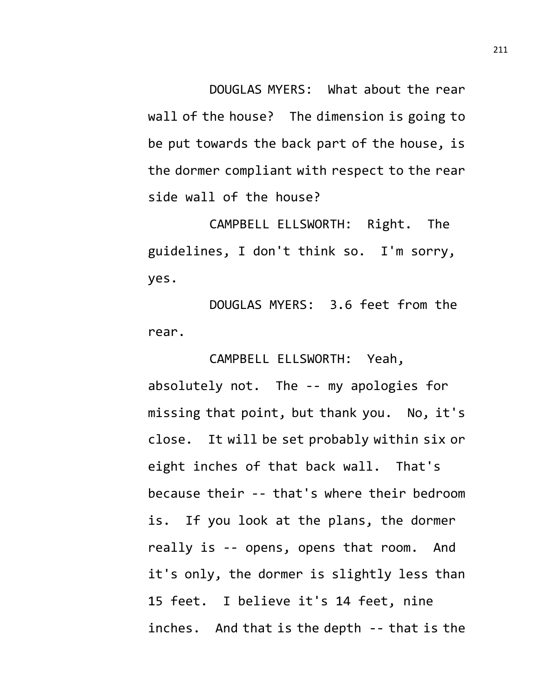DOUGLAS MYERS: What about the rear wall of the house? The dimension is going to be put towards the back part of the house, is the dormer compliant with respect to the rear side wall of the house?

CAMPBELL ELLSWORTH: Right. The guidelines, I don't think so. I'm sorry, yes.

DOUGLAS MYERS: 3.6 feet from the rear.

CAMPBELL ELLSWORTH: Yeah, absolutely not. The -- my apologies for missing that point, but thank you. No, it's close. It will be set probably within six or eight inches of that back wall. That's because their -- that's where their bedroom is. If you look at the plans, the dormer really is -- opens, opens that room. And it's only, the dormer is slightly less than 15 feet. I believe it's 14 feet, nine inches. And that is the depth -- that is the 211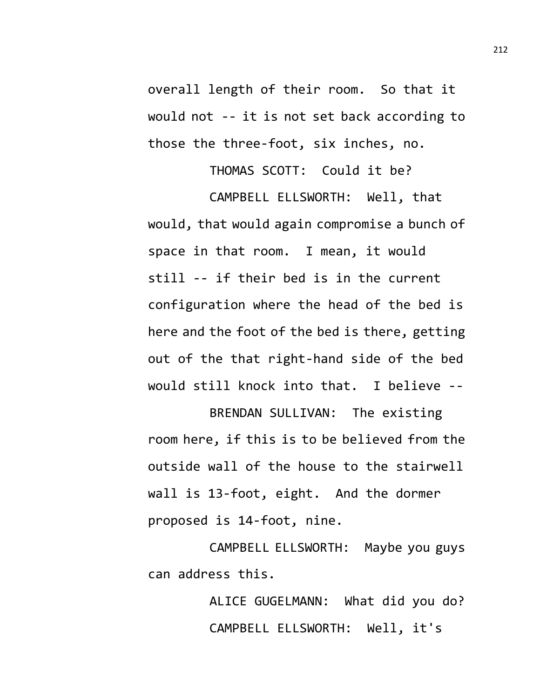overall length of their room. So that it would not -- it is not set back according to those the three-foot, six inches, no.

THOMAS SCOTT: Could it be? CAMPBELL ELLSWORTH: Well, that would, that would again compromise a bunch of space in that room. I mean, it would still -- if their bed is in the current configuration where the head of the bed is here and the foot of the bed is there, getting out of the that right-hand side of the bed would still knock into that. I believe --

BRENDAN SULLIVAN: The existing room here, if this is to be believed from the outside wall of the house to the stairwell wall is 13-foot, eight. And the dormer proposed is 14-foot, nine.

CAMPBELL ELLSWORTH: Maybe you guys can address this.

> ALICE GUGELMANN: What did you do? CAMPBELL ELLSWORTH: Well, it's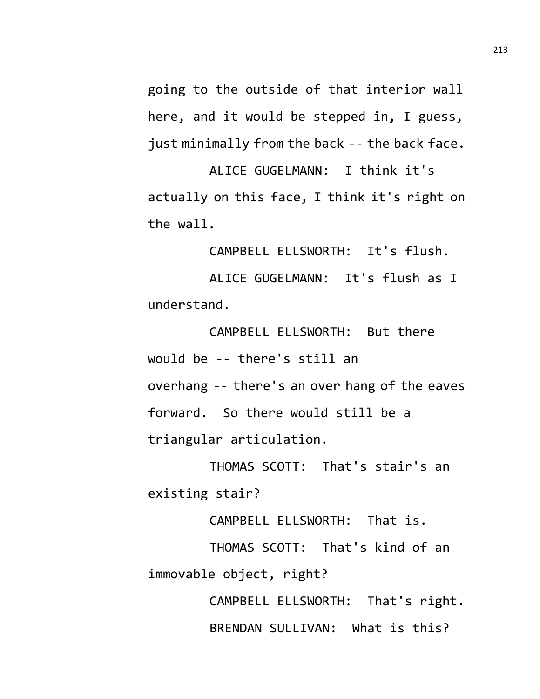going to the outside of that interior wall here, and it would be stepped in, I guess, just minimally from the back -- the back face.

ALICE GUGELMANN: I think it's actually on this face, I think it's right on the wall.

CAMPBELL ELLSWORTH: It's flush.

ALICE GUGELMANN: It's flush as I understand.

CAMPBELL ELLSWORTH: But there would be -- there's still an overhang -- there's an over hang of the eaves forward. So there would still be a triangular articulation.

THOMAS SCOTT: That's stair's an existing stair?

CAMPBELL ELLSWORTH: That is.

THOMAS SCOTT: That's kind of an immovable object, right?

> CAMPBELL ELLSWORTH: That's right. BRENDAN SULLIVAN: What is this?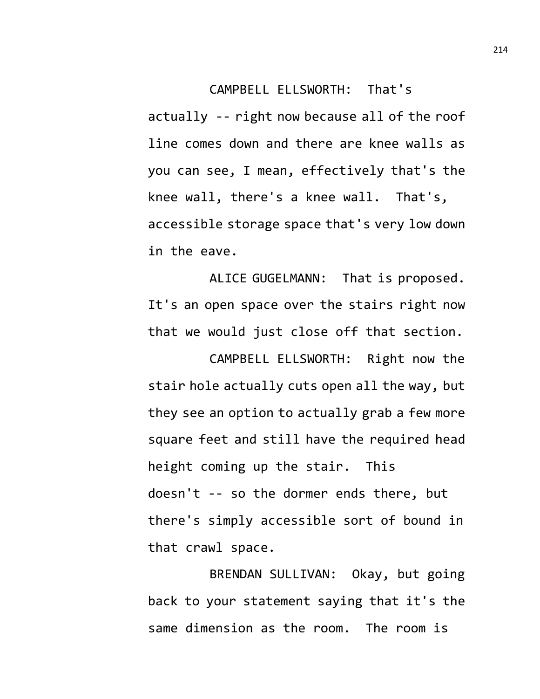CAMPBELL ELLSWORTH: That's actually -- right now because all of the roof line comes down and there are knee walls as you can see, I mean, effectively that's the knee wall, there's a knee wall. That's, accessible storage space that's very low down in the eave.

ALICE GUGELMANN: That is proposed. It's an open space over the stairs right now that we would just close off that section.

CAMPBELL ELLSWORTH: Right now the stair hole actually cuts open all the way, but they see an option to actually grab a few more square feet and still have the required head height coming up the stair. This doesn't -- so the dormer ends there, but there's simply accessible sort of bound in that crawl space.

BRENDAN SULLIVAN: Okay, but going back to your statement saying that it's the same dimension as the room. The room is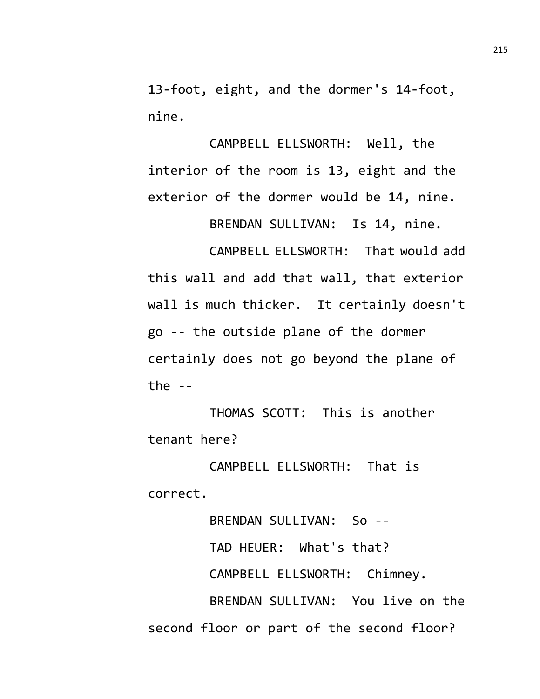13-foot, eight, and the dormer's 14-foot, nine.

CAMPBELL ELLSWORTH: Well, the interior of the room is 13, eight and the exterior of the dormer would be 14, nine.

BRENDAN SULLIVAN: Is 14, nine.

CAMPBELL ELLSWORTH: That would add this wall and add that wall, that exterior wall is much thicker. It certainly doesn't go -- the outside plane of the dormer certainly does not go beyond the plane of the  $-$ 

THOMAS SCOTT: This is another tenant here?

CAMPBELL ELLSWORTH: That is correct.

BRENDAN SULLIVAN: So -- TAD HEUER: What's that? CAMPBELL ELLSWORTH: Chimney. BRENDAN SULLIVAN: You live on the second floor or part of the second floor?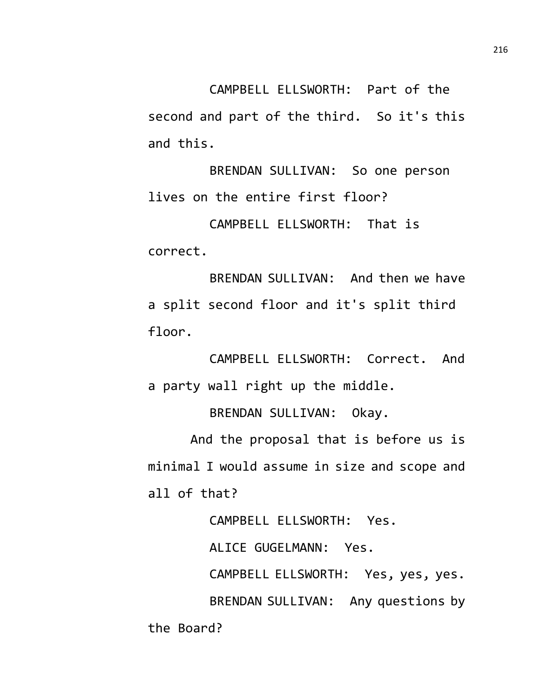CAMPBELL ELLSWORTH: Part of the second and part of the third. So it's this and this.

BRENDAN SULLIVAN: So one person lives on the entire first floor?

CAMPBELL ELLSWORTH: That is correct.

BRENDAN SULLIVAN: And then we have a split second floor and it's split third floor.

CAMPBELL ELLSWORTH: Correct. And a party wall right up the middle.

BRENDAN SULLIVAN: Okay.

And the proposal that is before us is minimal I would assume in size and scope and all of that?

CAMPBELL ELLSWORTH: Yes.

ALICE GUGELMANN: Yes.

CAMPBELL ELLSWORTH: Yes, yes, yes.

BRENDAN SULLIVAN: Any questions by the Board?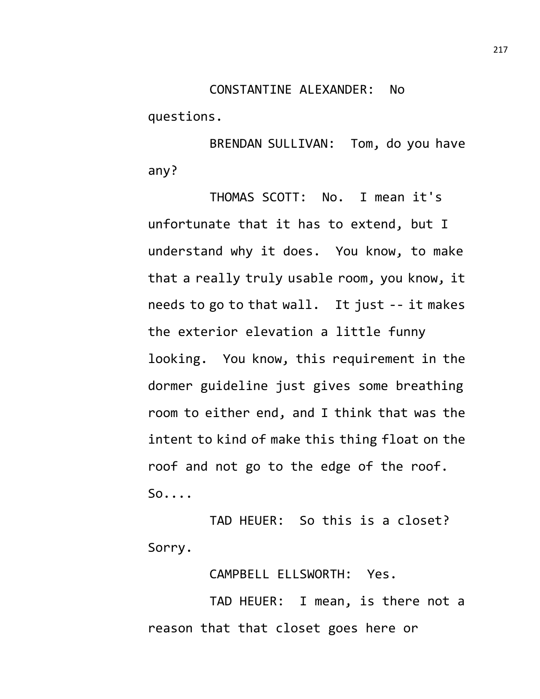questions.

BRENDAN SULLIVAN: Tom, do you have any?

THOMAS SCOTT: No. I mean it's unfortunate that it has to extend, but I understand why it does. You know, to make that a really truly usable room, you know, it needs to go to that wall. It just -- it makes the exterior elevation a little funny looking. You know, this requirement in the dormer guideline just gives some breathing room to either end, and I think that was the intent to kind of make this thing float on the roof and not go to the edge of the roof. So....

TAD HEUER: So this is a closet? Sorry.

CAMPBELL ELLSWORTH: Yes.

TAD HEUER: I mean, is there not a reason that that closet goes here or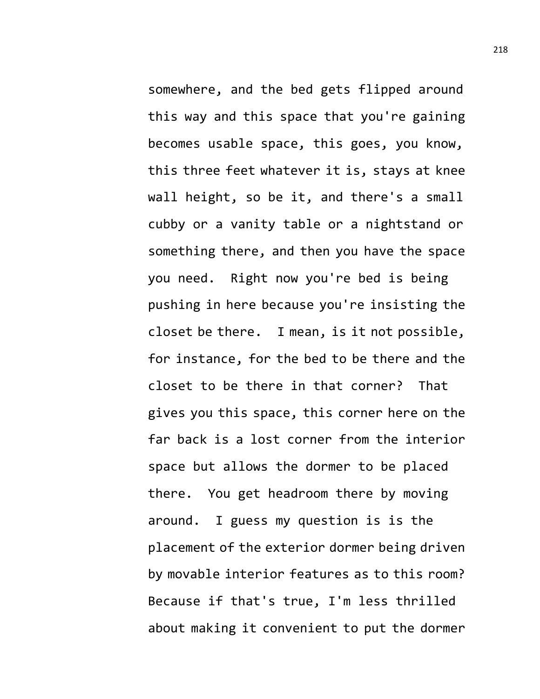somewhere, and the bed gets flipped around this way and this space that you're gaining becomes usable space, this goes, you know, this three feet whatever it is, stays at knee wall height, so be it, and there's a small cubby or a vanity table or a nightstand or something there, and then you have the space you need. Right now you're bed is being pushing in here because you're insisting the closet be there. I mean, is it not possible, for instance, for the bed to be there and the closet to be there in that corner? That gives you this space, this corner here on the far back is a lost corner from the interior space but allows the dormer to be placed there. You get headroom there by moving around. I guess my question is is the placement of the exterior dormer being driven by movable interior features as to this room? Because if that's true, I'm less thrilled about making it convenient to put the dormer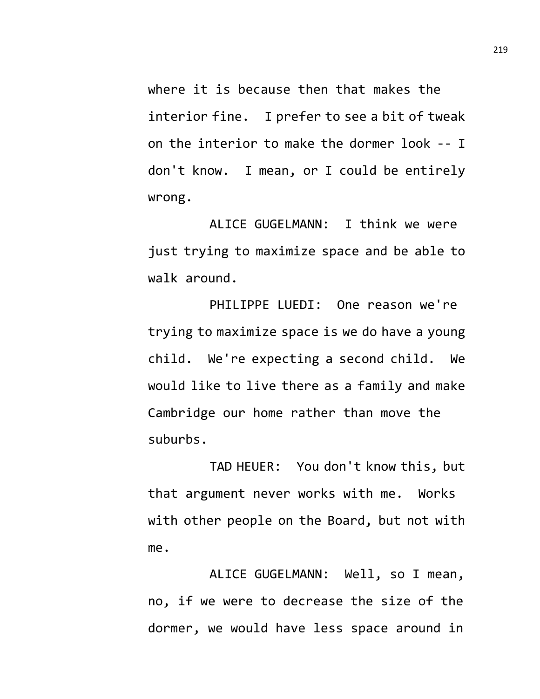where it is because then that makes the interior fine. I prefer to see a bit of tweak on the interior to make the dormer look -- I don't know. I mean, or I could be entirely wrong.

ALICE GUGELMANN: I think we were just trying to maximize space and be able to walk around.

PHILIPPE LUEDI: One reason we're trying to maximize space is we do have a young child. We're expecting a second child. We would like to live there as a family and make Cambridge our home rather than move the suburbs.

TAD HEUER: You don't know this, but that argument never works with me. Works with other people on the Board, but not with me.

ALICE GUGELMANN: Well, so I mean, no, if we were to decrease the size of the dormer, we would have less space around in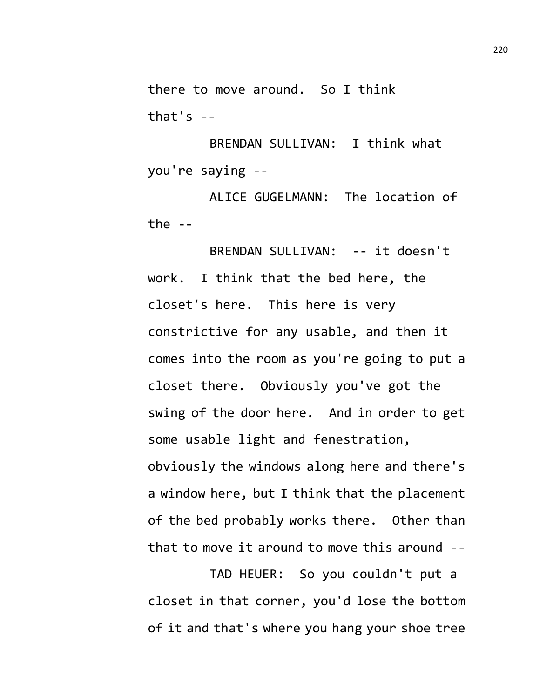there to move around. So I think that's  $-$ 

BRENDAN SULLIVAN: I think what you're saying --

ALICE GUGELMANN: The location of the  $--$ 

BRENDAN SULLIVAN: -- it doesn't work. I think that the bed here, the closet's here. This here is very constrictive for any usable, and then it comes into the room as you're going to put a closet there. Obviously you've got the swing of the door here. And in order to get some usable light and fenestration, obviously the windows along here and there's a window here, but I think that the placement of the bed probably works there. Other than that to move it around to move this around --

TAD HEUER: So you couldn't put a closet in that corner, you'd lose the bottom of it and that's where you hang your shoe tree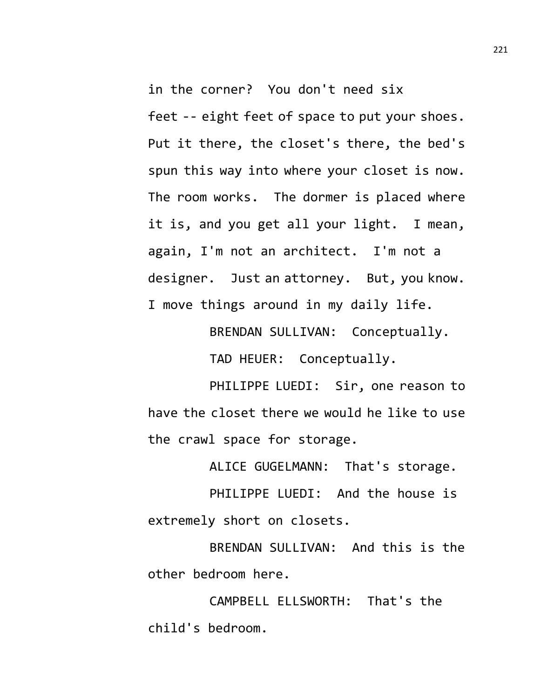in the corner? You don't need six feet -- eight feet of space to put your shoes. Put it there, the closet's there, the bed's spun this way into where your closet is now. The room works. The dormer is placed where it is, and you get all your light. I mean, again, I'm not an architect. I'm not a designer. Just an attorney. But, you know. I move things around in my daily life.

BRENDAN SULLIVAN: Conceptually.

TAD HEUER: Conceptually.

PHILIPPE LUEDI: Sir, one reason to have the closet there we would he like to use the crawl space for storage.

ALICE GUGELMANN: That's storage.

PHILIPPE LUEDI: And the house is extremely short on closets.

BRENDAN SULLIVAN: And this is the other bedroom here.

CAMPBELL ELLSWORTH: That's the child's bedroom.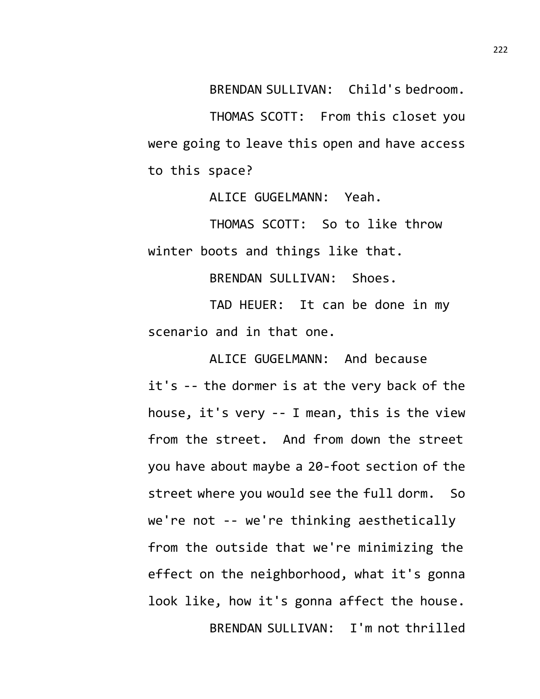BRENDAN SULLIVAN: Child's bedroom.

THOMAS SCOTT: From this closet you were going to leave this open and have access to this space?

ALICE GUGELMANN: Yeah.

THOMAS SCOTT: So to like throw winter boots and things like that.

BRENDAN SULLIVAN: Shoes.

TAD HEUER: It can be done in my scenario and in that one.

ALICE GUGELMANN: And because it's -- the dormer is at the very back of the house, it's very -- I mean, this is the view from the street. And from down the street you have about maybe a 20-foot section of the street where you would see the full dorm. So we're not -- we're thinking aesthetically from the outside that we're minimizing the effect on the neighborhood, what it's gonna look like, how it's gonna affect the house. BRENDAN SULLIVAN: I'm not thrilled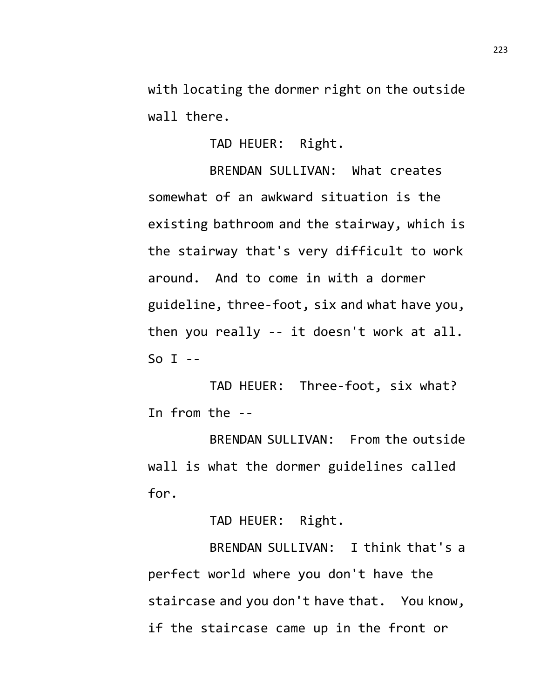with locating the dormer right on the outside wall there.

TAD HEUER: Right.

BRENDAN SULLIVAN: What creates somewhat of an awkward situation is the existing bathroom and the stairway, which is the stairway that's very difficult to work around. And to come in with a dormer guideline, three-foot, six and what have you, then you really -- it doesn't work at all. So  $I$  --

TAD HEUER: Three-foot, six what? In from the --

BRENDAN SULLIVAN: From the outside wall is what the dormer guidelines called for.

TAD HEUER: Right.

BRENDAN SULLIVAN: I think that's a perfect world where you don't have the staircase and you don't have that. You know, if the staircase came up in the front or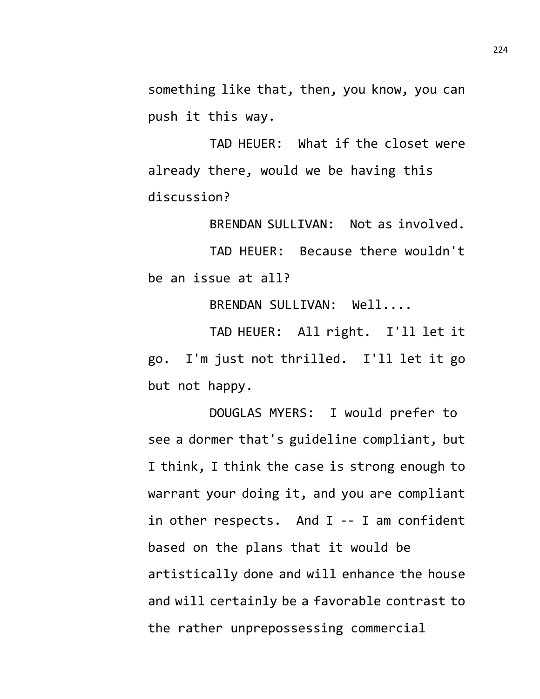something like that, then, you know, you can push it this way.

TAD HEUER: What if the closet were already there, would we be having this discussion?

BRENDAN SULLIVAN: Not as involved.

TAD HEUER: Because there wouldn't be an issue at all?

BRENDAN SULLIVAN: Well....

TAD HEUER: All right. I'll let it go. I'm just not thrilled. I'll let it go but not happy.

DOUGLAS MYERS: I would prefer to see a dormer that's guideline compliant, but I think, I think the case is strong enough to warrant your doing it, and you are compliant in other respects. And I -- I am confident based on the plans that it would be artistically done and will enhance the house and will certainly be a favorable contrast to the rather unprepossessing commercial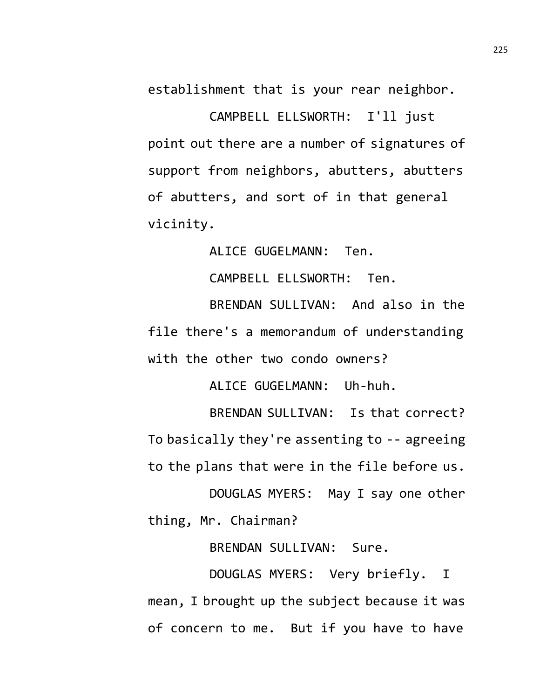establishment that is your rear neighbor.

CAMPBELL ELLSWORTH: I'll just point out there are a number of signatures of support from neighbors, abutters, abutters of abutters, and sort of in that general vicinity.

ALICE GUGELMANN: Ten.

CAMPBELL ELLSWORTH: Ten.

BRENDAN SULLIVAN: And also in the file there's a memorandum of understanding with the other two condo owners?

ALICE GUGELMANN: Uh-huh.

BRENDAN SULLIVAN: Is that correct? To basically they're assenting to -- agreeing to the plans that were in the file before us.

DOUGLAS MYERS: May I say one other thing, Mr. Chairman?

BRENDAN SULLIVAN: Sure.

DOUGLAS MYERS: Very briefly. I mean, I brought up the subject because it was of concern to me. But if you have to have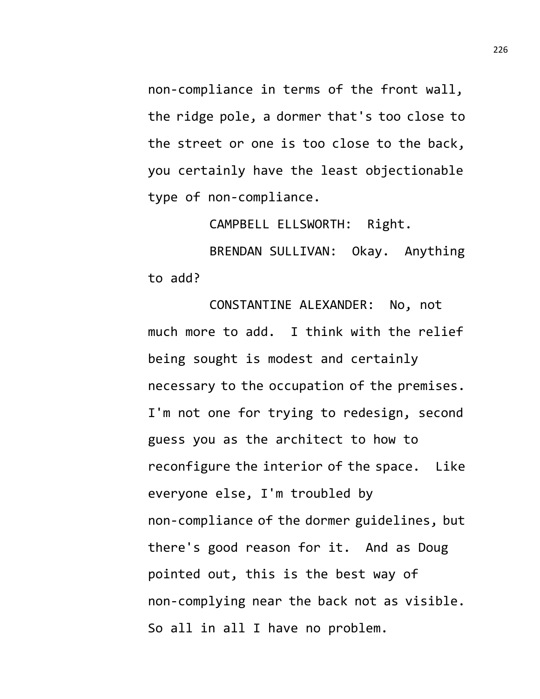non-compliance in terms of the front wall, the ridge pole, a dormer that's too close to the street or one is too close to the back, you certainly have the least objectionable type of non-compliance.

CAMPBELL ELLSWORTH: Right.

BRENDAN SULLIVAN: Okay. Anything to add?

CONSTANTINE ALEXANDER: No, not much more to add. I think with the relief being sought is modest and certainly necessary to the occupation of the premises. I'm not one for trying to redesign, second guess you as the architect to how to reconfigure the interior of the space. Like everyone else, I'm troubled by non-compliance of the dormer guidelines, but there's good reason for it. And as Doug pointed out, this is the best way of non-complying near the back not as visible. So all in all I have no problem.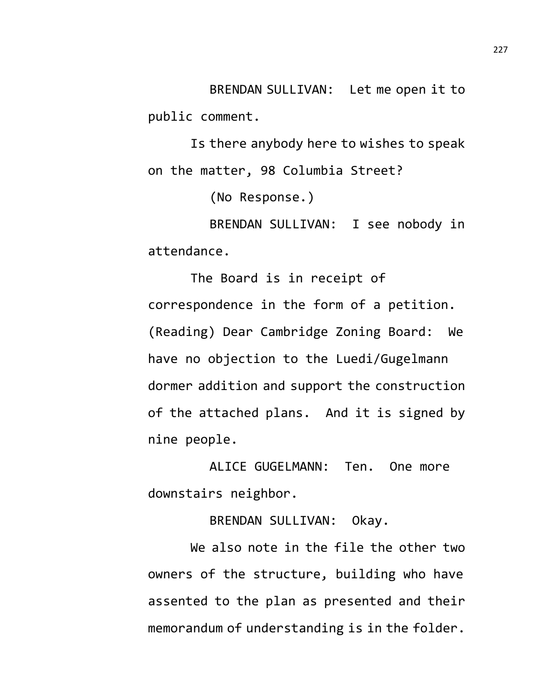BRENDAN SULLIVAN: Let me open it to public comment.

Is there anybody here to wishes to speak on the matter, 98 Columbia Street?

(No Response.)

BRENDAN SULLIVAN: I see nobody in attendance.

The Board is in receipt of correspondence in the form of a petition. (Reading) Dear Cambridge Zoning Board: We have no objection to the Luedi/Gugelmann dormer addition and support the construction of the attached plans. And it is signed by nine people.

ALICE GUGELMANN: Ten. One more downstairs neighbor.

BRENDAN SULLIVAN: Okay.

We also note in the file the other two owners of the structure, building who have assented to the plan as presented and their memorandum of understanding is in the folder.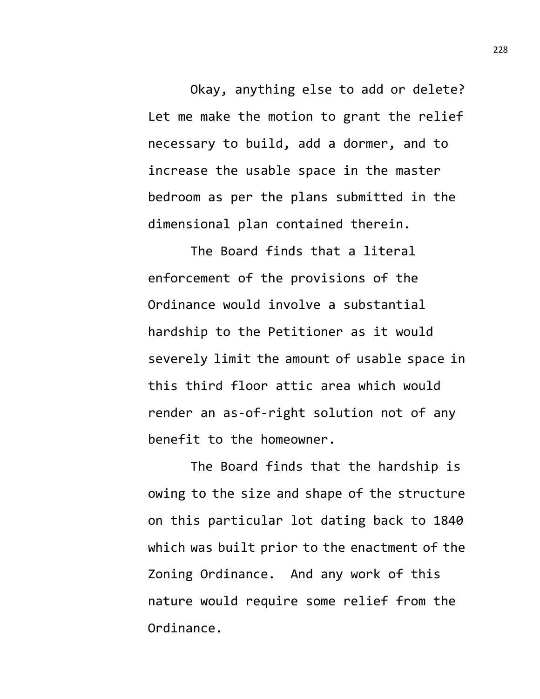Okay, anything else to add or delete? Let me make the motion to grant the relief necessary to build, add a dormer, and to increase the usable space in the master bedroom as per the plans submitted in the dimensional plan contained therein.

The Board finds that a literal enforcement of the provisions of the Ordinance would involve a substantial hardship to the Petitioner as it would severely limit the amount of usable space in this third floor attic area which would render an as-of-right solution not of any benefit to the homeowner.

The Board finds that the hardship is owing to the size and shape of the structure on this particular lot dating back to 1840 which was built prior to the enactment of the Zoning Ordinance. And any work of this nature would require some relief from the Ordinance.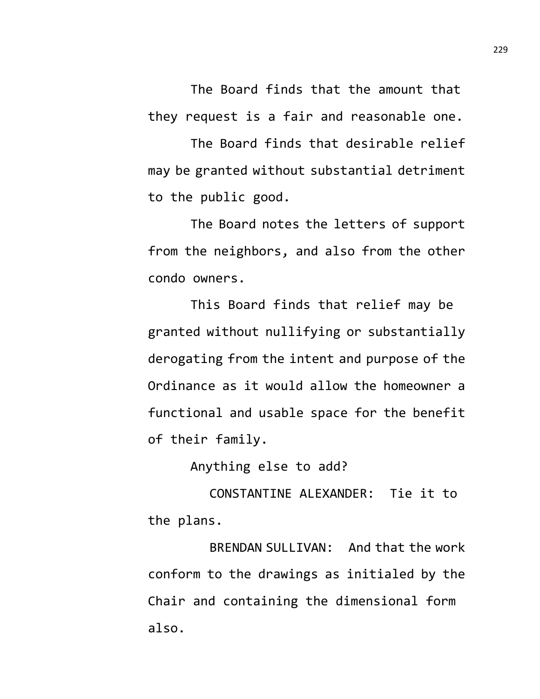The Board finds that the amount that they request is a fair and reasonable one.

The Board finds that desirable relief may be granted without substantial detriment to the public good.

The Board notes the letters of support from the neighbors, and also from the other condo owners.

This Board finds that relief may be granted without nullifying or substantially derogating from the intent and purpose of the Ordinance as it would allow the homeowner a functional and usable space for the benefit of their family.

Anything else to add?

CONSTANTINE ALEXANDER: Tie it to the plans.

BRENDAN SULLIVAN: And that the work conform to the drawings as initialed by the Chair and containing the dimensional form also.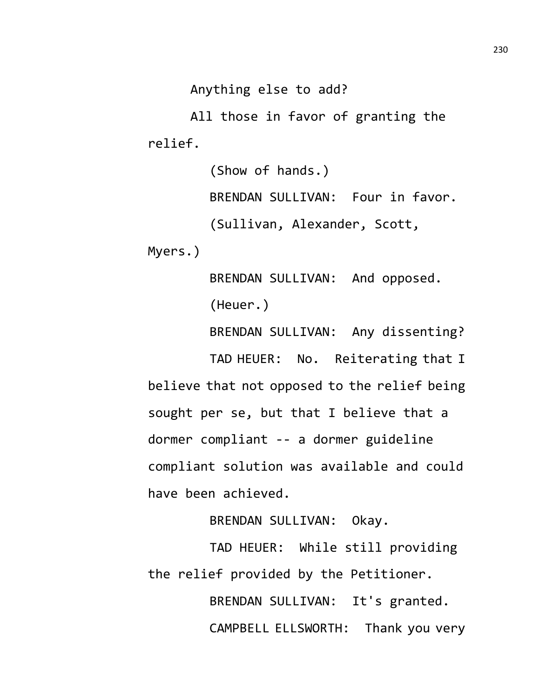Anything else to add?

All those in favor of granting the relief.

> (Show of hands.) BRENDAN SULLIVAN: Four in favor. (Sullivan, Alexander, Scott,

Myers.)

BRENDAN SULLIVAN: And opposed. (Heuer.)

BRENDAN SULLIVAN: Any dissenting?

TAD HEUER: No. Reiterating that I believe that not opposed to the relief being sought per se, but that I believe that a dormer compliant -- a dormer guideline compliant solution was available and could have been achieved.

BRENDAN SULLIVAN: Okay.

TAD HEUER: While still providing the relief provided by the Petitioner.

> BRENDAN SULLIVAN: It's granted. CAMPBELL ELLSWORTH: Thank you very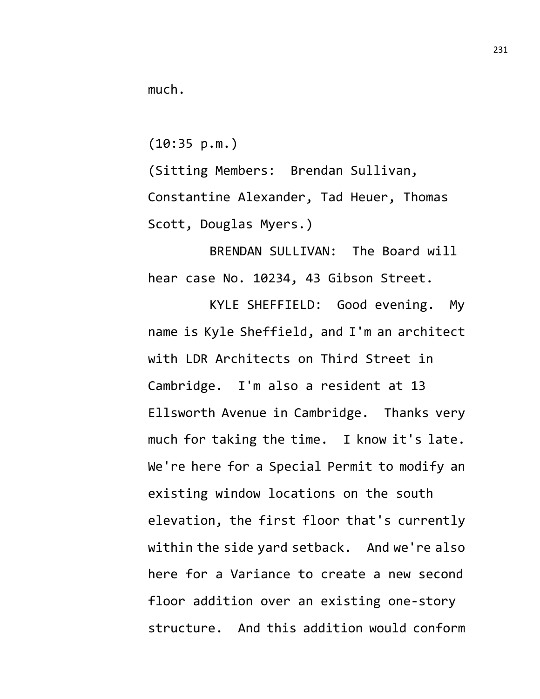much.

(10:35 p.m.)

(Sitting Members: Brendan Sullivan, Constantine Alexander, Tad Heuer, Thomas Scott, Douglas Myers.)

BRENDAN SULLIVAN: The Board will hear case No. 10234, 43 Gibson Street.

KYLE SHEFFIELD: Good evening. My name is Kyle Sheffield, and I'm an architect with LDR Architects on Third Street in Cambridge. I'm also a resident at 13 Ellsworth Avenue in Cambridge. Thanks very much for taking the time. I know it's late. We're here for a Special Permit to modify an existing window locations on the south elevation, the first floor that's currently within the side yard setback. And we're also here for a Variance to create a new second floor addition over an existing one-story structure. And this addition would conform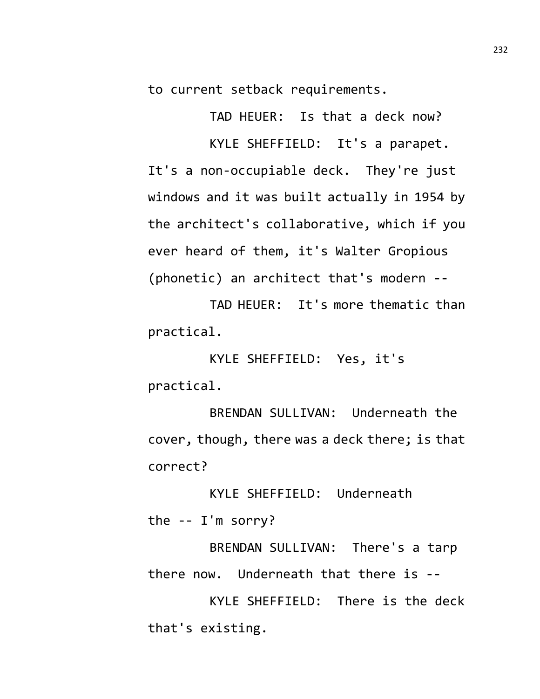to current setback requirements.

TAD HEUER: Is that a deck now? KYLE SHEFFIELD: It's a parapet. It's a non-occupiable deck. They're just windows and it was built actually in 1954 by the architect's collaborative, which if you ever heard of them, it's Walter Gropious (phonetic) an architect that's modern --

TAD HEUER: It's more thematic than practical.

KYLE SHEFFIELD: Yes, it's practical.

BRENDAN SULLIVAN: Underneath the cover, though, there was a deck there; is that correct?

KYLE SHEFFIELD: Underneath the -- I'm sorry?

BRENDAN SULLIVAN: There's a tarp there now. Underneath that there is --

KYLE SHEFFIELD: There is the deck that's existing.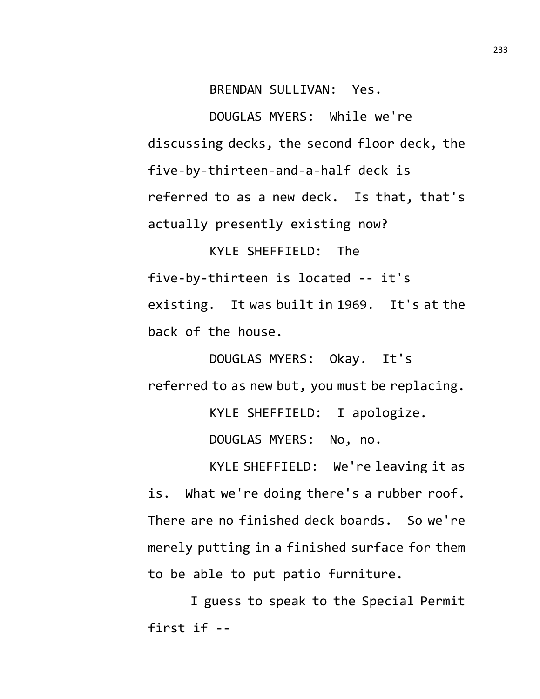BRENDAN SULLIVAN: Yes.

DOUGLAS MYERS: While we're discussing decks, the second floor deck, the five-by-thirteen-and-a-half deck is referred to as a new deck. Is that, that's actually presently existing now?

KYLE SHEFFIELD: The five-by-thirteen is located -- it's existing. It was built in 1969. It's at the back of the house.

DOUGLAS MYERS: Okay. It's referred to as new but, you must be replacing. KYLE SHEFFIELD: I apologize. DOUGLAS MYERS: No, no.

KYLE SHEFFIELD: We're leaving it as is. What we're doing there's a rubber roof. There are no finished deck boards. So we're merely putting in a finished surface for them to be able to put patio furniture.

I guess to speak to the Special Permit first if --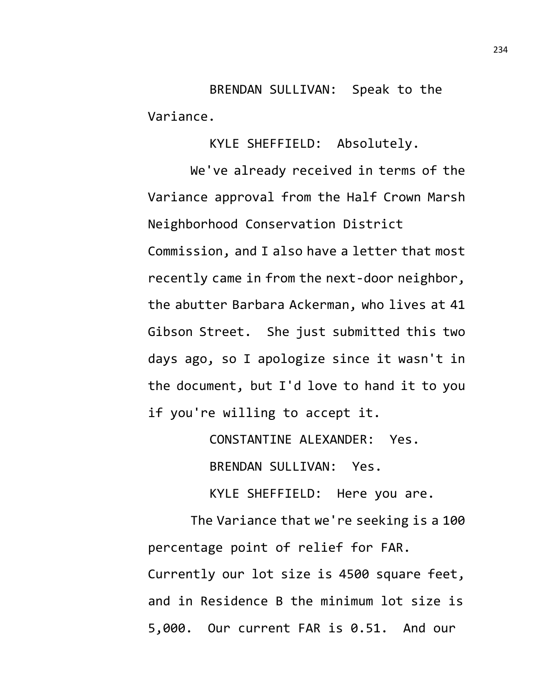BRENDAN SULLIVAN: Speak to the Variance.

KYLE SHEFFIELD: Absolutely.

We've already received in terms of the Variance approval from the Half Crown Marsh Neighborhood Conservation District Commission, and I also have a letter that most recently came in from the next-door neighbor, the abutter Barbara Ackerman, who lives at 41 Gibson Street. She just submitted this two days ago, so I apologize since it wasn't in the document, but I'd love to hand it to you if you're willing to accept it.

CONSTANTINE ALEXANDER: Yes.

BRENDAN SULLIVAN: Yes.

KYLE SHEFFIELD: Here you are.

The Variance that we're seeking is a 100 percentage point of relief for FAR. Currently our lot size is 4500 square feet, and in Residence B the minimum lot size is 5,000. Our current FAR is 0.51. And our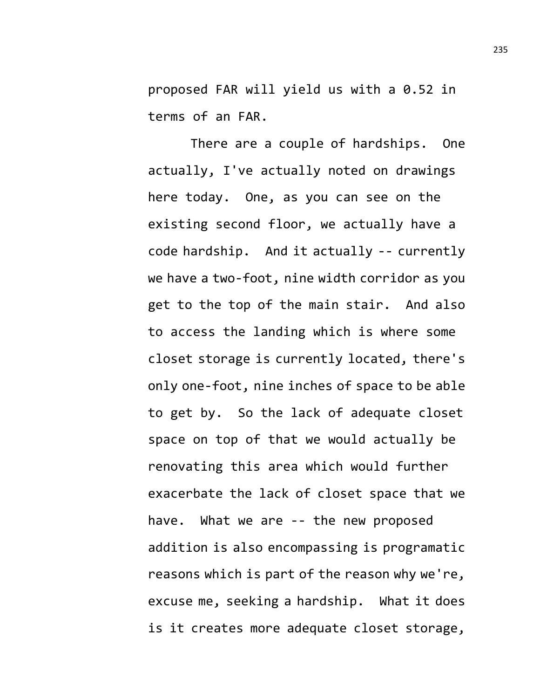proposed FAR will yield us with a 0.52 in terms of an FAR.

There are a couple of hardships. One actually, I've actually noted on drawings here today. One, as you can see on the existing second floor, we actually have a code hardship. And it actually -- currently we have a two-foot, nine width corridor as you get to the top of the main stair. And also to access the landing which is where some closet storage is currently located, there's only one-foot, nine inches of space to be able to get by. So the lack of adequate closet space on top of that we would actually be renovating this area which would further exacerbate the lack of closet space that we have. What we are -- the new proposed addition is also encompassing is programatic reasons which is part of the reason why we're, excuse me, seeking a hardship. What it does is it creates more adequate closet storage,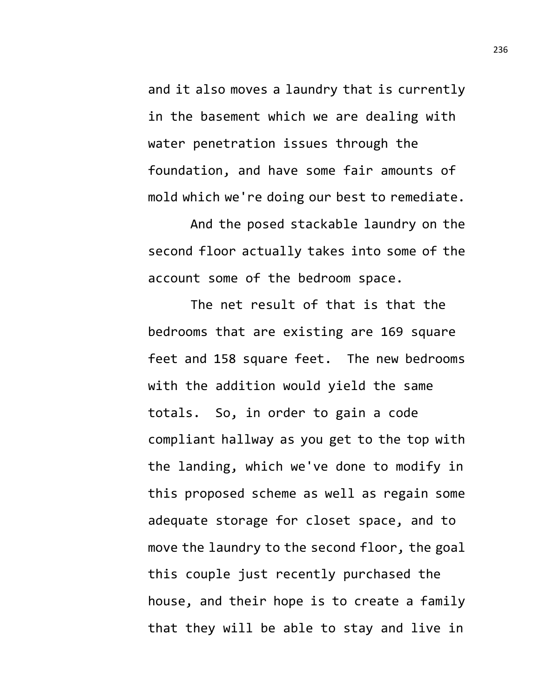and it also moves a laundry that is currently in the basement which we are dealing with water penetration issues through the foundation, and have some fair amounts of mold which we're doing our best to remediate.

And the posed stackable laundry on the second floor actually takes into some of the account some of the bedroom space.

The net result of that is that the bedrooms that are existing are 169 square feet and 158 square feet. The new bedrooms with the addition would yield the same totals. So, in order to gain a code compliant hallway as you get to the top with the landing, which we've done to modify in this proposed scheme as well as regain some adequate storage for closet space, and to move the laundry to the second floor, the goal this couple just recently purchased the house, and their hope is to create a family that they will be able to stay and live in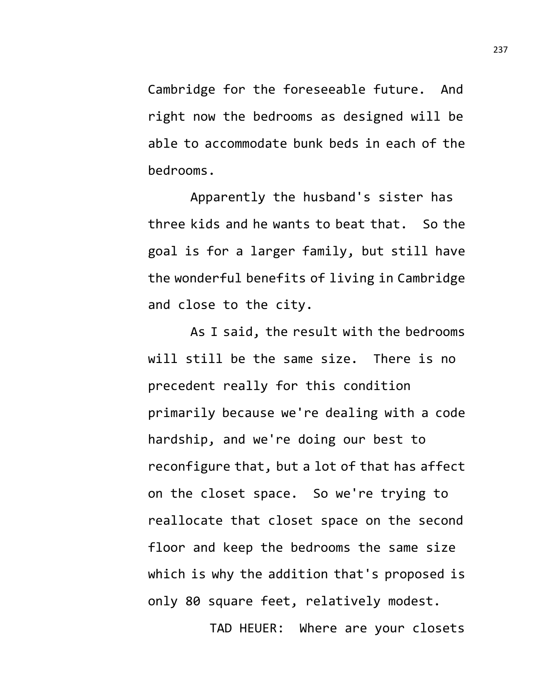Cambridge for the foreseeable future. And right now the bedrooms as designed will be able to accommodate bunk beds in each of the bedrooms.

Apparently the husband's sister has three kids and he wants to beat that. So the goal is for a larger family, but still have the wonderful benefits of living in Cambridge and close to the city.

As I said, the result with the bedrooms will still be the same size. There is no precedent really for this condition primarily because we're dealing with a code hardship, and we're doing our best to reconfigure that, but a lot of that has affect on the closet space. So we're trying to reallocate that closet space on the second floor and keep the bedrooms the same size which is why the addition that's proposed is only 80 square feet, relatively modest.

TAD HEUER: Where are your closets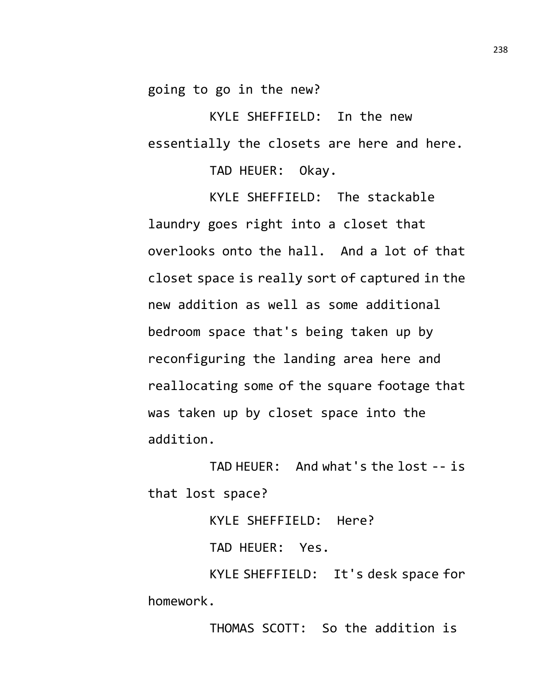going to go in the new?

KYLE SHEFFIELD: In the new essentially the closets are here and here.

TAD HEUER: Okay.

KYLE SHEFFIELD: The stackable laundry goes right into a closet that overlooks onto the hall. And a lot of that closet space is really sort of captured in the new addition as well as some additional bedroom space that's being taken up by reconfiguring the landing area here and reallocating some of the square footage that was taken up by closet space into the addition.

TAD HEUER: And what's the lost -- is that lost space?

KYLE SHEFFIELD: Here?

TAD HEUER: Yes.

KYLE SHEFFIELD: It's desk space for homework.

THOMAS SCOTT: So the addition is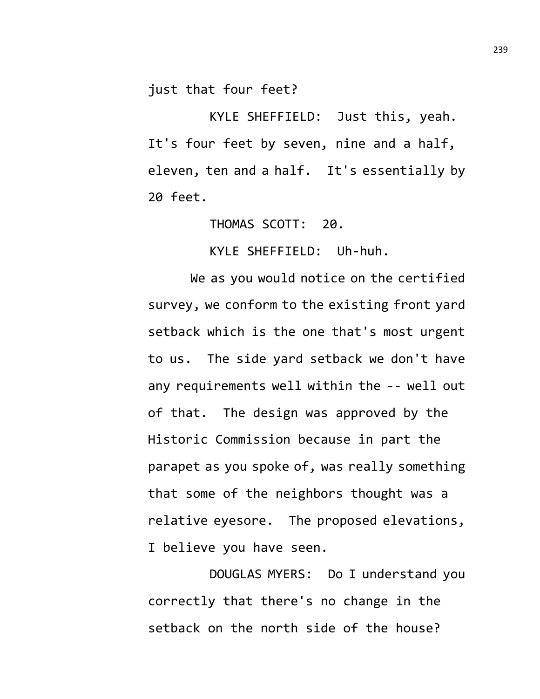just that four feet?

KYLE SHEFFIELD: Just this, yeah. It's four feet by seven, nine and a half, eleven, ten and a half. It's essentially by 20 feet.

THOMAS SCOTT: 20.

KYLE SHEFFIELD: Uh-huh.

We as you would notice on the certified survey, we conform to the existing front yard setback which is the one that's most urgent to us. The side yard setback we don't have any requirements well within the -- well out of that. The design was approved by the Historic Commission because in part the parapet as you spoke of, was really something that some of the neighbors thought was a relative eyesore. The proposed elevations, I believe you have seen.

DOUGLAS MYERS: Do I understand you correctly that there's no change in the setback on the north side of the house?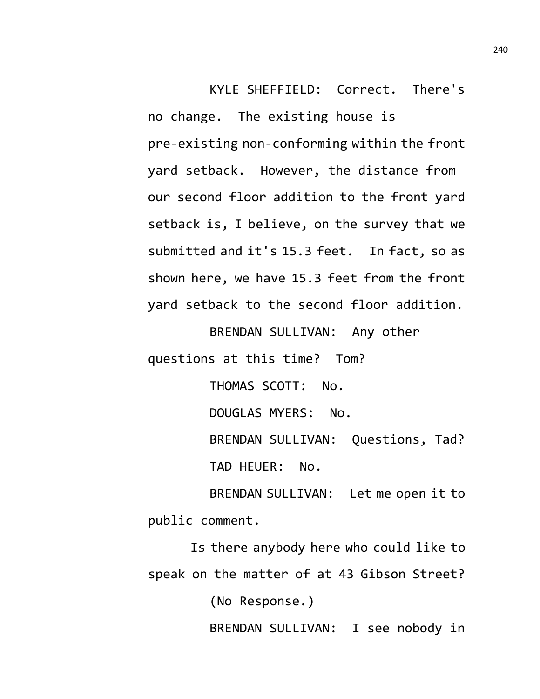KYLE SHEFFIELD: Correct. There's no change. The existing house is pre-existing non-conforming within the front yard setback. However, the distance from our second floor addition to the front yard setback is, I believe, on the survey that we submitted and it's 15.3 feet. In fact, so as shown here, we have 15.3 feet from the front yard setback to the second floor addition.

BRENDAN SULLIVAN: Any other questions at this time? Tom?

> THOMAS SCOTT: No. DOUGLAS MYERS: No. BRENDAN SULLIVAN: Questions, Tad? TAD HEUER: No.

BRENDAN SULLIVAN: Let me open it to public comment.

Is there anybody here who could like to speak on the matter of at 43 Gibson Street? (No Response.) BRENDAN SULLIVAN: I see nobody in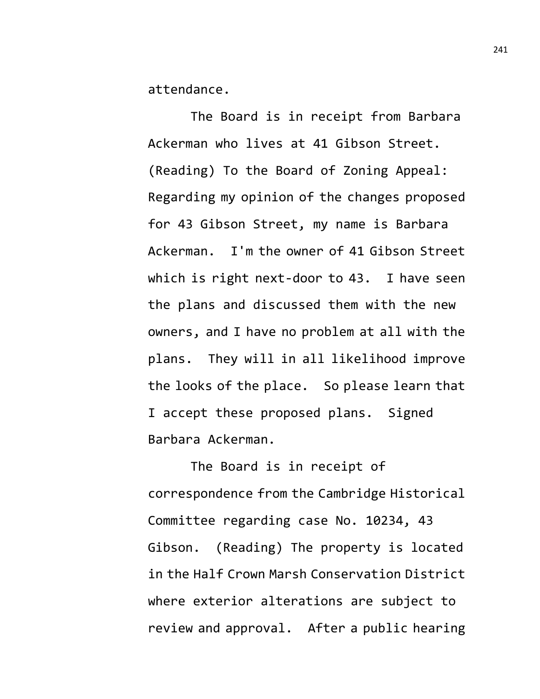attendance.

The Board is in receipt from Barbara Ackerman who lives at 41 Gibson Street. (Reading) To the Board of Zoning Appeal: Regarding my opinion of the changes proposed for 43 Gibson Street, my name is Barbara Ackerman. I'm the owner of 41 Gibson Street which is right next-door to 43. I have seen the plans and discussed them with the new owners, and I have no problem at all with the plans. They will in all likelihood improve the looks of the place. So please learn that I accept these proposed plans. Signed Barbara Ackerman.

The Board is in receipt of correspondence from the Cambridge Historical Committee regarding case No. 10234, 43 Gibson. (Reading) The property is located in the Half Crown Marsh Conservation District where exterior alterations are subject to review and approval. After a public hearing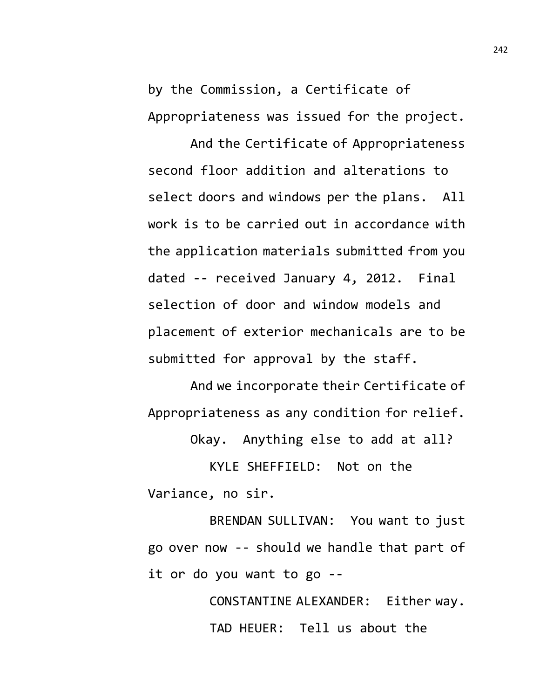by the Commission, a Certificate of Appropriateness was issued for the project.

And the Certificate of Appropriateness second floor addition and alterations to select doors and windows per the plans. All work is to be carried out in accordance with the application materials submitted from you dated -- received January 4, 2012. Final selection of door and window models and placement of exterior mechanicals are to be submitted for approval by the staff.

And we incorporate their Certificate of Appropriateness as any condition for relief.

Okay. Anything else to add at all?

KYLE SHEFFIELD: Not on the Variance, no sir.

BRENDAN SULLIVAN: You want to just go over now -- should we handle that part of it or do you want to go --

> CONSTANTINE ALEXANDER: Either way. TAD HEUER: Tell us about the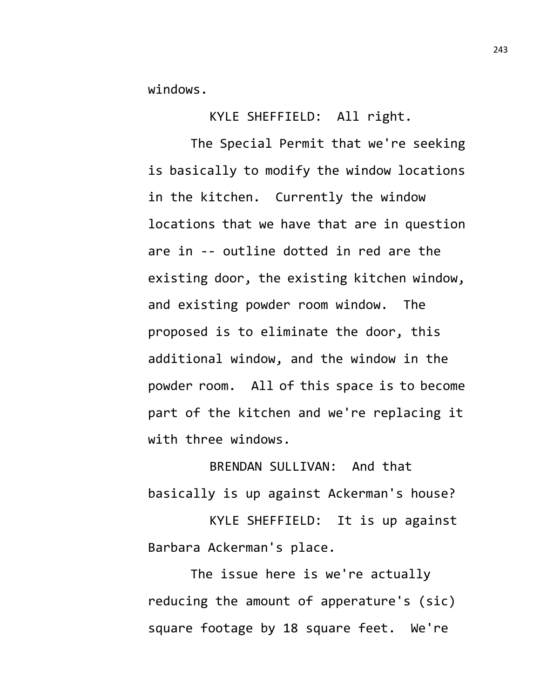windows.

KYLE SHEFFIELD: All right.

The Special Permit that we're seeking is basically to modify the window locations in the kitchen. Currently the window locations that we have that are in question are in -- outline dotted in red are the existing door, the existing kitchen window, and existing powder room window. The proposed is to eliminate the door, this additional window, and the window in the powder room. All of this space is to become part of the kitchen and we're replacing it with three windows.

BRENDAN SULLIVAN: And that basically is up against Ackerman's house?

KYLE SHEFFIELD: It is up against Barbara Ackerman's place.

The issue here is we're actually reducing the amount of apperature's (sic) square footage by 18 square feet. We're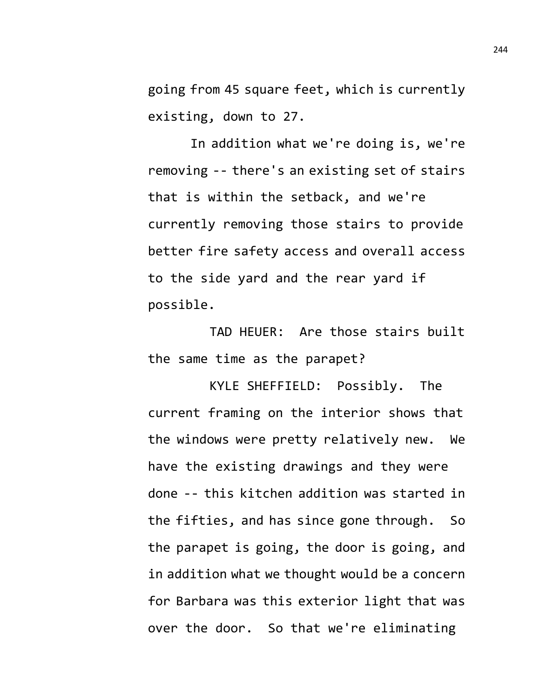going from 45 square feet, which is currently existing, down to 27.

In addition what we're doing is, we're removing -- there's an existing set of stairs that is within the setback, and we're currently removing those stairs to provide better fire safety access and overall access to the side yard and the rear yard if possible.

TAD HEUER: Are those stairs built the same time as the parapet?

KYLE SHEFFIELD: Possibly. The current framing on the interior shows that the windows were pretty relatively new. We have the existing drawings and they were done -- this kitchen addition was started in the fifties, and has since gone through. So the parapet is going, the door is going, and in addition what we thought would be a concern for Barbara was this exterior light that was over the door. So that we're eliminating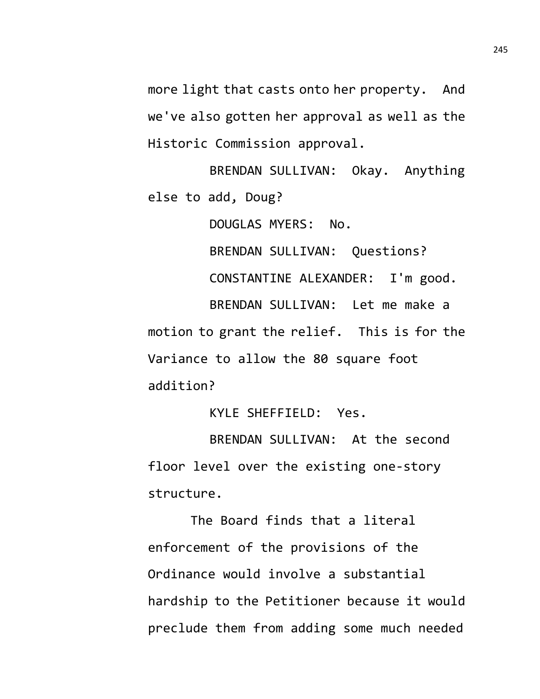more light that casts onto her property. And we've also gotten her approval as well as the Historic Commission approval.

BRENDAN SULLIVAN: Okay. Anything else to add, Doug?

DOUGLAS MYERS: No.

BRENDAN SULLIVAN: Questions? CONSTANTINE ALEXANDER: I'm good. BRENDAN SULLIVAN: Let me make a motion to grant the relief. This is for the Variance to allow the 80 square foot

addition?

KYLE SHEFFIELD: Yes.

BRENDAN SULLIVAN: At the second floor level over the existing one-story structure.

The Board finds that a literal enforcement of the provisions of the Ordinance would involve a substantial hardship to the Petitioner because it would preclude them from adding some much needed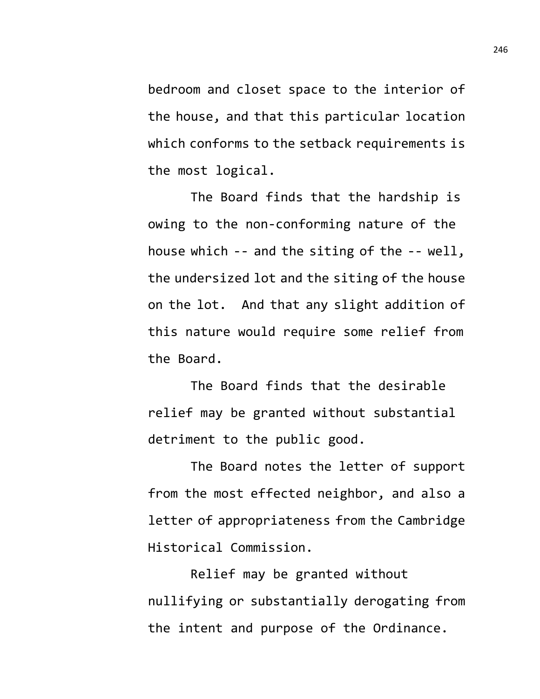bedroom and closet space to the interior of the house, and that this particular location which conforms to the setback requirements is the most logical.

The Board finds that the hardship is owing to the non-conforming nature of the house which -- and the siting of the -- well, the undersized lot and the siting of the house on the lot. And that any slight addition of this nature would require some relief from the Board.

The Board finds that the desirable relief may be granted without substantial detriment to the public good.

The Board notes the letter of support from the most effected neighbor, and also a letter of appropriateness from the Cambridge Historical Commission.

Relief may be granted without nullifying or substantially derogating from the intent and purpose of the Ordinance.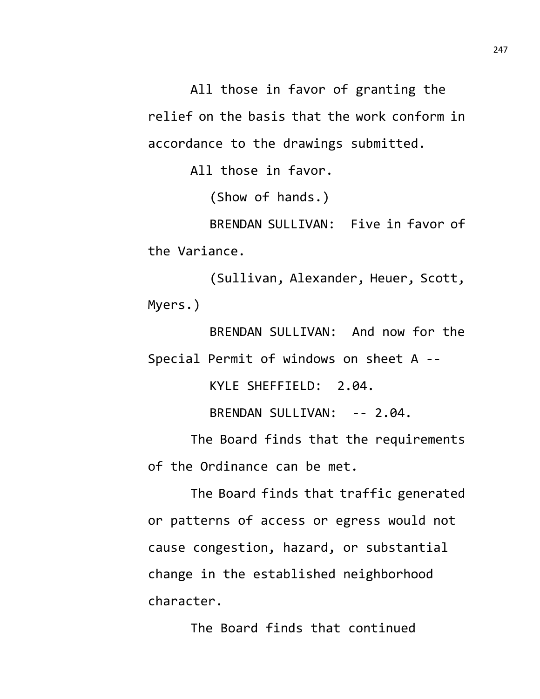All those in favor of granting the relief on the basis that the work conform in accordance to the drawings submitted.

All those in favor.

(Show of hands.)

BRENDAN SULLIVAN: Five in favor of the Variance.

(Sullivan, Alexander, Heuer, Scott, Myers.)

BRENDAN SULLIVAN: And now for the Special Permit of windows on sheet A --

KYLE SHEFFIELD: 2.04.

BRENDAN SULLIVAN: -- 2.04.

The Board finds that the requirements of the Ordinance can be met.

The Board finds that traffic generated or patterns of access or egress would not cause congestion, hazard, or substantial change in the established neighborhood character.

The Board finds that continued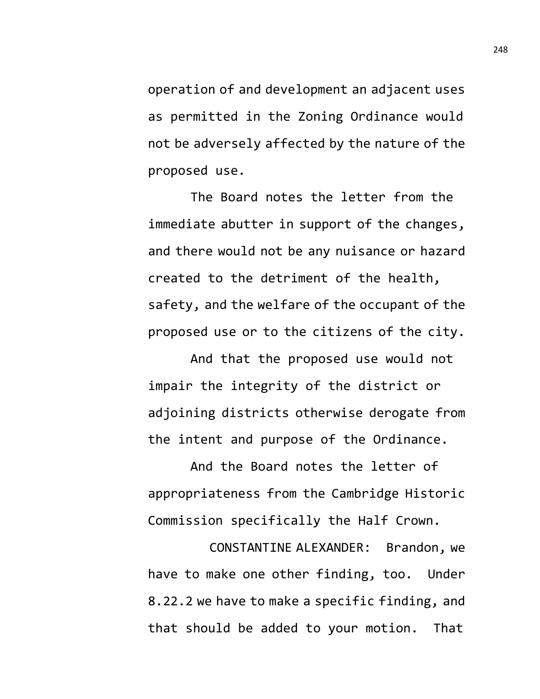operation of and development an adjacent uses as permitted in the Zoning Ordinance would not be adversely affected by the nature of the proposed use.

The Board notes the letter from the immediate abutter in support of the changes, and there would not be any nuisance or hazard created to the detriment of the health, safety, and the welfare of the occupant of the proposed use or to the citizens of the city.

And that the proposed use would not impair the integrity of the district or adjoining districts otherwise derogate from the intent and purpose of the Ordinance.

And the Board notes the letter of appropriateness from the Cambridge Historic Commission specifically the Half Crown.

CONSTANTINE ALEXANDER: Brandon, we have to make one other finding, too. Under 8.22.2 we have to make a specific finding, and that should be added to your motion. That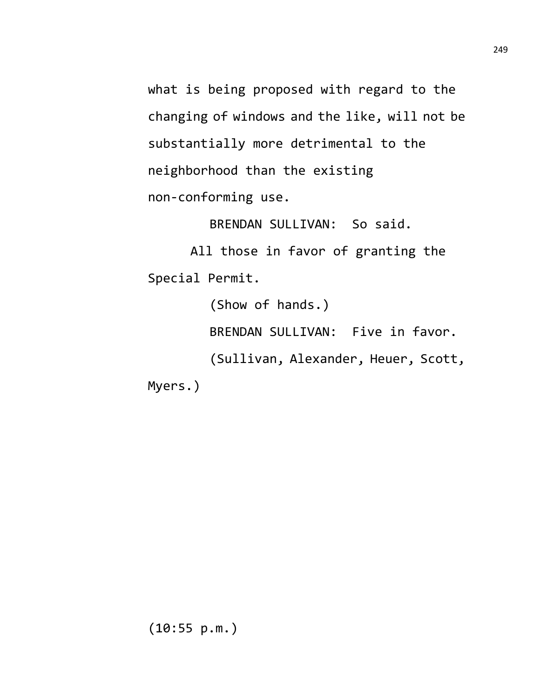what is being proposed with regard to the changing of windows and the like, will not be substantially more detrimental to the neighborhood than the existing non-conforming use.

BRENDAN SULLIVAN: So said.

All those in favor of granting the Special Permit.

> (Show of hands.) BRENDAN SULLIVAN: Five in favor. (Sullivan, Alexander, Heuer, Scott,

Myers.)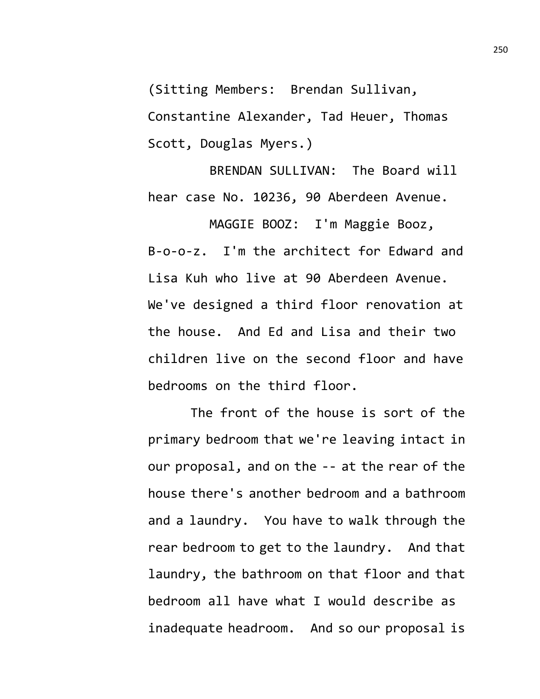(Sitting Members: Brendan Sullivan, Constantine Alexander, Tad Heuer, Thomas Scott, Douglas Myers.)

BRENDAN SULLIVAN: The Board will hear case No. 10236, 90 Aberdeen Avenue.

MAGGIE BOOZ: I'm Maggie Booz, B-o-o-z. I'm the architect for Edward and Lisa Kuh who live at 90 Aberdeen Avenue. We've designed a third floor renovation at the house. And Ed and Lisa and their two children live on the second floor and have bedrooms on the third floor.

The front of the house is sort of the primary bedroom that we're leaving intact in our proposal, and on the -- at the rear of the house there's another bedroom and a bathroom and a laundry. You have to walk through the rear bedroom to get to the laundry. And that laundry, the bathroom on that floor and that bedroom all have what I would describe as inadequate headroom. And so our proposal is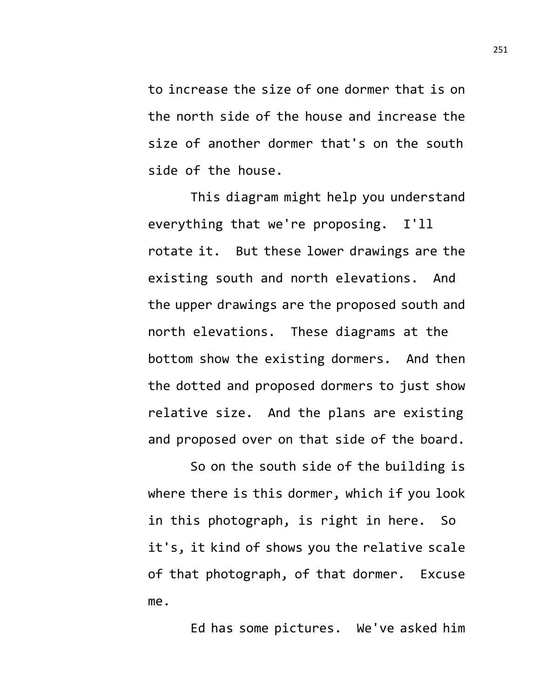to increase the size of one dormer that is on the north side of the house and increase the size of another dormer that's on the south side of the house.

This diagram might help you understand everything that we're proposing. I'll rotate it. But these lower drawings are the existing south and north elevations. And the upper drawings are the proposed south and north elevations. These diagrams at the bottom show the existing dormers. And then the dotted and proposed dormers to just show relative size. And the plans are existing and proposed over on that side of the board.

So on the south side of the building is where there is this dormer, which if you look in this photograph, is right in here. So it's, it kind of shows you the relative scale of that photograph, of that dormer. Excuse me.

Ed has some pictures. We've asked him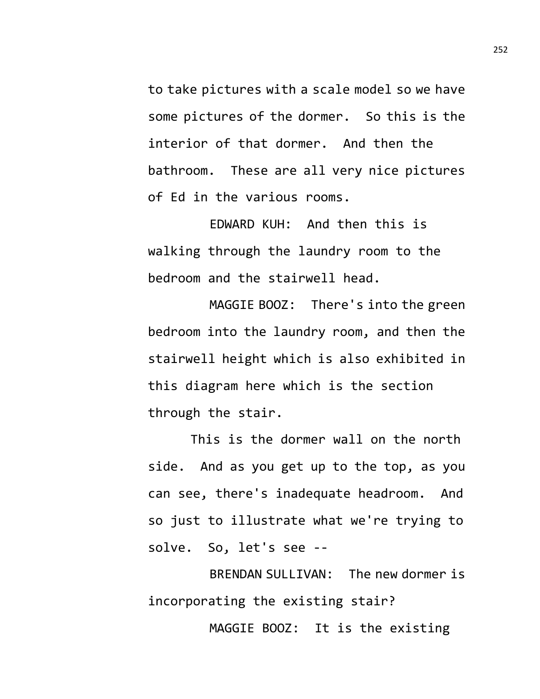to take pictures with a scale model so we have some pictures of the dormer. So this is the interior of that dormer. And then the bathroom. These are all very nice pictures of Ed in the various rooms.

EDWARD KUH: And then this is walking through the laundry room to the bedroom and the stairwell head.

MAGGIE BOOZ: There's into the green bedroom into the laundry room, and then the stairwell height which is also exhibited in this diagram here which is the section through the stair.

This is the dormer wall on the north side. And as you get up to the top, as you can see, there's inadequate headroom. And so just to illustrate what we're trying to solve. So, let's see --

BRENDAN SULLIVAN: The new dormer is incorporating the existing stair?

MAGGIE BOOZ: It is the existing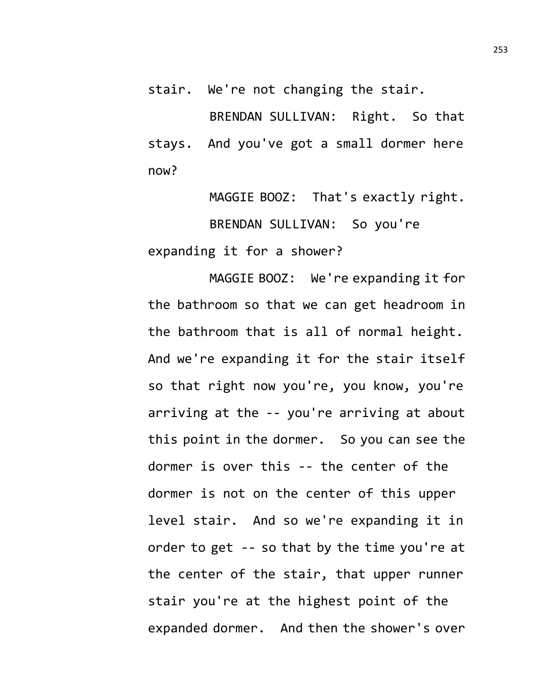stair. We're not changing the stair.

BRENDAN SULLIVAN: Right. So that stays. And you've got a small dormer here now?

MAGGIE BOOZ: That's exactly right. BRENDAN SULLIVAN: So you're expanding it for a shower?

MAGGIE BOOZ: We're expanding it for the bathroom so that we can get headroom in the bathroom that is all of normal height. And we're expanding it for the stair itself so that right now you're, you know, you're arriving at the -- you're arriving at about this point in the dormer. So you can see the dormer is over this -- the center of the dormer is not on the center of this upper level stair. And so we're expanding it in order to get -- so that by the time you're at the center of the stair, that upper runner stair you're at the highest point of the expanded dormer. And then the shower's over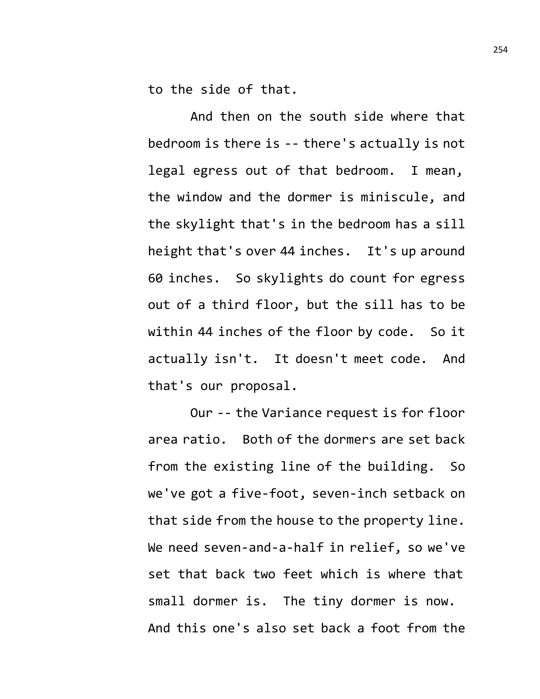to the side of that.

And then on the south side where that bedroom is there is -- there's actually is not legal egress out of that bedroom. I mean, the window and the dormer is miniscule, and the skylight that's in the bedroom has a sill height that's over 44 inches. It's up around 60 inches. So skylights do count for egress out of a third floor, but the sill has to be within 44 inches of the floor by code. So it actually isn't. It doesn't meet code. And that's our proposal.

Our -- the Variance request is for floor area ratio. Both of the dormers are set back from the existing line of the building. So we've got a five-foot, seven-inch setback on that side from the house to the property line. We need seven-and-a-half in relief, so we've set that back two feet which is where that small dormer is. The tiny dormer is now. And this one's also set back a foot from the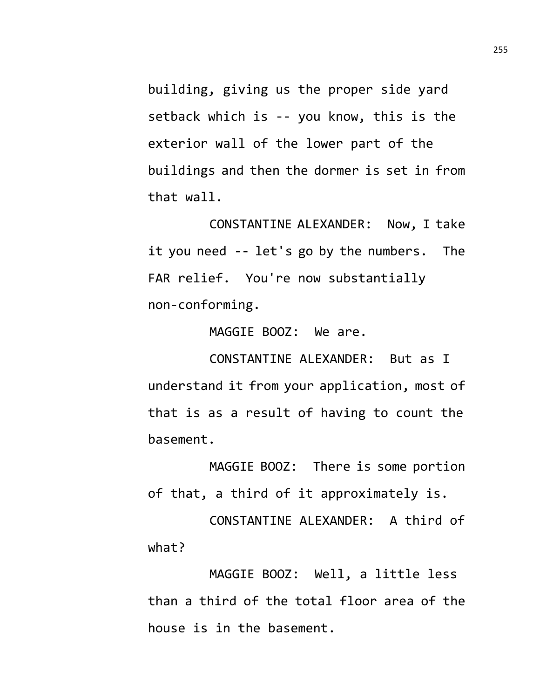building, giving us the proper side yard setback which is -- you know, this is the exterior wall of the lower part of the buildings and then the dormer is set in from that wall.

CONSTANTINE ALEXANDER: Now, I take it you need -- let's go by the numbers. The FAR relief. You're now substantially non-conforming.

MAGGIE BOOZ: We are.

CONSTANTINE ALEXANDER: But as I understand it from your application, most of that is as a result of having to count the basement.

MAGGIE BOOZ: There is some portion of that, a third of it approximately is.

CONSTANTINE ALEXANDER: A third of what?

MAGGIE BOOZ: Well, a little less than a third of the total floor area of the house is in the basement.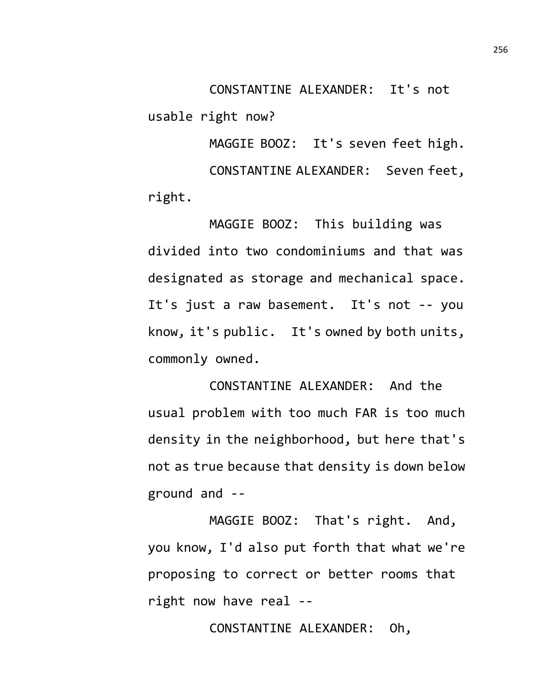CONSTANTINE ALEXANDER: It's not usable right now?

MAGGIE BOOZ: It's seven feet high. CONSTANTINE ALEXANDER: Seven feet, right.

MAGGIE BOOZ: This building was divided into two condominiums and that was designated as storage and mechanical space. It's just a raw basement. It's not -- you know, it's public. It's owned by both units, commonly owned.

CONSTANTINE ALEXANDER: And the usual problem with too much FAR is too much density in the neighborhood, but here that's not as true because that density is down below ground and --

MAGGIE BOOZ: That's right. And, you know, I'd also put forth that what we're proposing to correct or better rooms that right now have real --

CONSTANTINE ALEXANDER: Oh,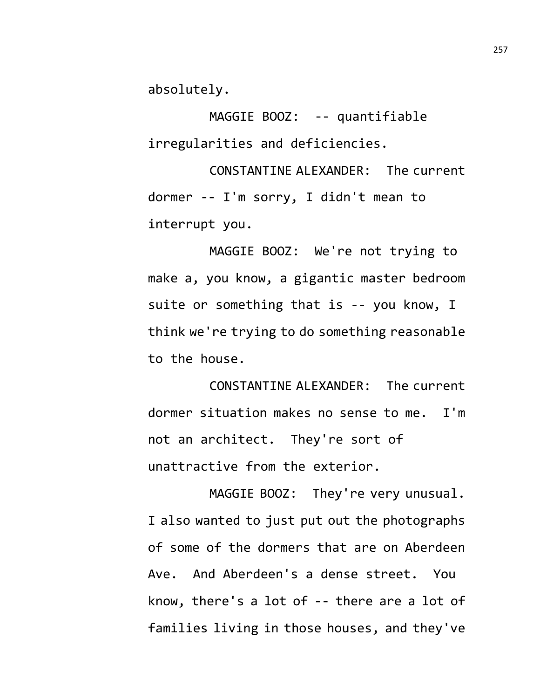absolutely.

MAGGIE BOOZ: -- quantifiable irregularities and deficiencies.

CONSTANTINE ALEXANDER: The current dormer -- I'm sorry, I didn't mean to interrupt you.

MAGGIE BOOZ: We're not trying to make a, you know, a gigantic master bedroom suite or something that is -- you know, I think we're trying to do something reasonable to the house.

CONSTANTINE ALEXANDER: The current dormer situation makes no sense to me. I'm not an architect. They're sort of unattractive from the exterior.

MAGGIE BOOZ: They're very unusual. I also wanted to just put out the photographs of some of the dormers that are on Aberdeen Ave. And Aberdeen's a dense street. You know, there's a lot of -- there are a lot of families living in those houses, and they've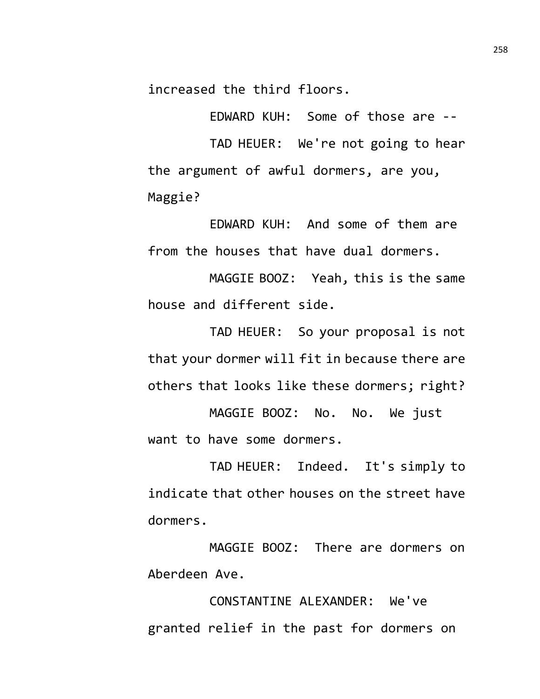increased the third floors.

EDWARD KUH: Some of those are -- TAD HEUER: We're not going to hear the argument of awful dormers, are you, Maggie?

EDWARD KUH: And some of them are from the houses that have dual dormers.

MAGGIE BOOZ: Yeah, this is the same house and different side.

TAD HEUER: So your proposal is not that your dormer will fit in because there are others that looks like these dormers; right?

MAGGIE BOOZ: No. No. We just want to have some dormers.

TAD HEUER: Indeed. It's simply to indicate that other houses on the street have dormers.

MAGGIE BOOZ: There are dormers on Aberdeen Ave.

CONSTANTINE ALEXANDER: We've granted relief in the past for dormers on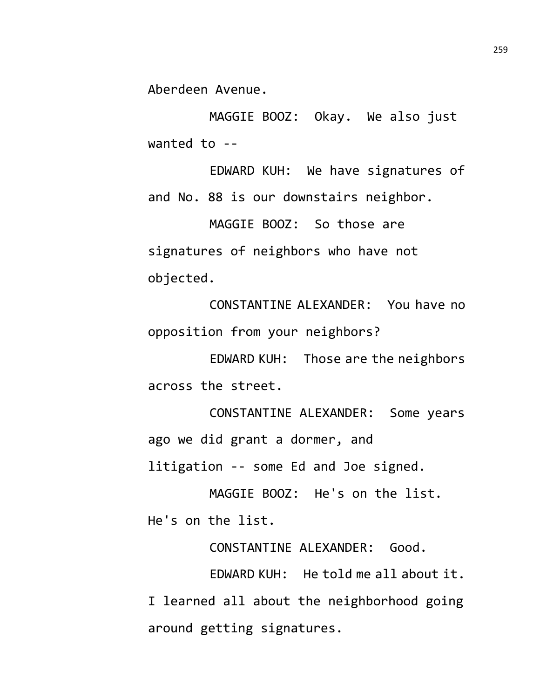Aberdeen Avenue.

MAGGIE BOOZ: Okay. We also just wanted to --

EDWARD KUH: We have signatures of and No. 88 is our downstairs neighbor.

MAGGIE BOOZ: So those are signatures of neighbors who have not objected.

CONSTANTINE ALEXANDER: You have no opposition from your neighbors?

EDWARD KUH: Those are the neighbors across the street.

CONSTANTINE ALEXANDER: Some years ago we did grant a dormer, and litigation -- some Ed and Joe signed.

MAGGIE BOOZ: He's on the list. He's on the list.

CONSTANTINE ALEXANDER: Good.

EDWARD KUH: He told me all about it. I learned all about the neighborhood going around getting signatures.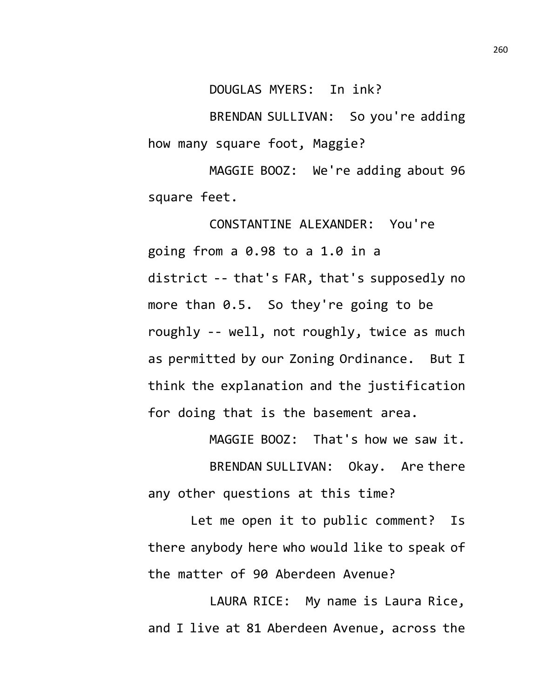DOUGLAS MYERS: In ink?

BRENDAN SULLIVAN: So you're adding how many square foot, Maggie?

MAGGIE BOOZ: We're adding about 96 square feet.

CONSTANTINE ALEXANDER: You're going from a 0.98 to a 1.0 in a district -- that's FAR, that's supposedly no more than 0.5. So they're going to be roughly -- well, not roughly, twice as much as permitted by our Zoning Ordinance. But I think the explanation and the justification for doing that is the basement area.

MAGGIE BOOZ: That's how we saw it. BRENDAN SULLIVAN: Okay. Are there any other questions at this time?

Let me open it to public comment? Is there anybody here who would like to speak of the matter of 90 Aberdeen Avenue?

LAURA RICE: My name is Laura Rice, and I live at 81 Aberdeen Avenue, across the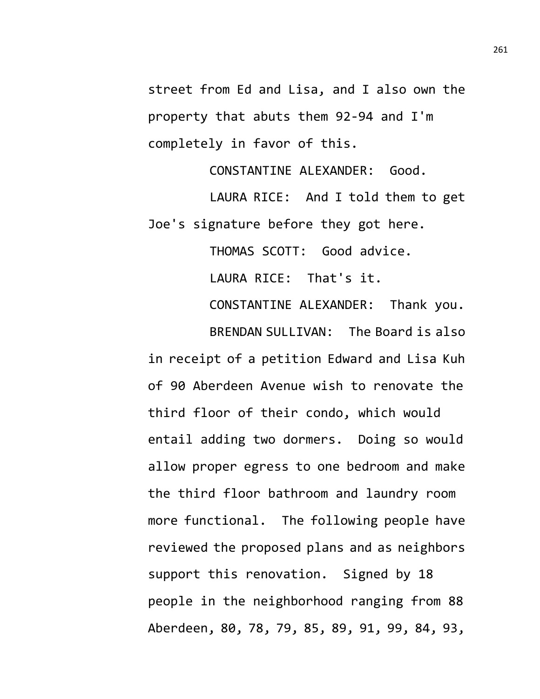street from Ed and Lisa, and I also own the property that abuts them 92-94 and I'm completely in favor of this.

CONSTANTINE ALEXANDER: Good.

LAURA RICE: And I told them to get Joe's signature before they got here.

THOMAS SCOTT: Good advice.

LAURA RICE: That's it.

CONSTANTINE ALEXANDER: Thank you.

BRENDAN SULLIVAN: The Board is also in receipt of a petition Edward and Lisa Kuh of 90 Aberdeen Avenue wish to renovate the third floor of their condo, which would entail adding two dormers. Doing so would allow proper egress to one bedroom and make the third floor bathroom and laundry room more functional. The following people have reviewed the proposed plans and as neighbors support this renovation. Signed by 18 people in the neighborhood ranging from 88 Aberdeen, 80, 78, 79, 85, 89, 91, 99, 84, 93,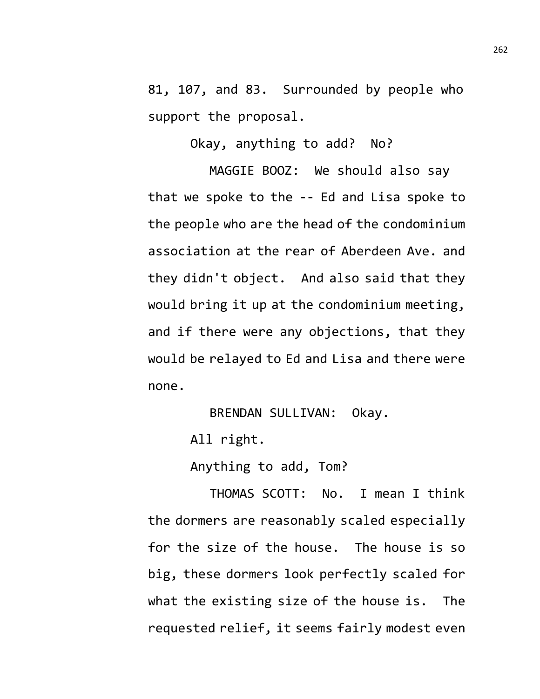81, 107, and 83. Surrounded by people who support the proposal.

Okay, anything to add? No?

MAGGIE BOOZ: We should also say that we spoke to the -- Ed and Lisa spoke to the people who are the head of the condominium association at the rear of Aberdeen Ave. and they didn't object. And also said that they would bring it up at the condominium meeting, and if there were any objections, that they would be relayed to Ed and Lisa and there were none.

BRENDAN SULLIVAN: Okay.

All right.

Anything to add, Tom?

THOMAS SCOTT: No. I mean I think the dormers are reasonably scaled especially for the size of the house. The house is so big, these dormers look perfectly scaled for what the existing size of the house is. The requested relief, it seems fairly modest even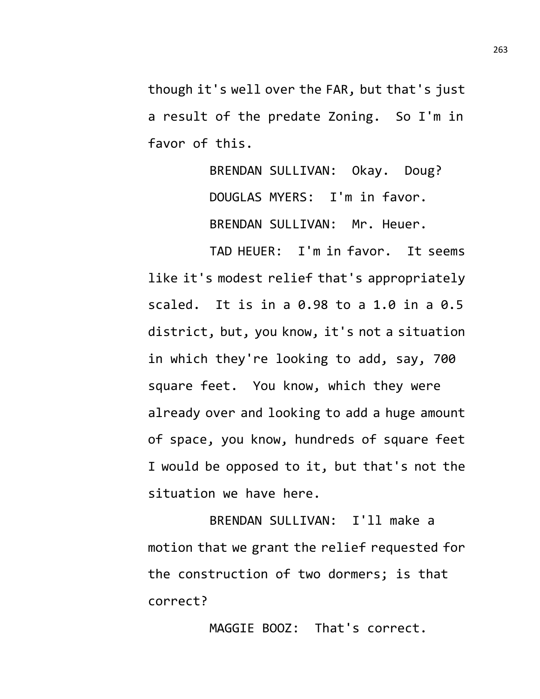though it's well over the FAR, but that's just a result of the predate Zoning. So I'm in favor of this.

> BRENDAN SULLIVAN: Okay. Doug? DOUGLAS MYERS: I'm in favor. BRENDAN SULLIVAN: Mr. Heuer.

TAD HEUER: I'm in favor. It seems like it's modest relief that's appropriately scaled. It is in a 0.98 to a 1.0 in a 0.5 district, but, you know, it's not a situation in which they're looking to add, say, 700 square feet. You know, which they were already over and looking to add a huge amount of space, you know, hundreds of square feet I would be opposed to it, but that's not the situation we have here.

BRENDAN SULLIVAN: I'll make a motion that we grant the relief requested for the construction of two dormers; is that correct?

MAGGIE BOOZ: That's correct.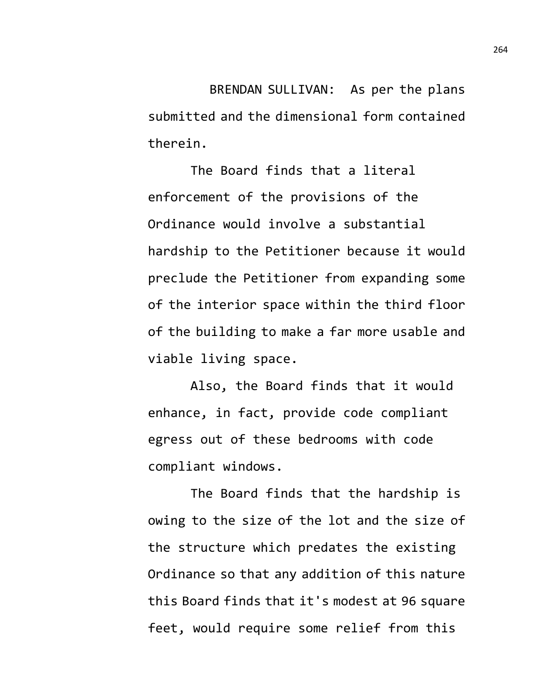BRENDAN SULLIVAN: As per the plans submitted and the dimensional form contained therein.

The Board finds that a literal enforcement of the provisions of the Ordinance would involve a substantial hardship to the Petitioner because it would preclude the Petitioner from expanding some of the interior space within the third floor of the building to make a far more usable and viable living space.

Also, the Board finds that it would enhance, in fact, provide code compliant egress out of these bedrooms with code compliant windows.

The Board finds that the hardship is owing to the size of the lot and the size of the structure which predates the existing Ordinance so that any addition of this nature this Board finds that it's modest at 96 square feet, would require some relief from this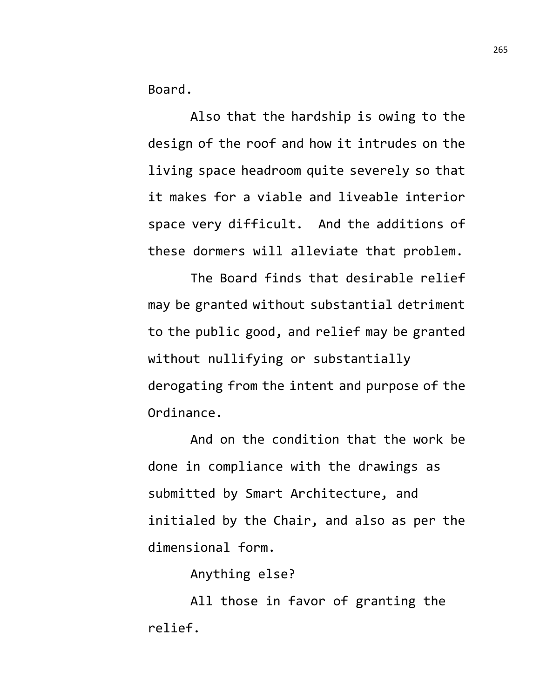Board.

Also that the hardship is owing to the design of the roof and how it intrudes on the living space headroom quite severely so that it makes for a viable and liveable interior space very difficult. And the additions of these dormers will alleviate that problem.

The Board finds that desirable relief may be granted without substantial detriment to the public good, and relief may be granted without nullifying or substantially derogating from the intent and purpose of the Ordinance.

And on the condition that the work be done in compliance with the drawings as submitted by Smart Architecture, and initialed by the Chair, and also as per the dimensional form.

Anything else?

All those in favor of granting the relief.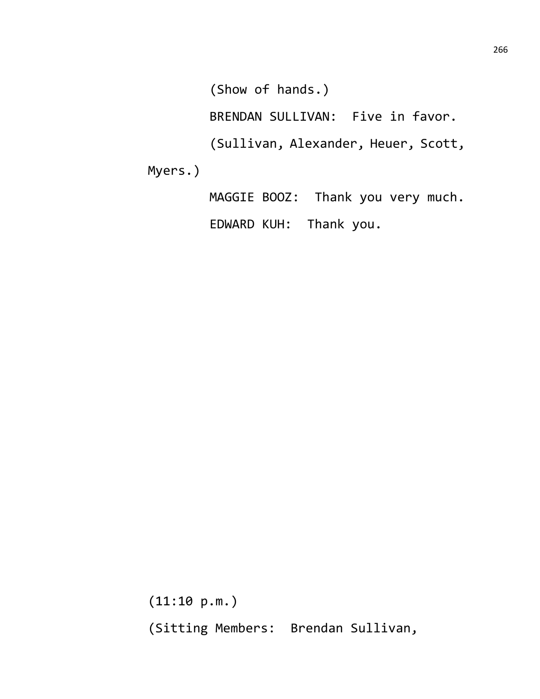(Show of hands.)

BRENDAN SULLIVAN: Five in favor.

(Sullivan, Alexander, Heuer, Scott,

Myers.)

MAGGIE BOOZ: Thank you very much. EDWARD KUH: Thank you.

(11:10 p.m.) (Sitting Members: Brendan Sullivan,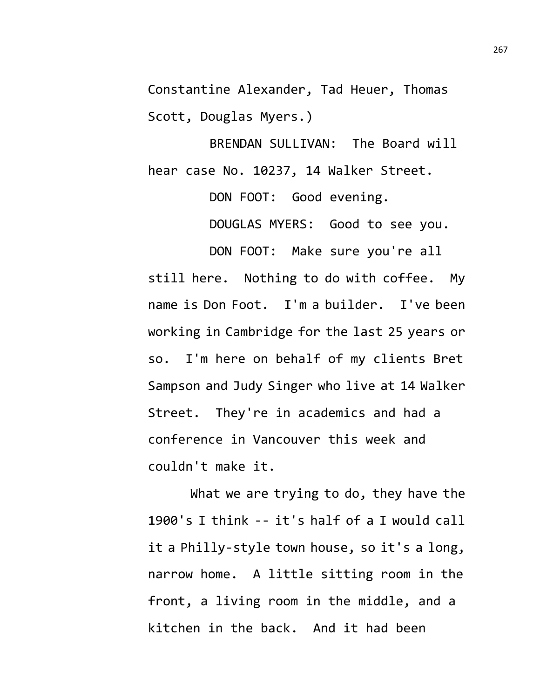Constantine Alexander, Tad Heuer, Thomas Scott, Douglas Myers.)

BRENDAN SULLIVAN: The Board will hear case No. 10237, 14 Walker Street.

> DON FOOT: Good evening. DOUGLAS MYERS: Good to see you.

DON FOOT: Make sure you're all still here. Nothing to do with coffee. My name is Don Foot. I'm a builder. I've been working in Cambridge for the last 25 years or so. I'm here on behalf of my clients Bret Sampson and Judy Singer who live at 14 Walker Street. They're in academics and had a conference in Vancouver this week and couldn't make it.

What we are trying to do, they have the 1900's I think -- it's half of a I would call it a Philly-style town house, so it's a long, narrow home. A little sitting room in the front, a living room in the middle, and a kitchen in the back. And it had been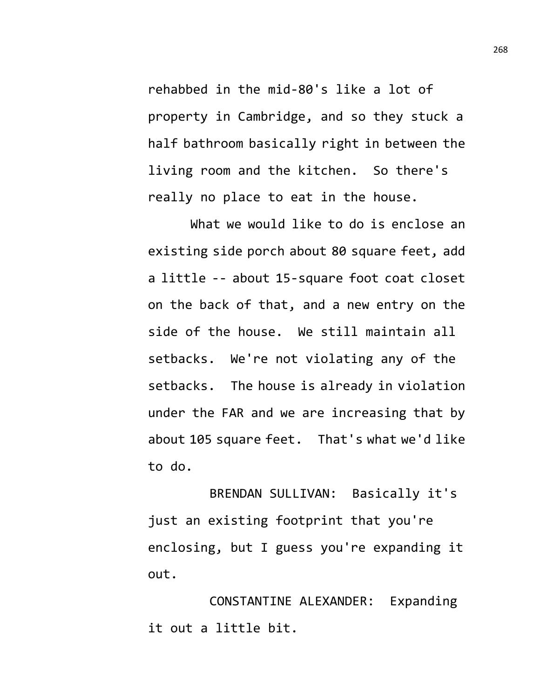rehabbed in the mid-80's like a lot of property in Cambridge, and so they stuck a half bathroom basically right in between the living room and the kitchen. So there's really no place to eat in the house.

What we would like to do is enclose an existing side porch about 80 square feet, add a little -- about 15-square foot coat closet on the back of that, and a new entry on the side of the house. We still maintain all setbacks. We're not violating any of the setbacks. The house is already in violation under the FAR and we are increasing that by about 105 square feet. That's what we'd like to do.

BRENDAN SULLIVAN: Basically it's just an existing footprint that you're enclosing, but I guess you're expanding it out.

CONSTANTINE ALEXANDER: Expanding it out a little bit.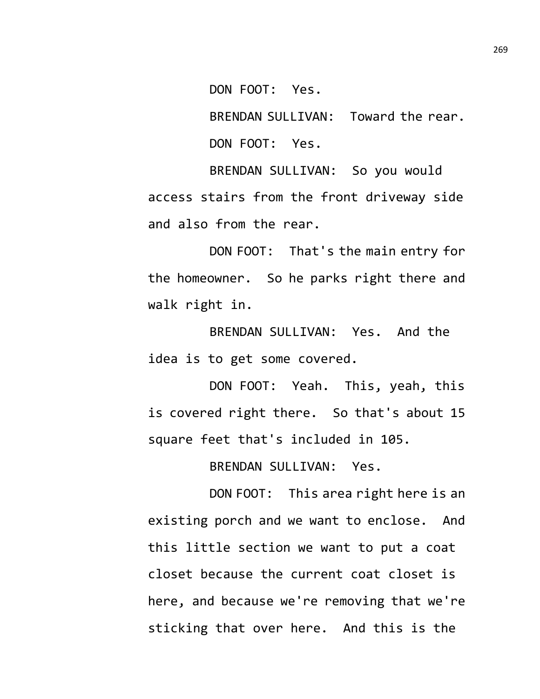DON FOOT: Yes.

BRENDAN SULLIVAN: Toward the rear. DON FOOT: Yes.

BRENDAN SULLIVAN: So you would access stairs from the front driveway side and also from the rear.

DON FOOT: That's the main entry for the homeowner. So he parks right there and walk right in.

BRENDAN SULLIVAN: Yes. And the idea is to get some covered.

DON FOOT: Yeah. This, yeah, this is covered right there. So that's about 15 square feet that's included in 105.

BRENDAN SULLIVAN: Yes.

DON FOOT: This area right here is an existing porch and we want to enclose. And this little section we want to put a coat closet because the current coat closet is here, and because we're removing that we're sticking that over here. And this is the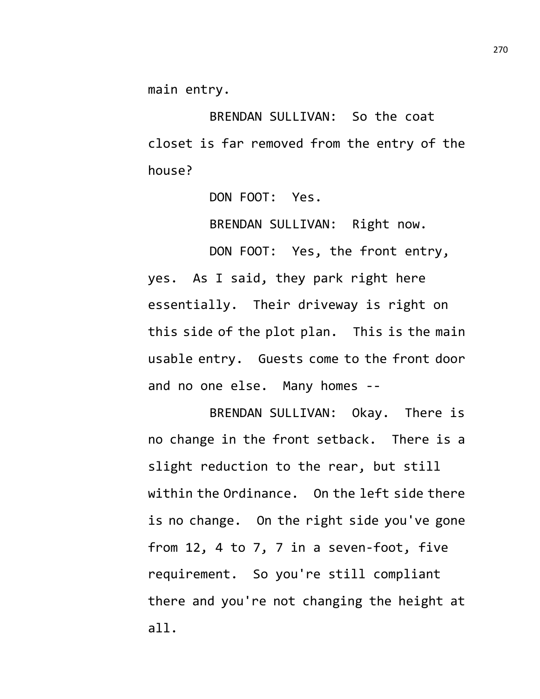main entry.

BRENDAN SULLIVAN: So the coat closet is far removed from the entry of the house?

DON FOOT: Yes.

BRENDAN SULLIVAN: Right now.

DON FOOT: Yes, the front entry, yes. As I said, they park right here essentially. Their driveway is right on this side of the plot plan. This is the main usable entry. Guests come to the front door and no one else. Many homes --

BRENDAN SULLIVAN: Okay. There is no change in the front setback. There is a slight reduction to the rear, but still within the Ordinance. On the left side there is no change. On the right side you've gone from 12, 4 to 7, 7 in a seven-foot, five requirement. So you're still compliant there and you're not changing the height at all.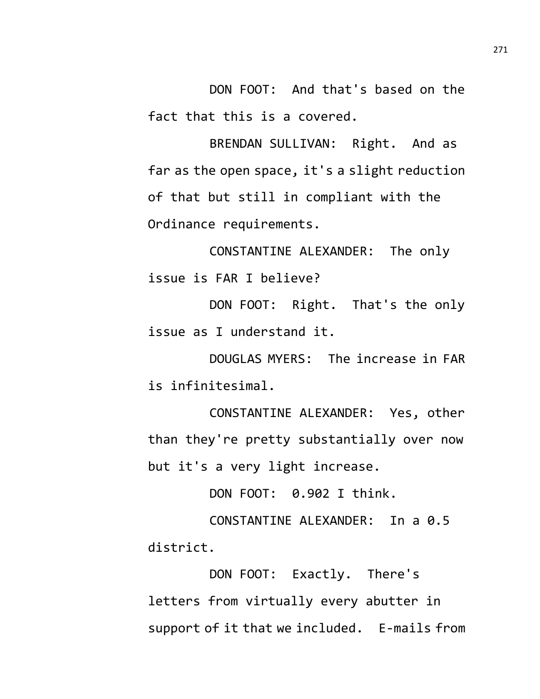DON FOOT: And that's based on the fact that this is a covered.

BRENDAN SULLIVAN: Right. And as far as the open space, it's a slight reduction of that but still in compliant with the Ordinance requirements.

CONSTANTINE ALEXANDER: The only issue is FAR I believe?

DON FOOT: Right. That's the only issue as I understand it.

DOUGLAS MYERS: The increase in FAR is infinitesimal.

CONSTANTINE ALEXANDER: Yes, other than they're pretty substantially over now but it's a very light increase.

DON FOOT: 0.902 I think.

CONSTANTINE ALEXANDER: In a 0.5 district.

DON FOOT: Exactly. There's letters from virtually every abutter in support of it that we included. E-mails from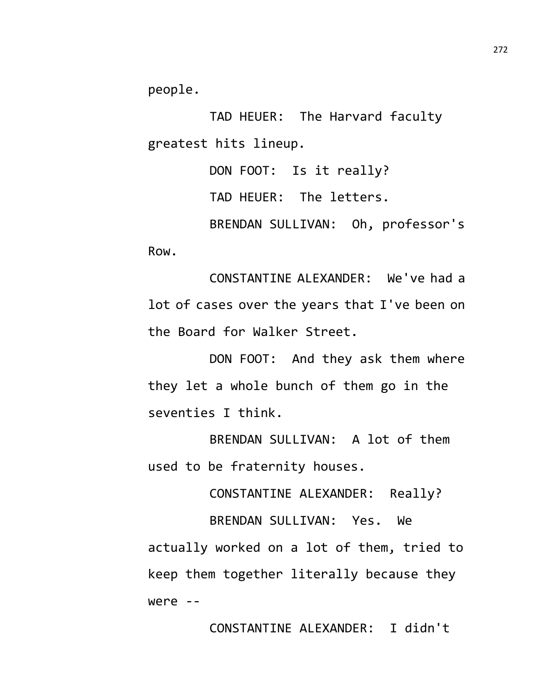people.

TAD HEUER: The Harvard faculty greatest hits lineup.

DON FOOT: Is it really? TAD HEUER: The letters. BRENDAN SULLIVAN: Oh, professor's Row.

CONSTANTINE ALEXANDER: We've had a lot of cases over the years that I've been on the Board for Walker Street.

DON FOOT: And they ask them where they let a whole bunch of them go in the seventies I think.

BRENDAN SULLIVAN: A lot of them used to be fraternity houses.

CONSTANTINE ALEXANDER: Really?

BRENDAN SULLIVAN: Yes. We actually worked on a lot of them, tried to keep them together literally because they were --

CONSTANTINE ALEXANDER: I didn't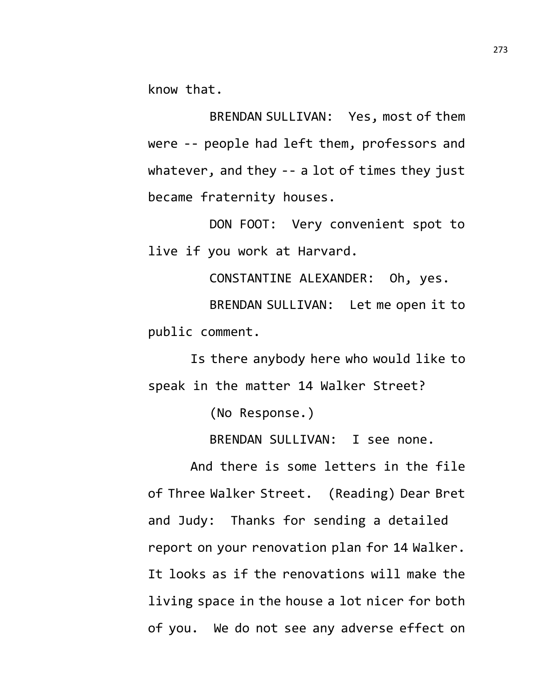know that.

BRENDAN SULLIVAN: Yes, most of them were -- people had left them, professors and whatever, and they -- a lot of times they just became fraternity houses.

DON FOOT: Very convenient spot to live if you work at Harvard.

CONSTANTINE ALEXANDER: Oh, yes. BRENDAN SULLIVAN: Let me open it to public comment.

Is there anybody here who would like to speak in the matter 14 Walker Street?

(No Response.)

BRENDAN SULLIVAN: I see none.

And there is some letters in the file of Three Walker Street. (Reading) Dear Bret and Judy: Thanks for sending a detailed report on your renovation plan for 14 Walker. It looks as if the renovations will make the living space in the house a lot nicer for both of you. We do not see any adverse effect on

273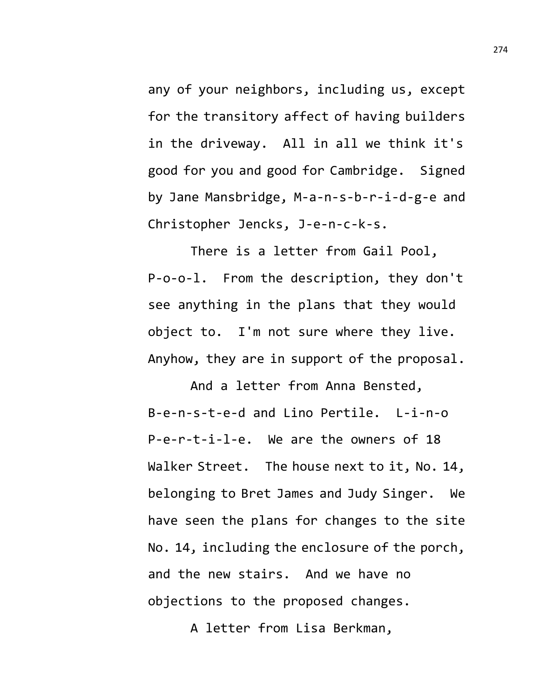any of your neighbors, including us, except for the transitory affect of having builders in the driveway. All in all we think it's good for you and good for Cambridge. Signed by Jane Mansbridge, M-a-n-s-b-r-i-d-g-e and Christopher Jencks, J-e-n-c-k-s.

There is a letter from Gail Pool, P-o-o-l. From the description, they don't see anything in the plans that they would object to. I'm not sure where they live. Anyhow, they are in support of the proposal.

And a letter from Anna Bensted, B-e-n-s-t-e-d and Lino Pertile. L-i-n-o P-e-r-t-i-l-e. We are the owners of 18 Walker Street. The house next to it, No. 14, belonging to Bret James and Judy Singer. We have seen the plans for changes to the site No. 14, including the enclosure of the porch, and the new stairs. And we have no objections to the proposed changes.

A letter from Lisa Berkman,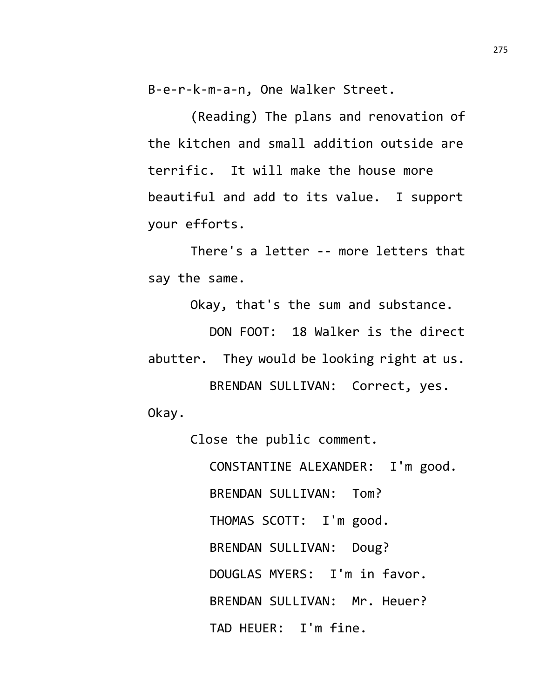B-e-r-k-m-a-n, One Walker Street.

(Reading) The plans and renovation of the kitchen and small addition outside are terrific. It will make the house more beautiful and add to its value. I support your efforts.

There's a letter -- more letters that say the same.

Okay, that's the sum and substance.

DON FOOT: 18 Walker is the direct abutter. They would be looking right at us. BRENDAN SULLIVAN: Correct, yes.

Okay.

Close the public comment.

CONSTANTINE ALEXANDER: I'm good. BRENDAN SULLIVAN: Tom? THOMAS SCOTT: I'm good. BRENDAN SULLIVAN: Doug? DOUGLAS MYERS: I'm in favor. BRENDAN SULLIVAN: Mr. Heuer? TAD HEUER: I'm fine.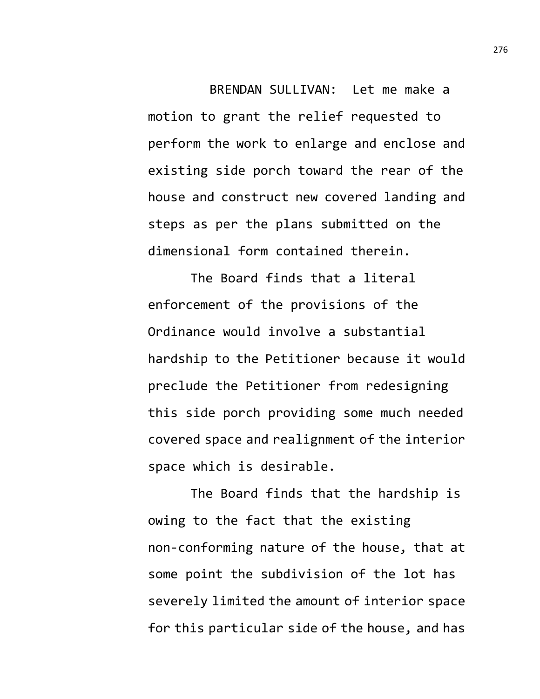BRENDAN SULLIVAN: Let me make a motion to grant the relief requested to perform the work to enlarge and enclose and existing side porch toward the rear of the house and construct new covered landing and steps as per the plans submitted on the dimensional form contained therein.

The Board finds that a literal enforcement of the provisions of the Ordinance would involve a substantial hardship to the Petitioner because it would preclude the Petitioner from redesigning this side porch providing some much needed covered space and realignment of the interior space which is desirable.

The Board finds that the hardship is owing to the fact that the existing non-conforming nature of the house, that at some point the subdivision of the lot has severely limited the amount of interior space for this particular side of the house, and has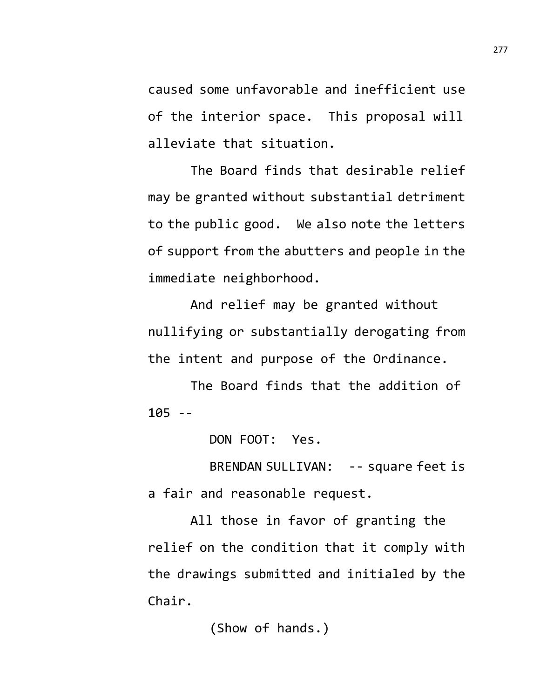caused some unfavorable and inefficient use of the interior space. This proposal will alleviate that situation.

The Board finds that desirable relief may be granted without substantial detriment to the public good. We also note the letters of support from the abutters and people in the immediate neighborhood.

And relief may be granted without nullifying or substantially derogating from the intent and purpose of the Ordinance.

The Board finds that the addition of 105 --

DON FOOT: Yes.

BRENDAN SULLIVAN: -- square feet is a fair and reasonable request.

All those in favor of granting the relief on the condition that it comply with the drawings submitted and initialed by the Chair.

(Show of hands.)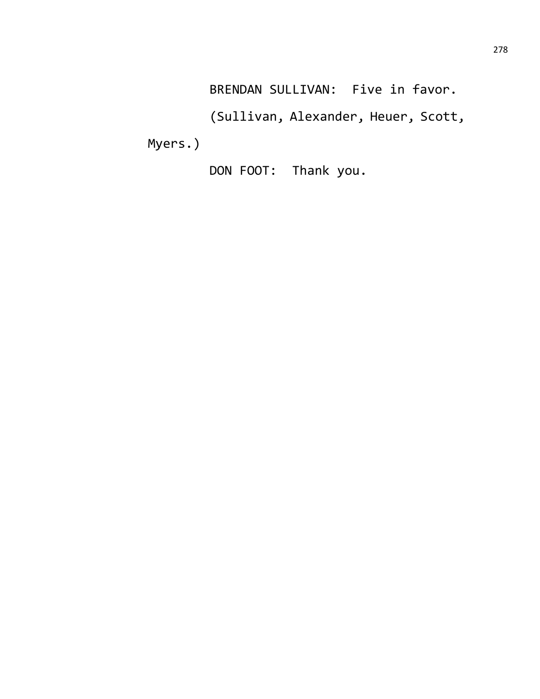BRENDAN SULLIVAN: Five in favor.

(Sullivan, Alexander, Heuer, Scott,

Myers.)

DON FOOT: Thank you.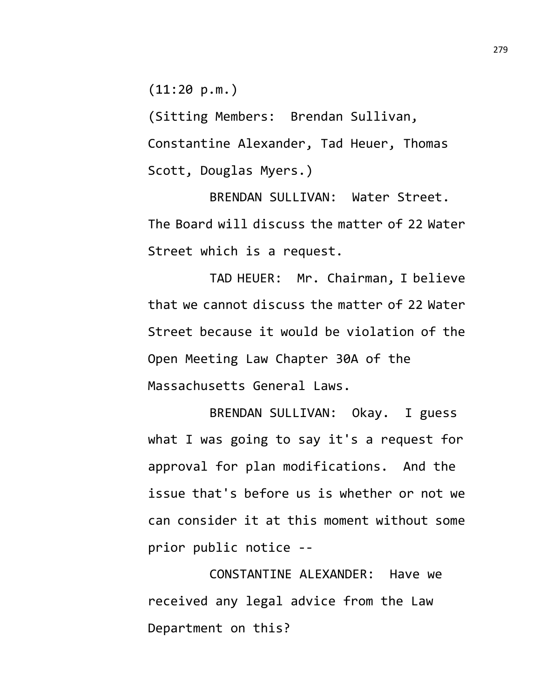(11:20 p.m.)

(Sitting Members: Brendan Sullivan, Constantine Alexander, Tad Heuer, Thomas Scott, Douglas Myers.)

BRENDAN SULLIVAN: Water Street. The Board will discuss the matter of 22 Water Street which is a request.

TAD HEUER: Mr. Chairman, I believe that we cannot discuss the matter of 22 Water Street because it would be violation of the Open Meeting Law Chapter 30A of the Massachusetts General Laws.

BRENDAN SULLIVAN: Okay. I guess what I was going to say it's a request for approval for plan modifications. And the issue that's before us is whether or not we can consider it at this moment without some prior public notice --

CONSTANTINE ALEXANDER: Have we received any legal advice from the Law Department on this?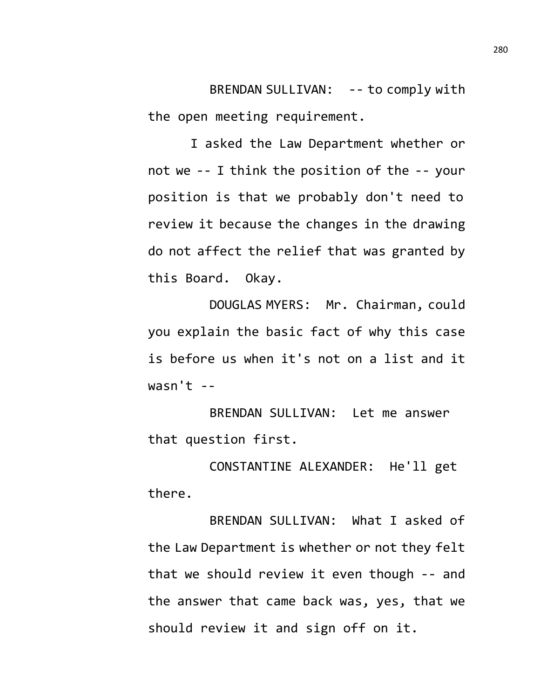BRENDAN SULLIVAN: -- to comply with the open meeting requirement.

I asked the Law Department whether or not we -- I think the position of the -- your position is that we probably don't need to review it because the changes in the drawing do not affect the relief that was granted by this Board. Okay.

DOUGLAS MYERS: Mr. Chairman, could you explain the basic fact of why this case is before us when it's not on a list and it  $wasn't --$ 

BRENDAN SULLIVAN: Let me answer that question first.

CONSTANTINE ALEXANDER: He'll get there.

BRENDAN SULLIVAN: What I asked of the Law Department is whether or not they felt that we should review it even though -- and the answer that came back was, yes, that we should review it and sign off on it.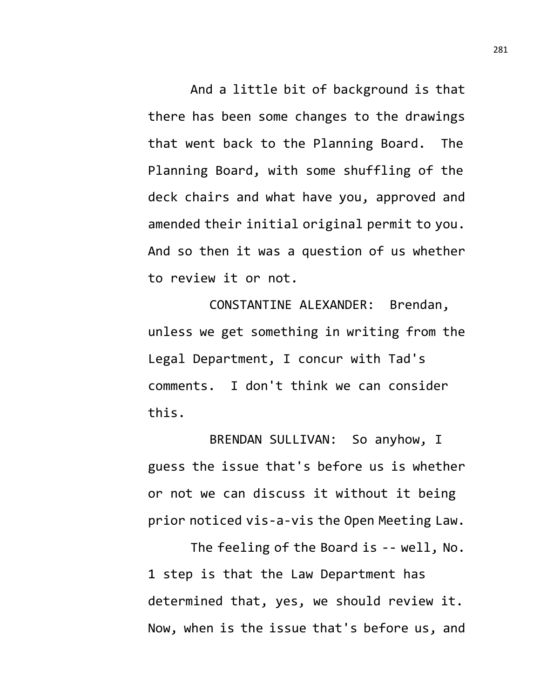And a little bit of background is that there has been some changes to the drawings that went back to the Planning Board. The Planning Board, with some shuffling of the deck chairs and what have you, approved and amended their initial original permit to you. And so then it was a question of us whether to review it or not.

CONSTANTINE ALEXANDER: Brendan, unless we get something in writing from the Legal Department, I concur with Tad's comments. I don't think we can consider this.

BRENDAN SULLIVAN: So anyhow, I guess the issue that's before us is whether or not we can discuss it without it being prior noticed vis-a-vis the Open Meeting Law.

The feeling of the Board is -- well, No. 1 step is that the Law Department has determined that, yes, we should review it. Now, when is the issue that's before us, and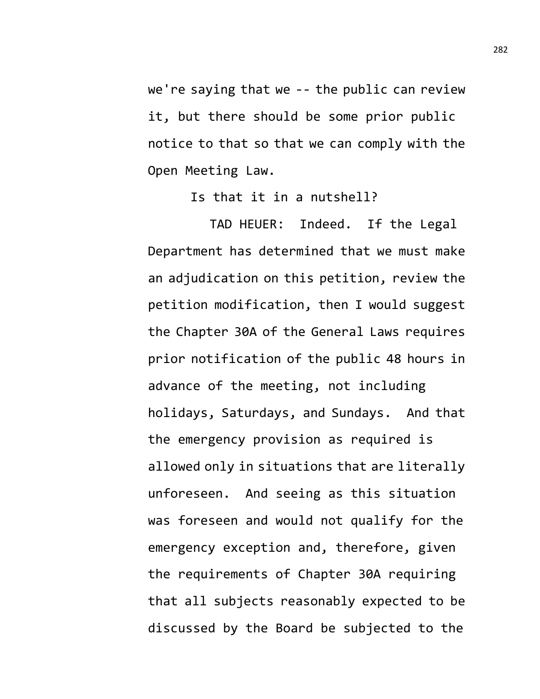we're saying that we -- the public can review it, but there should be some prior public notice to that so that we can comply with the Open Meeting Law.

Is that it in a nutshell?

TAD HEUER: Indeed. If the Legal Department has determined that we must make an adjudication on this petition, review the petition modification, then I would suggest the Chapter 30A of the General Laws requires prior notification of the public 48 hours in advance of the meeting, not including holidays, Saturdays, and Sundays. And that the emergency provision as required is allowed only in situations that are literally unforeseen. And seeing as this situation was foreseen and would not qualify for the emergency exception and, therefore, given the requirements of Chapter 30A requiring that all subjects reasonably expected to be discussed by the Board be subjected to the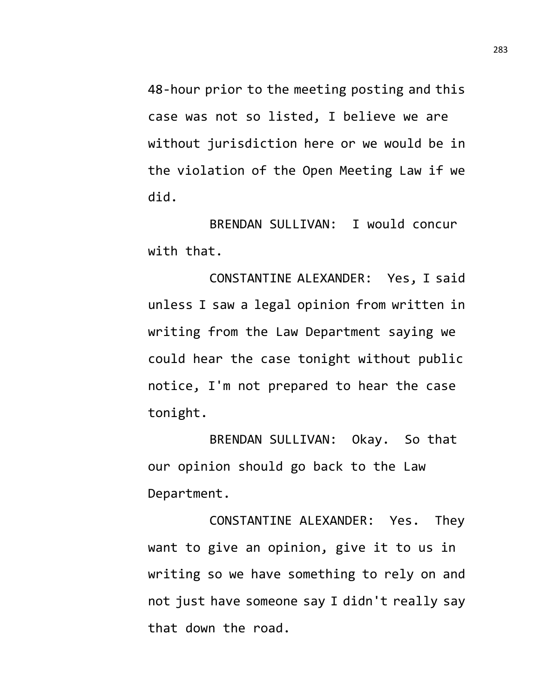48-hour prior to the meeting posting and this case was not so listed, I believe we are without jurisdiction here or we would be in the violation of the Open Meeting Law if we did.

BRENDAN SULLIVAN: I would concur with that.

CONSTANTINE ALEXANDER: Yes, I said unless I saw a legal opinion from written in writing from the Law Department saying we could hear the case tonight without public notice, I'm not prepared to hear the case tonight.

BRENDAN SULLIVAN: Okay. So that our opinion should go back to the Law Department.

CONSTANTINE ALEXANDER: Yes. They want to give an opinion, give it to us in writing so we have something to rely on and not just have someone say I didn't really say that down the road.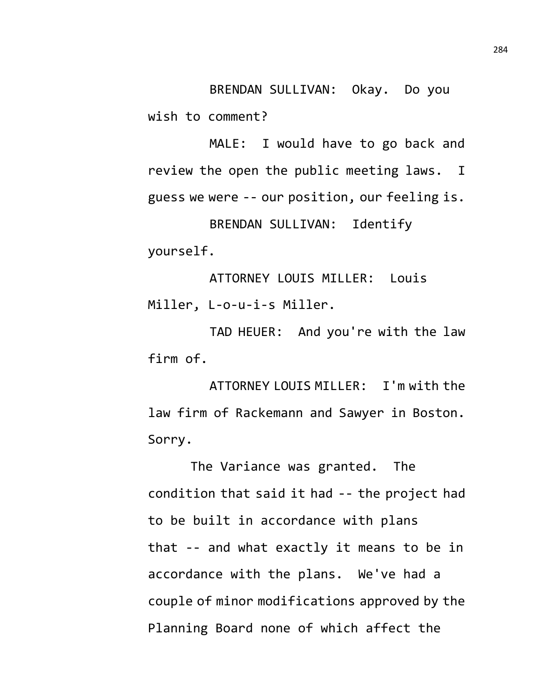BRENDAN SULLIVAN: Okay. Do you wish to comment?

MALE: I would have to go back and review the open the public meeting laws. I guess we were -- our position, our feeling is. BRENDAN SULLIVAN: Identify yourself.

ATTORNEY LOUIS MILLER: Louis Miller, L-o-u-i-s Miller.

TAD HEUER: And you're with the law firm of.

ATTORNEY LOUIS MILLER: I'm with the law firm of Rackemann and Sawyer in Boston. Sorry.

The Variance was granted. The condition that said it had -- the project had to be built in accordance with plans that -- and what exactly it means to be in accordance with the plans. We've had a couple of minor modifications approved by the Planning Board none of which affect the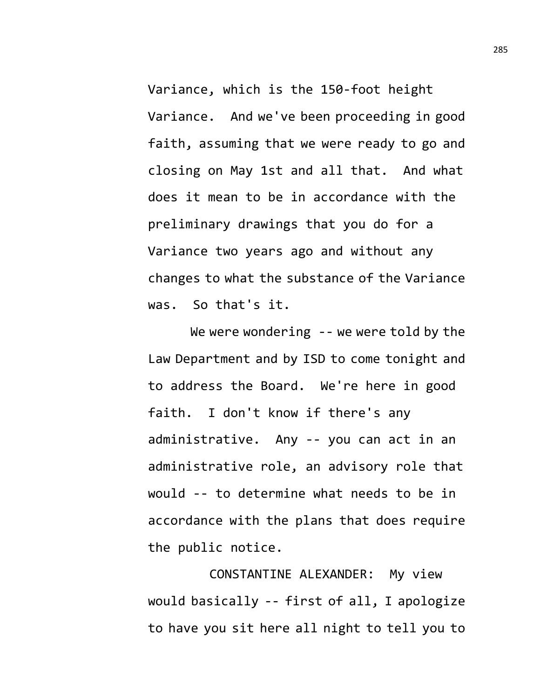Variance, which is the 150-foot height Variance. And we've been proceeding in good faith, assuming that we were ready to go and closing on May 1st and all that. And what does it mean to be in accordance with the preliminary drawings that you do for a Variance two years ago and without any changes to what the substance of the Variance was. So that's it.

We were wondering -- we were told by the Law Department and by ISD to come tonight and to address the Board. We're here in good faith. I don't know if there's any administrative. Any -- you can act in an administrative role, an advisory role that would -- to determine what needs to be in accordance with the plans that does require the public notice.

CONSTANTINE ALEXANDER: My view would basically -- first of all, I apologize to have you sit here all night to tell you to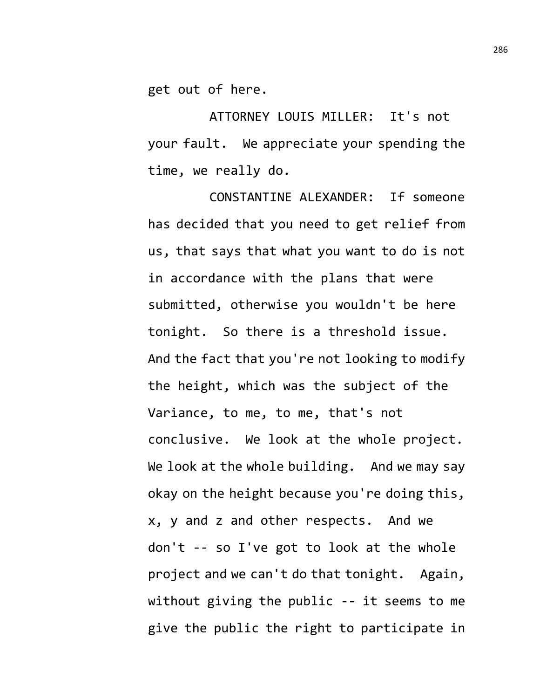get out of here.

ATTORNEY LOUIS MILLER: It's not your fault. We appreciate your spending the time, we really do.

CONSTANTINE ALEXANDER: If someone has decided that you need to get relief from us, that says that what you want to do is not in accordance with the plans that were submitted, otherwise you wouldn't be here tonight. So there is a threshold issue. And the fact that you're not looking to modify the height, which was the subject of the Variance, to me, to me, that's not conclusive. We look at the whole project. We look at the whole building. And we may say okay on the height because you're doing this, x, y and z and other respects. And we don't -- so I've got to look at the whole project and we can't do that tonight. Again, without giving the public -- it seems to me give the public the right to participate in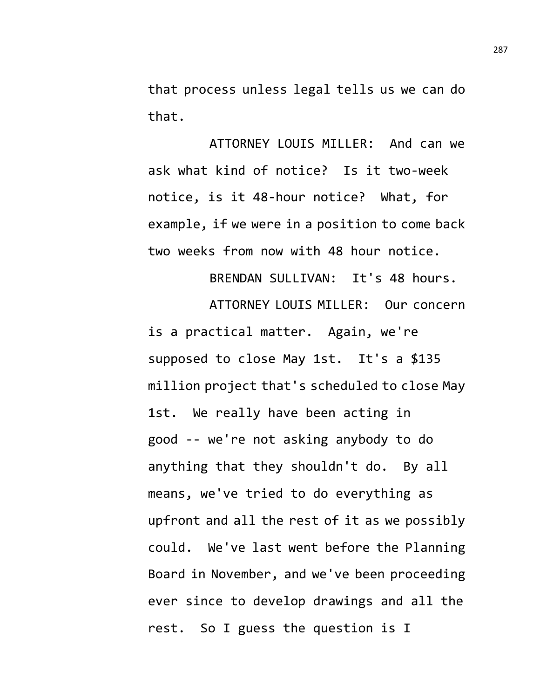that process unless legal tells us we can do that.

ATTORNEY LOUIS MILLER: And can we ask what kind of notice? Is it two-week notice, is it 48-hour notice? What, for example, if we were in a position to come back two weeks from now with 48 hour notice.

BRENDAN SULLIVAN: It's 48 hours. ATTORNEY LOUIS MILLER: Our concern is a practical matter. Again, we're supposed to close May 1st. It's a \$135 million project that's scheduled to close May 1st. We really have been acting in good -- we're not asking anybody to do anything that they shouldn't do. By all means, we've tried to do everything as upfront and all the rest of it as we possibly could. We've last went before the Planning Board in November, and we've been proceeding ever since to develop drawings and all the rest. So I guess the question is I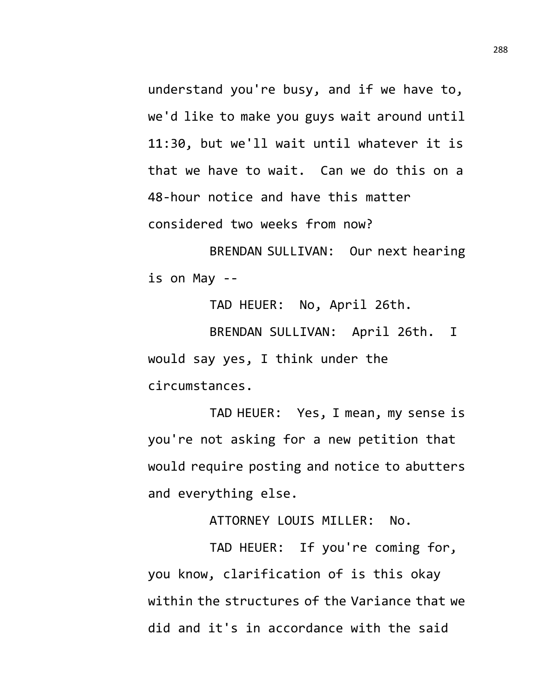understand you're busy, and if we have to, we'd like to make you guys wait around until 11:30, but we'll wait until whatever it is that we have to wait. Can we do this on a 48-hour notice and have this matter considered two weeks from now?

BRENDAN SULLIVAN: Our next hearing is on May --

TAD HEUER: No, April 26th. BRENDAN SULLIVAN: April 26th. I would say yes, I think under the circumstances.

TAD HEUER: Yes, I mean, my sense is you're not asking for a new petition that would require posting and notice to abutters and everything else.

ATTORNEY LOUIS MILLER: No.

TAD HEUER: If you're coming for, you know, clarification of is this okay within the structures of the Variance that we did and it's in accordance with the said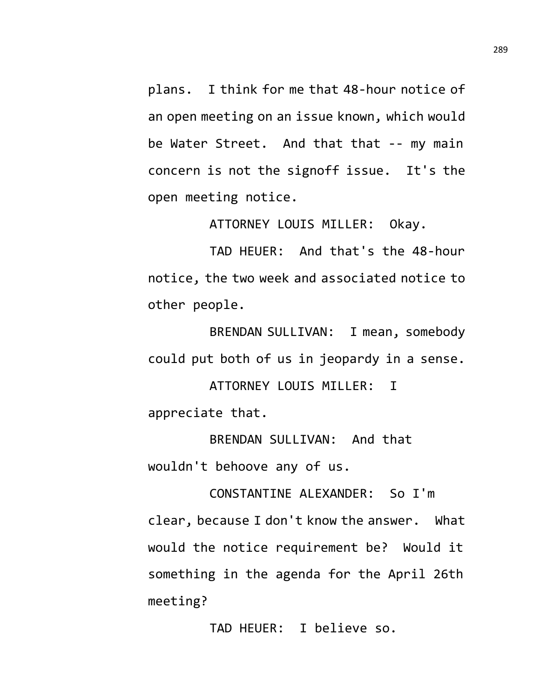plans. I think for me that 48-hour notice of an open meeting on an issue known, which would be Water Street. And that that -- my main concern is not the signoff issue. It's the open meeting notice.

ATTORNEY LOUIS MILLER: Okay.

TAD HEUER: And that's the 48-hour notice, the two week and associated notice to other people.

BRENDAN SULLIVAN: I mean, somebody could put both of us in jeopardy in a sense.

ATTORNEY LOUIS MILLER: I appreciate that.

BRENDAN SULLIVAN: And that wouldn't behoove any of us.

CONSTANTINE ALEXANDER: So I'm clear, because I don't know the answer. What would the notice requirement be? Would it something in the agenda for the April 26th meeting?

TAD HEUER: I believe so.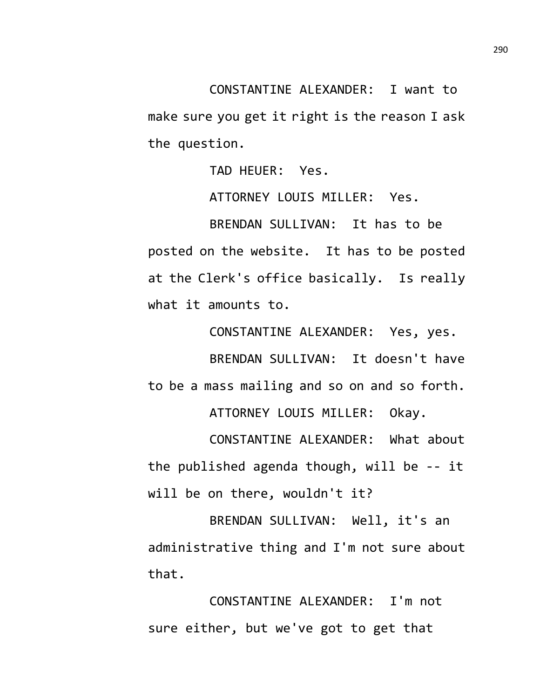CONSTANTINE ALEXANDER: I want to make sure you get it right is the reason I ask the question.

TAD HEUER: Yes.

ATTORNEY LOUIS MILLER: Yes.

BRENDAN SULLIVAN: It has to be posted on the website. It has to be posted at the Clerk's office basically. Is really what it amounts to.

CONSTANTINE ALEXANDER: Yes, yes. BRENDAN SULLIVAN: It doesn't have to be a mass mailing and so on and so forth.

ATTORNEY LOUIS MILLER: Okay.

CONSTANTINE ALEXANDER: What about the published agenda though, will be -- it will be on there, wouldn't it?

BRENDAN SULLIVAN: Well, it's an administrative thing and I'm not sure about that.

CONSTANTINE ALEXANDER: I'm not sure either, but we've got to get that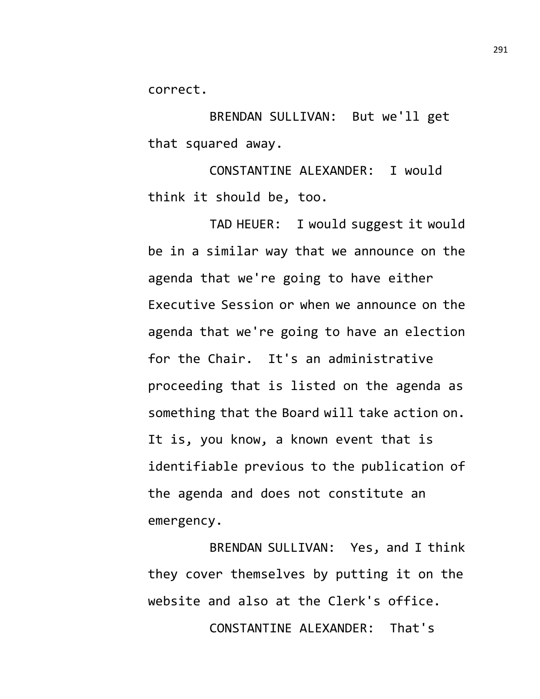correct.

BRENDAN SULLIVAN: But we'll get that squared away.

CONSTANTINE ALEXANDER: I would think it should be, too.

TAD HEUER: I would suggest it would be in a similar way that we announce on the agenda that we're going to have either Executive Session or when we announce on the agenda that we're going to have an election for the Chair. It's an administrative proceeding that is listed on the agenda as something that the Board will take action on. It is, you know, a known event that is identifiable previous to the publication of the agenda and does not constitute an emergency.

BRENDAN SULLIVAN: Yes, and I think they cover themselves by putting it on the website and also at the Clerk's office.

CONSTANTINE ALEXANDER: That's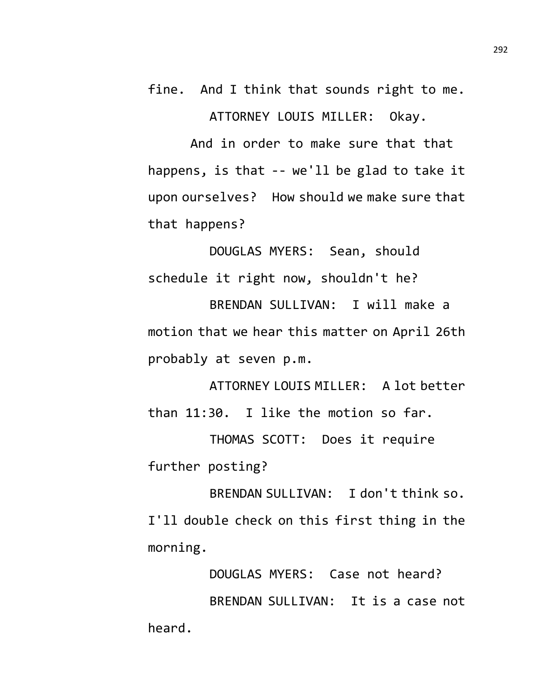fine. And I think that sounds right to me. ATTORNEY LOUIS MILLER: Okay.

And in order to make sure that that happens, is that -- we'll be glad to take it upon ourselves? How should we make sure that that happens?

DOUGLAS MYERS: Sean, should schedule it right now, shouldn't he?

BRENDAN SULLIVAN: I will make a motion that we hear this matter on April 26th probably at seven p.m.

ATTORNEY LOUIS MILLER: A lot better than 11:30. I like the motion so far.

THOMAS SCOTT: Does it require further posting?

BRENDAN SULLIVAN: I don't think so. I'll double check on this first thing in the morning.

DOUGLAS MYERS: Case not heard? BRENDAN SULLIVAN: It is a case not heard.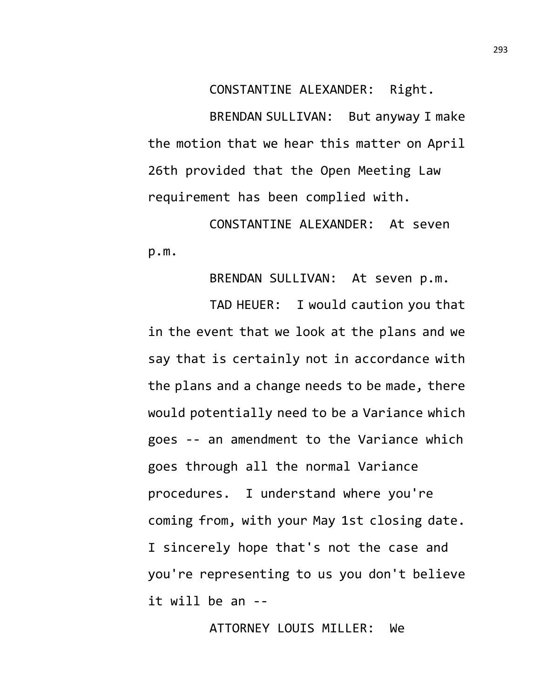CONSTANTINE ALEXANDER: Right.

BRENDAN SULLIVAN: But anyway I make the motion that we hear this matter on April 26th provided that the Open Meeting Law requirement has been complied with.

CONSTANTINE ALEXANDER: At seven p.m.

BRENDAN SULLIVAN: At seven p.m.

TAD HEUER: I would caution you that in the event that we look at the plans and we say that is certainly not in accordance with the plans and a change needs to be made, there would potentially need to be a Variance which goes -- an amendment to the Variance which goes through all the normal Variance procedures. I understand where you're coming from, with your May 1st closing date. I sincerely hope that's not the case and you're representing to us you don't believe it will be an --

ATTORNEY LOUIS MILLER: We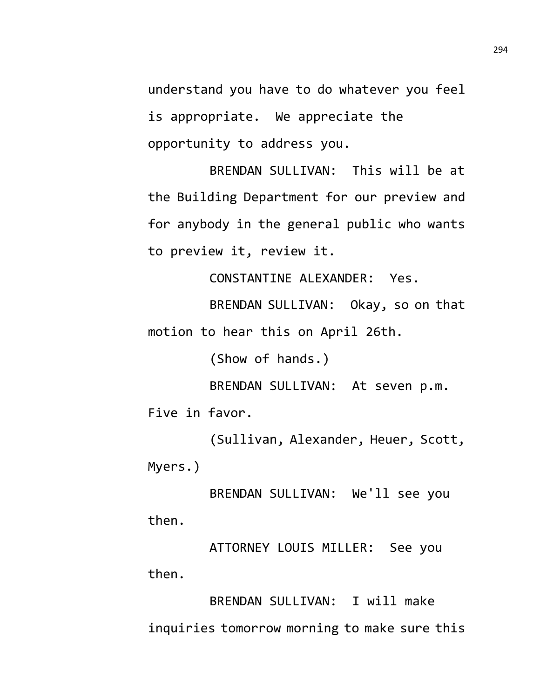understand you have to do whatever you feel is appropriate. We appreciate the opportunity to address you.

BRENDAN SULLIVAN: This will be at the Building Department for our preview and for anybody in the general public who wants to preview it, review it.

CONSTANTINE ALEXANDER: Yes.

BRENDAN SULLIVAN: Okay, so on that motion to hear this on April 26th.

(Show of hands.)

BRENDAN SULLIVAN: At seven p.m. Five in favor.

(Sullivan, Alexander, Heuer, Scott, Myers.)

BRENDAN SULLIVAN: We'll see you then.

ATTORNEY LOUIS MILLER: See you then.

BRENDAN SULLIVAN: I will make inquiries tomorrow morning to make sure this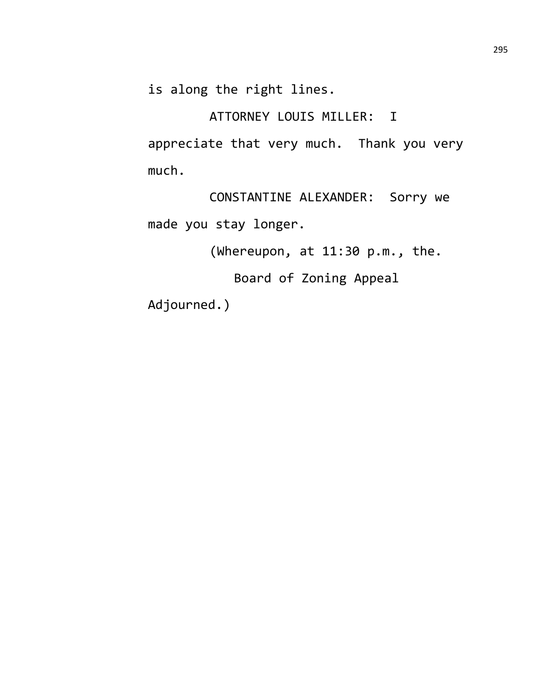is along the right lines.

ATTORNEY LOUIS MILLER: I appreciate that very much. Thank you very much.

CONSTANTINE ALEXANDER: Sorry we made you stay longer.

(Whereupon, at 11:30 p.m., the.

Board of Zoning Appeal

Adjourned.)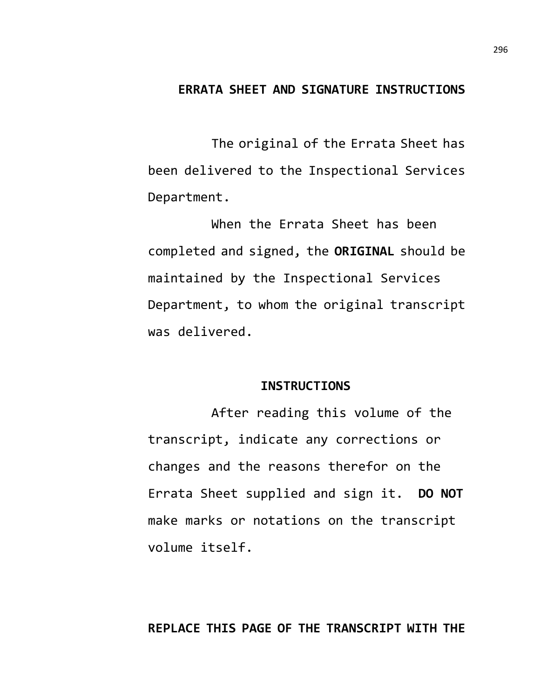### **ERRATA SHEET AND SIGNATURE INSTRUCTIONS**

The original of the Errata Sheet has been delivered to the Inspectional Services Department.

When the Errata Sheet has been completed and signed, the **ORIGINAL** should be maintained by the Inspectional Services Department, to whom the original transcript was delivered.

#### **INSTRUCTIONS**

After reading this volume of the transcript, indicate any corrections or changes and the reasons therefor on the Errata Sheet supplied and sign it. **DO NOT** make marks or notations on the transcript volume itself.

# **REPLACE THIS PAGE OF THE TRANSCRIPT WITH THE**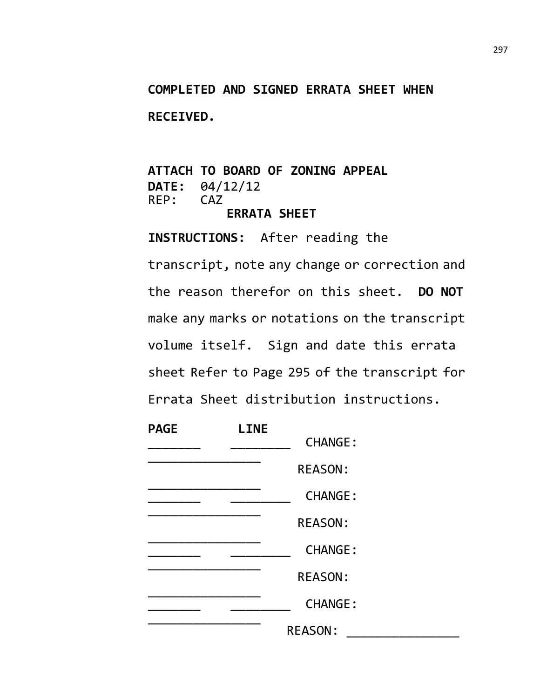# **COMPLETED AND SIGNED ERRATA SHEET WHEN RECEIVED.**

# **ATTACH TO BOARD OF ZONING APPEAL DATE:** 04/12/12 REP: **ERRATA SHEET**

**INSTRUCTIONS:** After reading the transcript, note any change or correction and the reason therefor on this sheet. **DO NOT** make any marks or notations on the transcript volume itself. Sign and date this errata sheet Refer to Page 295 of the transcript for Errata Sheet distribution instructions.

| <b>PAGE</b> | <b>LINE</b> |                |  |
|-------------|-------------|----------------|--|
|             |             | <b>CHANGE:</b> |  |
|             |             | <b>REASON:</b> |  |
|             |             | <b>CHANGE:</b> |  |
|             |             | <b>REASON:</b> |  |
|             |             | <b>CHANGE:</b> |  |
|             |             | <b>REASON:</b> |  |
|             |             | <b>CHANGE:</b> |  |
|             |             | <b>REASON:</b> |  |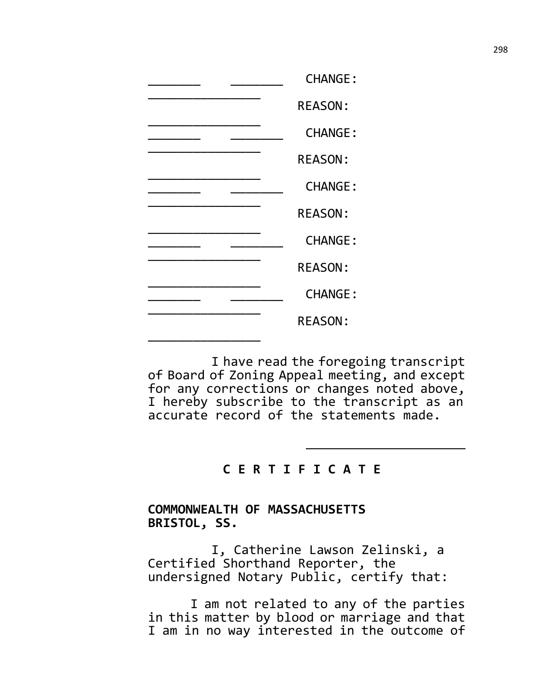|  | <b>CHANGE:</b> |
|--|----------------|
|  | <b>REASON:</b> |
|  | <b>CHANGE:</b> |
|  | <b>REASON:</b> |
|  | <b>CHANGE:</b> |
|  | <b>REASON:</b> |
|  | <b>CHANGE:</b> |
|  | <b>REASON:</b> |
|  | <b>CHANGE:</b> |
|  | <b>REASON:</b> |
|  |                |

I have read the foregoing transcript of Board of Zoning Appeal meeting, and except for any corrections or changes noted above, I hereby subscribe to the transcript as an accurate record of the statements made.

### **C E R T I F I C A T E**

# **COMMONWEALTH OF MASSACHUSETTS BRISTOL, SS.**

I, Catherine Lawson Zelinski, a Certified Shorthand Reporter, the undersigned Notary Public, certify that:

I am not related to any of the parties in this matter by blood or marriage and that I am in no way interested in the outcome of